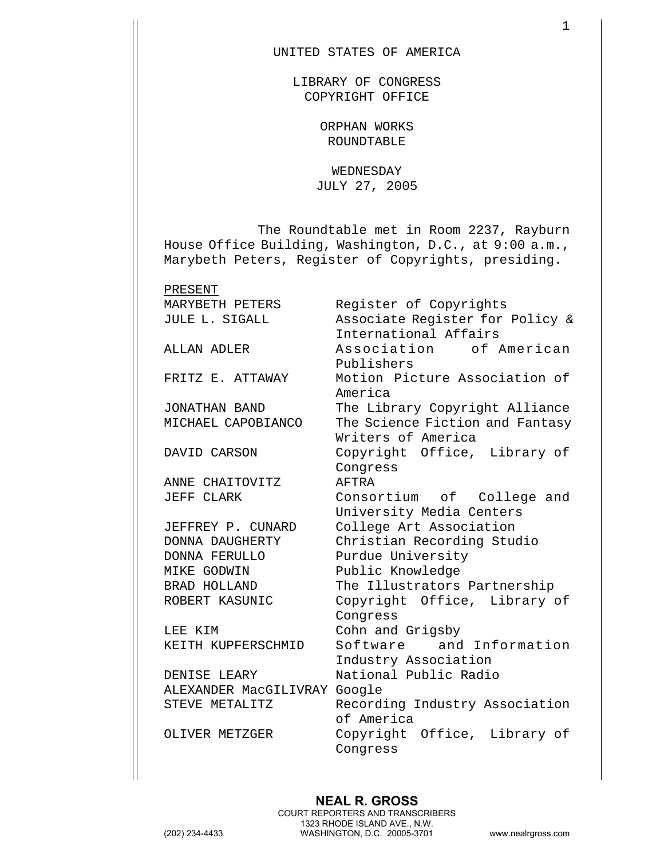## UNITED STATES OF AMERICA

LIBRARY OF CONGRESS COPYRIGHT OFFICE

> ORPHAN WORKS ROUNDTABLE

WEDNESDAY JULY 27, 2005

The Roundtable met in Room 2237, Rayburn House Office Building, Washington, D.C., at 9:00 a.m., Marybeth Peters, Register of Copyrights, presiding.

PRESENT

ANNE CHAITOVITZ AFTRA

MIKE GODWIN Public Knowledge

DENISE LEARY National Public Radio ALEXANDER MacGILIVRAY Google STEVE METALITZ Recording Industry Association

MARYBETH PETERS Reqister of Copyrights JULE L. SIGALL Associate Register for Policy & International Affairs ALLAN ADLER Association of American Publishers FRITZ E. ATTAWAY Motion Picture Association of America JONATHAN BAND The Library Copyright Alliance MICHAEL CAPOBIANCO The Science Fiction and Fantasy Writers of America DAVID CARSON Copyright Office, Library of Congress JEFF CLARK Consortium of College and University Media Centers JEFFREY P. CUNARD College Art Association DONNA DAUGHERTY Christian Recording Studio DONNA FERULLO Purdue University BRAD HOLLAND The Illustrators Partnership ROBERT KASUNIC Copyright Office, Library of Congress LEE KIM Cohn and Grigsby KEITH KUPFERSCHMID Software and Information Industry Association

of America OLIVER METZGER Copyright Office, Library of Congress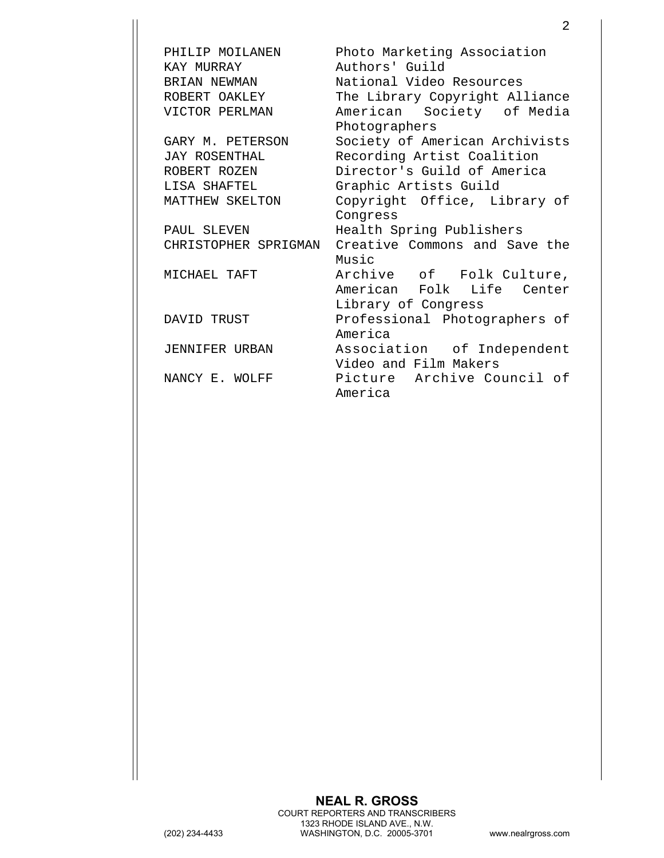PHILIP MOILANEN Photo Marketing Association KAY MURRAY **Authors' Guild** BRIAN NEWMAN National Video Resources ROBERT OAKLEY The Library Copyright Alliance VICTOR PERLMAN American Society of Media Photographers GARY M. PETERSON Society of American Archivists JAY ROSENTHAL Recording Artist Coalition ROBERT ROZEN Director's Guild of America LISA SHAFTEL Graphic Artists Guild MATTHEW SKELTON Copyright Office, Library of Congress PAUL SLEVEN Health Spring Publishers CHRISTOPHER SPRIGMAN Creative Commons and Save the Music MICHAEL TAFT Archive of Folk Culture, American Folk Life Center Library of Congress DAVID TRUST Professional Photographers of America JENNIFER URBAN Association of Independent Video and Film Makers NANCY E. WOLFF Picture Archive Council of America

2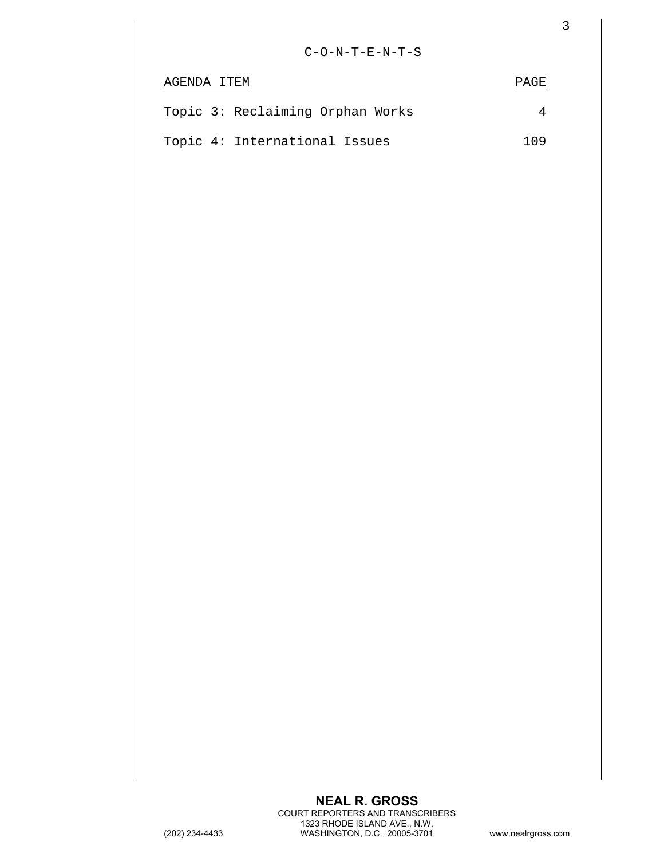| $\mathsf 3$    |
|----------------|
|                |
| <b>PAGE</b>    |
| $\overline{4}$ |
| 109            |
|                |
|                |
|                |
|                |
|                |
|                |
|                |
|                |
|                |
|                |
|                |
|                |
|                |
|                |
|                |
|                |
|                |
|                |
|                |
|                |
|                |
|                |
|                |
|                |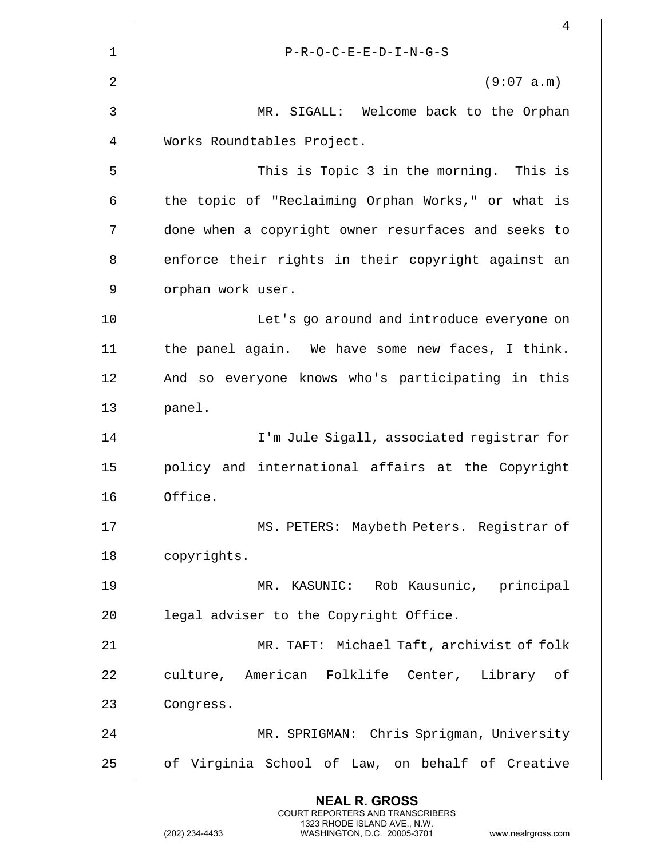|    | 4                                                   |
|----|-----------------------------------------------------|
| 1  | $P-R-O-C-E-E-D-I-N-G-S$                             |
| 2  | (9:07 a.m)                                          |
| 3  | MR. SIGALL: Welcome back to the Orphan              |
| 4  | Works Roundtables Project.                          |
| 5  | This is Topic 3 in the morning. This is             |
| 6  | the topic of "Reclaiming Orphan Works," or what is  |
| 7  | done when a copyright owner resurfaces and seeks to |
| 8  | enforce their rights in their copyright against an  |
| 9  | orphan work user.                                   |
| 10 | Let's go around and introduce everyone on           |
| 11 | the panel again. We have some new faces, I think.   |
| 12 | And so everyone knows who's participating in this   |
| 13 | panel.                                              |
| 14 | I'm Jule Sigall, associated registrar for           |
| 15 | policy and international affairs at the Copyright   |
| 16 | Office.                                             |
| 17 | MS. PETERS: Maybeth Peters. Registrar of            |
| 18 | copyrights.                                         |
| 19 | MR. KASUNIC: Rob Kausunic, principal                |
| 20 | legal adviser to the Copyright Office.              |
| 21 | MR. TAFT: Michael Taft, archivist of folk           |
| 22 | culture, American Folklife Center, Library of       |
| 23 | Congress.                                           |
| 24 | MR. SPRIGMAN: Chris Sprigman, University            |
| 25 | of Virginia School of Law, on behalf of Creative    |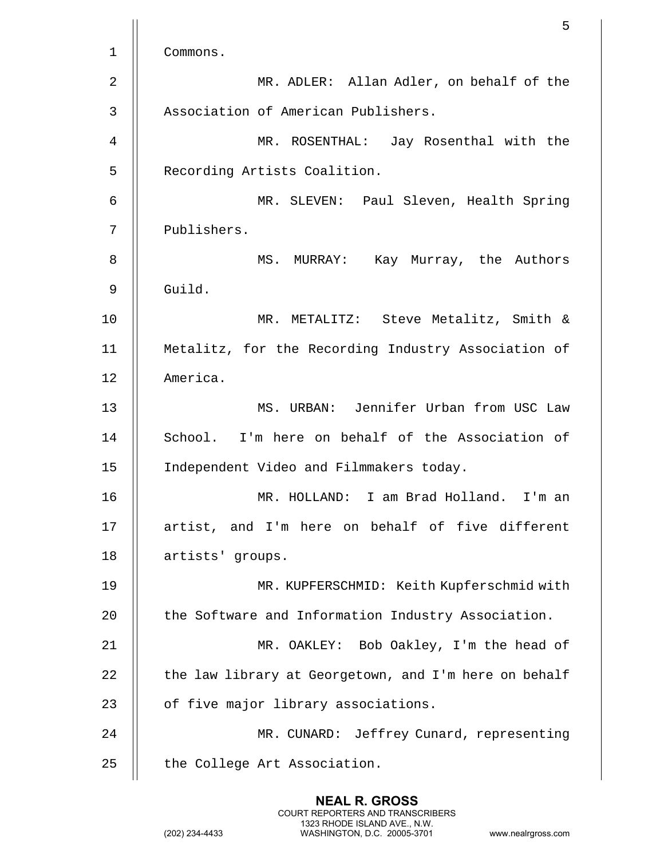|                | 5                                                     |
|----------------|-------------------------------------------------------|
| $\mathbf 1$    | Commons.                                              |
| $\overline{2}$ | MR. ADLER: Allan Adler, on behalf of the              |
| $\mathfrak{Z}$ | Association of American Publishers.                   |
| 4              | MR. ROSENTHAL: Jay Rosenthal with the                 |
| 5              | Recording Artists Coalition.                          |
| 6              | MR. SLEVEN: Paul Sleven, Health Spring                |
| 7              | Publishers.                                           |
| 8              | MS. MURRAY: Kay Murray, the Authors                   |
| 9              | Guild.                                                |
| 10             | MR. METALITZ: Steve Metalitz, Smith &                 |
| 11             | Metalitz, for the Recording Industry Association of   |
| 12             | America.                                              |
| 13             | MS. URBAN: Jennifer Urban from USC Law                |
| 14             | School. I'm here on behalf of the Association of      |
| 15             | Independent Video and Filmmakers today.               |
| 16             | MR. HOLLAND: I am Brad Holland.<br>I'm an             |
| 17             | artist, and I'm here on behalf of five different      |
| 18             | artists' groups.                                      |
| 19             | MR. KUPFERSCHMID: Keith Kupferschmid with             |
| 20             | the Software and Information Industry Association.    |
| 21             | MR. OAKLEY: Bob Oakley, I'm the head of               |
| 22             | the law library at Georgetown, and I'm here on behalf |
| 23             | of five major library associations.                   |
| 24             | MR. CUNARD: Jeffrey Cunard, representing              |
| 25             | the College Art Association.                          |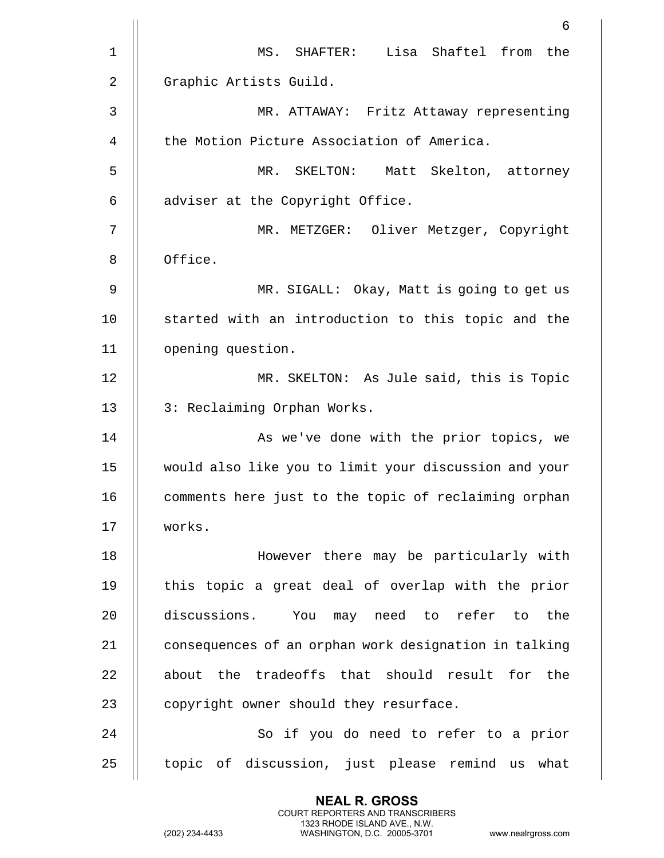|                | 6                                                     |
|----------------|-------------------------------------------------------|
| $\mathbf 1$    | MS. SHAFTER: Lisa Shaftel from the                    |
| $\overline{2}$ | Graphic Artists Guild.                                |
| 3              | MR. ATTAWAY: Fritz Attaway representing               |
| 4              | the Motion Picture Association of America.            |
| 5              | MR. SKELTON: Matt Skelton, attorney                   |
| 6              | adviser at the Copyright Office.                      |
| 7              | MR. METZGER: Oliver Metzger, Copyright                |
| 8              | Office.                                               |
| 9              | MR. SIGALL: Okay, Matt is going to get us             |
| 10             | started with an introduction to this topic and the    |
| 11             | opening question.                                     |
| 12             | MR. SKELTON: As Jule said, this is Topic              |
| 13             | 3: Reclaiming Orphan Works.                           |
| 14             | As we've done with the prior topics, we               |
| 15             | would also like you to limit your discussion and your |
| 16             | comments here just to the topic of reclaiming orphan  |
| 17             | works.                                                |
| 18             | However there may be particularly with                |
| 19             | this topic a great deal of overlap with the prior     |
| 20             | discussions.<br>You may need to refer to<br>the       |
| 21             | consequences of an orphan work designation in talking |
| 22             | about the tradeoffs that should result for the        |
| 23             | copyright owner should they resurface.                |
| 24             | So if you do need to refer to a prior                 |
| 25             | topic of discussion, just please remind us what       |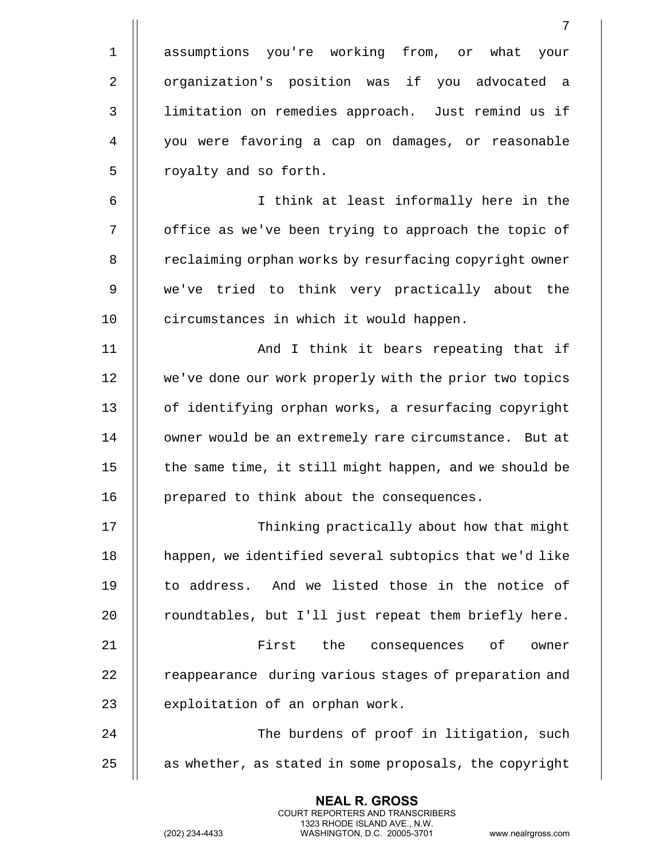|             | 7                                                      |
|-------------|--------------------------------------------------------|
| $\mathbf 1$ | assumptions you're working from, or what your          |
| $\sqrt{2}$  | organization's position was if you advocated a         |
| 3           | limitation on remedies approach. Just remind us if     |
| 4           | you were favoring a cap on damages, or reasonable      |
| 5           | royalty and so forth.                                  |
| 6           | I think at least informally here in the                |
| 7           | office as we've been trying to approach the topic of   |
| 8           | reclaiming orphan works by resurfacing copyright owner |
| 9           | we've tried to think very practically about the        |
| 10          | circumstances in which it would happen.                |
| 11          | And I think it bears repeating that if                 |
| 12          | we've done our work properly with the prior two topics |
| 13          | of identifying orphan works, a resurfacing copyright   |
| 14          | owner would be an extremely rare circumstance. But at  |
| 15          | the same time, it still might happen, and we should be |
| 16          | prepared to think about the consequences.              |
| 17          | Thinking practically about how that might              |
| 18          | happen, we identified several subtopics that we'd like |
| 19          | to address. And we listed those in the notice of       |
| 20          | roundtables, but I'll just repeat them briefly here.   |
| 21          | First<br>the<br>consequences of<br>owner               |
| 22          | reappearance during various stages of preparation and  |
| 23          | exploitation of an orphan work.                        |
| 24          | The burdens of proof in litigation, such               |
| 25          | as whether, as stated in some proposals, the copyright |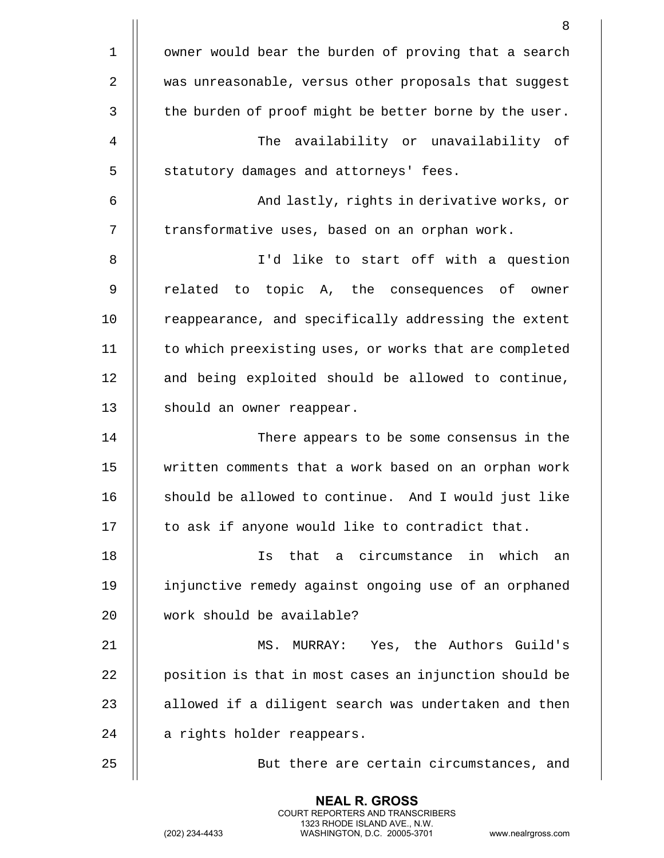|              | 8                                                      |
|--------------|--------------------------------------------------------|
| $\mathbf 1$  | owner would bear the burden of proving that a search   |
| $\mathbf{2}$ | was unreasonable, versus other proposals that suggest  |
| 3            | the burden of proof might be better borne by the user. |
| 4            | The availability or unavailability of                  |
| 5            | statutory damages and attorneys' fees.                 |
| 6            | And lastly, rights in derivative works, or             |
| 7            | transformative uses, based on an orphan work.          |
| 8            | I'd like to start off with a question                  |
| 9            | related to topic A, the consequences of owner          |
| 10           | reappearance, and specifically addressing the extent   |
| 11           | to which preexisting uses, or works that are completed |
| 12           | and being exploited should be allowed to continue,     |
| 13           | should an owner reappear.                              |
| 14           | There appears to be some consensus in the              |
| 15           | written comments that a work based on an orphan work   |
| 16           | should be allowed to continue. And I would just like   |
| 17           | to ask if anyone would like to contradict that.        |
| 18           | that a circumstance in which<br>Is<br>an               |
| 19           | injunctive remedy against ongoing use of an orphaned   |
| 20           | work should be available?                              |
| 21           | MS. MURRAY: Yes, the Authors Guild's                   |
| 22           | position is that in most cases an injunction should be |
| 23           | allowed if a diligent search was undertaken and then   |
| 24           | a rights holder reappears.                             |
| 25           | But there are certain circumstances, and               |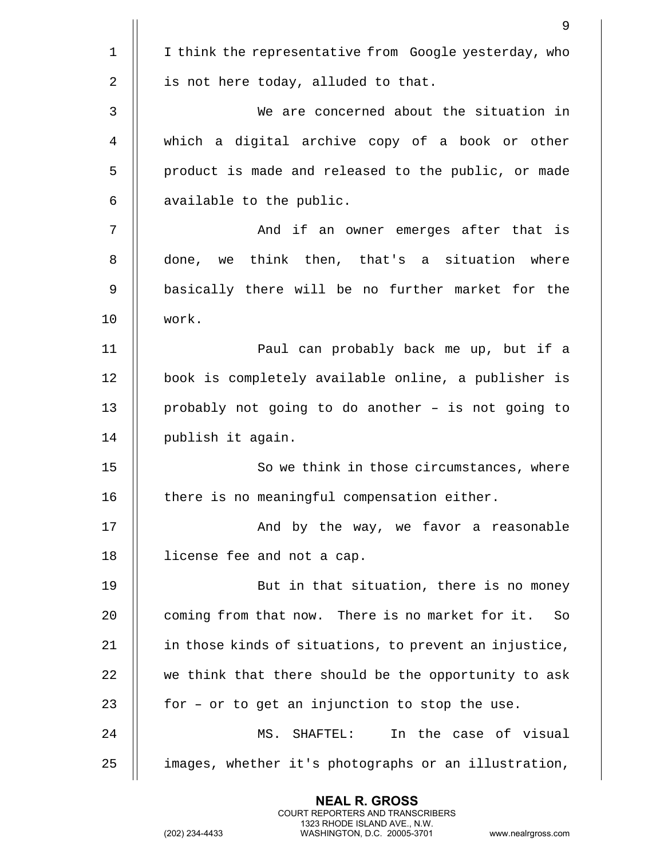|                | 9                                                      |
|----------------|--------------------------------------------------------|
| $\mathbf 1$    | I think the representative from Google yesterday, who  |
| $\overline{2}$ | is not here today, alluded to that.                    |
| 3              | We are concerned about the situation in                |
| 4              | which a digital archive copy of a book or other        |
| 5              | product is made and released to the public, or made    |
| 6              | available to the public.                               |
| 7              | And if an owner emerges after that is                  |
| 8              | done, we think then, that's a situation where          |
| 9              | basically there will be no further market for the      |
| 10             | work.                                                  |
| 11             | Paul can probably back me up, but if a                 |
| 12             | book is completely available online, a publisher is    |
| 13             | probably not going to do another - is not going to     |
| 14             | publish it again.                                      |
| 15             | So we think in those circumstances, where              |
| 16             | there is no meaningful compensation either.            |
| 17             | And by the way, we favor a reasonable                  |
| 18             | license fee and not a cap.                             |
| 19             | But in that situation, there is no money               |
| 20             | coming from that now. There is no market for it.<br>So |
| 21             | in those kinds of situations, to prevent an injustice, |
| 22             | we think that there should be the opportunity to ask   |
| 23             | for - or to get an injunction to stop the use.         |
| 24             | In the case of visual<br>MS. SHAFTEL:                  |
| 25             | images, whether it's photographs or an illustration,   |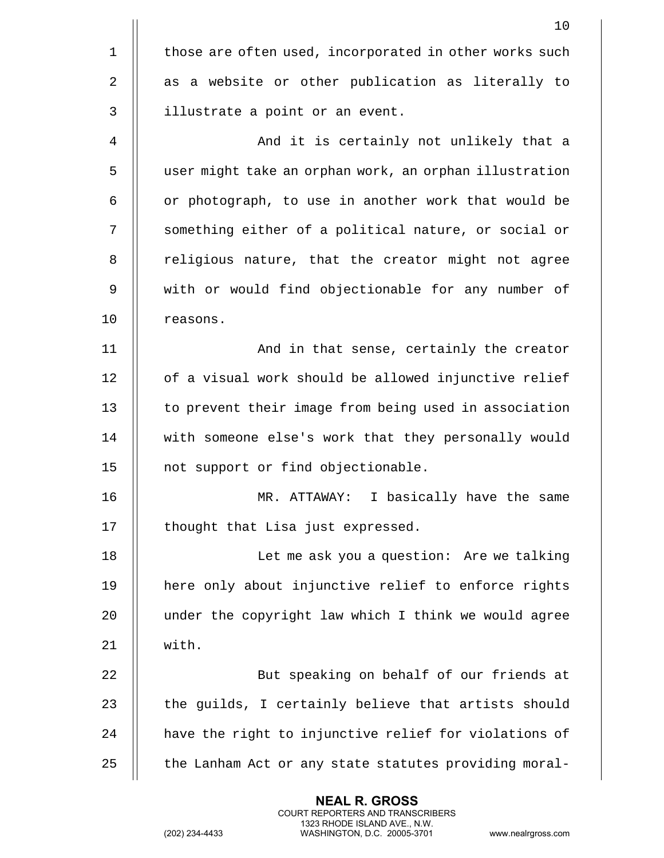|                | 10                                                     |
|----------------|--------------------------------------------------------|
| $\mathbf{1}$   | those are often used, incorporated in other works such |
| $\overline{2}$ | as a website or other publication as literally to      |
| 3              | illustrate a point or an event.                        |
| 4              | And it is certainly not unlikely that a                |
| 5              | user might take an orphan work, an orphan illustration |
| 6              | or photograph, to use in another work that would be    |
| 7              | something either of a political nature, or social or   |
| 8              | religious nature, that the creator might not agree     |
| 9              | with or would find objectionable for any number of     |
| 10             | reasons.                                               |
| 11             | And in that sense, certainly the creator               |
| 12             | of a visual work should be allowed injunctive relief   |
| 13             | to prevent their image from being used in association  |
| 14             | with someone else's work that they personally would    |
| 15             | not support or find objectionable.                     |
| 16             | I basically have the same<br>MR.<br>ATTAWAY:           |
| 17             | thought that Lisa just expressed.                      |
| 18             | Let me ask you a question: Are we talking              |
| 19             | here only about injunctive relief to enforce rights    |
| 20             | under the copyright law which I think we would agree   |
| 21             | with.                                                  |
| 22             | But speaking on behalf of our friends at               |
| 23             | the guilds, I certainly believe that artists should    |
| 24             | have the right to injunctive relief for violations of  |
| 25             | the Lanham Act or any state statutes providing moral-  |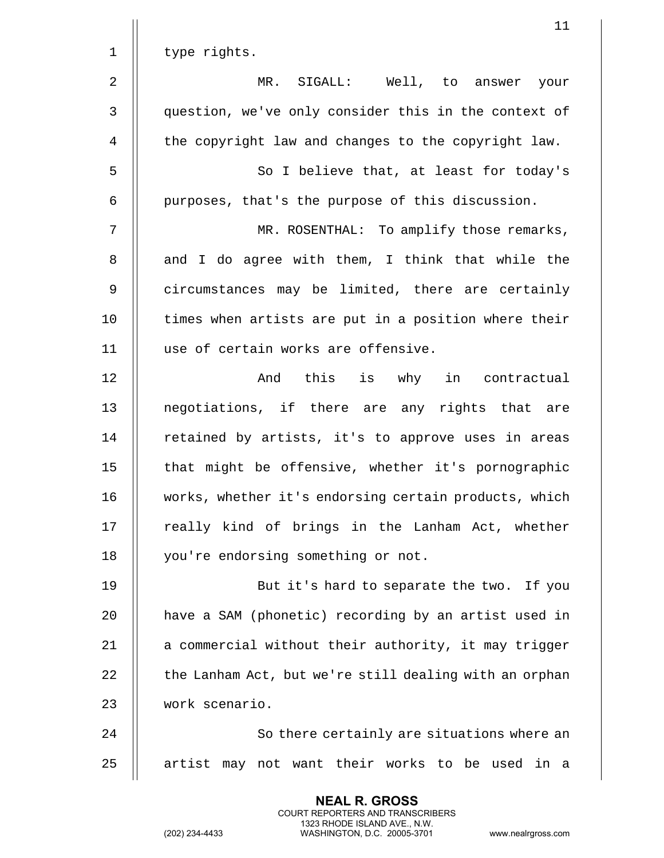|              | 11                                                     |
|--------------|--------------------------------------------------------|
| $\mathbf 1$  | type rights.                                           |
| 2            | MR. SIGALL: Well, to answer your                       |
| $\mathsf{3}$ | question, we've only consider this in the context of   |
| 4            | the copyright law and changes to the copyright law.    |
| 5            | So I believe that, at least for today's                |
| 6            | purposes, that's the purpose of this discussion.       |
| 7            | MR. ROSENTHAL: To amplify those remarks,               |
| 8            | and I do agree with them, I think that while the       |
| 9            | circumstances may be limited, there are certainly      |
| 10           | times when artists are put in a position where their   |
| 11           | use of certain works are offensive.                    |
| 12           | And this<br>is why in contractual                      |
| 13           | negotiations, if there are any rights that are         |
| 14           | retained by artists, it's to approve uses in areas     |
| 15           | that might be offensive, whether it's pornographic     |
| 16           | works, whether it's endorsing certain products, which  |
| 17           | really kind of brings in the Lanham Act, whether       |
| 18           | you're endorsing something or not.                     |
| 19           | But it's hard to separate the two. If you              |
| 20           | have a SAM (phonetic) recording by an artist used in   |
| 21           | a commercial without their authority, it may trigger   |
| 22           | the Lanham Act, but we're still dealing with an orphan |
| 23           | work scenario.                                         |
| 24           | So there certainly are situations where an             |
| 25           | artist may not want their works to be used in a        |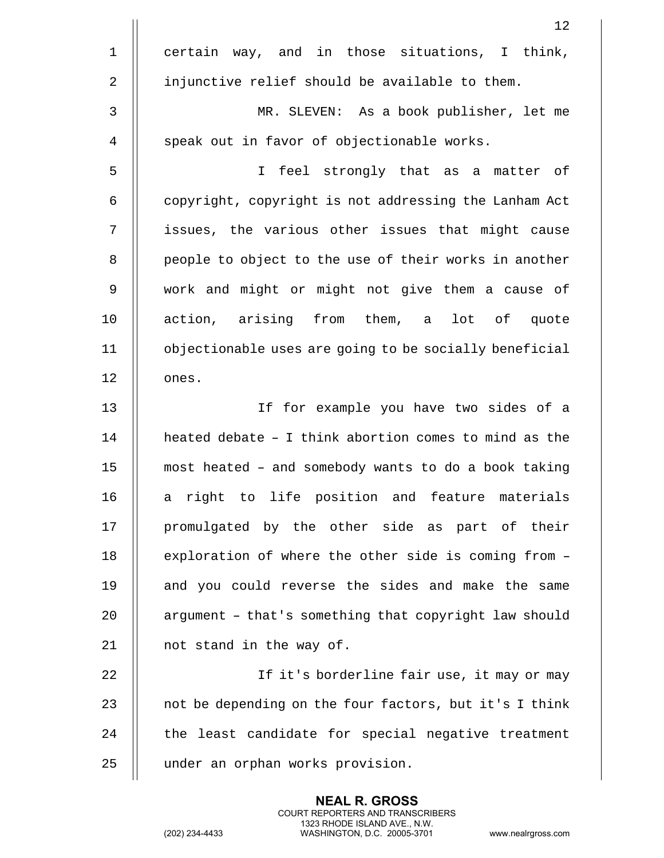| 12                                                     |
|--------------------------------------------------------|
| certain way, and in those situations, I think,         |
| injunctive relief should be available to them.         |
| MR. SLEVEN: As a book publisher, let me                |
| speak out in favor of objectionable works.             |
| I feel strongly that as a matter of                    |
| copyright, copyright is not addressing the Lanham Act  |
| issues, the various other issues that might cause      |
| people to object to the use of their works in another  |
| work and might or might not give them a cause of       |
| action, arising from them, a lot of quote              |
| objectionable uses are going to be socially beneficial |
| ones.                                                  |
| If for example you have two sides of a                 |
| heated debate - I think abortion comes to mind as the  |
| most heated - and somebody wants to do a book taking   |
| right to life position and feature materials<br>a      |
| promulgated by the other side as part of their         |
| exploration of where the other side is coming from -   |
| and you could reverse the sides and make the same      |
| argument - that's something that copyright law should  |
| not stand in the way of.                               |
| If it's borderline fair use, it may or may             |
| not be depending on the four factors, but it's I think |
| the least candidate for special negative treatment     |
| under an orphan works provision.                       |
|                                                        |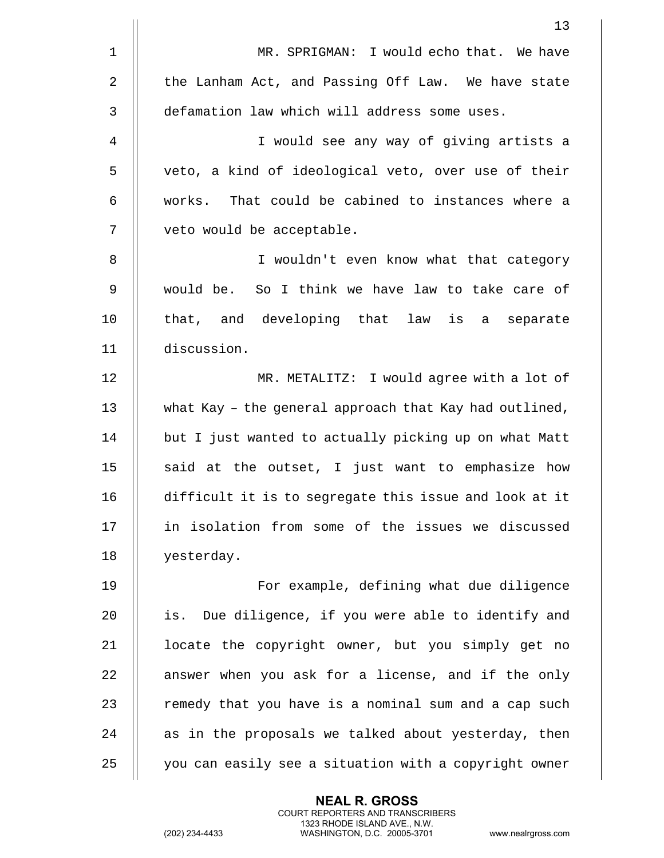|                | 13                                                     |
|----------------|--------------------------------------------------------|
| 1              | MR. SPRIGMAN: I would echo that. We have               |
| $\overline{2}$ | the Lanham Act, and Passing Off Law. We have state     |
| 3              | defamation law which will address some uses.           |
| 4              | I would see any way of giving artists a                |
| 5              | veto, a kind of ideological veto, over use of their    |
| 6              | That could be cabined to instances where a<br>works.   |
| 7              | veto would be acceptable.                              |
| 8              | I wouldn't even know what that category                |
| 9              | would be. So I think we have law to take care of       |
| 10             | that, and developing that law is a separate            |
| 11             | discussion.                                            |
| 12             | MR. METALITZ: I would agree with a lot of              |
| 13             | what Kay - the general approach that Kay had outlined, |
| 14             | but I just wanted to actually picking up on what Matt  |
| 15             | said at the outset, I just want to emphasize how       |
| 16             | difficult it is to segregate this issue and look at it |
| 17             | in isolation from some of the issues we discussed      |
| 18             | yesterday.                                             |
| 19             | For example, defining what due diligence               |
| 20             | Due diligence, if you were able to identify and<br>is. |
| 21             | locate the copyright owner, but you simply get no      |
| 22             | answer when you ask for a license, and if the only     |
| 23             | remedy that you have is a nominal sum and a cap such   |
| 24             | as in the proposals we talked about yesterday, then    |
| 25             | you can easily see a situation with a copyright owner  |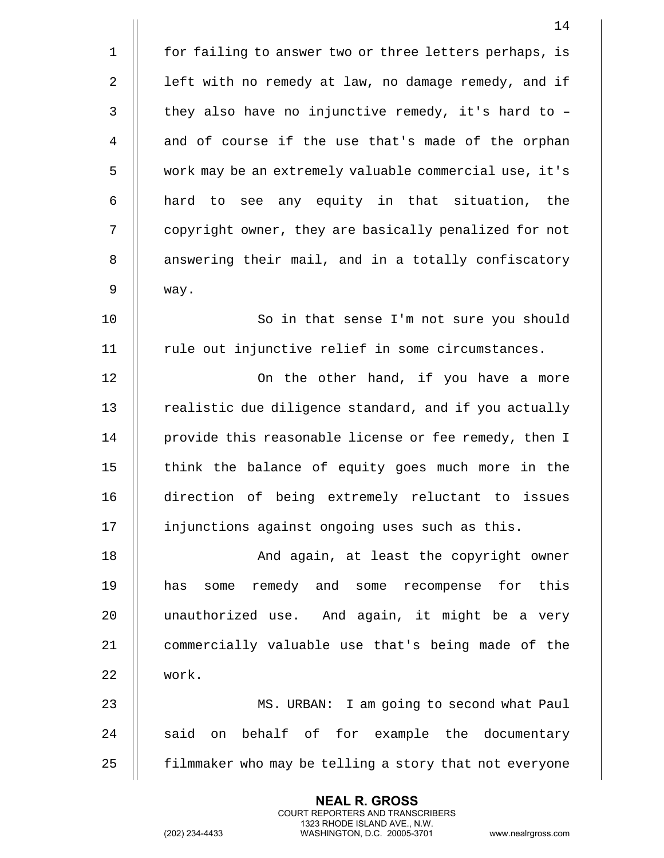| 14                                                     |
|--------------------------------------------------------|
| for failing to answer two or three letters perhaps, is |
| left with no remedy at law, no damage remedy, and if   |
| they also have no injunctive remedy, it's hard to -    |
| and of course if the use that's made of the orphan     |
| work may be an extremely valuable commercial use, it's |
| hard to see any equity in that situation, the          |
| copyright owner, they are basically penalized for not  |
| answering their mail, and in a totally confiscatory    |
| way.                                                   |
| So in that sense I'm not sure you should               |
| rule out injunctive relief in some circumstances.      |
| On the other hand, if you have a more                  |
| realistic due diligence standard, and if you actually  |
| provide this reasonable license or fee remedy, then I  |
| think the balance of equity goes much more in the      |
| direction of being extremely reluctant to issues       |
| injunctions against ongoing uses such as this.         |
| And again, at least the copyright owner                |
| remedy and some recompense for this<br>has<br>some     |
| unauthorized use. And again, it might be a very        |
| commercially valuable use that's being made of the     |
| work.                                                  |
| MS. URBAN: I am going to second what Paul              |
| said on behalf of for example the documentary          |
| filmmaker who may be telling a story that not everyone |
|                                                        |

(202) 234-4433 WASHINGTON, D.C. 20005-3701 www.nealrgross.com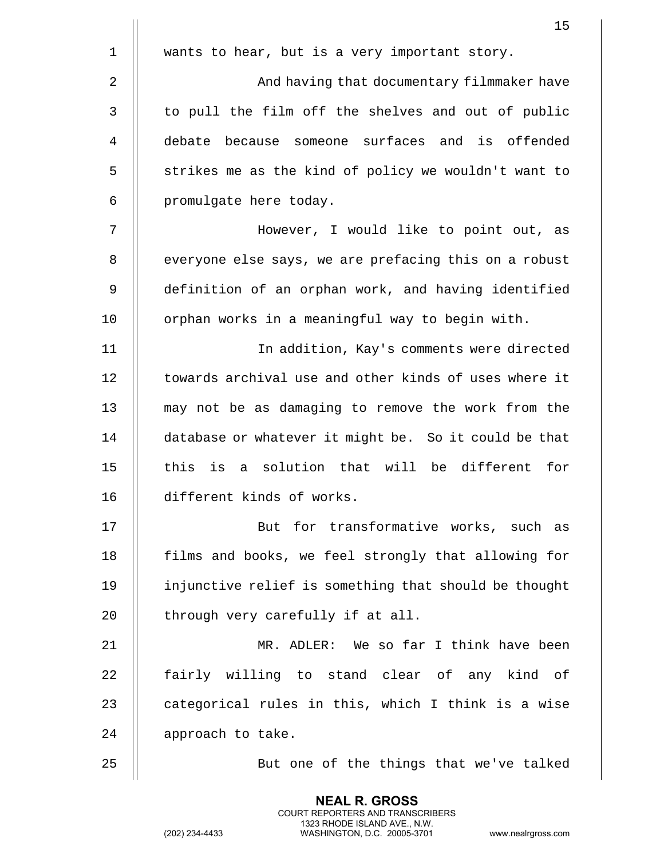|             | 15                                                    |
|-------------|-------------------------------------------------------|
| $\mathbf 1$ | wants to hear, but is a very important story.         |
| 2           | And having that documentary filmmaker have            |
| 3           | to pull the film off the shelves and out of public    |
| 4           | debate because someone surfaces and is offended       |
| 5           | strikes me as the kind of policy we wouldn't want to  |
| 6           | promulgate here today.                                |
| 7           | However, I would like to point out, as                |
| 8           | everyone else says, we are prefacing this on a robust |
| 9           | definition of an orphan work, and having identified   |
| 10          | orphan works in a meaningful way to begin with.       |
| 11          | In addition, Kay's comments were directed             |
| 12          | towards archival use and other kinds of uses where it |
| 13          | may not be as damaging to remove the work from the    |
| 14          | database or whatever it might be. So it could be that |
| 15          | this is a solution that will be different for         |
| 16          | different kinds of works.                             |
| 17          | But for transformative works, such as                 |
| 18          | films and books, we feel strongly that allowing for   |
| 19          | injunctive relief is something that should be thought |
| 20          | through very carefully if at all.                     |
| 21          | MR. ADLER: We so far I think have been                |
| 22          | fairly willing to stand clear of any kind of          |
| 23          | categorical rules in this, which I think is a wise    |
| 24          | approach to take.                                     |
| 25          | But one of the things that we've talked               |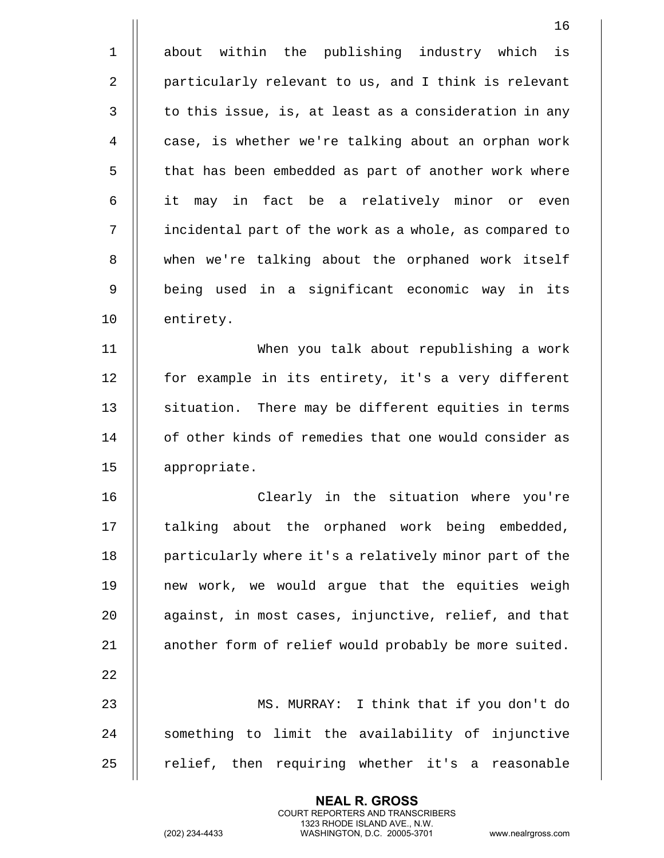|              | 16                                                     |
|--------------|--------------------------------------------------------|
| $\mathbf 1$  | about within the publishing industry which<br>is       |
| 2            | particularly relevant to us, and I think is relevant   |
| $\mathsf{3}$ | to this issue, is, at least as a consideration in any  |
| 4            | case, is whether we're talking about an orphan work    |
| 5            | that has been embedded as part of another work where   |
| 6            | it may in fact be a relatively minor or even           |
| 7            | incidental part of the work as a whole, as compared to |
| 8            | when we're talking about the orphaned work itself      |
| 9            | being used in a significant economic way in its        |
| 10           | entirety.                                              |
| 11           | When you talk about republishing a work                |
| 12           | for example in its entirety, it's a very different     |
| 13           | situation. There may be different equities in terms    |
| 14           | of other kinds of remedies that one would consider as  |
| 15           | appropriate.                                           |
| 16           | Clearly in the situation where you're                  |
| 17           | talking about the orphaned work being embedded,        |
| 18           | particularly where it's a relatively minor part of the |
| 19           | new work, we would argue that the equities weigh       |
| 20           | against, in most cases, injunctive, relief, and that   |
| 21           | another form of relief would probably be more suited.  |
| 22           |                                                        |
| 23           | MS. MURRAY: I think that if you don't do               |
| 24           | something to limit the availability of injunctive      |
| 25           | relief, then requiring whether it's a reasonable       |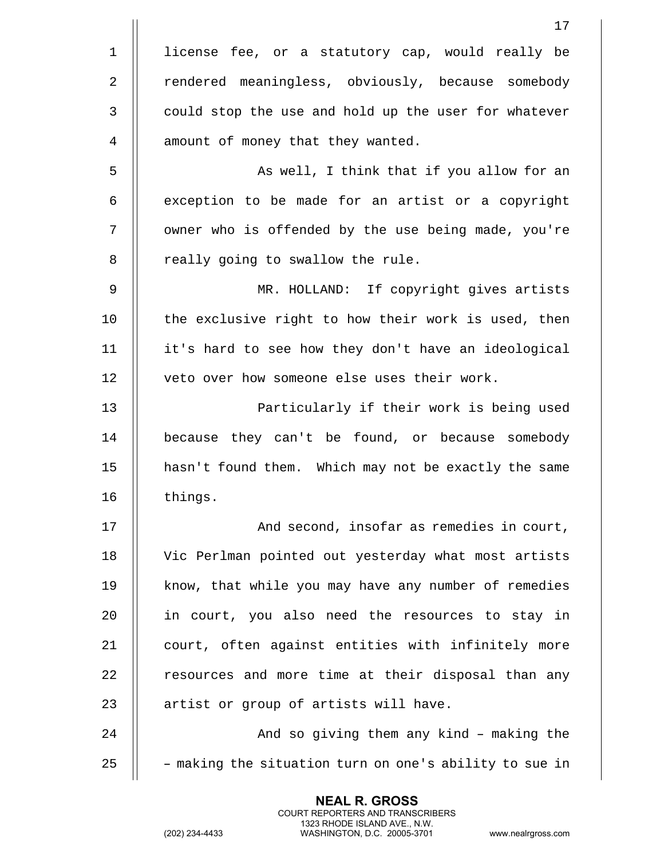|                | 17                                                     |
|----------------|--------------------------------------------------------|
| $\mathbf 1$    | license fee, or a statutory cap, would really be       |
| $\overline{2}$ | rendered meaningless, obviously, because somebody      |
| $\mathbf{3}$   | could stop the use and hold up the user for whatever   |
| 4              | amount of money that they wanted.                      |
| 5              | As well, I think that if you allow for an              |
| 6              | exception to be made for an artist or a copyright      |
| 7              | owner who is offended by the use being made, you're    |
| 8              | really going to swallow the rule.                      |
| 9              | MR. HOLLAND: If copyright gives artists                |
| 10             | the exclusive right to how their work is used, then    |
| 11             | it's hard to see how they don't have an ideological    |
| 12             | veto over how someone else uses their work.            |
| 13             | Particularly if their work is being used               |
| 14             | because they can't be found, or because somebody       |
| 15             | hasn't found them. Which may not be exactly the same   |
| 16             | things.                                                |
| 17             | And second, insofar as remedies in court,              |
| 18             | Vic Perlman pointed out yesterday what most artists    |
| 19             | know, that while you may have any number of remedies   |
| 20             | in court, you also need the resources to stay in       |
| 21             | court, often against entities with infinitely more     |
| 22             | resources and more time at their disposal than any     |
| 23             | artist or group of artists will have.                  |
| 24             | And so giving them any kind - making the               |
| 25             | - making the situation turn on one's ability to sue in |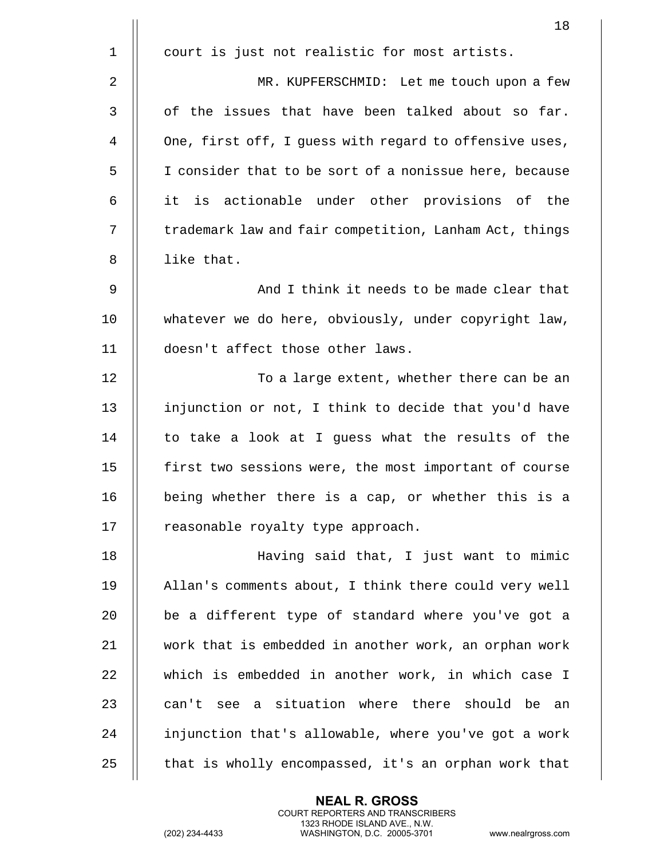|             | 18                                                     |
|-------------|--------------------------------------------------------|
| $\mathbf 1$ | court is just not realistic for most artists.          |
| 2           | MR. KUPFERSCHMID: Let me touch upon a few              |
| 3           | of the issues that have been talked about so far.      |
| 4           | One, first off, I guess with regard to offensive uses, |
| 5           | I consider that to be sort of a nonissue here, because |
| 6           | it is actionable under other provisions of the         |
| 7           | trademark law and fair competition, Lanham Act, things |
| 8           | like that.                                             |
| 9           | And I think it needs to be made clear that             |
| 10          | whatever we do here, obviously, under copyright law,   |
| 11          | doesn't affect those other laws.                       |
| 12          | To a large extent, whether there can be an             |
| 13          | injunction or not, I think to decide that you'd have   |
| 14          | to take a look at I guess what the results of the      |
| 15          | first two sessions were, the most important of course  |
| 16          | being whether there is a cap, or whether this is a     |
| 17          | reasonable royalty type approach.                      |
| 18          | Having said that, I just want to mimic                 |
| 19          | Allan's comments about, I think there could very well  |
| 20          | be a different type of standard where you've got a     |
| 21          | work that is embedded in another work, an orphan work  |
| 22          | which is embedded in another work, in which case I     |
| 23          | can't see a situation where there should be an         |
| 24          | injunction that's allowable, where you've got a work   |
| 25          | that is wholly encompassed, it's an orphan work that   |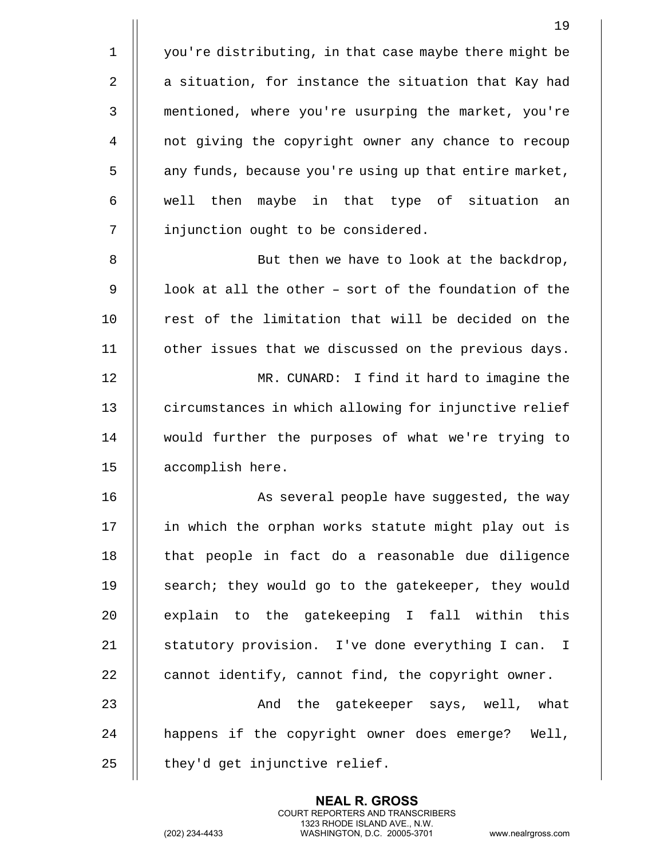19 1 | you're distributing, in that case maybe there might be 2  $\parallel$  a situation, for instance the situation that Kay had 3 mentioned, where you're usurping the market, you're 4 not giving the copyright owner any chance to recoup 5 | any funds, because you're using up that entire market,  $6$  || well then maybe in that type of situation an 7 | injunction ought to be considered. 8 || But then we have to look at the backdrop, 9  $\parallel$  100k at all the other - sort of the foundation of the 10 || rest of the limitation that will be decided on the 11 | other issues that we discussed on the previous days. 12 MR. CUNARD: I find it hard to imagine the 13 | circumstances in which allowing for injunctive relief 14 would further the purposes of what we're trying to 15 accomplish here. 16 || As several people have suggested, the way 17 || in which the orphan works statute might play out is 18 || that people in fact do a reasonable due diligence 19 || search; they would go to the gatekeeper, they would  $20$  || explain to the gatekeeping I fall within this 21 || statutory provision. I've done everything I can. I 22  $\parallel$  cannot identify, cannot find, the copyright owner.

23 And the gatekeeper says, well, what 24 || happens if the copyright owner does emerge? Well,  $25$  | they'd get injunctive relief.

> **NEAL R. GROSS** COURT REPORTERS AND TRANSCRIBERS 1323 RHODE ISLAND AVE., N.W.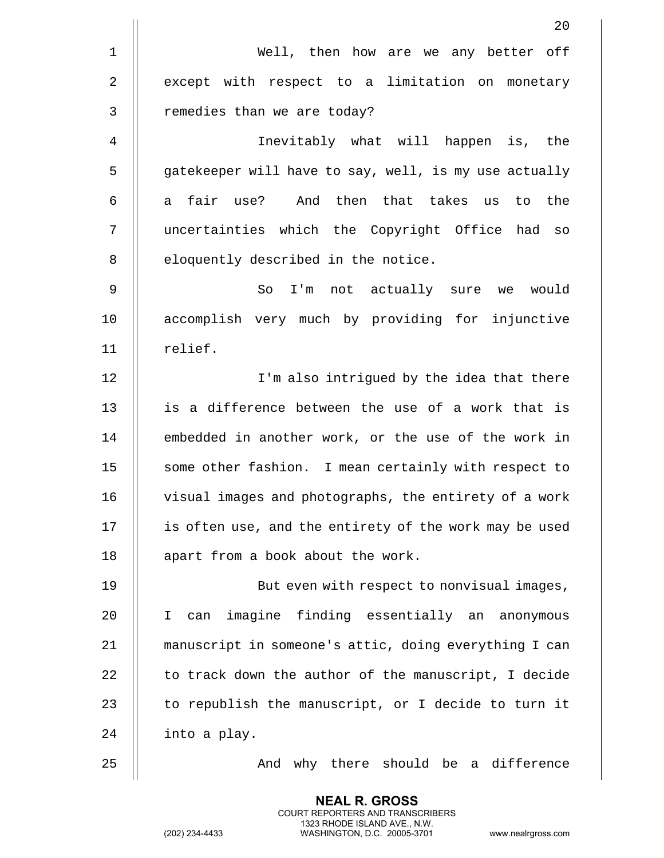|              | 20                                                     |
|--------------|--------------------------------------------------------|
| $\mathbf 1$  | Well, then how are we any better off                   |
| 2            | except with respect to a limitation on monetary        |
| $\mathbf{3}$ | remedies than we are today?                            |
| 4            | Inevitably what will happen is, the                    |
| 5            | gatekeeper will have to say, well, is my use actually  |
| 6            | fair use? And then that takes<br>the<br>to<br>a<br>us  |
| 7            | uncertainties which the Copyright Office had so        |
| 8            | eloquently described in the notice.                    |
| $\mathsf 9$  | I'm not actually sure we would<br>So                   |
| 10           | accomplish very much by providing for injunctive       |
| 11           | relief.                                                |
| 12           | I'm also intrigued by the idea that there              |
| 13           | is a difference between the use of a work that is      |
| 14           | embedded in another work, or the use of the work in    |
| 15           | some other fashion. I mean certainly with respect to   |
| 16           | visual images and photographs, the entirety of a work  |
| 17           | is often use, and the entirety of the work may be used |
| 18           | apart from a book about the work.                      |
| 19           | But even with respect to nonvisual images,             |
| 20           | imagine finding essentially an anonymous<br>I.<br>can  |
| 21           | manuscript in someone's attic, doing everything I can  |
| 22           | to track down the author of the manuscript, I decide   |
| 23           | to republish the manuscript, or I decide to turn it    |
| 24           | into a play.                                           |
| 25           | And why there should be a difference                   |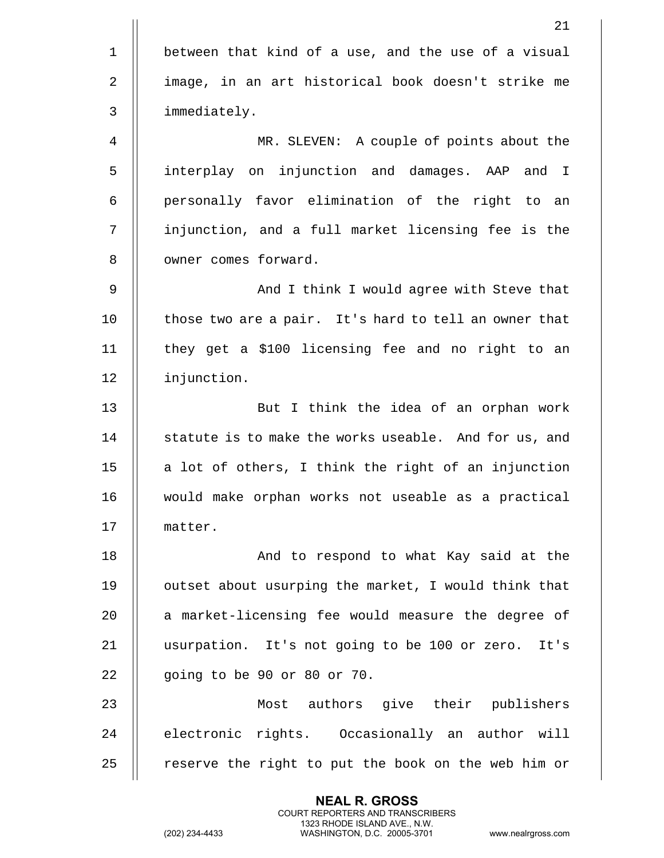|                | 21                                                    |
|----------------|-------------------------------------------------------|
| $\mathbf 1$    | between that kind of a use, and the use of a visual   |
| $\overline{2}$ | image, in an art historical book doesn't strike me    |
| $\mathsf{3}$   | immediately.                                          |
| $\overline{4}$ | MR. SLEVEN: A couple of points about the              |
| 5              | interplay on injunction and damages. AAP and I        |
| 6              | personally favor elimination of the right to an       |
| 7              | injunction, and a full market licensing fee is the    |
| $\, 8$         | owner comes forward.                                  |
| 9              | And I think I would agree with Steve that             |
| 10             | those two are a pair. It's hard to tell an owner that |
| 11             | they get a \$100 licensing fee and no right to an     |
| 12             | injunction.                                           |
| 13             | But I think the idea of an orphan work                |
| 14             | statute is to make the works useable. And for us, and |
| 15             | a lot of others, I think the right of an injunction   |
| 16             | would make orphan works not useable as a practical    |
| 17             | matter.                                               |
| 18             | And to respond to what Kay said at the                |
| 19             | outset about usurping the market, I would think that  |
| 20             | a market-licensing fee would measure the degree of    |
| 21             | usurpation. It's not going to be 100 or zero. It's    |
| 22             | going to be 90 or 80 or 70.                           |
| 23             | Most authors give their publishers                    |
| 24             | electronic rights. Occasionally an author will        |
| 25             | reserve the right to put the book on the web him or   |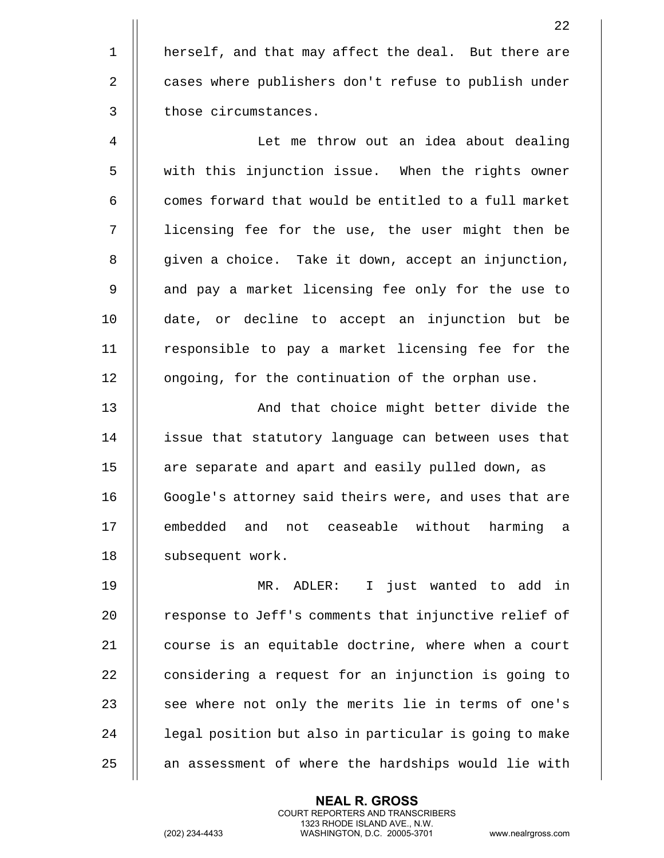1 || herself, and that may affect the deal. But there are 2 | cases where publishers don't refuse to publish under 3 || those circumstances. 4 Let me throw out an idea about dealing 5 | with this injunction issue. When the rights owner  $6$   $\parallel$  comes forward that would be entitled to a full market 7 || licensing fee for the use, the user might then be 8 | given a choice. Take it down, accept an injunction, 9 || and pay a market licensing fee only for the use to 10 date, or decline to accept an injunction but be 11 || responsible to pay a market licensing fee for the 12 | ongoing, for the continuation of the orphan use. 13 || And that choice might better divide the

14 || issue that statutory language can between uses that 15 || are separate and apart and easily pulled down, as 16 || Google's attorney said theirs were, and uses that are 17 || embedded and not ceaseable without harming a 18 | subsequent work.

19 MR. ADLER: I just wanted to add in 20 | response to Jeff's comments that injunctive relief of 21 || course is an equitable doctrine, where when a court  $22$   $\parallel$  considering a request for an injunction is going to  $23$   $\parallel$  see where not only the merits lie in terms of one's 24 | legal position but also in particular is going to make  $25$   $\parallel$  an assessment of where the hardships would lie with

> **NEAL R. GROSS** COURT REPORTERS AND TRANSCRIBERS 1323 RHODE ISLAND AVE., N.W.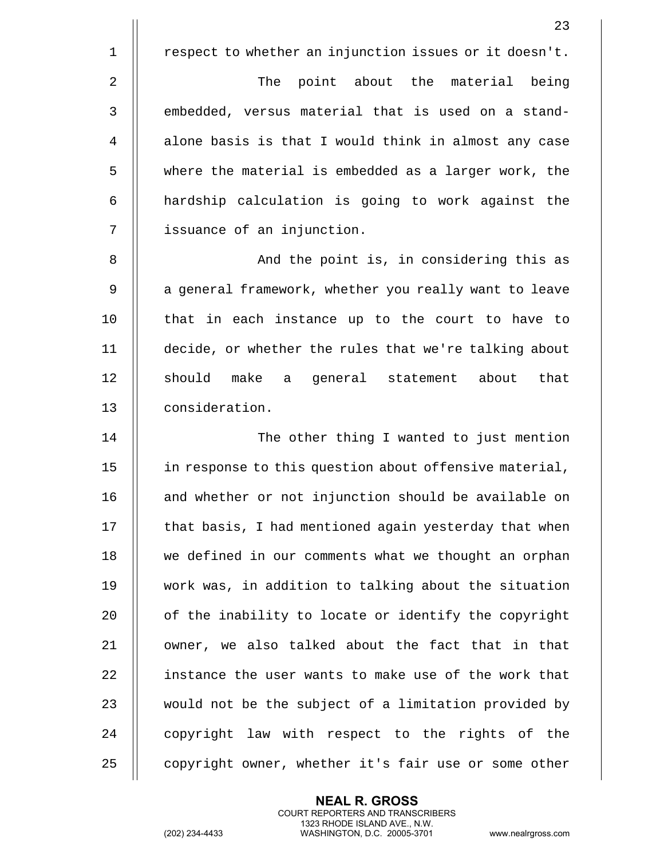1 | respect to whether an injunction issues or it doesn't.

2 || The point about the material being 3 || embedded, versus material that is used on a stand-4 | alone basis is that I would think in almost any case 5 where the material is embedded as a larger work, the 6 || hardship calculation is going to work against the 7 || issuance of an injunction.

8 And the point is, in considering this as 9 || a general framework, whether you really want to leave 10 || that in each instance up to the court to have to 11 decide, or whether the rules that we're talking about 12 || should make a general statement about that 13 consideration.

14 The other thing I wanted to just mention 15 | in response to this question about offensive material, 16 || and whether or not injunction should be available on  $17$   $\parallel$  that basis, I had mentioned again yesterday that when 18 || we defined in our comments what we thought an orphan 19 work was, in addition to talking about the situation 20 | of the inability to locate or identify the copyright 21 || owner, we also talked about the fact that in that 22 II instance the user wants to make use of the work that 23 || would not be the subject of a limitation provided by  $24$   $\parallel$  copyright law with respect to the rights of the 25 | copyright owner, whether it's fair use or some other

> **NEAL R. GROSS** COURT REPORTERS AND TRANSCRIBERS 1323 RHODE ISLAND AVE., N.W.

(202) 234-4433 WASHINGTON, D.C. 20005-3701 www.nealrgross.com

23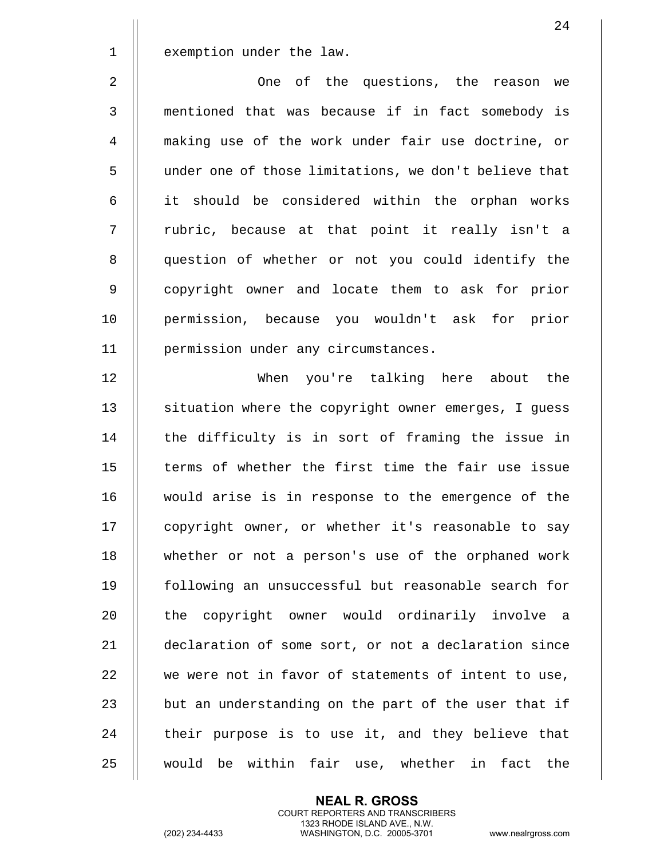1 | exemption under the law.

 One of the questions, the reason we mentioned that was because if in fact somebody is making use of the work under fair use doctrine, or under one of those limitations, we don't believe that it should be considered within the orphan works 7 || rubric, because at that point it really isn't a 8 || question of whether or not you could identify the 9 || copyright owner and locate them to ask for prior permission, because you wouldn't ask for prior permission under any circumstances.

12 When you're talking here about the 13 | situation where the copyright owner emerges, I guess 14 || the difficulty is in sort of framing the issue in 15 || terms of whether the first time the fair use issue 16 would arise is in response to the emergence of the 17 || copyright owner, or whether it's reasonable to say 18 whether or not a person's use of the orphaned work 19 following an unsuccessful but reasonable search for 20 || the copyright owner would ordinarily involve a 21 declaration of some sort, or not a declaration since 22 || we were not in favor of statements of intent to use, 23  $\parallel$  but an understanding on the part of the user that if  $24$   $\parallel$  their purpose is to use it, and they believe that 25 || would be within fair use, whether in fact the

> **NEAL R. GROSS** COURT REPORTERS AND TRANSCRIBERS 1323 RHODE ISLAND AVE., N.W.

(202) 234-4433 WASHINGTON, D.C. 20005-3701 www.nealrgross.com

24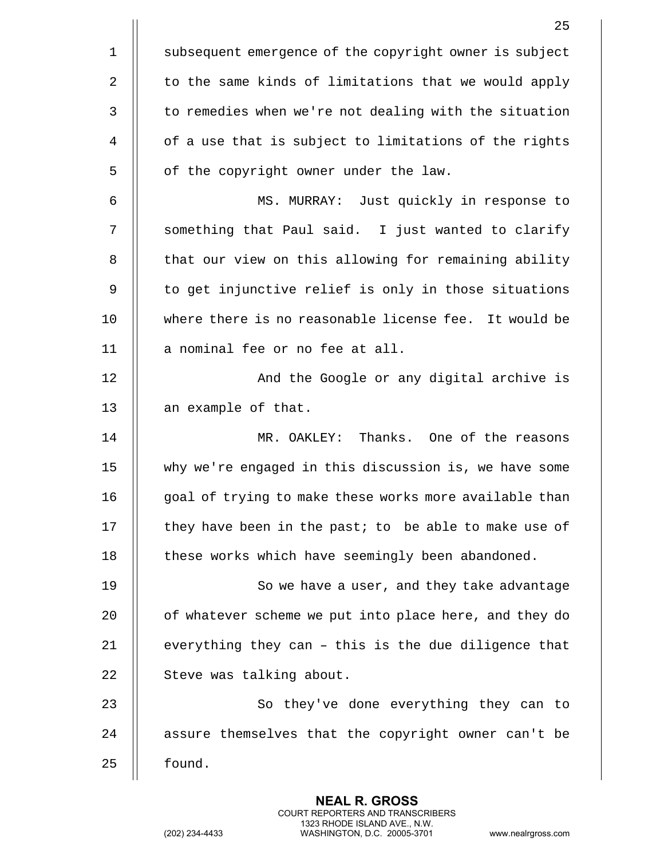|             | 25                                                     |
|-------------|--------------------------------------------------------|
| $\mathbf 1$ | subsequent emergence of the copyright owner is subject |
| 2           | to the same kinds of limitations that we would apply   |
| 3           | to remedies when we're not dealing with the situation  |
| 4           | of a use that is subject to limitations of the rights  |
| 5           | of the copyright owner under the law.                  |
| 6           | MS. MURRAY: Just quickly in response to                |
| 7           | something that Paul said. I just wanted to clarify     |
| 8           | that our view on this allowing for remaining ability   |
| 9           | to get injunctive relief is only in those situations   |
| 10          | where there is no reasonable license fee. It would be  |
| 11          | a nominal fee or no fee at all.                        |
| 12          | And the Google or any digital archive is               |
| 13          | an example of that.                                    |
| 14          | MR. OAKLEY: Thanks. One of the reasons                 |
| 15          | why we're engaged in this discussion is, we have some  |
| 16          | goal of trying to make these works more available than |
| 17          | they have been in the past; to be able to make use of  |
| 18          | these works which have seemingly been abandoned.       |
| 19          | So we have a user, and they take advantage             |
| 20          | of whatever scheme we put into place here, and they do |
| 21          | everything they can - this is the due diligence that   |
| 22          | Steve was talking about.                               |
| 23          | So they've done everything they can to                 |
| 24          | assure themselves that the copyright owner can't be    |
| 25          | found.                                                 |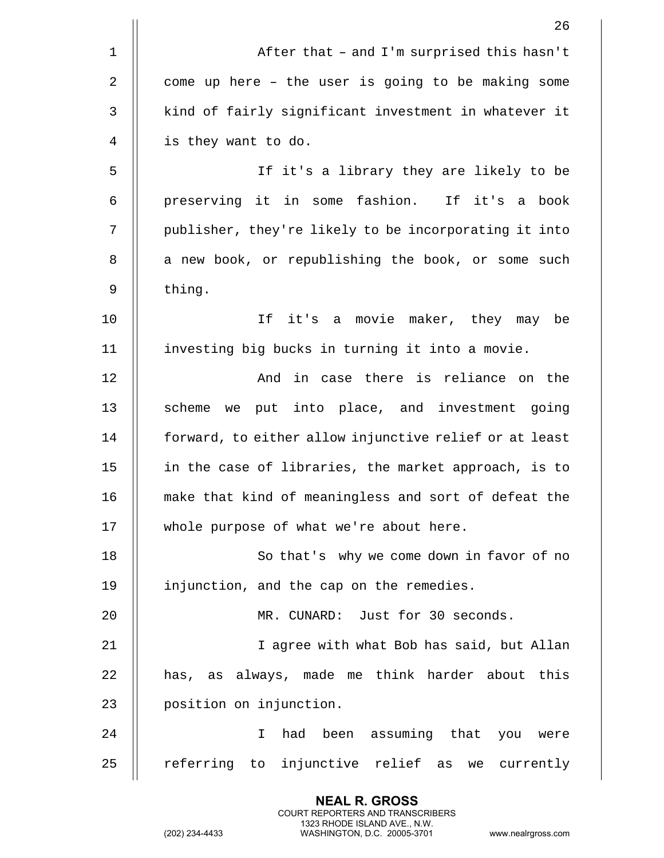|             | 26                                                     |
|-------------|--------------------------------------------------------|
| $\mathbf 1$ | After that - and I'm surprised this hasn't             |
| $\sqrt{2}$  | come up here - the user is going to be making some     |
| 3           | kind of fairly significant investment in whatever it   |
| 4           | is they want to do.                                    |
| 5           | If it's a library they are likely to be                |
| 6           | preserving it in some fashion.<br>If it's a book       |
| 7           | publisher, they're likely to be incorporating it into  |
| 8           | a new book, or republishing the book, or some such     |
| 9           | thing.                                                 |
| 10          | If<br>it's a movie maker, they may be                  |
| 11          | investing big bucks in turning it into a movie.        |
| 12          | And in case there is reliance on the                   |
| 13          | put into place, and investment going<br>scheme we      |
| 14          | forward, to either allow injunctive relief or at least |
| 15          | in the case of libraries, the market approach, is to   |
| 16          | make that kind of meaningless and sort of defeat the   |
| 17          | whole purpose of what we're about here.                |
| 18          | So that's why we come down in favor of no              |
| 19          | injunction, and the cap on the remedies.               |
| 20          | MR. CUNARD: Just for 30 seconds.                       |
| 21          | I agree with what Bob has said, but Allan              |
| 22          | has, as always, made me think harder about this        |
| 23          | position on injunction.                                |
| 24          | had been assuming that you were<br>I.                  |
| 25          | referring to injunctive relief as<br>we currently      |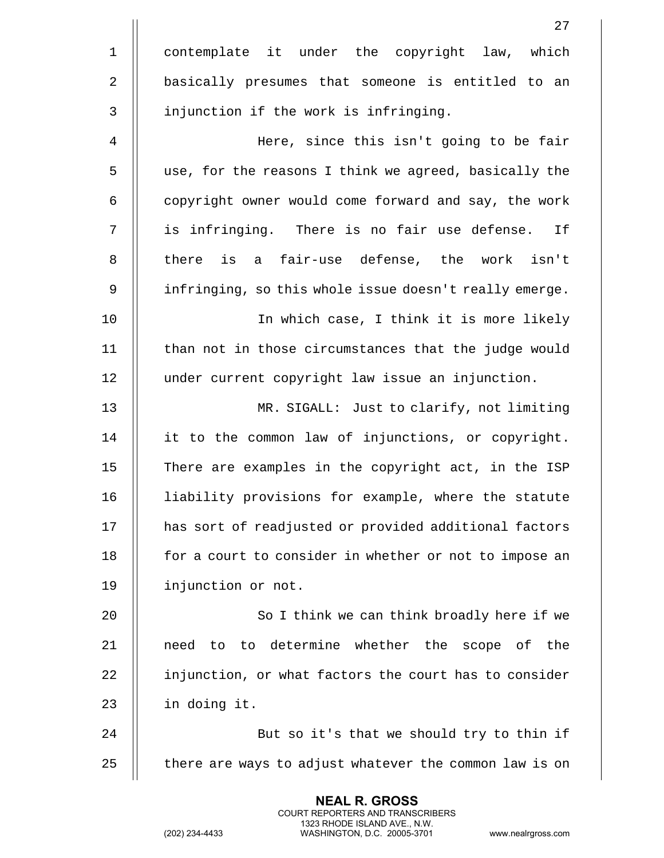|             | 27                                                     |
|-------------|--------------------------------------------------------|
| $\mathbf 1$ | contemplate it under the copyright law, which          |
| 2           | basically presumes that someone is entitled to an      |
| 3           | injunction if the work is infringing.                  |
| 4           | Here, since this isn't going to be fair                |
| 5           | use, for the reasons I think we agreed, basically the  |
| 6           | copyright owner would come forward and say, the work   |
| 7           | is infringing. There is no fair use defense.<br>If     |
| 8           | is a fair-use defense, the work isn't<br>there         |
| 9           | infringing, so this whole issue doesn't really emerge. |
| 10          | In which case, I think it is more likely               |
| 11          | than not in those circumstances that the judge would   |
| 12          | under current copyright law issue an injunction.       |
| 13          | MR. SIGALL: Just to clarify, not limiting              |
| 14          | it to the common law of injunctions, or copyright.     |
| 15          | There are examples in the copyright act, in the ISP    |
| 16          | liability provisions for example, where the statute    |
| 17          | has sort of readjusted or provided additional factors  |
| 18          | for a court to consider in whether or not to impose an |
| 19          | injunction or not.                                     |
| 20          | So I think we can think broadly here if we             |
| 21          | need to to determine whether the scope of the          |
| 22          | injunction, or what factors the court has to consider  |
| 23          | in doing it.                                           |
| 24          | But so it's that we should try to thin if              |
| 25          | there are ways to adjust whatever the common law is on |
|             |                                                        |

(202) 234-4433 WASHINGTON, D.C. 20005-3701 www.nealrgross.com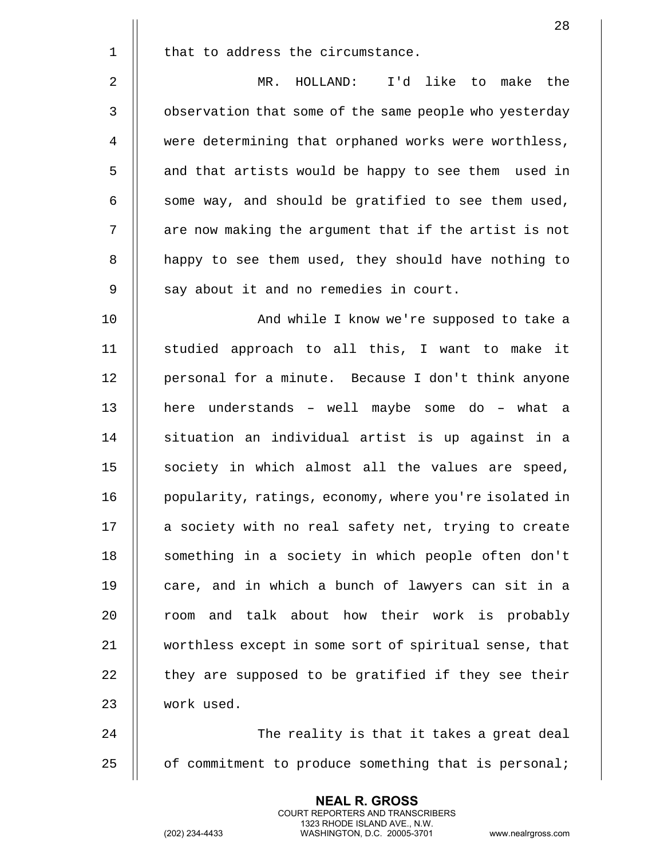|             | 28                                                     |
|-------------|--------------------------------------------------------|
| $\mathbf 1$ | that to address the circumstance.                      |
| 2           | MR. HOLLAND: I'd like to make the                      |
| $\mathsf 3$ | observation that some of the same people who yesterday |
| 4           | were determining that orphaned works were worthless,   |
| 5           | and that artists would be happy to see them used in    |
| 6           | some way, and should be gratified to see them used,    |
| 7           | are now making the argument that if the artist is not  |
| 8           | happy to see them used, they should have nothing to    |
| 9           | say about it and no remedies in court.                 |
| 10          | And while I know we're supposed to take a              |
| 11          | studied approach to all this, I want to make it        |
| 12          | personal for a minute. Because I don't think anyone    |
| 13          | here understands - well maybe some do - what a         |
| 14          | situation an individual artist is up against in a      |
| 15          | society in which almost all the values are speed,      |
| 16          | popularity, ratings, economy, where you're isolated in |
| 17          | a society with no real safety net, trying to create    |
| 18          | something in a society in which people often don't     |
| 19          | care, and in which a bunch of lawyers can sit in a     |
| 20          | and talk about how their work is probably<br>room      |
| 21          | worthless except in some sort of spiritual sense, that |
| 22          | they are supposed to be gratified if they see their    |
| 23          | work used.                                             |
| 24          | The reality is that it takes a great deal              |
| 25          | of commitment to produce something that is personal;   |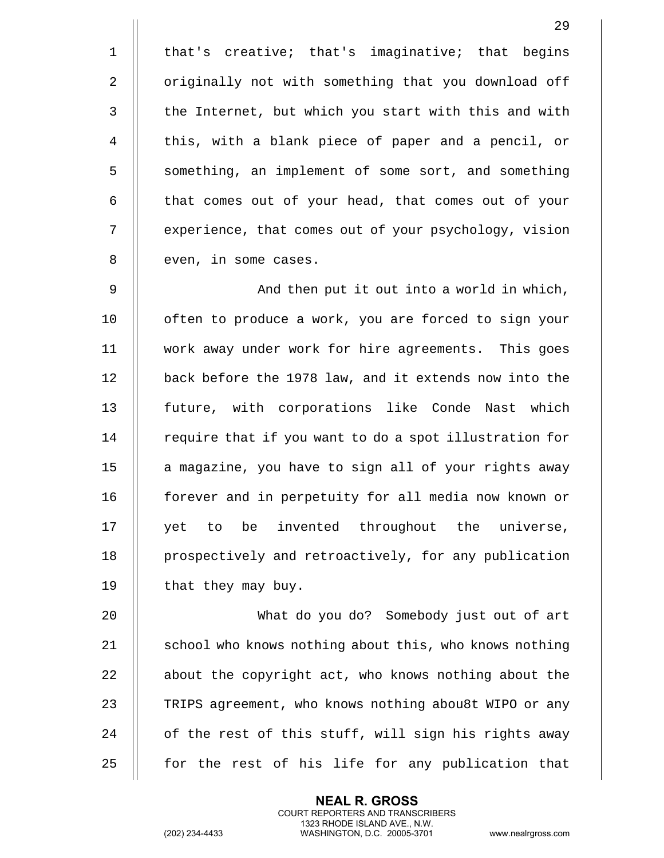1 || that's creative; that's imaginative; that begins 2 | originally not with something that you download off 3 || the Internet, but which you start with this and with 4 || this, with a blank piece of paper and a pencil, or 5 | something, an implement of some sort, and something 6 | that comes out of your head, that comes out of your 7 | experience, that comes out of your psychology, vision 8 || even, in some cases.

9 And then put it out into a world in which, 10 || often to produce a work, you are forced to sign your 11 work away under work for hire agreements. This goes 12 | back before the 1978 law, and it extends now into the 13 || future, with corporations like Conde Nast which  $14$  | require that if you want to do a spot illustration for 15 | a magazine, you have to sign all of your rights away 16 || forever and in perpetuity for all media now known or 17 || yet to be invented throughout the universe, 18 | prospectively and retroactively, for any publication 19  $\parallel$  that they may buy.

20 What do you do? Somebody just out of art 21  $\parallel$  school who knows nothing about this, who knows nothing 22 | about the copyright act, who knows nothing about the 23 | TRIPS agreement, who knows nothing abou8t WIPO or any 24 || of the rest of this stuff, will sign his rights away  $25$  || for the rest of his life for any publication that

> **NEAL R. GROSS** COURT REPORTERS AND TRANSCRIBERS 1323 RHODE ISLAND AVE., N.W.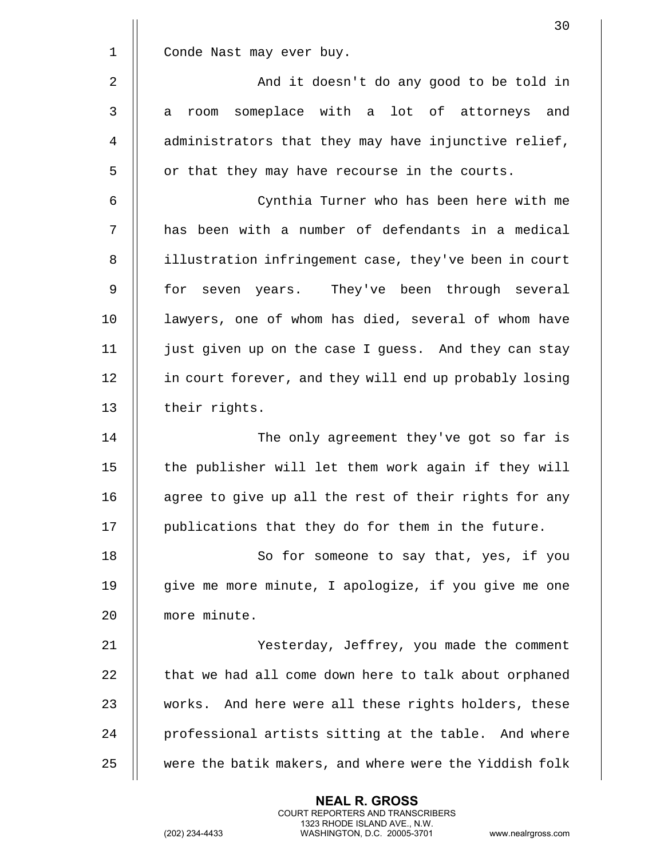|              | 30                                                     |
|--------------|--------------------------------------------------------|
| $\mathbf 1$  | Conde Nast may ever buy.                               |
| $\sqrt{2}$   | And it doesn't do any good to be told in               |
| $\mathbf{3}$ | room someplace with a lot of attorneys and<br>а        |
| 4            | administrators that they may have injunctive relief,   |
| 5            | or that they may have recourse in the courts.          |
| 6            | Cynthia Turner who has been here with me               |
| 7            | has been with a number of defendants in a medical      |
| 8            | illustration infringement case, they've been in court  |
| 9            | seven years. They've been through several<br>for       |
| 10           | lawyers, one of whom has died, several of whom have    |
| 11           | just given up on the case I guess. And they can stay   |
| 12           | in court forever, and they will end up probably losing |
| 13           | their rights.                                          |
| 14           | The only agreement they've got so far is               |
| 15           | the publisher will let them work again if they will    |
| 16           | agree to give up all the rest of their rights for any  |
| 17           | publications that they do for them in the future.      |
| 18           | So for someone to say that, yes, if you                |
| 19           | give me more minute, I apologize, if you give me one   |
| 20           | more minute.                                           |
| 21           | Yesterday, Jeffrey, you made the comment               |
| 22           | that we had all come down here to talk about orphaned  |
| 23           | works. And here were all these rights holders, these   |
| 24           | professional artists sitting at the table. And where   |
| 25           | were the batik makers, and where were the Yiddish folk |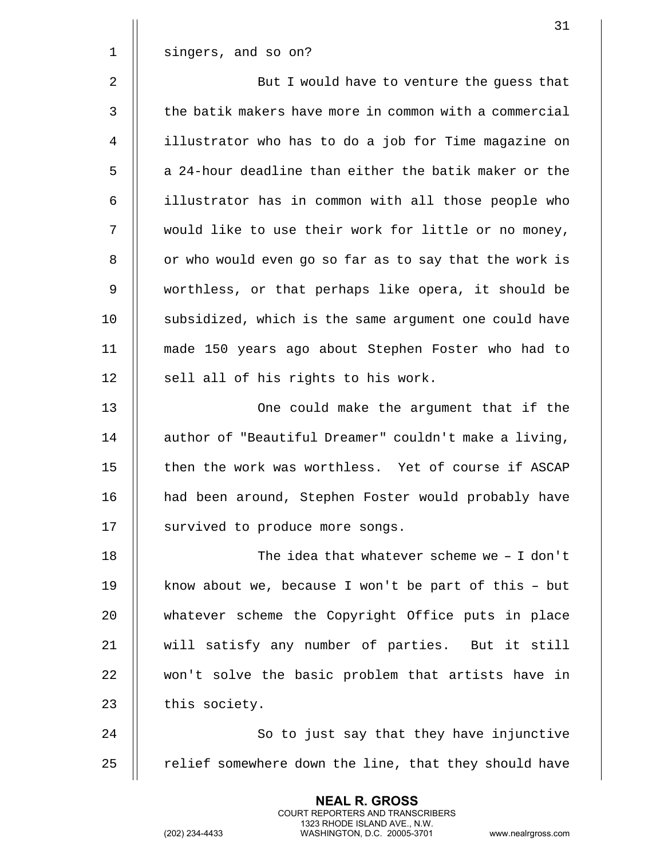|             | 31                                                     |
|-------------|--------------------------------------------------------|
| $\mathbf 1$ | singers, and so on?                                    |
| 2           | But I would have to venture the guess that             |
| 3           | the batik makers have more in common with a commercial |
| 4           | illustrator who has to do a job for Time magazine on   |
| 5           | a 24-hour deadline than either the batik maker or the  |
| 6           | illustrator has in common with all those people who    |
| 7           | would like to use their work for little or no money,   |
| 8           | or who would even go so far as to say that the work is |
| 9           | worthless, or that perhaps like opera, it should be    |
| 10          | subsidized, which is the same argument one could have  |
| 11          | made 150 years ago about Stephen Foster who had to     |
| 12          | sell all of his rights to his work.                    |
| 13          | One could make the argument that if the                |
| 14          | author of "Beautiful Dreamer" couldn't make a living,  |
| 15          | then the work was worthless. Yet of course if ASCAP    |
| 16          | had been around, Stephen Foster would probably have    |
| 17          | survived to produce more songs.                        |
| 18          | The idea that whatever scheme we - I don't             |
| 19          | know about we, because I won't be part of this - but   |
| 20          | whatever scheme the Copyright Office puts in place     |
| 21          | will satisfy any number of parties. But it still       |
| 22          | won't solve the basic problem that artists have in     |
| 23          | this society.                                          |
| 24          | So to just say that they have injunctive               |
| 25          | relief somewhere down the line, that they should have  |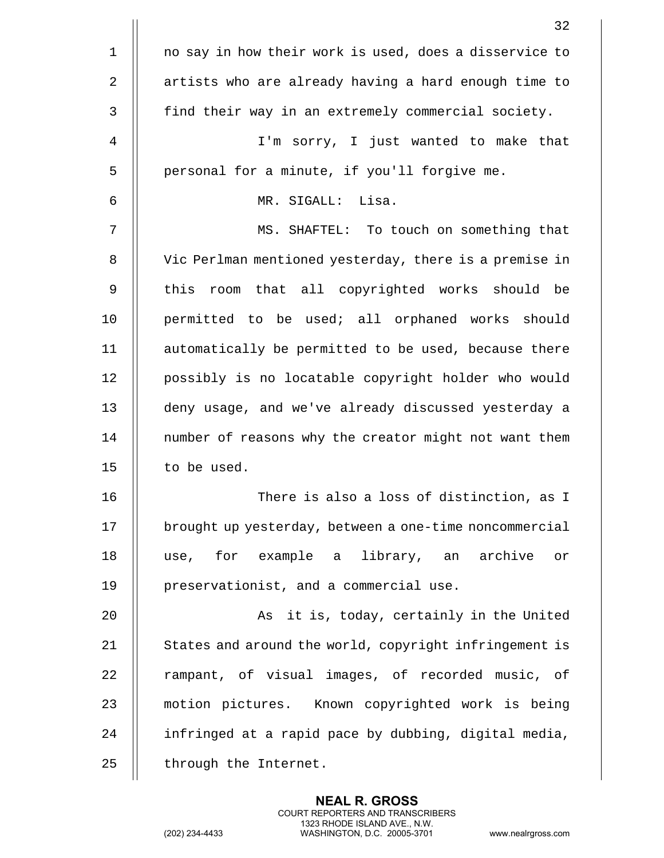|                | 32                                                     |
|----------------|--------------------------------------------------------|
| $\mathbf 1$    | no say in how their work is used, does a disservice to |
| $\overline{2}$ | artists who are already having a hard enough time to   |
| 3              | find their way in an extremely commercial society.     |
| 4              | I'm sorry, I just wanted to make that                  |
| 5              | personal for a minute, if you'll forgive me.           |
| 6              | Lisa.<br>MR. SIGALL:                                   |
| 7              | MS. SHAFTEL: To touch on something that                |
| 8              | Vic Perlman mentioned yesterday, there is a premise in |
| 9              | room that all copyrighted works should be<br>this      |
| 10             | permitted to be used; all orphaned works should        |
| 11             | automatically be permitted to be used, because there   |
| 12             | possibly is no locatable copyright holder who would    |
| 13             | deny usage, and we've already discussed yesterday a    |
| 14             | number of reasons why the creator might not want them  |
| 15             | to be used.                                            |
| 16             | There is also a loss of distinction, as I              |
| 17             | brought up yesterday, between a one-time noncommercial |
| 18             | use, for example a library, an archive<br>or           |
| 19             | preservationist, and a commercial use.                 |
| 20             | As it is, today, certainly in the United               |
| 21             | States and around the world, copyright infringement is |
| 22             | rampant, of visual images, of recorded music, of       |
| 23             | motion pictures. Known copyrighted work is being       |
| 24             | infringed at a rapid pace by dubbing, digital media,   |
| 25             | through the Internet.                                  |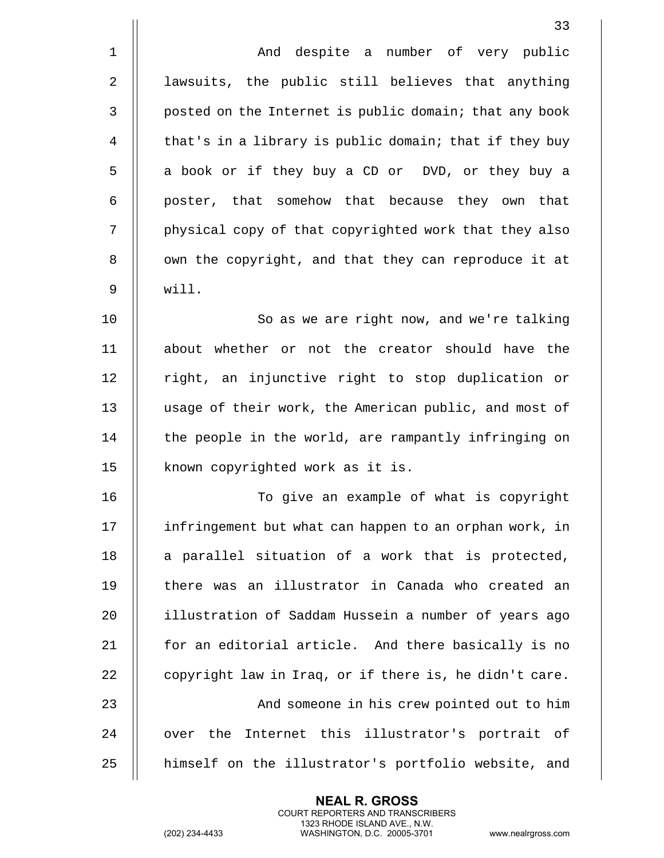|              | 33                                                     |
|--------------|--------------------------------------------------------|
| $\mathbf 1$  | And despite a number of very public                    |
| 2            | lawsuits, the public still believes that anything      |
| $\mathsf{3}$ | posted on the Internet is public domain; that any book |
| 4            | that's in a library is public domain; that if they buy |
| 5            | a book or if they buy a CD or DVD, or they buy a       |
| 6            | poster, that somehow that because they own that        |
| 7            | physical copy of that copyrighted work that they also  |
| 8            | own the copyright, and that they can reproduce it at   |
| 9            | will.                                                  |
| 10           | So as we are right now, and we're talking              |
| 11           | about whether or not the creator should have the       |
| 12           | right, an injunctive right to stop duplication or      |
| 13           | usage of their work, the American public, and most of  |
| 14           | the people in the world, are rampantly infringing on   |
| 15           | known copyrighted work as it is.                       |
| 16           | To give an example of what is copyright                |
| 17           | infringement but what can happen to an orphan work, in |
| 18           | a parallel situation of a work that is protected,      |
| 19           | there was an illustrator in Canada who created an      |
| 20           | illustration of Saddam Hussein a number of years ago   |
| 21           | for an editorial article. And there basically is no    |
| 22           | copyright law in Iraq, or if there is, he didn't care. |
| 23           | And someone in his crew pointed out to him             |
| 24           | over the Internet this illustrator's portrait of       |
| 25           | himself on the illustrator's portfolio website, and    |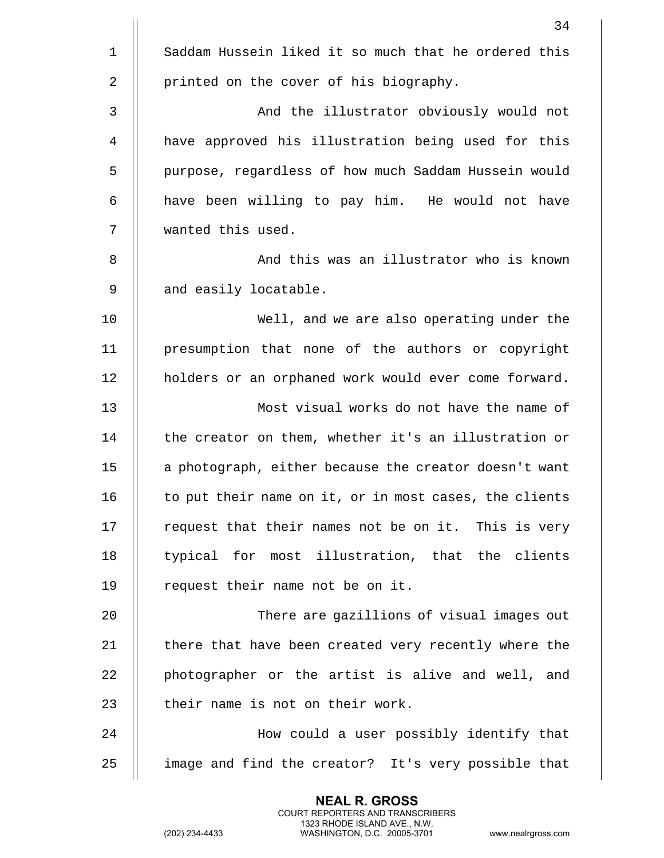|              | 34                                                     |
|--------------|--------------------------------------------------------|
| $\mathbf 1$  | Saddam Hussein liked it so much that he ordered this   |
| 2            | printed on the cover of his biography.                 |
| $\mathbf{3}$ | And the illustrator obviously would not                |
| 4            | have approved his illustration being used for this     |
| 5            | purpose, regardless of how much Saddam Hussein would   |
| 6            | have been willing to pay him. He would not have        |
| 7            | wanted this used.                                      |
| 8            | And this was an illustrator who is known               |
| 9            | and easily locatable.                                  |
| 10           | Well, and we are also operating under the              |
| 11           | presumption that none of the authors or copyright      |
| 12           | holders or an orphaned work would ever come forward.   |
| 13           | Most visual works do not have the name of              |
| 14           | the creator on them, whether it's an illustration or   |
| 15           | a photograph, either because the creator doesn't want  |
| 16           | to put their name on it, or in most cases, the clients |
| 17           | request that their names not be on it. This is very    |
| 18           | typical for most illustration, that the clients        |
| 19           | request their name not be on it.                       |
| 20           | There are gazillions of visual images out              |
| 21           | there that have been created very recently where the   |
| 22           | photographer or the artist is alive and well, and      |
| 23           | their name is not on their work.                       |
| 24           | How could a user possibly identify that                |
| 25           | image and find the creator? It's very possible that    |
|              |                                                        |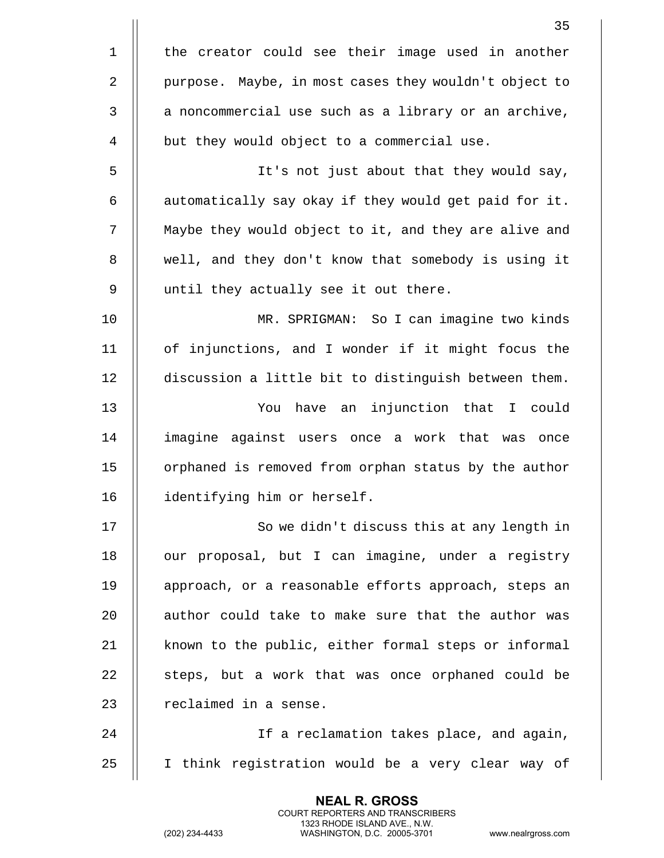|                | 35                                                    |
|----------------|-------------------------------------------------------|
| $\mathbf 1$    | the creator could see their image used in another     |
| $\overline{2}$ | purpose. Maybe, in most cases they wouldn't object to |
| 3              | a noncommercial use such as a library or an archive,  |
| 4              | but they would object to a commercial use.            |
| 5              | It's not just about that they would say,              |
| 6              | automatically say okay if they would get paid for it. |
| 7              | Maybe they would object to it, and they are alive and |
| 8              | well, and they don't know that somebody is using it   |
| 9              | until they actually see it out there.                 |
| 10             | MR. SPRIGMAN: So I can imagine two kinds              |
| 11             | of injunctions, and I wonder if it might focus the    |
| 12             | discussion a little bit to distinguish between them.  |
| 13             | have an injunction that I could<br>You                |
| 14             | imagine against users once a work that was once       |
| 15             | orphaned is removed from orphan status by the author  |
| 16             | identifying him or herself.                           |
| 17             | So we didn't discuss this at any length in            |
| 18             | our proposal, but I can imagine, under a registry     |
| 19             | approach, or a reasonable efforts approach, steps an  |
| 20             | author could take to make sure that the author was    |
| 21             | known to the public, either formal steps or informal  |
| 22             | steps, but a work that was once orphaned could be     |
| 23             | reclaimed in a sense.                                 |
| 24             | If a reclamation takes place, and again,              |
| 25             | I think registration would be a very clear way of     |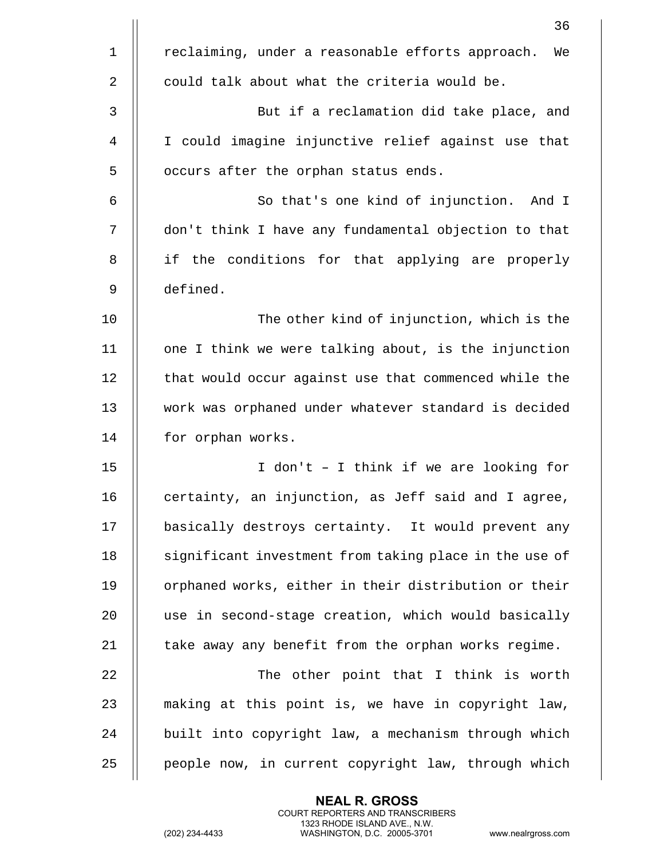|                | 36                                                     |
|----------------|--------------------------------------------------------|
| $\mathbf 1$    | reclaiming, under a reasonable efforts approach.<br>We |
| $\overline{2}$ | could talk about what the criteria would be.           |
| 3              | But if a reclamation did take place, and               |
| 4              | I could imagine injunctive relief against use that     |
| 5              | occurs after the orphan status ends.                   |
| 6              | So that's one kind of injunction. And I                |
| 7              | don't think I have any fundamental objection to that   |
| 8              | if the conditions for that applying are properly       |
| 9              | defined.                                               |
| 10             | The other kind of injunction, which is the             |
| 11             | one I think we were talking about, is the injunction   |
| 12             | that would occur against use that commenced while the  |
| 13             | work was orphaned under whatever standard is decided   |
| 14             | for orphan works.                                      |
| 15             | I don't - I think if we are looking for                |
| 16             | certainty, an injunction, as Jeff said and I agree,    |
| 17             | basically destroys certainty. It would prevent any     |
| 18             | significant investment from taking place in the use of |
| 19             | orphaned works, either in their distribution or their  |
| 20             | use in second-stage creation, which would basically    |
| 21             | take away any benefit from the orphan works regime.    |
| 22             | The other point that I think is worth                  |
| 23             | making at this point is, we have in copyright law,     |
| 24             | built into copyright law, a mechanism through which    |
| 25             | people now, in current copyright law, through which    |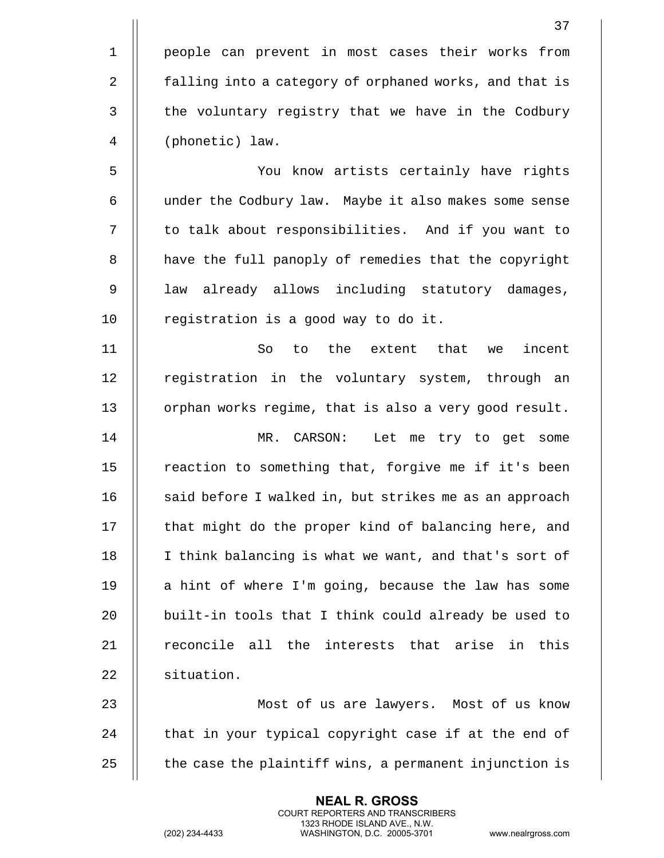|                | 37                                                     |
|----------------|--------------------------------------------------------|
| $\mathbf 1$    | people can prevent in most cases their works from      |
| $\overline{2}$ | falling into a category of orphaned works, and that is |
| 3              | the voluntary registry that we have in the Codbury     |
| 4              | (phonetic) law.                                        |
| 5              | You know artists certainly have rights                 |
| 6              | under the Codbury law. Maybe it also makes some sense  |
| 7              | to talk about responsibilities. And if you want to     |
| 8              | have the full panoply of remedies that the copyright   |
| 9              | law already allows including statutory damages,        |
| 10             | registration is a good way to do it.                   |
| 11             | to the extent that<br>So<br>incent<br>we               |
| 12             | registration in the voluntary system, through an       |
| 13             | orphan works regime, that is also a very good result.  |
| 14             | MR. CARSON:<br>Let me try to get some                  |
| 15             | reaction to something that, forgive me if it's been    |
| 16             | said before I walked in, but strikes me as an approach |
| 17             | that might do the proper kind of balancing here, and   |
| 18             | I think balancing is what we want, and that's sort of  |
| 19             | a hint of where I'm going, because the law has some    |
| 20             | built-in tools that I think could already be used to   |
| 21             | reconcile all the interests that arise in this         |
| 22             | situation.                                             |
| 23             | Most of us are lawyers. Most of us know                |
| 24             | that in your typical copyright case if at the end of   |
| 25             | the case the plaintiff wins, a permanent injunction is |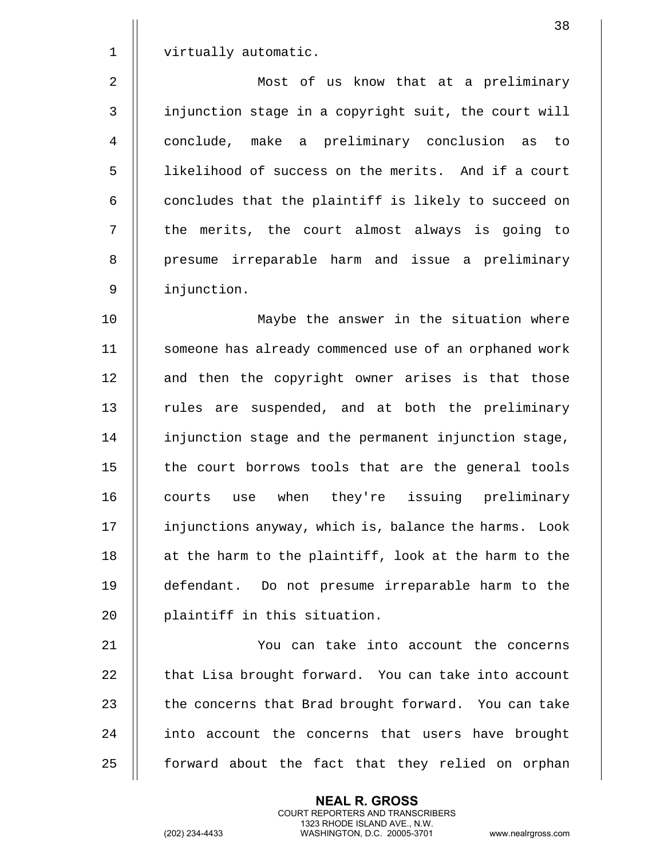|                | 38                                                    |
|----------------|-------------------------------------------------------|
| $\mathbf 1$    | virtually automatic.                                  |
| $\overline{2}$ | Most of us know that at a preliminary                 |
| 3              | injunction stage in a copyright suit, the court will  |
| 4              | conclude, make a preliminary conclusion as to         |
| 5              | likelihood of success on the merits. And if a court   |
| 6              | concludes that the plaintiff is likely to succeed on  |
| 7              | the merits, the court almost always is going to       |
| 8              | presume irreparable harm and issue a preliminary      |
| 9              | injunction.                                           |
| 10             | Maybe the answer in the situation where               |
| 11             | someone has already commenced use of an orphaned work |
| 12             | and then the copyright owner arises is that those     |
| 13             | rules are suspended, and at both the preliminary      |
| 14             | injunction stage and the permanent injunction stage,  |
| 15             | the court borrows tools that are the general tools    |
| 16             | when they're issuing preliminary<br>courts<br>use     |
| 17             | injunctions anyway, which is, balance the harms. Look |
| 18             | at the harm to the plaintiff, look at the harm to the |
| 19             | defendant. Do not presume irreparable harm to the     |
| 20             | plaintiff in this situation.                          |
| 21             | You can take into account the concerns                |
| 22             | that Lisa brought forward. You can take into account  |
| 23             | the concerns that Brad brought forward. You can take  |
| 24             | into account the concerns that users have brought     |

| forward about the fact that they relied on orphan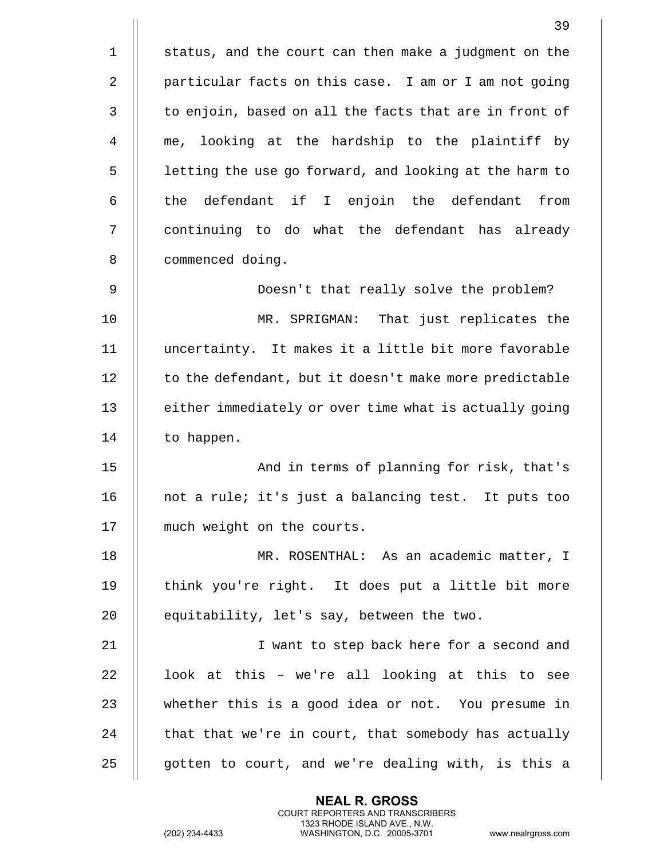|              | 39                                                     |
|--------------|--------------------------------------------------------|
| $\mathbf{1}$ | status, and the court can then make a judgment on the  |
| 2            | particular facts on this case. I am or I am not going  |
| 3            | to enjoin, based on all the facts that are in front of |
| 4            | me, looking at the hardship to the plaintiff by        |
| 5            | letting the use go forward, and looking at the harm to |
| 6            | the defendant if I enjoin the defendant<br>from        |
| 7            | continuing to do what the defendant has already        |
| 8            | commenced doing.                                       |
| 9            | Doesn't that really solve the problem?                 |
| 10           | MR. SPRIGMAN: That just replicates the                 |
| 11           | uncertainty. It makes it a little bit more favorable   |
| 12           | to the defendant, but it doesn't make more predictable |
| 13           | either immediately or over time what is actually going |
| 14           | to happen.                                             |
| 15           | And in terms of planning for risk, that's              |
| 16           | not a rule; it's just a balancing test. It puts too    |
| 17           | much weight on the courts.                             |
| 18           | MR. ROSENTHAL: As an academic matter, I                |
| 19           | think you're right. It does put a little bit more      |
| 20           | equitability, let's say, between the two.              |
| 21           | I want to step back here for a second and              |
| 22           | look at this - we're all looking at this to see        |
| 23           | whether this is a good idea or not. You presume in     |
| 24           | that that we're in court, that somebody has actually   |
| 25           | gotten to court, and we're dealing with, is this a     |

(202) 234-4433 WASHINGTON, D.C. 20005-3701 www.nealrgross.com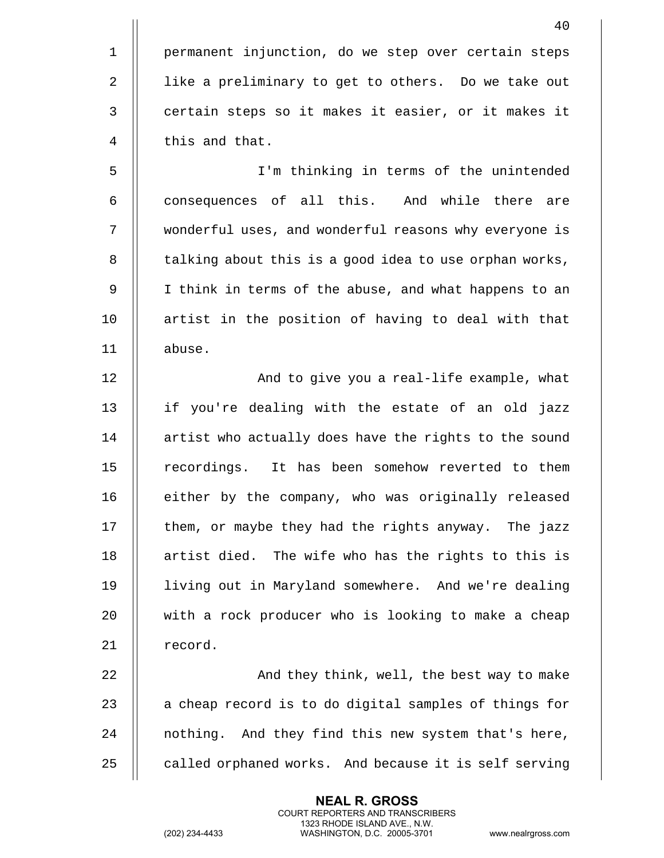1 | permanent injunction, do we step over certain steps 2 | like a preliminary to get to others. Do we take out 3 | certain steps so it makes it easier, or it makes it 4 | this and that.

5 I'm thinking in terms of the unintended  $6$   $\parallel$  consequences of all this. And while there are 7 wonderful uses, and wonderful reasons why everyone is 8 | talking about this is a good idea to use orphan works, 9 || I think in terms of the abuse, and what happens to an 10 || artist in the position of having to deal with that 11 abuse.

12 || And to give you a real-life example, what 13 || if you're dealing with the estate of an old jazz  $14$  | artist who actually does have the rights to the sound 15 || recordings. It has been somehow reverted to them 16 || either by the company, who was originally released 17  $\parallel$  them, or maybe they had the rights anyway. The jazz 18 || artist died. The wife who has the rights to this is 19 living out in Maryland somewhere. And we're dealing 20 with a rock producer who is looking to make a cheap 21 | record.

 And they think, well, the best way to make  $\parallel$  a cheap record is to do digital samples of things for 24 || nothing. And they find this new system that's here,  $\parallel$  called orphaned works. And because it is self serving

> **NEAL R. GROSS** COURT REPORTERS AND TRANSCRIBERS 1323 RHODE ISLAND AVE., N.W.

(202) 234-4433 WASHINGTON, D.C. 20005-3701 www.nealrgross.com

40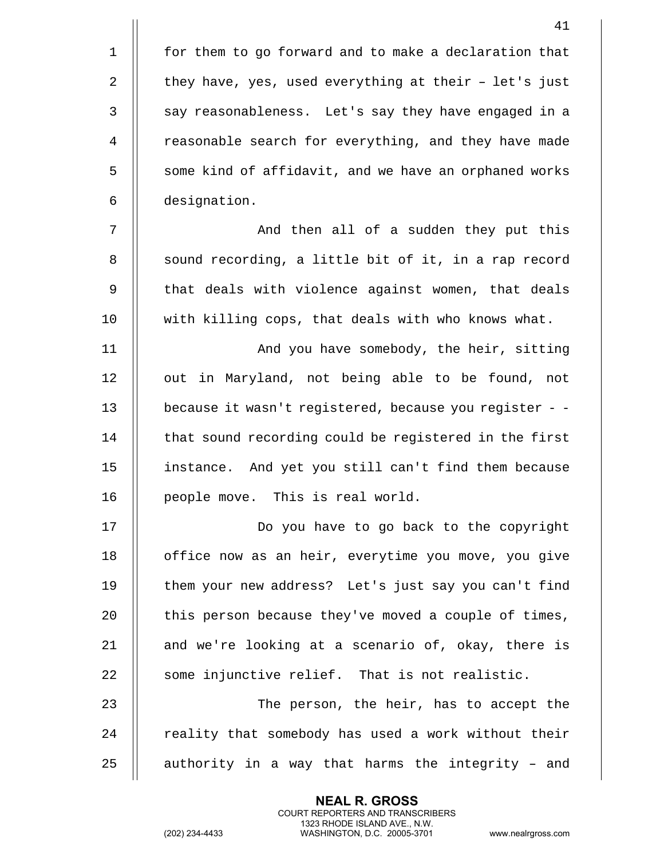1 || for them to go forward and to make a declaration that 2  $\parallel$  they have, yes, used everything at their - let's just 3 || say reasonableness. Let's say they have engaged in a 4 | reasonable search for everything, and they have made 5 | some kind of affidavit, and we have an orphaned works 6 designation.

7 And then all of a sudden they put this 8 | sound recording, a little bit of it, in a rap record 9 || that deals with violence against women, that deals 10 with killing cops, that deals with who knows what.

 And you have somebody, the heir, sitting 12 || out in Maryland, not being able to be found, not because it wasn't registered, because you register - -  $\parallel$  that sound recording could be registered in the first instance. And yet you still can't find them because 16 || people move. This is real world.

 Do you have to go back to the copyright 18 || office now as an heir, everytime you move, you give 19 || them your new address? Let's just say you can't find  $\parallel$  this person because they've moved a couple of times,  $\parallel$  and we're looking at a scenario of, okay, there is || some injunctive relief. That is not realistic.

23 || The person, the heir, has to accept the  $24$   $\parallel$  reality that somebody has used a work without their  $25$  || authority in a way that harms the integrity - and

> **NEAL R. GROSS** COURT REPORTERS AND TRANSCRIBERS 1323 RHODE ISLAND AVE., N.W.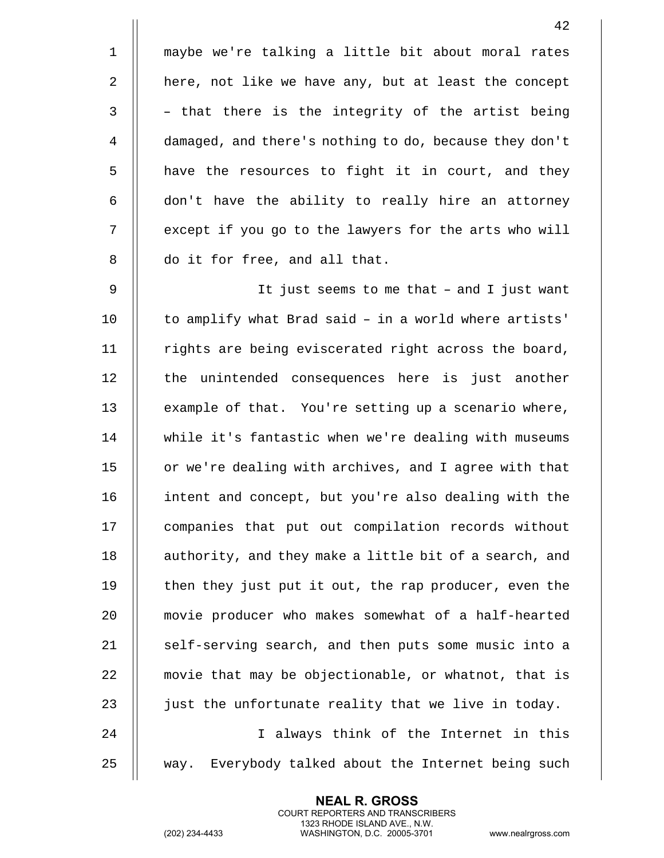1 maybe we're talking a little bit about moral rates 2 | here, not like we have any, but at least the concept  $3 \parallel$  - that there is the integrity of the artist being 4 damaged, and there's nothing to do, because they don't  $5$  || have the resources to fight it in court, and they  $6$   $\parallel$  don't have the ability to really hire an attorney 7 | except if you go to the lawyers for the arts who will 8 || do it for free, and all that. 9 || It just seems to me that - and I just want  $10$   $\parallel$  to amplify what Brad said - in a world where artists'  $11$  | rights are being eviscerated right across the board, 12 || the unintended consequences here is just another 13 | example of that. You're setting up a scenario where, 14 while it's fantastic when we're dealing with museums 15 | or we're dealing with archives, and I agree with that 16 intent and concept, but you're also dealing with the 17 | companies that put out compilation records without 18 || authority, and they make a little bit of a search, and 19 || then they just put it out, the rap producer, even the 20 movie producer who makes somewhat of a half-hearted 21  $\parallel$  self-serving search, and then puts some music into a 22 | movie that may be objectionable, or whatnot, that is 23  $\parallel$  just the unfortunate reality that we live in today. 24 || I always think of the Internet in this 25 || way. Everybody talked about the Internet being such

> **NEAL R. GROSS** COURT REPORTERS AND TRANSCRIBERS 1323 RHODE ISLAND AVE., N.W.

(202) 234-4433 WASHINGTON, D.C. 20005-3701 www.nealrgross.com

42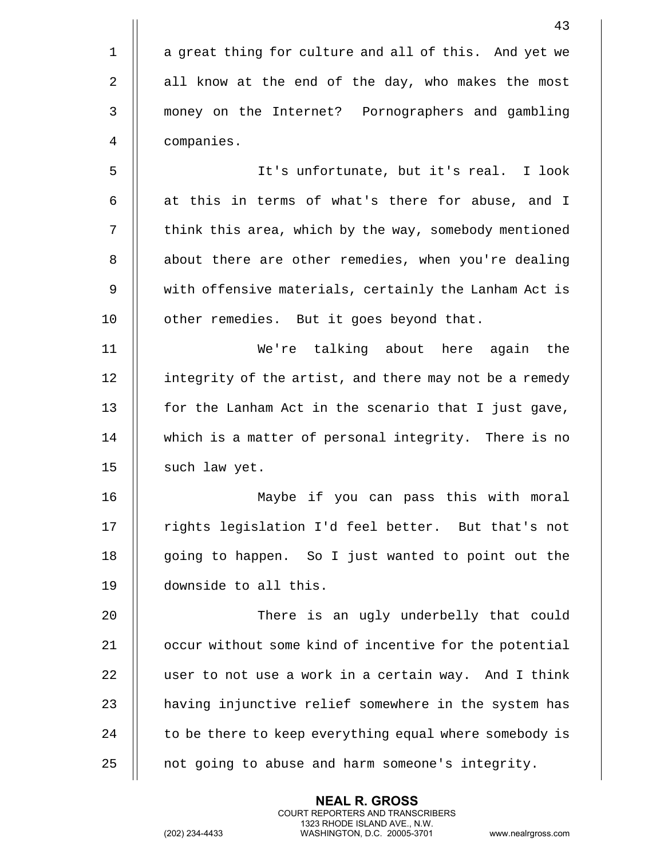| 43                                                     |
|--------------------------------------------------------|
| a great thing for culture and all of this. And yet we  |
| all know at the end of the day, who makes the most     |
| money on the Internet? Pornographers and gambling      |
| companies.                                             |
| It's unfortunate, but it's real. I look                |
| at this in terms of what's there for abuse, and I      |
| think this area, which by the way, somebody mentioned  |
| about there are other remedies, when you're dealing    |
| with offensive materials, certainly the Lanham Act is  |
| other remedies. But it goes beyond that.               |
| We're talking about here again<br>the                  |
| integrity of the artist, and there may not be a remedy |
| for the Lanham Act in the scenario that I just gave,   |
| which is a matter of personal integrity. There is no   |
| such law yet.                                          |
| Maybe if you can pass this with moral                  |
| rights legislation I'd feel better. But that's not     |
| going to happen. So I just wanted to point out the     |
| downside to all this.                                  |
| There is an ugly underbelly that could                 |
| occur without some kind of incentive for the potential |
| user to not use a work in a certain way. And I think   |
| having injunctive relief somewhere in the system has   |
| to be there to keep everything equal where somebody is |
| not going to abuse and harm someone's integrity.       |
|                                                        |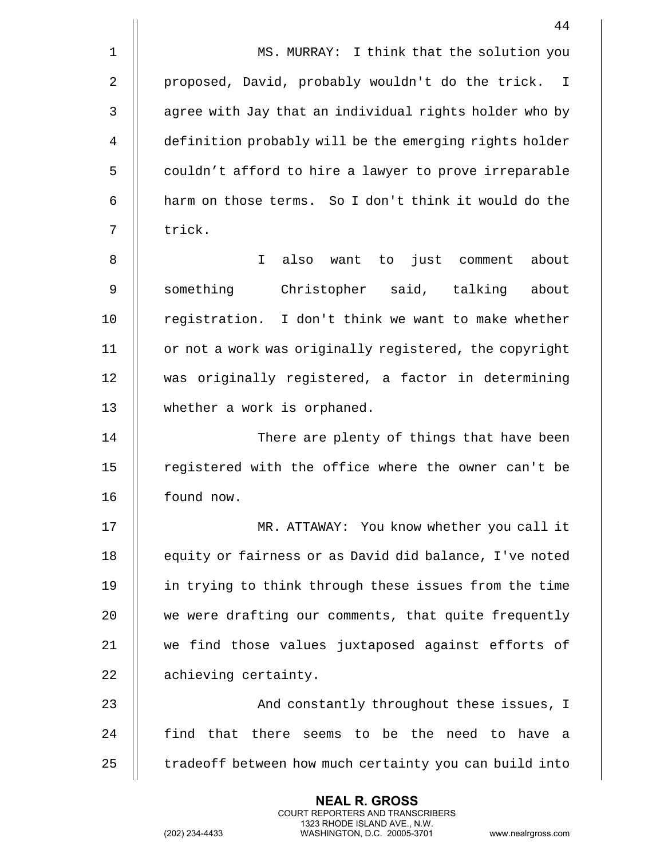|              | 44                                                     |
|--------------|--------------------------------------------------------|
| $\mathbf{1}$ | MS. MURRAY: I think that the solution you              |
| 2            | proposed, David, probably wouldn't do the trick. I     |
| 3            | agree with Jay that an individual rights holder who by |
| 4            | definition probably will be the emerging rights holder |
| 5            | couldn't afford to hire a lawyer to prove irreparable  |
| 6            | harm on those terms. So I don't think it would do the  |
| 7            | trick.                                                 |
| 8            | I.<br>also want to just comment<br>about               |
| 9            | something<br>Christopher said, talking<br>about        |
| 10           | registration. I don't think we want to make whether    |
| 11           | or not a work was originally registered, the copyright |
| 12           | was originally registered, a factor in determining     |
| 13           | whether a work is orphaned.                            |
| 14           | There are plenty of things that have been              |
| 15           | registered with the office where the owner can't be    |
| 16           | found now.                                             |
| 17           | MR. ATTAWAY: You know whether you call it              |
| 18           | equity or fairness or as David did balance, I've noted |
| 19           | in trying to think through these issues from the time  |
| 20           | we were drafting our comments, that quite frequently   |
| 21           | we find those values juxtaposed against efforts of     |
| 22           | achieving certainty.                                   |
| 23           | And constantly throughout these issues, I              |
| 24           | find that there seems to be the need to have a         |

 $\parallel$  tradeoff between how much certainty you can build into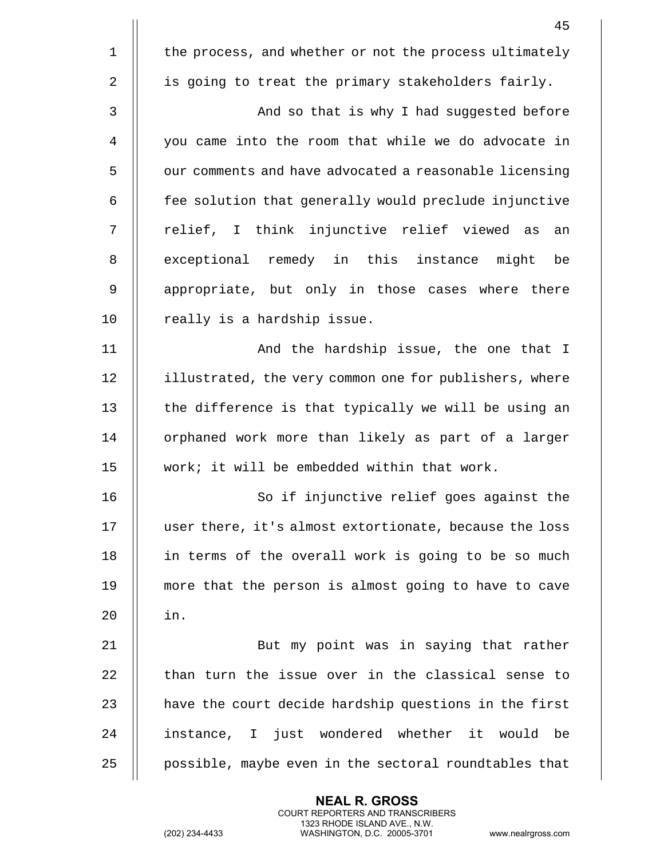|                | 45                                                     |
|----------------|--------------------------------------------------------|
| $\mathbf 1$    | the process, and whether or not the process ultimately |
| $\overline{2}$ | is going to treat the primary stakeholders fairly.     |
| 3              | And so that is why I had suggested before              |
| 4              | you came into the room that while we do advocate in    |
| 5              | our comments and have advocated a reasonable licensing |
| 6              | fee solution that generally would preclude injunctive  |
| 7              | relief, I think injunctive relief viewed as<br>an      |
| 8              | exceptional remedy in this instance might<br>be        |
| 9              | appropriate, but only in those cases where there       |
| 10             | really is a hardship issue.                            |
| 11             | And the hardship issue, the one that I                 |
| 12             | illustrated, the very common one for publishers, where |
| 13             | the difference is that typically we will be using an   |
| 14             | orphaned work more than likely as part of a larger     |
| 15             | work; it will be embedded within that work.            |
| 16             | So if injunctive relief goes against the               |
| 17             | user there, it's almost extortionate, because the loss |
| 18             | in terms of the overall work is going to be so much    |
| 19             | more that the person is almost going to have to cave   |
| 20             | in.                                                    |
| 21             | But my point was in saying that rather                 |
| 22             | than turn the issue over in the classical sense to     |
| 23             | have the court decide hardship questions in the first  |
| 24             | instance, I just wondered whether it would be          |
| 25             | possible, maybe even in the sectoral roundtables that  |

**NEAL R. GROSS**

COURT REPORTERS AND TRANSCRIBERS 1323 RHODE ISLAND AVE., N.W.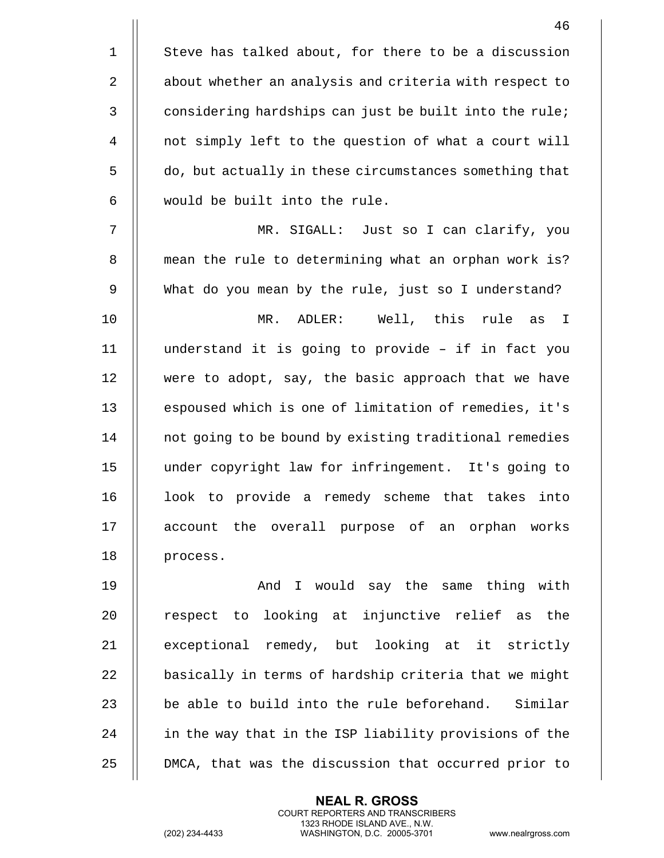1 | Steve has talked about, for there to be a discussion 2 | about whether an analysis and criteria with respect to 3 | considering hardships can just be built into the rule; 4 not simply left to the question of what a court will 5 | do, but actually in these circumstances something that 6 would be built into the rule.

7 MR. SIGALL: Just so I can clarify, you 8 || mean the rule to determining what an orphan work is? 9 What do you mean by the rule, just so I understand?

10 MR. ADLER: Well, this rule as I  $11$  || understand it is going to provide - if in fact you 12 were to adopt, say, the basic approach that we have 13 || espoused which is one of limitation of remedies, it's 14 | not going to be bound by existing traditional remedies 15 under copyright law for infringement. It's going to 16 || look to provide a remedy scheme that takes into 17 account the overall purpose of an orphan works 18 || process.

19 || And I would say the same thing with  $20$  || respect to looking at injunctive relief as the 21 || exceptional remedy, but looking at it strictly  $22$   $\parallel$  basically in terms of hardship criteria that we might 23  $\parallel$  be able to build into the rule beforehand. Similar 24 | in the way that in the ISP liability provisions of the 25 | DMCA, that was the discussion that occurred prior to

> **NEAL R. GROSS** COURT REPORTERS AND TRANSCRIBERS 1323 RHODE ISLAND AVE., N.W.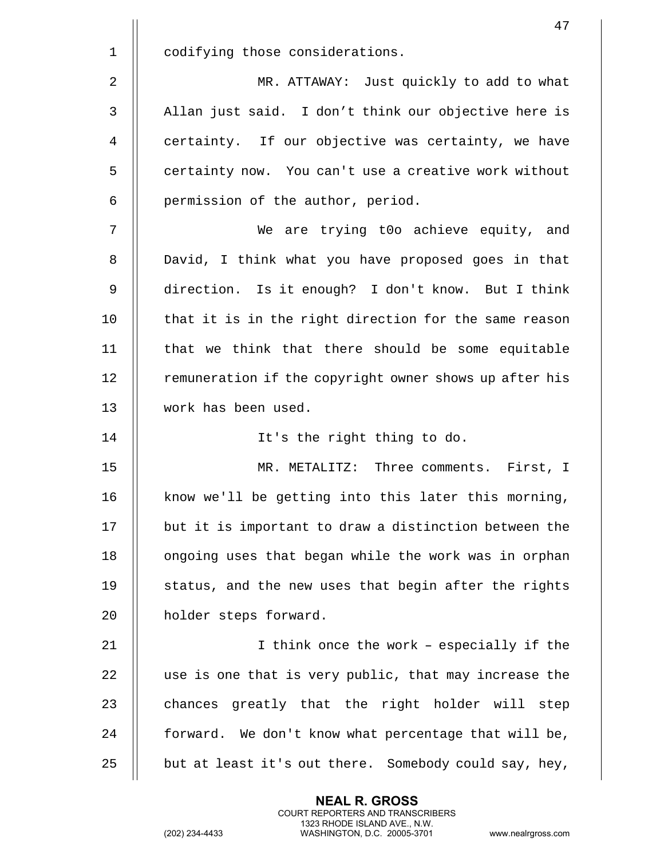|                | 47                                                     |
|----------------|--------------------------------------------------------|
| $\mathbf 1$    | codifying those considerations.                        |
| $\overline{2}$ | MR. ATTAWAY: Just quickly to add to what               |
| 3              | Allan just said. I don't think our objective here is   |
| 4              | certainty. If our objective was certainty, we have     |
| 5              | certainty now. You can't use a creative work without   |
| 6              | permission of the author, period.                      |
| 7              | We are trying t0o achieve equity, and                  |
| 8              | David, I think what you have proposed goes in that     |
| 9              | direction. Is it enough? I don't know. But I think     |
| 10             | that it is in the right direction for the same reason  |
| 11             | that we think that there should be some equitable      |
| 12             | remuneration if the copyright owner shows up after his |
| 13             | work has been used.                                    |
| 14             | It's the right thing to do.                            |
| 15             | MR. METALITZ: Three comments. First, I                 |
| 16             | know we'll be getting into this later this morning,    |
| 17             | but it is important to draw a distinction between the  |
| 18             | ongoing uses that began while the work was in orphan   |
| 19             | status, and the new uses that begin after the rights   |
| 20             | holder steps forward.                                  |
| 21             | I think once the work - especially if the              |
| 22             | use is one that is very public, that may increase the  |
| 23             | chances greatly that the right holder will step        |
| 24             | forward. We don't know what percentage that will be,   |
| 25             | but at least it's out there. Somebody could say, hey,  |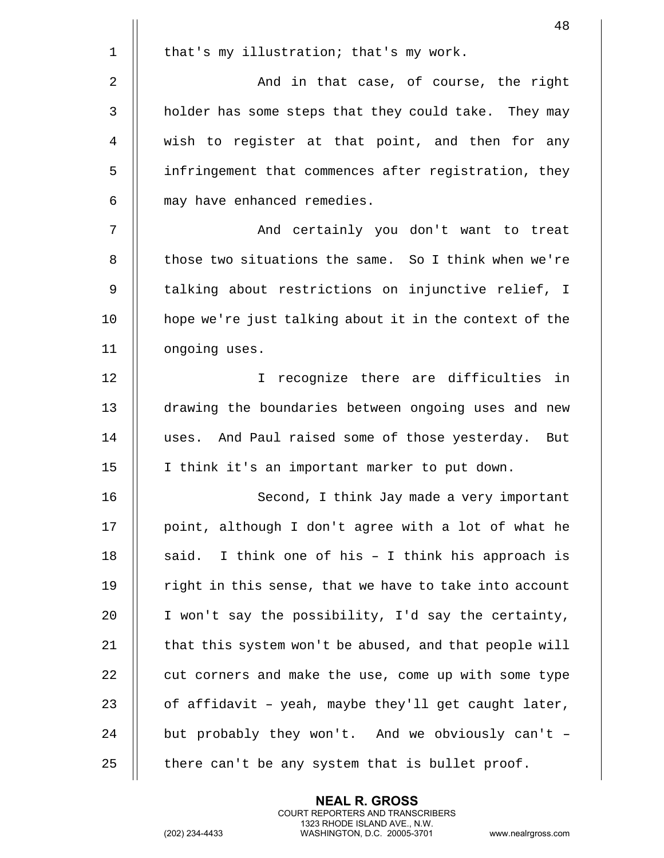|             | 48                                                     |
|-------------|--------------------------------------------------------|
| $\mathbf 1$ | that's my illustration; that's my work.                |
| 2           | And in that case, of course, the right                 |
| 3           | holder has some steps that they could take. They may   |
| 4           | wish to register at that point, and then for any       |
| 5           | infringement that commences after registration, they   |
| 6           | may have enhanced remedies.                            |
| 7           | And certainly you don't want to treat                  |
| 8           | those two situations the same. So I think when we're   |
| 9           | talking about restrictions on injunctive relief, I     |
| 10          | hope we're just talking about it in the context of the |
| 11          | ongoing uses.                                          |
| 12          | I recognize there are difficulties in                  |
| 13          | drawing the boundaries between ongoing uses and new    |
| 14          | uses. And Paul raised some of those yesterday. But     |
| 15          | I think it's an important marker to put down.          |
| 16          | Second, I think Jay made a very important              |
| 17          | point, although I don't agree with a lot of what he    |
| 18          | I think one of his - I think his approach is<br>said.  |
| 19          | right in this sense, that we have to take into account |
| 20          | I won't say the possibility, I'd say the certainty,    |
| 21          | that this system won't be abused, and that people will |
| 22          | cut corners and make the use, come up with some type   |
| 23          | of affidavit - yeah, maybe they'll get caught later,   |
| 24          | but probably they won't. And we obviously can't -      |
| 25          | there can't be any system that is bullet proof.        |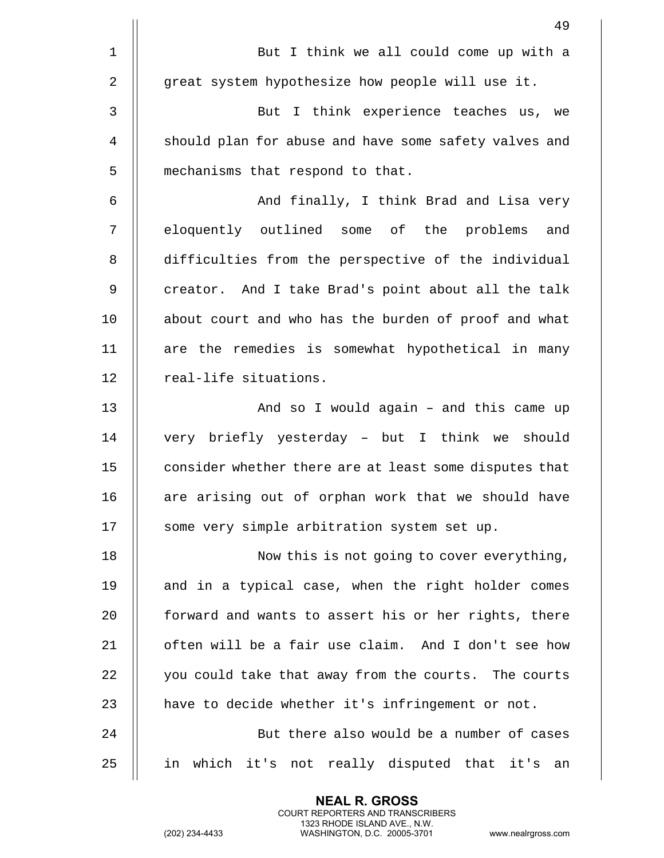|    | 49                                                     |
|----|--------------------------------------------------------|
| 1  | But I think we all could come up with a                |
| 2  | great system hypothesize how people will use it.       |
| 3  | But I think experience teaches us, we                  |
| 4  | should plan for abuse and have some safety valves and  |
| 5  | mechanisms that respond to that.                       |
| 6  | And finally, I think Brad and Lisa very                |
| 7  | eloquently outlined some of the problems<br>and        |
| 8  | difficulties from the perspective of the individual    |
| 9  | creator. And I take Brad's point about all the talk    |
| 10 | about court and who has the burden of proof and what   |
| 11 | are the remedies is somewhat hypothetical in many      |
| 12 | real-life situations.                                  |
| 13 | And so I would again - and this came up                |
| 14 | very briefly yesterday - but I think we should         |
| 15 | consider whether there are at least some disputes that |
| 16 | are arising out of orphan work that we should have     |
| 17 | some very simple arbitration system set up.            |
| 18 | Now this is not going to cover everything,             |
| 19 | and in a typical case, when the right holder comes     |
| 20 | forward and wants to assert his or her rights, there   |
| 21 | often will be a fair use claim. And I don't see how    |
| 22 | you could take that away from the courts. The courts   |
| 23 | have to decide whether it's infringement or not.       |
| 24 | But there also would be a number of cases              |
| 25 | in which it's not really disputed that it's<br>an      |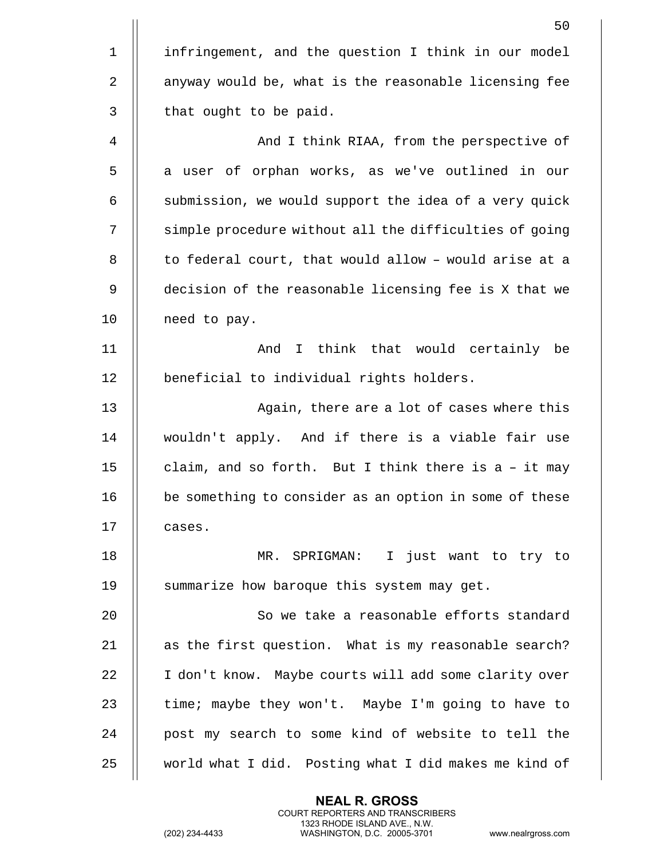|                | 50                                                     |
|----------------|--------------------------------------------------------|
| $\mathbf 1$    | infringement, and the question I think in our model    |
| $\overline{2}$ | anyway would be, what is the reasonable licensing fee  |
| 3              | that ought to be paid.                                 |
| 4              | And I think RIAA, from the perspective of              |
| 5              | a user of orphan works, as we've outlined in our       |
| 6              | submission, we would support the idea of a very quick  |
| 7              | simple procedure without all the difficulties of going |
| 8              | to federal court, that would allow - would arise at a  |
| 9              | decision of the reasonable licensing fee is X that we  |
| 10             | need to pay.                                           |
| 11             | And I think that would certainly be                    |
| 12             | beneficial to individual rights holders.               |
| 13             | Again, there are a lot of cases where this             |
| 14             | wouldn't apply. And if there is a viable fair use      |
| 15             | claim, and so forth. But I think there is a - it may   |
| 16             | be something to consider as an option in some of these |
| 17             | cases.                                                 |
| 18             | MR. SPRIGMAN: I just want to try to                    |
| 19             | summarize how baroque this system may get.             |
| 20             | So we take a reasonable efforts standard               |
| 21             | as the first question. What is my reasonable search?   |
| 22             | I don't know. Maybe courts will add some clarity over  |
| 23             | time; maybe they won't. Maybe I'm going to have to     |
| 24             | post my search to some kind of website to tell the     |
| 25             | world what I did. Posting what I did makes me kind of  |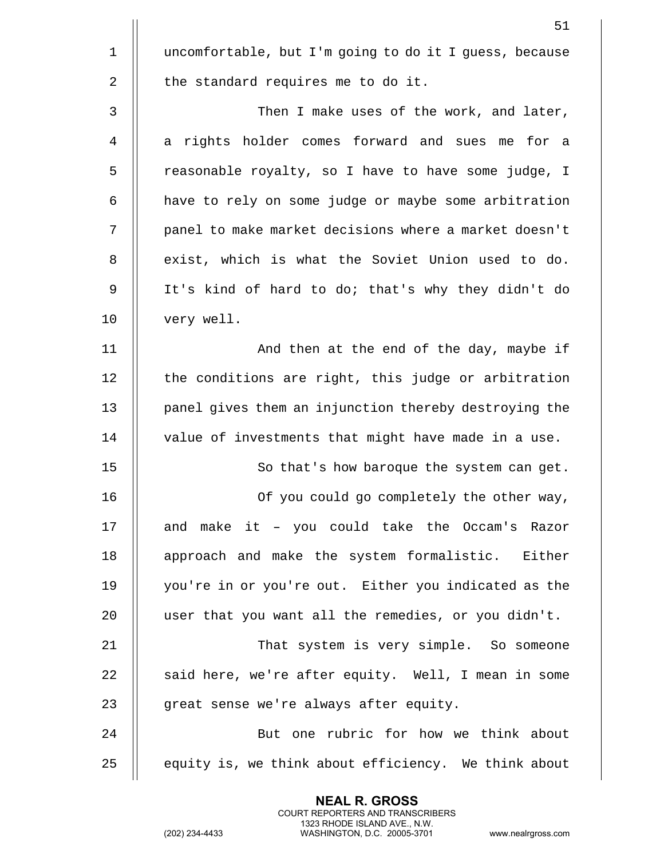|             | 51                                                     |
|-------------|--------------------------------------------------------|
| $\mathbf 1$ | uncomfortable, but I'm going to do it I guess, because |
| 2           | the standard requires me to do it.                     |
| 3           | Then I make uses of the work, and later,               |
| 4           | a rights holder comes forward and sues me for a        |
| 5           | reasonable royalty, so I have to have some judge, I    |
| 6           | have to rely on some judge or maybe some arbitration   |
| 7           | panel to make market decisions where a market doesn't  |
| 8           | exist, which is what the Soviet Union used to do.      |
| 9           | It's kind of hard to do; that's why they didn't do     |
| 10          | very well.                                             |
| 11          | And then at the end of the day, maybe if               |
| 12          | the conditions are right, this judge or arbitration    |
| 13          | panel gives them an injunction thereby destroying the  |
| 14          | value of investments that might have made in a use.    |
| 15          | So that's how baroque the system can get.              |
| 16          | Of you could go completely the other way,              |
| 17          | and make it - you could take the Occam's Razor         |
| 18          | approach and make the system formalistic. Either       |
| 19          | you're in or you're out. Either you indicated as the   |
| 20          | user that you want all the remedies, or you didn't.    |
| 21          | That system is very simple. So someone                 |
| 22          | said here, we're after equity. Well, I mean in some    |
| 23          | great sense we're always after equity.                 |
| 24          | But one rubric for how we think about                  |
| 25          | equity is, we think about efficiency. We think about   |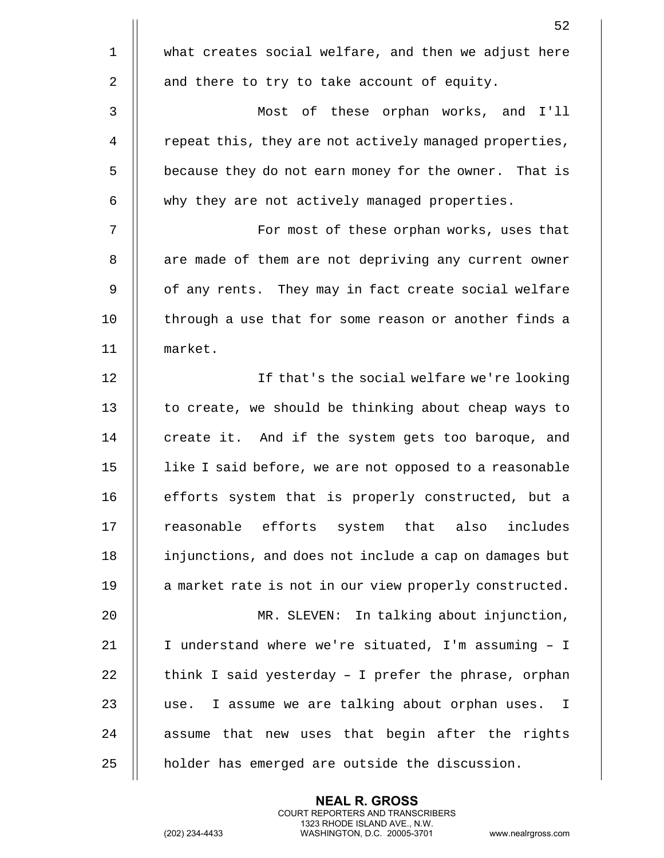|             | 52                                                     |
|-------------|--------------------------------------------------------|
| $\mathbf 1$ | what creates social welfare, and then we adjust here   |
| 2           | and there to try to take account of equity.            |
| 3           | Most of these orphan works, and I'll                   |
| 4           | repeat this, they are not actively managed properties, |
| 5           | because they do not earn money for the owner. That is  |
| 6           | why they are not actively managed properties.          |
| 7           | For most of these orphan works, uses that              |
| 8           | are made of them are not depriving any current owner   |
| 9           | of any rents. They may in fact create social welfare   |
| 10          | through a use that for some reason or another finds a  |
| 11          | market.                                                |
| 12          | If that's the social welfare we're looking             |
| 13          | to create, we should be thinking about cheap ways to   |
| 14          | create it. And if the system gets too baroque, and     |
| 15          | like I said before, we are not opposed to a reasonable |
| 16          | efforts system that is properly constructed, but a     |
| 17          | reasonable efforts system that also<br>includes        |
| 18          | injunctions, and does not include a cap on damages but |
| 19          | a market rate is not in our view properly constructed. |
| 20          | MR. SLEVEN: In talking about injunction,               |
| 21          | I understand where we're situated, I'm assuming - I    |
| 22          | think I said yesterday - I prefer the phrase, orphan   |
| 23          | I assume we are talking about orphan uses. I<br>use.   |
| 24          | assume that new uses that begin after the rights       |
| 25          | holder has emerged are outside the discussion.         |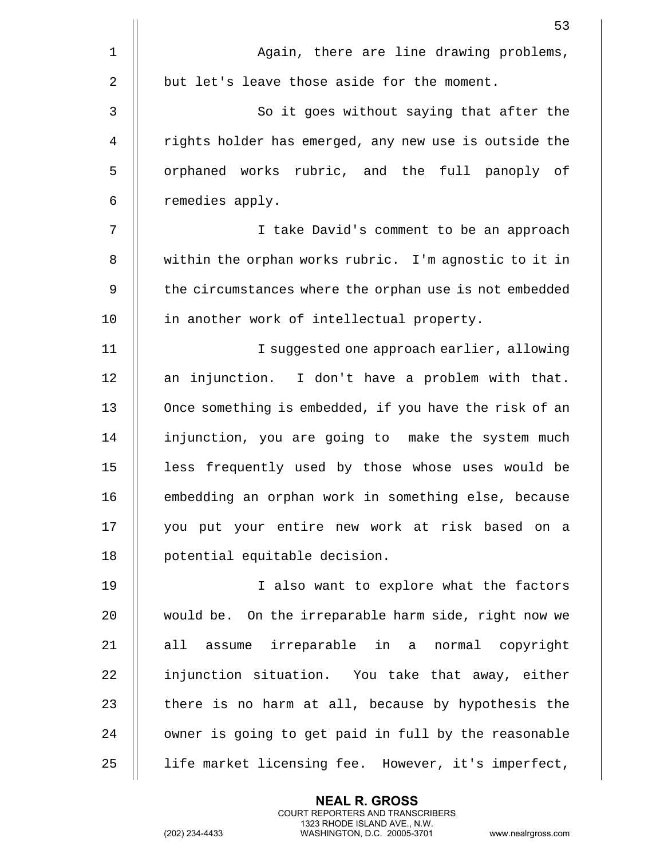|             | 53                                                     |
|-------------|--------------------------------------------------------|
| $\mathbf 1$ | Again, there are line drawing problems,                |
| 2           | but let's leave those aside for the moment.            |
| 3           | So it goes without saying that after the               |
| 4           | rights holder has emerged, any new use is outside the  |
| 5           | orphaned works rubric, and the full panoply of         |
| 6           | remedies apply.                                        |
| 7           | I take David's comment to be an approach               |
| 8           | within the orphan works rubric. I'm agnostic to it in  |
| 9           | the circumstances where the orphan use is not embedded |
| 10          | in another work of intellectual property.              |
| 11          | I suggested one approach earlier, allowing             |
| 12          | an injunction. I don't have a problem with that.       |
| 13          | Once something is embedded, if you have the risk of an |
| 14          | injunction, you are going to make the system much      |
| 15          | less frequently used by those whose uses would be      |
| 16          | embedding an orphan work in something else, because    |
| 17          | you put your entire new work at risk based on a        |
| 18          | potential equitable decision.                          |
| 19          | I also want to explore what the factors                |
| 20          | would be. On the irreparable harm side, right now we   |
| 21          | all assume irreparable in a normal copyright           |
| 22          | injunction situation. You take that away, either       |
| 23          | there is no harm at all, because by hypothesis the     |
| 24          | owner is going to get paid in full by the reasonable   |
| 25          | life market licensing fee. However, it's imperfect,    |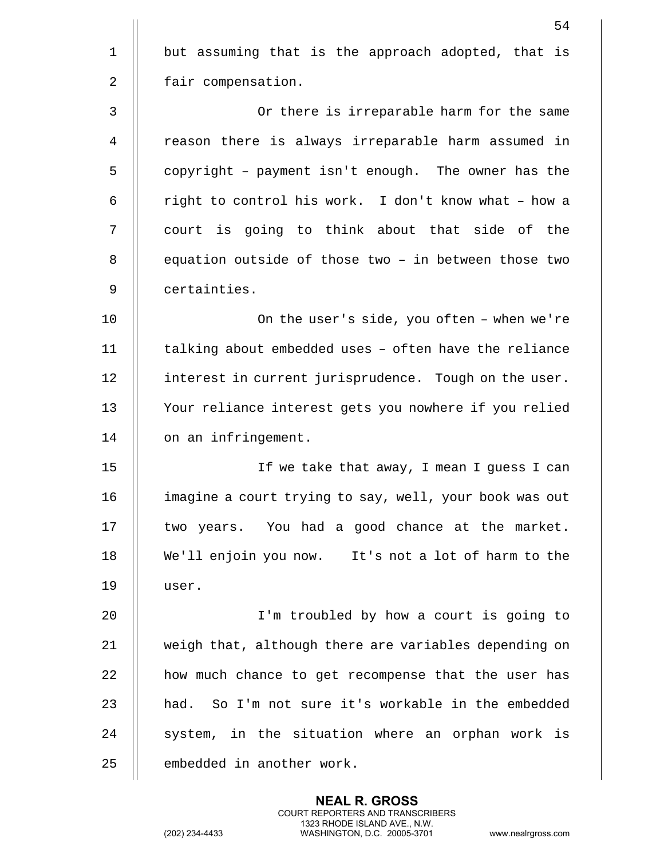|             | 54                                                     |
|-------------|--------------------------------------------------------|
| $\mathbf 1$ | but assuming that is the approach adopted, that is     |
| 2           | fair compensation.                                     |
| 3           | Or there is irreparable harm for the same              |
| 4           | reason there is always irreparable harm assumed in     |
| 5           | copyright - payment isn't enough. The owner has the    |
| 6           | right to control his work. I don't know what - how a   |
| 7           | court is going to think about that side of the         |
| 8           | equation outside of those two - in between those two   |
| 9           | certainties.                                           |
| 10          | On the user's side, you often - when we're             |
| 11          | talking about embedded uses - often have the reliance  |
| 12          | interest in current jurisprudence. Tough on the user.  |
| 13          | Your reliance interest gets you nowhere if you relied  |
| 14          | on an infringement.                                    |
| 15          | If we take that away, I mean I guess I can             |
| 16          | imagine a court trying to say, well, your book was out |
| 17          | two years. You had a good chance at the market.        |
| 18          | We'll enjoin you now. It's not a lot of harm to the    |
| 19          | user.                                                  |
| 20          | I'm troubled by how a court is going to                |
| 21          | weigh that, although there are variables depending on  |
| 22          | how much chance to get recompense that the user has    |
| 23          | had. So I'm not sure it's workable in the embedded     |
| 24          | system, in the situation where an orphan work is       |
| 25          | embedded in another work.                              |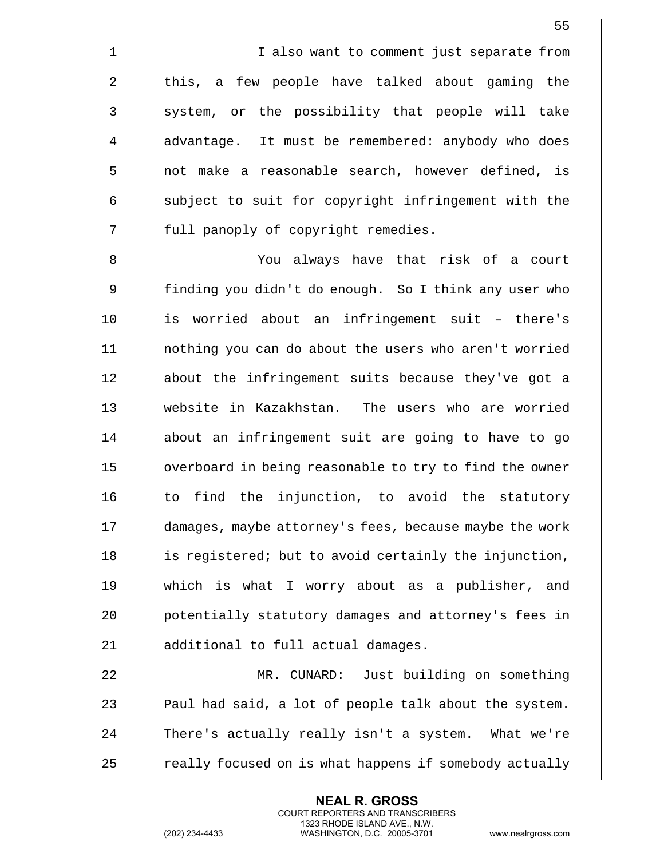1 || I also want to comment just separate from 2 || this, a few people have talked about gaming the 3 || system, or the possibility that people will take 4 | advantage. It must be remembered: anybody who does 5 || not make a reasonable search, however defined, is  $6$   $\parallel$  subject to suit for copyright infringement with the 7 || full panoply of copyright remedies.

8 You always have that risk of a court 9 || finding you didn't do enough. So I think any user who  $10$  || is worried about an infringement suit - there's 11 nothing you can do about the users who aren't worried 12 || about the infringement suits because they've got a 13 website in Kazakhstan. The users who are worried 14 || about an infringement suit are going to have to go 15 | overboard in being reasonable to try to find the owner 16 || to find the injunction, to avoid the statutory 17 damages, maybe attorney's fees, because maybe the work 18 || is registered; but to avoid certainly the injunction, 19 which is what I worry about as a publisher, and 20 **potentially statutory damages and attorney's fees in** 21 | additional to full actual damages.

 MR. CUNARD: Just building on something  $\parallel$  Paul had said, a lot of people talk about the system. 24 || There's actually really isn't a system. What we're  $\parallel$  really focused on is what happens if somebody actually

> **NEAL R. GROSS** COURT REPORTERS AND TRANSCRIBERS 1323 RHODE ISLAND AVE., N.W.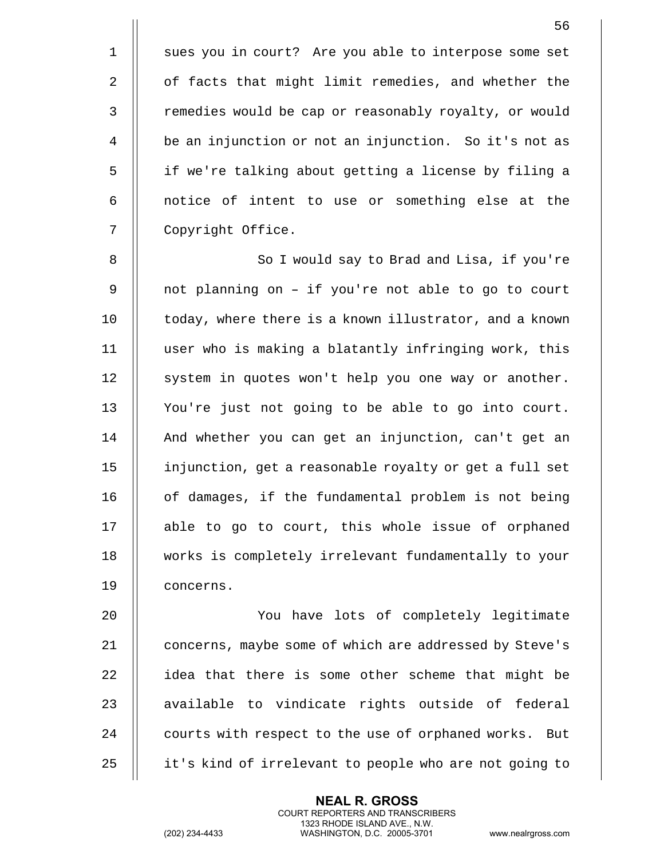1 || sues you in court? Are you able to interpose some set 2 | of facts that might limit remedies, and whether the 3 | remedies would be cap or reasonably royalty, or would 4 | be an injunction or not an injunction. So it's not as 5 || if we're talking about getting a license by filing a 6 || notice of intent to use or something else at the 7 | Copyright Office.

8 || So I would say to Brad and Lisa, if you're 9 || not planning on - if you're not able to go to court 10 || today, where there is a known illustrator, and a known 11 user who is making a blatantly infringing work, this 12 || system in quotes won't help you one way or another. 13 || You're just not going to be able to go into court. 14 || And whether you can get an injunction, can't get an 15 injunction, get a reasonable royalty or get a full set 16 || of damages, if the fundamental problem is not being 17 || able to go to court, this whole issue of orphaned 18 works is completely irrelevant fundamentally to your 19 concerns.

20 You have lots of completely legitimate 21 | concerns, maybe some of which are addressed by Steve's  $22$  || idea that there is some other scheme that might be  $23$   $\parallel$  available to vindicate rights outside of federal 24 | courts with respect to the use of orphaned works. But 25 | it's kind of irrelevant to people who are not going to

> **NEAL R. GROSS** COURT REPORTERS AND TRANSCRIBERS 1323 RHODE ISLAND AVE., N.W.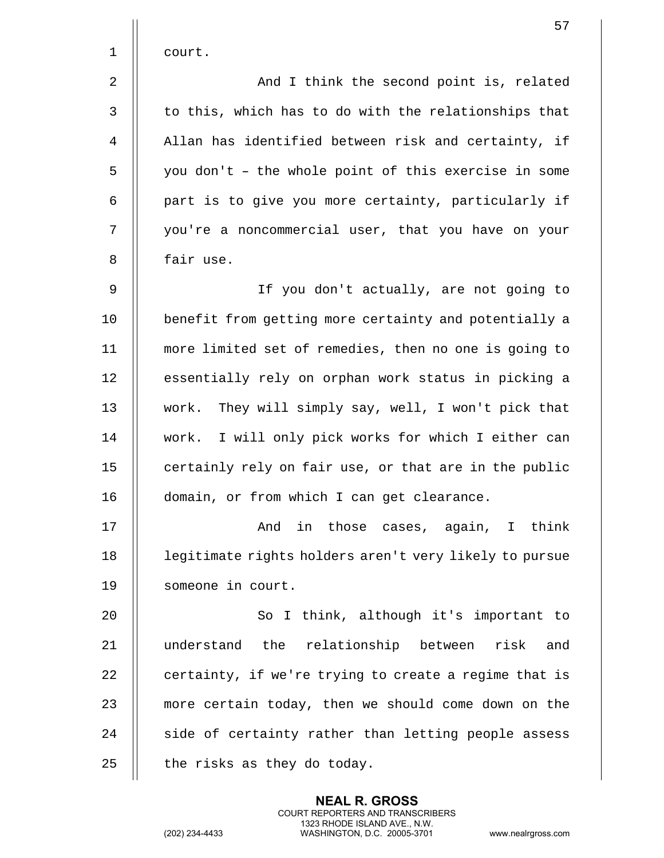|                | 57                                                     |
|----------------|--------------------------------------------------------|
| 1              | court.                                                 |
| $\overline{2}$ | And I think the second point is, related               |
| $\mathsf{3}$   | to this, which has to do with the relationships that   |
| 4              | Allan has identified between risk and certainty, if    |
| 5              | you don't - the whole point of this exercise in some   |
| 6              | part is to give you more certainty, particularly if    |
| 7              | you're a noncommercial user, that you have on your     |
| 8              | fair use.                                              |
| 9              | If you don't actually, are not going to                |
| 10             | benefit from getting more certainty and potentially a  |
| 11             | more limited set of remedies, then no one is going to  |
| 12             | essentially rely on orphan work status in picking a    |
| 13             | work. They will simply say, well, I won't pick that    |
| 14             | work. I will only pick works for which I either can    |
| 15             | certainly rely on fair use, or that are in the public  |
| 16             | domain, or from which I can get clearance.             |
| 17             | And in those cases, again, I think                     |
| 18             | legitimate rights holders aren't very likely to pursue |
| 19             | someone in court.                                      |
| 20             | So I think, although it's important to                 |
| 21             | understand the relationship between<br>risk and        |
| 22             | certainty, if we're trying to create a regime that is  |
| 23             | more certain today, then we should come down on the    |
| 24             | side of certainty rather than letting people assess    |
| 25             | the risks as they do today.                            |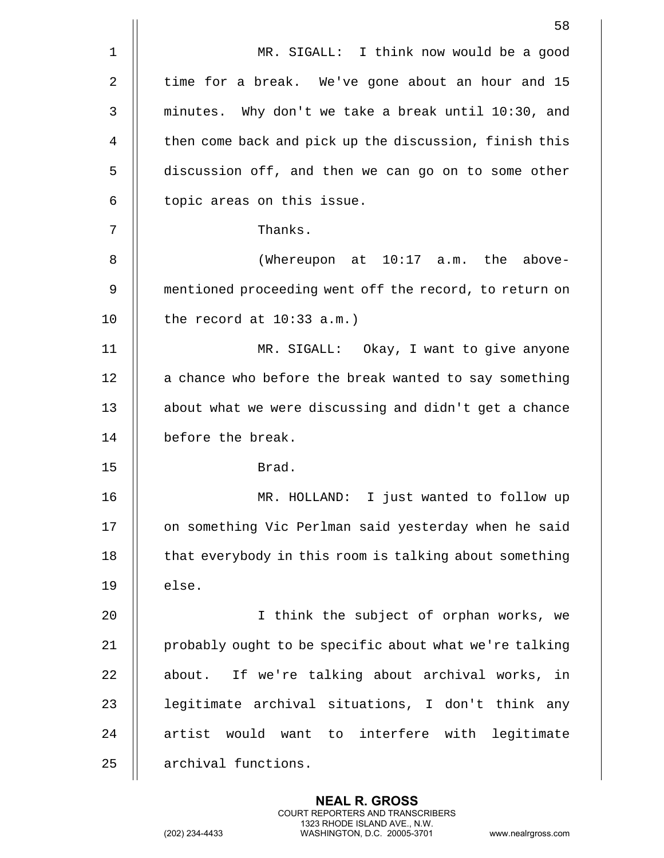|              | 58                                                     |
|--------------|--------------------------------------------------------|
| $\mathbf 1$  | MR. SIGALL: I think now would be a good                |
| 2            | time for a break. We've gone about an hour and 15      |
| $\mathbf{3}$ | minutes. Why don't we take a break until 10:30, and    |
| 4            | then come back and pick up the discussion, finish this |
| 5            | discussion off, and then we can go on to some other    |
| 6            | topic areas on this issue.                             |
| 7            | Thanks.                                                |
| 8            | (Whereupon at 10:17 a.m. the above-                    |
| 9            | mentioned proceeding went off the record, to return on |
| 10           | the record at $10:33$ a.m.)                            |
| 11           | MR. SIGALL: Okay, I want to give anyone                |
| 12           | a chance who before the break wanted to say something  |
| 13           | about what we were discussing and didn't get a chance  |
| 14           | before the break.                                      |
| 15           | Brad.                                                  |
| 16           | I just wanted to follow up<br>MR. HOLLAND:             |
| 17           | on something Vic Perlman said yesterday when he said   |
| 18           | that everybody in this room is talking about something |
| 19           | else.                                                  |
| 20           | I think the subject of orphan works, we                |
| 21           | probably ought to be specific about what we're talking |
| 22           | If we're talking about archival works, in<br>about.    |
| 23           | legitimate archival situations, I don't think any      |
| 24           | artist would want to interfere with legitimate         |
| 25           | archival functions.                                    |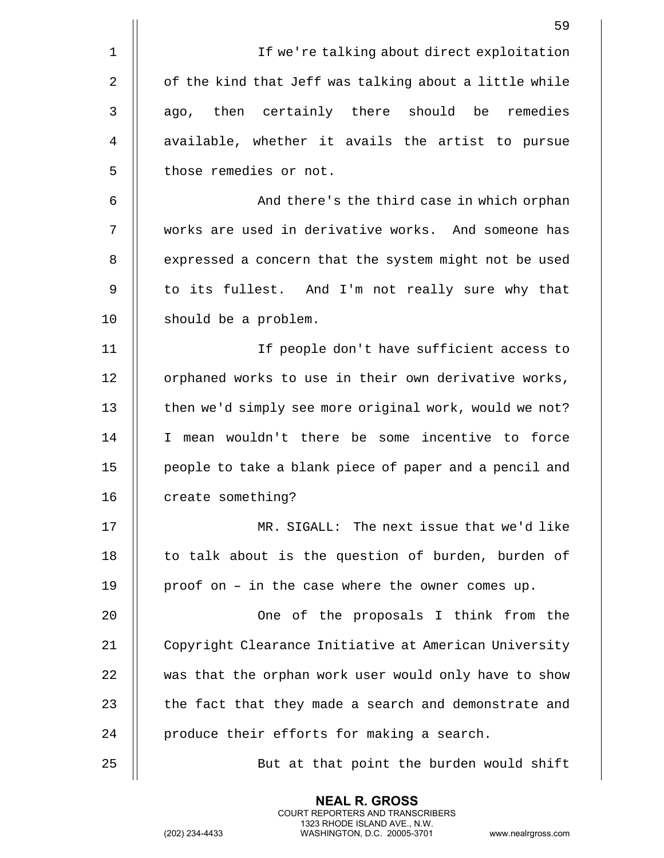| 59                                                     |
|--------------------------------------------------------|
| If we're talking about direct exploitation             |
| of the kind that Jeff was talking about a little while |
| then certainly there should be remedies<br>ago,        |
| available, whether it avails the artist to pursue      |
| those remedies or not.                                 |
| And there's the third case in which orphan             |
| works are used in derivative works. And someone has    |
| expressed a concern that the system might not be used  |
| to its fullest. And I'm not really sure why that       |
| should be a problem.                                   |
| If people don't have sufficient access to              |
| orphaned works to use in their own derivative works,   |
| then we'd simply see more original work, would we not? |
| mean wouldn't there be some incentive to force<br>I.   |
| people to take a blank piece of paper and a pencil and |
| create something?                                      |
| MR. SIGALL: The next issue that we'd like              |
| to talk about is the question of burden, burden of     |
| proof on - in the case where the owner comes up.       |
| One of the proposals I think from the                  |
| Copyright Clearance Initiative at American University  |
| was that the orphan work user would only have to show  |
| the fact that they made a search and demonstrate and   |
| produce their efforts for making a search.             |
| But at that point the burden would shift               |
|                                                        |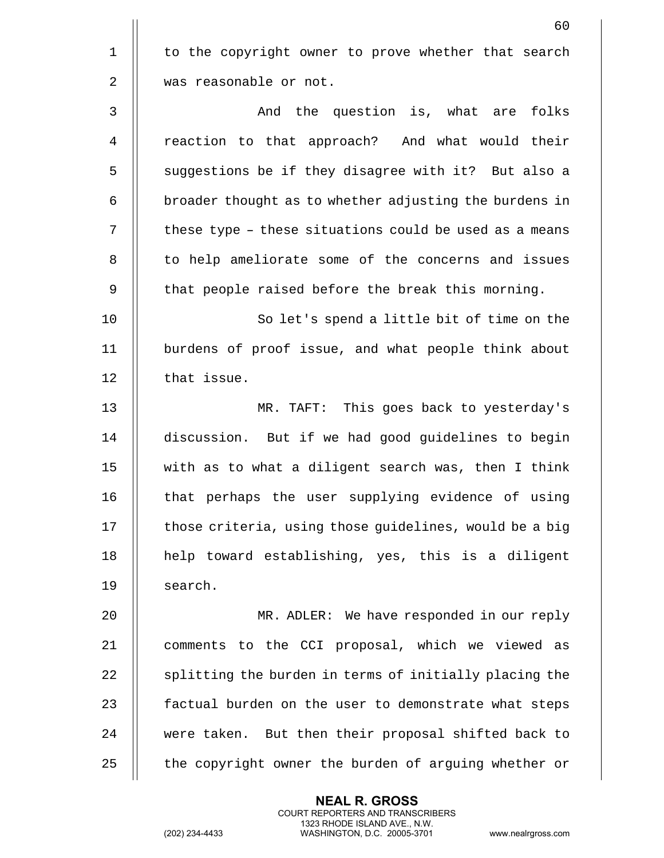60 1 || to the copyright owner to prove whether that search 2 || was reasonable or not. 3 And the question is, what are folks 4 || reaction to that approach? And what would their 5 || suggestions be if they disagree with it? But also a  $6$  | broader thought as to whether adjusting the burdens in  $7$   $\parallel$  these type - these situations could be used as a means 8 || to help ameliorate some of the concerns and issues 9 | that people raised before the break this morning. 10 || So let's spend a little bit of time on the 11 burdens of proof issue, and what people think about 12 | that issue. 13 MR. TAFT: This goes back to yesterday's 14 discussion. But if we had good guidelines to begin 15 with as to what a diligent search was, then I think 16 || that perhaps the user supplying evidence of using  $17$   $\parallel$  those criteria, using those guidelines, would be a big 18 || help toward establishing, yes, this is a diligent 19 | search. 20 MR. ADLER: We have responded in our reply 21 || comments to the CCI proposal, which we viewed as 22  $\parallel$  splitting the burden in terms of initially placing the 23 || factual burden on the user to demonstrate what steps 24 || were taken. But then their proposal shifted back to 25 | the copyright owner the burden of arguing whether or

> **NEAL R. GROSS** COURT REPORTERS AND TRANSCRIBERS 1323 RHODE ISLAND AVE., N.W.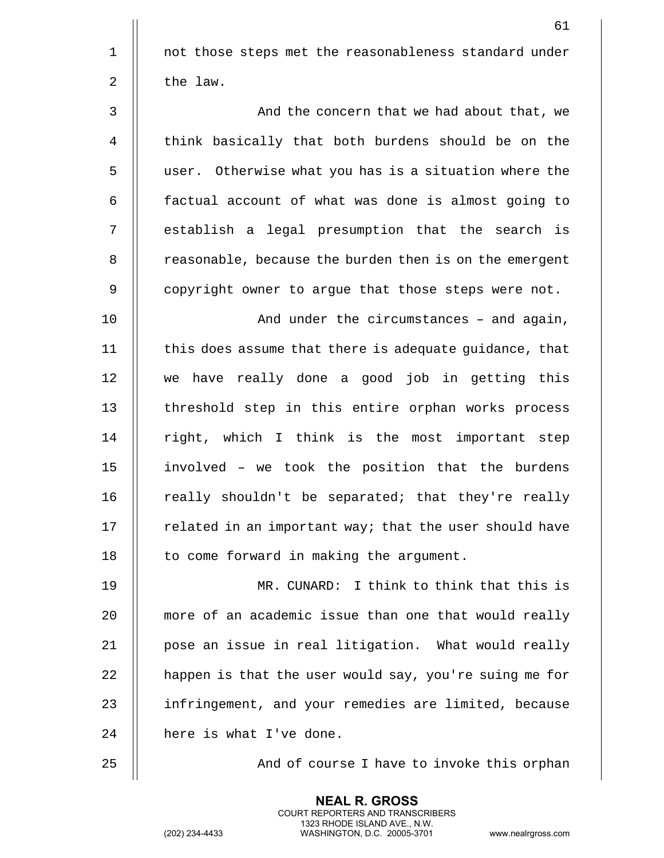61 1 || not those steps met the reasonableness standard under  $2 \parallel$  the law. 3 And the concern that we had about that, we 4 | think basically that both burdens should be on the 5 user. Otherwise what you has is a situation where the 6 | factual account of what was done is almost going to 7 || establish a legal presumption that the search is 8 | reasonable, because the burden then is on the emergent 9 || copyright owner to argue that those steps were not. 10 And under the circumstances B and again, 11 | this does assume that there is adequate guidance, that 12 we have really done a good job in getting this 13 || threshold step in this entire orphan works process 14 || right, which I think is the most important step

 || involved - we took the position that the burdens  $\parallel$  really shouldn't be separated; that they're really  $\parallel$  related in an important way; that the user should have 18 || to come forward in making the argument.

19 MR. CUNARD: I think to think that this is 20 | more of an academic issue than one that would really 21 | pose an issue in real litigation. What would really  $22$  | happen is that the user would say, you're suing me for 23 || infringement, and your remedies are limited, because 24 | here is what I've done.

25 || And of course I have to invoke this orphan

**NEAL R. GROSS** COURT REPORTERS AND TRANSCRIBERS 1323 RHODE ISLAND AVE., N.W.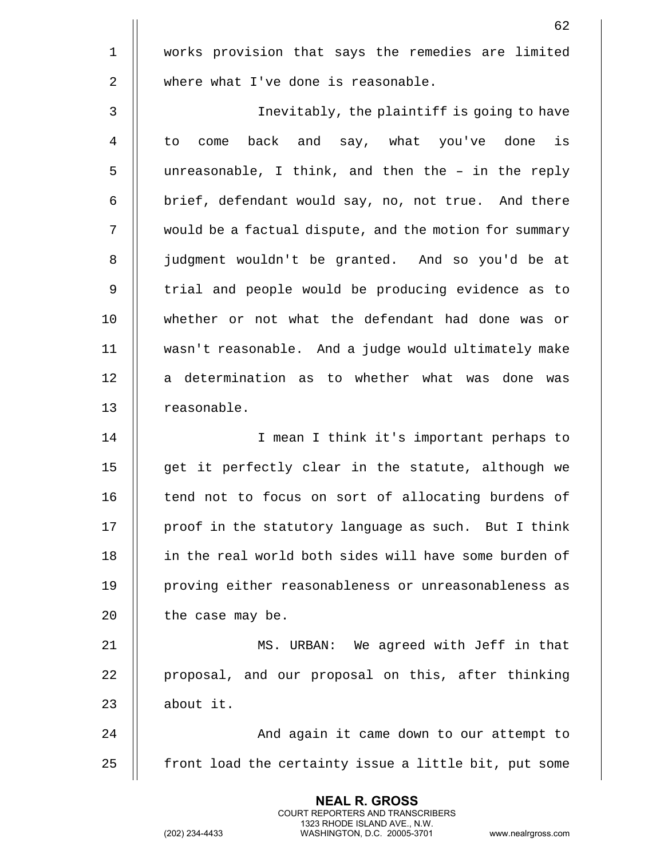|              | 62                                                     |
|--------------|--------------------------------------------------------|
| $\mathbf{1}$ | works provision that says the remedies are limited     |
| 2            | where what I've done is reasonable.                    |
| 3            | Inevitably, the plaintiff is going to have             |
| 4            | back and say, what you've done is<br>to<br>come        |
| 5            | unreasonable, I think, and then the - in the reply     |
| 6            | brief, defendant would say, no, not true. And there    |
| 7            | would be a factual dispute, and the motion for summary |
| 8            | judgment wouldn't be granted. And so you'd be at       |
| 9            | trial and people would be producing evidence as to     |
| 10           | whether or not what the defendant had done was or      |
| 11           | wasn't reasonable. And a judge would ultimately make   |
| 12           | a determination as to whether what was done was        |
| 13           | reasonable.                                            |

14 || I mean I think it's important perhaps to  $\parallel$  get it perfectly clear in the statute, although we 16 || tend not to focus on sort of allocating burdens of  $\parallel$  proof in the statutory language as such. But I think 18 || in the real world both sides will have some burden of 19 || proving either reasonableness or unreasonableness as | the case may be.

 MS. URBAN: We agreed with Jeff in that 22 | proposal, and our proposal on this, after thinking  $\parallel$  about it.

24 || And again it came down to our attempt to || front load the certainty issue a little bit, put some

> **NEAL R. GROSS** COURT REPORTERS AND TRANSCRIBERS 1323 RHODE ISLAND AVE., N.W.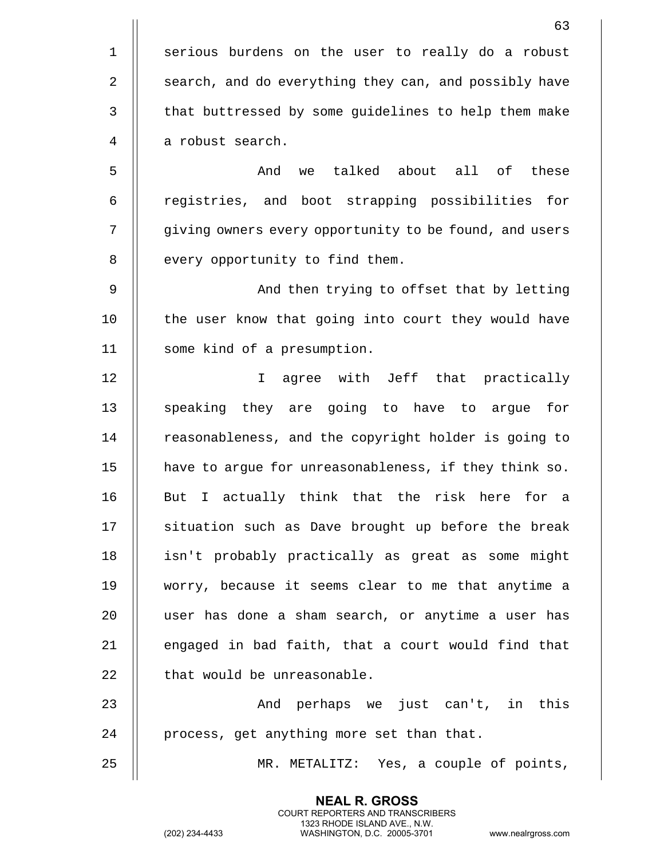63 1 || serious burdens on the user to really do a robust 2 | search, and do everything they can, and possibly have 3 | that buttressed by some guidelines to help them make 4 | a robust search. 5 And we talked about all of these 6 || registries, and boot strapping possibilities for 7 | giving owners every opportunity to be found, and users 8 || every opportunity to find them. 9 And then trying to offset that by letting 10 || the user know that going into court they would have 11 | some kind of a presumption. 12 I agree with Jeff that practically 13 || speaking they are going to have to argue for 14 | reasonableness, and the copyright holder is going to 15 | have to argue for unreasonableness, if they think so. 16 || But I actually think that the risk here for a 17 || situation such as Dave brought up before the break 18 || isn't probably practically as great as some might 19 worry, because it seems clear to me that anytime a 20 user has done a sham search, or anytime a user has 21  $\parallel$  engaged in bad faith, that a court would find that  $22$   $\parallel$  that would be unreasonable. 23 And perhaps we just can't, in this 24 || process, get anything more set than that. 25 MR. METALITZ: Yes, a couple of points,

> **NEAL R. GROSS** COURT REPORTERS AND TRANSCRIBERS 1323 RHODE ISLAND AVE., N.W.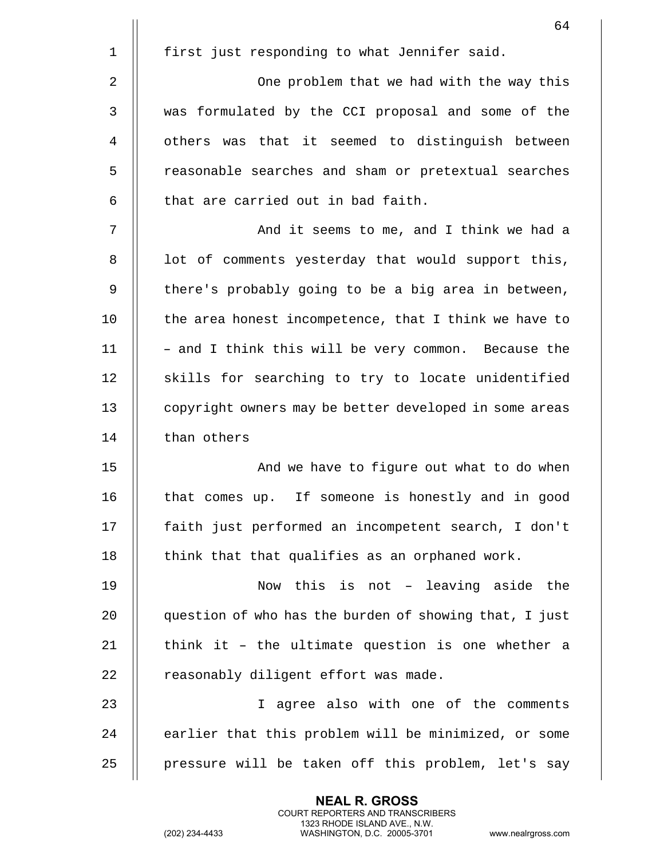|             | 64                                                     |
|-------------|--------------------------------------------------------|
| $\mathbf 1$ | first just responding to what Jennifer said.           |
| 2           | One problem that we had with the way this              |
| 3           | was formulated by the CCI proposal and some of the     |
| 4           | others was that it seemed to distinguish between       |
| 5           | reasonable searches and sham or pretextual searches    |
| 6           | that are carried out in bad faith.                     |
| 7           | And it seems to me, and I think we had a               |
| 8           | lot of comments yesterday that would support this,     |
| 9           | there's probably going to be a big area in between,    |
| 10          | the area honest incompetence, that I think we have to  |
| 11          | - and I think this will be very common. Because the    |
| 12          | skills for searching to try to locate unidentified     |
| 13          | copyright owners may be better developed in some areas |
| 14          | than others                                            |
| 15          | And we have to figure out what to do when              |
| 16          | If someone is honestly and in good<br>that comes up.   |
| 17          | faith just performed an incompetent search, I don't    |
| 18          | think that that qualifies as an orphaned work.         |
| 19          | Now this is not - leaving aside the                    |
| 20          | question of who has the burden of showing that, I just |
| 21          | think it - the ultimate question is one whether a      |
| 22          | reasonably diligent effort was made.                   |
| 23          | I agree also with one of the comments                  |
| 24          | earlier that this problem will be minimized, or some   |
| 25          | pressure will be taken off this problem, let's say     |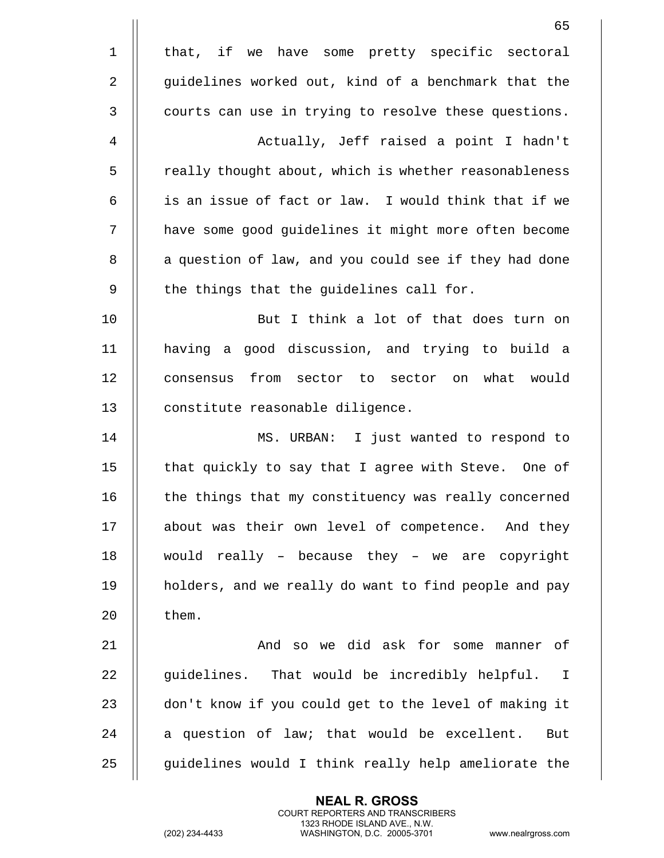|                | 65                                                    |
|----------------|-------------------------------------------------------|
| $\mathbf 1$    | that, if we have some pretty specific sectoral        |
| $\overline{2}$ | guidelines worked out, kind of a benchmark that the   |
| $\mathfrak{Z}$ | courts can use in trying to resolve these questions.  |
| $\overline{4}$ | Actually, Jeff raised a point I hadn't                |
| 5              | really thought about, which is whether reasonableness |
| 6              | is an issue of fact or law. I would think that if we  |
| 7              | have some good guidelines it might more often become  |
| 8              | a question of law, and you could see if they had done |
| 9              | the things that the guidelines call for.              |
| 10             | But I think a lot of that does turn on                |
| 11             | having a good discussion, and trying to build a       |
| 12             | consensus from sector to sector on what would         |
| 13             | constitute reasonable diligence.                      |
| 14             | MS. URBAN: I just wanted to respond to                |
| 15             | that quickly to say that I agree with Steve. One of   |
| 16             | the things that my constituency was really concerned  |
| 17             | about was their own level of competence. And they     |
| 18             | would really - because they - we are copyright        |
| 19             | holders, and we really do want to find people and pay |
| 20             | them.                                                 |
| 21             | And so we did ask for some manner of                  |
| 22             | guidelines. That would be incredibly helpful. I       |
| 23             | don't know if you could get to the level of making it |
| 24             | a question of law; that would be excellent.<br>But    |
| 25             | guidelines would I think really help ameliorate the   |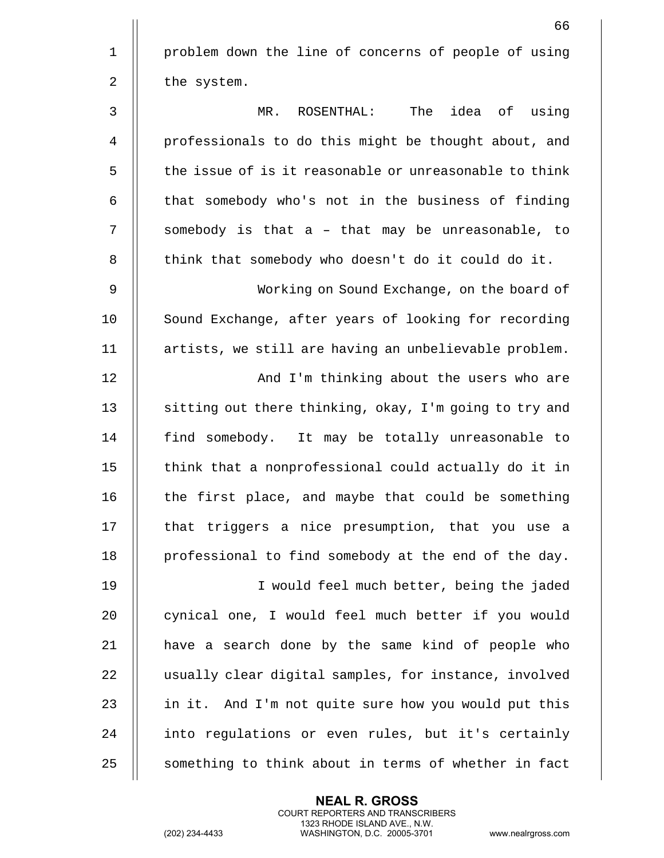|              | 66                                                     |
|--------------|--------------------------------------------------------|
| $\mathbf 1$  | problem down the line of concerns of people of using   |
| 2            | the system.                                            |
| $\mathsf{3}$ | MR. ROSENTHAL: The idea of using                       |
| 4            | professionals to do this might be thought about, and   |
| 5            | the issue of is it reasonable or unreasonable to think |
| 6            | that somebody who's not in the business of finding     |
| 7            | somebody is that a - that may be unreasonable, to      |
| 8            | think that somebody who doesn't do it could do it.     |
| 9            | Working on Sound Exchange, on the board of             |
| 10           | Sound Exchange, after years of looking for recording   |
| 11           | artists, we still are having an unbelievable problem.  |
| 12           | And I'm thinking about the users who are               |
| 13           | sitting out there thinking, okay, I'm going to try and |
| 14           | find somebody. It may be totally unreasonable to       |
| 15           | think that a nonprofessional could actually do it in   |
| 16           | the first place, and maybe that could be something     |
| 17           | that triggers a nice presumption, that you use a       |
| 18           | professional to find somebody at the end of the day.   |
| 19           | I would feel much better, being the jaded              |
| 20           | cynical one, I would feel much better if you would     |
| 21           | have a search done by the same kind of people who      |
| 22           | usually clear digital samples, for instance, involved  |
| 23           | in it. And I'm not quite sure how you would put this   |
| 24           | into regulations or even rules, but it's certainly     |
| 25           | something to think about in terms of whether in fact   |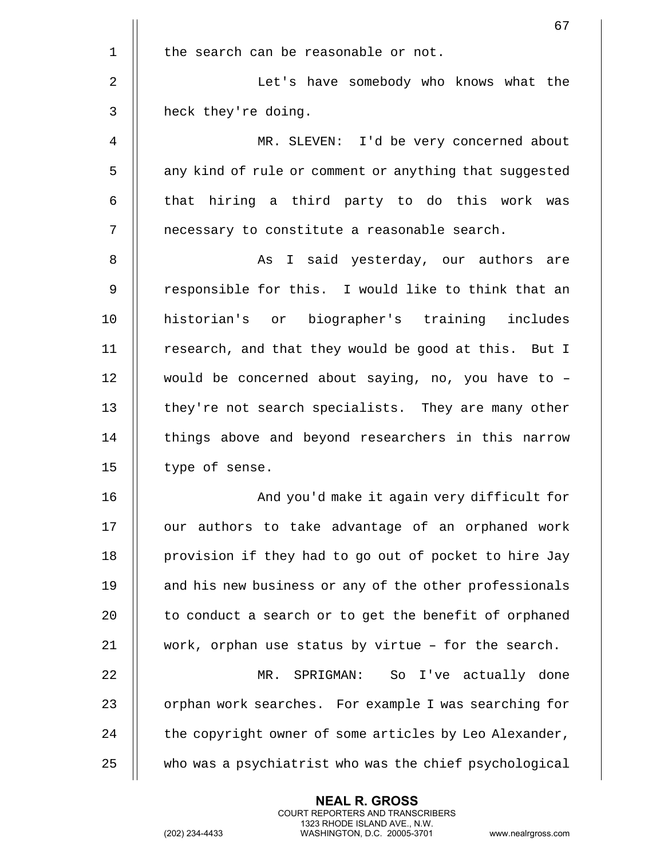|             | 67                                                     |
|-------------|--------------------------------------------------------|
| $\mathbf 1$ | the search can be reasonable or not.                   |
| 2           | Let's have somebody who knows what the                 |
| 3           | heck they're doing.                                    |
| 4           | MR. SLEVEN: I'd be very concerned about                |
| 5           | any kind of rule or comment or anything that suggested |
| 6           | that hiring a third party to do this work was          |
| 7           | necessary to constitute a reasonable search.           |
| 8           | As I said yesterday, our authors are                   |
| 9           | responsible for this. I would like to think that an    |
| 10          | historian's or biographer's training includes          |
| 11          | research, and that they would be good at this. But I   |
| 12          | would be concerned about saying, no, you have to -     |
| 13          | they're not search specialists. They are many other    |
| 14          | things above and beyond researchers in this narrow     |
| 15          | type of sense.                                         |
| 16          | And you'd make it again very difficult for             |
| 17          | our authors to take advantage of an orphaned work      |
| 18          | provision if they had to go out of pocket to hire Jay  |
| 19          | and his new business or any of the other professionals |
| 20          | to conduct a search or to get the benefit of orphaned  |
| 21          | work, orphan use status by virtue - for the search.    |
| 22          | MR. SPRIGMAN: So I've actually done                    |
| 23          | orphan work searches. For example I was searching for  |
| 24          | the copyright owner of some articles by Leo Alexander, |
| 25          | who was a psychiatrist who was the chief psychological |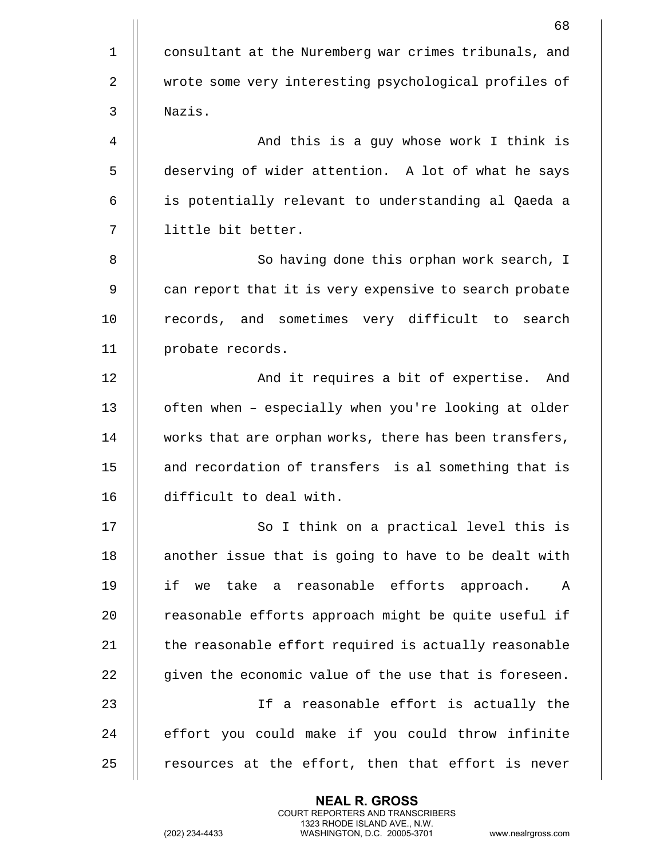|             | 68                                                     |
|-------------|--------------------------------------------------------|
| $\mathbf 1$ | consultant at the Nuremberg war crimes tribunals, and  |
| 2           | wrote some very interesting psychological profiles of  |
| 3           | Nazis.                                                 |
| 4           | And this is a guy whose work I think is                |
| 5           | deserving of wider attention. A lot of what he says    |
| 6           | is potentially relevant to understanding al Qaeda a    |
| 7           | little bit better.                                     |
| 8           | So having done this orphan work search, I              |
| 9           | can report that it is very expensive to search probate |
| 10          | records, and sometimes very difficult to search        |
| 11          | probate records.                                       |
| 12          | And it requires a bit of expertise.<br>And             |
| 13          | often when - especially when you're looking at older   |
| 14          | works that are orphan works, there has been transfers, |
| 15          | and recordation of transfers is al something that is   |
| 16          | difficult to deal with.                                |
| 17          | So I think on a practical level this is                |
| 18          | another issue that is going to have to be dealt with   |
| 19          | if we take a reasonable efforts approach. A            |
| 20          | reasonable efforts approach might be quite useful if   |
| 21          | the reasonable effort required is actually reasonable  |
| 22          | given the economic value of the use that is foreseen.  |
| 23          | If a reasonable effort is actually the                 |
| 24          | effort you could make if you could throw infinite      |
| 25          | resources at the effort, then that effort is never     |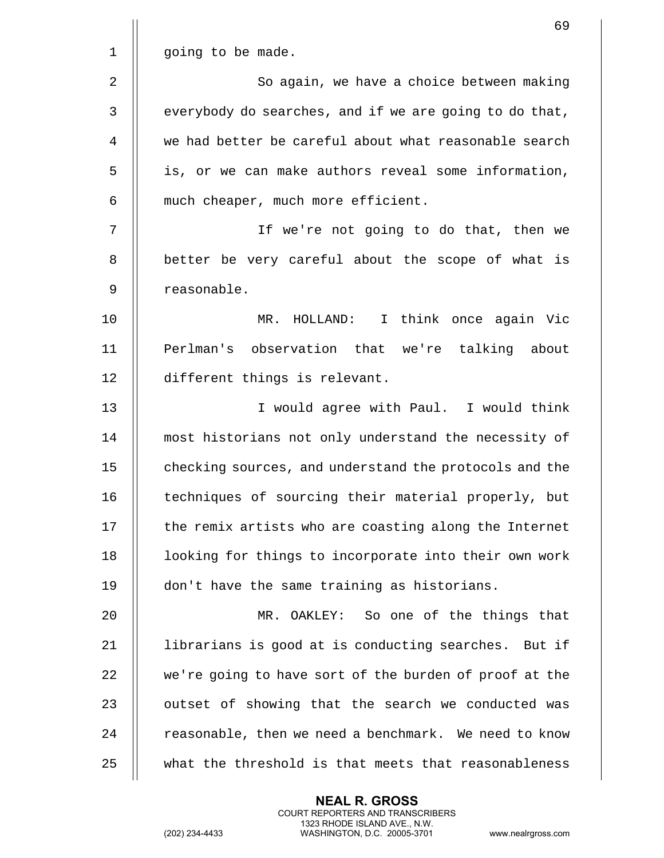|                | 69                                                     |
|----------------|--------------------------------------------------------|
| $\mathbf 1$    | going to be made.                                      |
| $\overline{2}$ | So again, we have a choice between making              |
| 3              | everybody do searches, and if we are going to do that, |
| 4              | we had better be careful about what reasonable search  |
| 5              | is, or we can make authors reveal some information,    |
| 6              | much cheaper, much more efficient.                     |
| 7              | If we're not going to do that, then we                 |
| 8              | better be very careful about the scope of what is      |
| 9              | reasonable.                                            |
| 10             | MR. HOLLAND: I think once again Vic                    |
| 11             | Perlman's observation that we're talking about         |
| 12             | different things is relevant.                          |
| 13             | I would agree with Paul. I would think                 |
| 14             | most historians not only understand the necessity of   |
| 15             | checking sources, and understand the protocols and the |
| 16             | techniques of sourcing their material properly, but    |
| 17             | the remix artists who are coasting along the Internet  |
| 18             | looking for things to incorporate into their own work  |
| 19             | don't have the same training as historians.            |
| 20             | MR. OAKLEY: So one of the things that                  |
| 21             | librarians is good at is conducting searches. But if   |
| 22             | we're going to have sort of the burden of proof at the |
| 23             | outset of showing that the search we conducted was     |
| 24             | reasonable, then we need a benchmark. We need to know  |
| 25             | what the threshold is that meets that reasonableness   |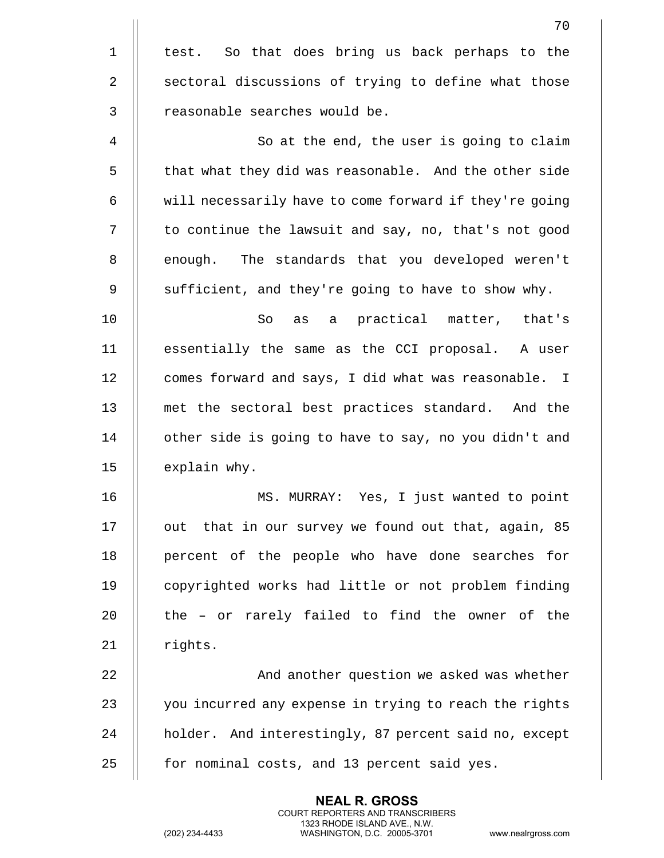|             | 70                                                     |
|-------------|--------------------------------------------------------|
| $\mathbf 1$ | test. So that does bring us back perhaps to the        |
| 2           | sectoral discussions of trying to define what those    |
| 3           | reasonable searches would be.                          |
| 4           | So at the end, the user is going to claim              |
| 5           | that what they did was reasonable. And the other side  |
| 6           | will necessarily have to come forward if they're going |
| 7           | to continue the lawsuit and say, no, that's not good   |
| 8           | enough. The standards that you developed weren't       |
| 9           | sufficient, and they're going to have to show why.     |
| 10          | as a practical matter, that's<br>So                    |
| 11          | essentially the same as the CCI proposal. A user       |
| 12          | comes forward and says, I did what was reasonable. I   |
| 13          | met the sectoral best practices standard. And the      |
| 14          | other side is going to have to say, no you didn't and  |
| 15          | explain why.                                           |
| 16          | Yes, I just wanted to point<br>MS. MURRAY:             |
| 17          | out that in our survey we found out that, again, 85    |
| 18          | percent of the people who have done searches for       |
| 19          | copyrighted works had little or not problem finding    |
| 20          | the - or rarely failed to find the owner of the        |
| 21          | rights.                                                |
| 22          | And another question we asked was whether              |
| 23          | you incurred any expense in trying to reach the rights |
| 24          | holder. And interestingly, 87 percent said no, except  |
| 25          | for nominal costs, and 13 percent said yes.            |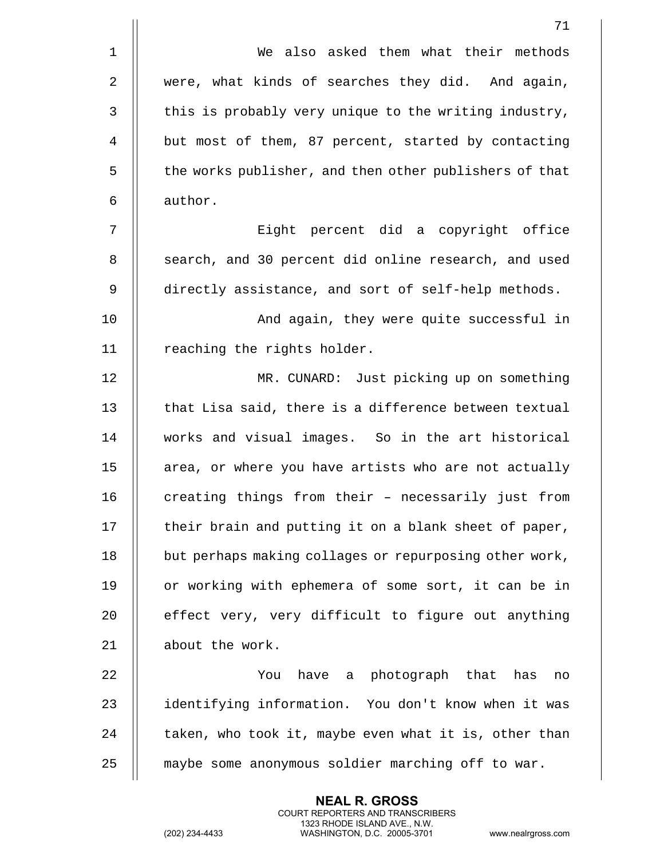|             | 71                                                     |
|-------------|--------------------------------------------------------|
| $\mathbf 1$ | We also asked them what their methods                  |
| 2           | were, what kinds of searches they did. And again,      |
| 3           | this is probably very unique to the writing industry,  |
| 4           | but most of them, 87 percent, started by contacting    |
| 5           | the works publisher, and then other publishers of that |
| 6           | author.                                                |
| 7           | Eight percent did a copyright office                   |
| 8           | search, and 30 percent did online research, and used   |
| 9           | directly assistance, and sort of self-help methods.    |
| 10          | And again, they were quite successful in               |
| 11          | reaching the rights holder.                            |
| 12          | MR. CUNARD: Just picking up on something               |
| 13          | that Lisa said, there is a difference between textual  |
| 14          | works and visual images. So in the art historical      |
| 15          | area, or where you have artists who are not actually   |
| 16          | creating things from their - necessarily just from     |
| 17          | their brain and putting it on a blank sheet of paper,  |
| 18          | but perhaps making collages or repurposing other work, |
| 19          | or working with ephemera of some sort, it can be in    |
| 20          | effect very, very difficult to figure out anything     |
| 21          | about the work.                                        |
| 22          | have a photograph that has<br>You<br>no                |
| 23          | identifying information. You don't know when it was    |
| 24          | taken, who took it, maybe even what it is, other than  |
| 25          | maybe some anonymous soldier marching off to war.      |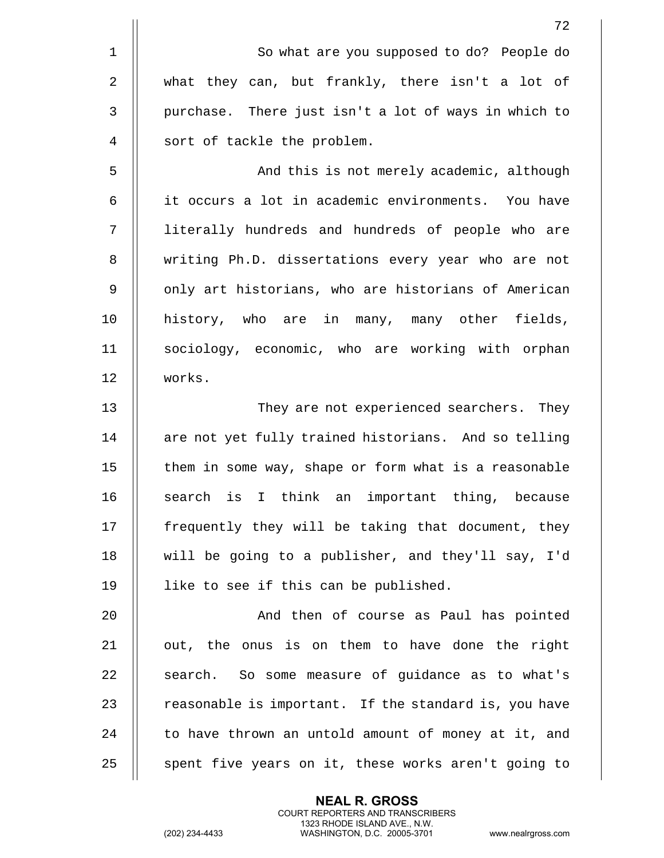|             | 72                                                    |
|-------------|-------------------------------------------------------|
| $\mathbf 1$ | So what are you supposed to do? People do             |
| 2           | what they can, but frankly, there isn't a lot of      |
| 3           | purchase. There just isn't a lot of ways in which to  |
| 4           | sort of tackle the problem.                           |
| 5           | And this is not merely academic, although             |
| 6           | it occurs a lot in academic environments. You have    |
| 7           | literally hundreds and hundreds of people who are     |
| 8           | writing Ph.D. dissertations every year who are not    |
| 9           | only art historians, who are historians of American   |
| 10          | history, who are in many, many other fields,          |
| 11          | sociology, economic, who are working with orphan      |
| 12          | works.                                                |
| 13          | They are not experienced searchers. They              |
| 14          | are not yet fully trained historians. And so telling  |
| 15          | them in some way, shape or form what is a reasonable  |
| 16          | search is I think an important thing, because         |
| 17          | frequently they will be taking that document, they    |
| 18          | will be going to a publisher, and they'll say, I'd    |
| 19          | like to see if this can be published.                 |
| 20          | And then of course as Paul has pointed                |
| 21          | out, the onus is on them to have done the right       |
| 22          | search. So some measure of guidance as to what's      |
| 23          | reasonable is important. If the standard is, you have |
| 24          | to have thrown an untold amount of money at it, and   |
| 25          | spent five years on it, these works aren't going to   |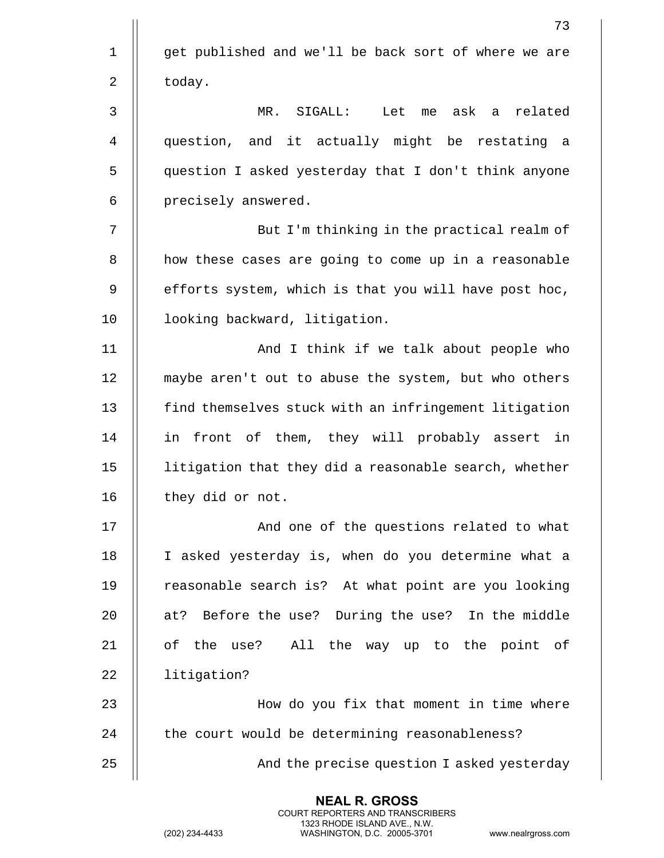|             | 73                                                    |
|-------------|-------------------------------------------------------|
| $\mathbf 1$ | get published and we'll be back sort of where we are  |
| 2           | today.                                                |
| 3           | MR. SIGALL: Let me ask a related                      |
| 4           | question, and it actually might be restating a        |
| 5           | question I asked yesterday that I don't think anyone  |
| 6           | precisely answered.                                   |
| 7           | But I'm thinking in the practical realm of            |
| 8           | how these cases are going to come up in a reasonable  |
| 9           | efforts system, which is that you will have post hoc, |
| 10          | looking backward, litigation.                         |
| 11          | And I think if we talk about people who               |
| 12          | maybe aren't out to abuse the system, but who others  |
| 13          | find themselves stuck with an infringement litigation |
| 14          | in front of them, they will probably assert in        |
| 15          | litigation that they did a reasonable search, whether |
| 16          | they did or not.                                      |
| 17          | And one of the questions related to what              |
| 18          | I asked yesterday is, when do you determine what a    |
| 19          | reasonable search is? At what point are you looking   |
| 20          | at? Before the use? During the use? In the middle     |
| 21          | of the use? All the way up to the point of            |
| 22          | litigation?                                           |
| 23          | How do you fix that moment in time where              |
| 24          | the court would be determining reasonableness?        |
| 25          | And the precise question I asked yesterday            |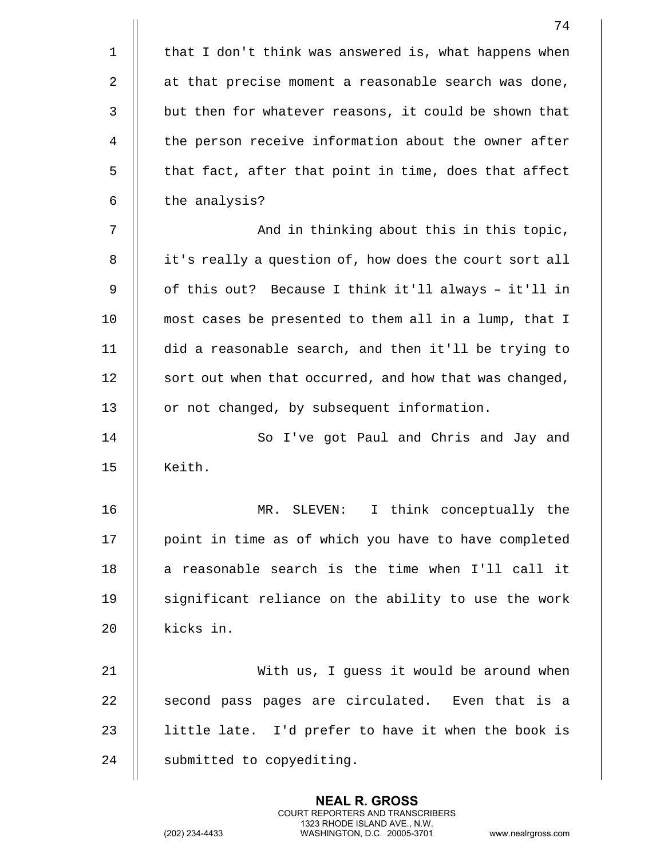|             | 74                                                     |
|-------------|--------------------------------------------------------|
| $\mathbf 1$ | that I don't think was answered is, what happens when  |
| 2           | at that precise moment a reasonable search was done,   |
| 3           | but then for whatever reasons, it could be shown that  |
| 4           | the person receive information about the owner after   |
| 5           | that fact, after that point in time, does that affect  |
| 6           | the analysis?                                          |
| 7           | And in thinking about this in this topic,              |
| 8           | it's really a question of, how does the court sort all |
| 9           | of this out? Because I think it'll always - it'll in   |
| 10          | most cases be presented to them all in a lump, that I  |
| 11          | did a reasonable search, and then it'll be trying to   |
| 12          | sort out when that occurred, and how that was changed, |
| 13          | or not changed, by subsequent information.             |
| 14          | So I've got Paul and Chris and Jay and                 |
| 15          | Keith.                                                 |
| 16          | I think conceptually the<br>MR. SLEVEN:                |
| 17          | point in time as of which you have to have completed   |
| 18          | a reasonable search is the time when I'll call it      |
| 19          | significant reliance on the ability to use the work    |
| 20          | kicks in.                                              |
| 21          | With us, I guess it would be around when               |
| 22          | second pass pages are circulated. Even that is a       |
| 23          | little late. I'd prefer to have it when the book is    |
| 24          | submitted to copyediting.                              |

(202) 234-4433 WASHINGTON, D.C. 20005-3701 www.nealrgross.com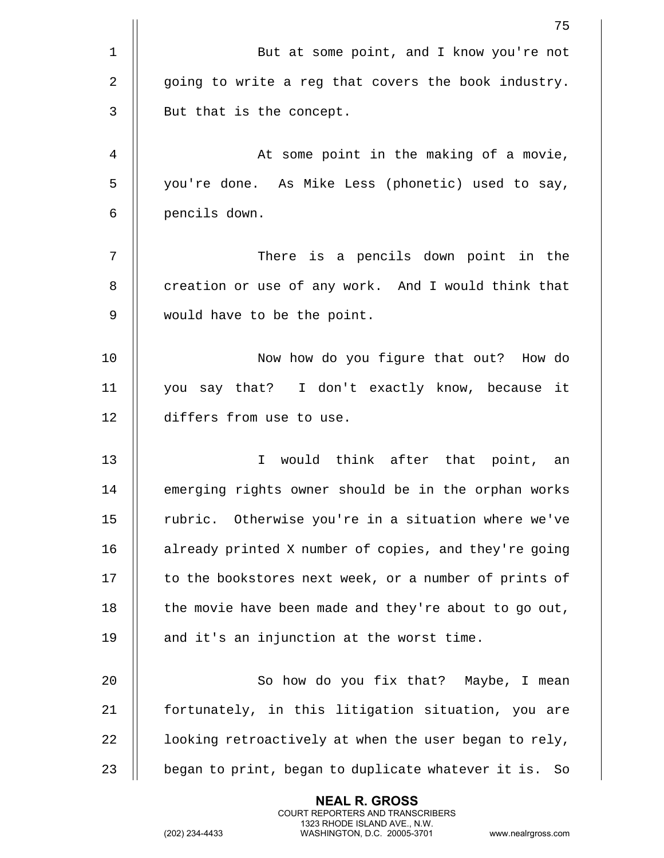|                | 75                                                       |
|----------------|----------------------------------------------------------|
| $\mathbf 1$    | But at some point, and I know you're not                 |
| $\overline{2}$ | going to write a reg that covers the book industry.      |
| 3              | But that is the concept.                                 |
| 4              | At some point in the making of a movie,                  |
| 5              | you're done. As Mike Less (phonetic) used to say,        |
| 6              | pencils down.                                            |
| 7              | There is a pencils down point in the                     |
| 8              | creation or use of any work. And I would think that      |
| 9              | would have to be the point.                              |
| 10             | Now how do you figure that out? How do                   |
| 11             | you say that? I don't exactly know, because it           |
| 12             | differs from use to use.                                 |
| 13             | would think after that point, an<br>$\mathbf{I}$         |
| 14             | emerging rights owner should be in the orphan works      |
| 15             | rubric. Otherwise you're in a situation where we've      |
| 16             | already printed X number of copies, and they're going    |
| 17             | to the bookstores next week, or a number of prints of    |
| 18             | the movie have been made and they're about to go out,    |
| 19             | and it's an injunction at the worst time.                |
| 20             | So how do you fix that? Maybe, I mean                    |
| 21             | fortunately, in this litigation situation, you are       |
| 22             | looking retroactively at when the user began to rely,    |
| 23             | began to print, began to duplicate whatever it is.<br>So |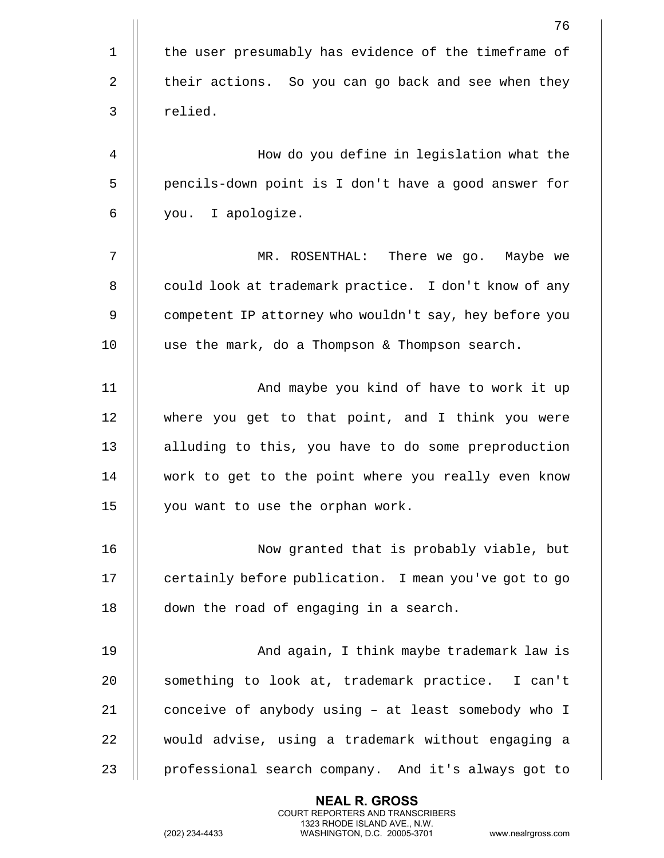|                | 76                                                     |
|----------------|--------------------------------------------------------|
| $\mathbf 1$    | the user presumably has evidence of the timeframe of   |
| $\overline{2}$ | their actions. So you can go back and see when they    |
| 3              | relied.                                                |
| 4              | How do you define in legislation what the              |
| 5              | pencils-down point is I don't have a good answer for   |
| 6              | you. I apologize.                                      |
| 7              | MR. ROSENTHAL: There we go. Maybe we                   |
| 8              | could look at trademark practice. I don't know of any  |
| 9              | competent IP attorney who wouldn't say, hey before you |
| 10             | use the mark, do a Thompson & Thompson search.         |
| 11             | And maybe you kind of have to work it up               |
| 12             | where you get to that point, and I think you were      |
| 13             | alluding to this, you have to do some preproduction    |
| 14             | work to get to the point where you really even know    |
| 15             | you want to use the orphan work.                       |
| 16             | Now granted that is probably viable, but               |
| 17             | certainly before publication. I mean you've got to go  |
| 18             | down the road of engaging in a search.                 |
| 19             | And again, I think maybe trademark law is              |
| 20             | something to look at, trademark practice. I can't      |
| 21             | conceive of anybody using - at least somebody who I    |
| 22             | would advise, using a trademark without engaging a     |
| 23             | professional search company. And it's always got to    |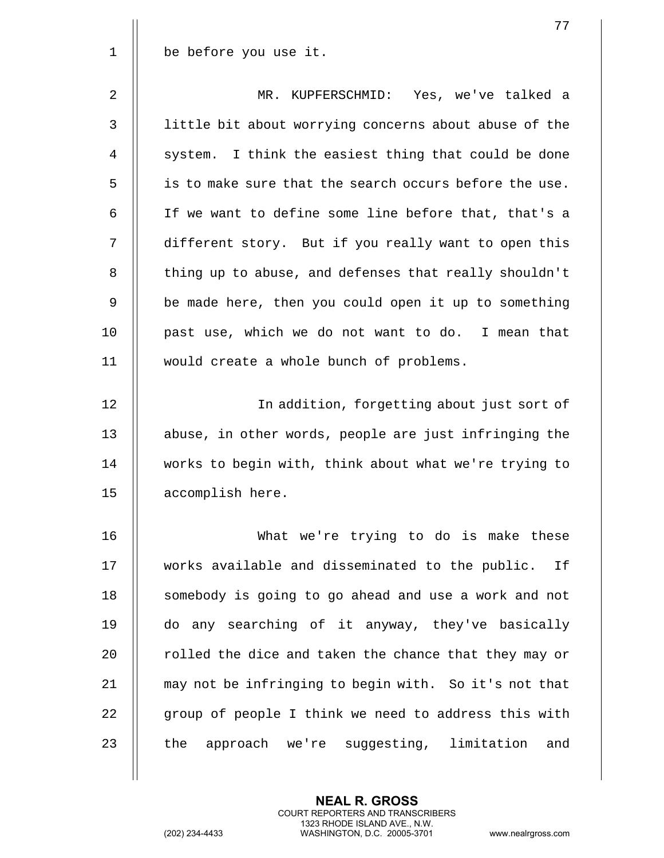|             | 77                                                     |
|-------------|--------------------------------------------------------|
| $\mathbf 1$ | be before you use it.                                  |
| 2           | MR. KUPFERSCHMID: Yes, we've talked a                  |
| 3           | little bit about worrying concerns about abuse of the  |
| 4           | system. I think the easiest thing that could be done   |
| 5           | is to make sure that the search occurs before the use. |
| 6           | If we want to define some line before that, that's a   |
| 7           | different story. But if you really want to open this   |
| 8           | thing up to abuse, and defenses that really shouldn't  |
| 9           | be made here, then you could open it up to something   |
| 10          | past use, which we do not want to do. I mean that      |
| 11          | would create a whole bunch of problems.                |
| 12          | In addition, forgetting about just sort of             |
| 13          | abuse, in other words, people are just infringing the  |
| 14          | works to begin with, think about what we're trying to  |
| 15          | accomplish here.                                       |
|             |                                                        |
| 16          | What we're trying to do is make these                  |
| 17          | works available and disseminated to the public. If     |
| 18          | somebody is going to go ahead and use a work and not   |
| 19          | do any searching of it anyway, they've basically       |
| 20          | rolled the dice and taken the chance that they may or  |
| 21          | may not be infringing to begin with. So it's not that  |
| 22          | group of people I think we need to address this with   |
| 23          | the<br>approach we're suggesting, limitation and       |
|             |                                                        |

**NEAL R. GROSS** COURT REPORTERS AND TRANSCRIBERS 1323 RHODE ISLAND AVE., N.W. (202) 234-4433 WASHINGTON, D.C. 20005-3701 www.nealrgross.com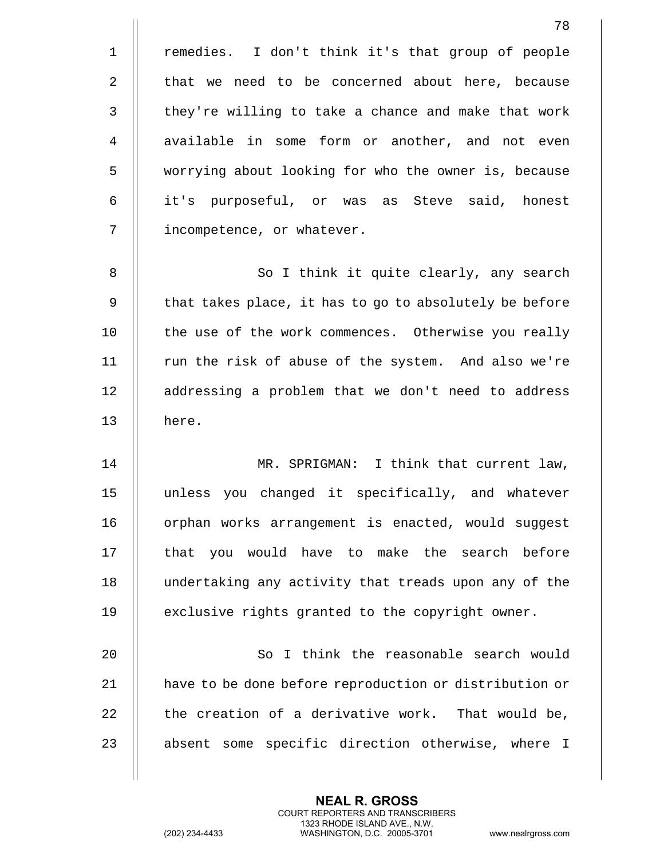|             | 78                                                     |
|-------------|--------------------------------------------------------|
| $\mathbf 1$ | remedies. I don't think it's that group of people      |
| 2           | that we need to be concerned about here, because       |
| 3           | they're willing to take a chance and make that work    |
| 4           | available in some form or another, and not even        |
| 5           | worrying about looking for who the owner is, because   |
| 6           | it's purposeful, or was as Steve said, honest          |
| 7           | incompetence, or whatever.                             |
| 8           | So I think it quite clearly, any search                |
| 9           | that takes place, it has to go to absolutely be before |
| 10          | the use of the work commences. Otherwise you really    |
| 11          | run the risk of abuse of the system. And also we're    |
| 12          | addressing a problem that we don't need to address     |
| 13          | here.                                                  |
| 14          | MR. SPRIGMAN: I think that current law,                |
| 15          | unless you changed it specifically, and whatever       |
| 16          | orphan works arrangement is enacted, would suggest     |
| 17          | that you would have to make the search before          |
| 18          | undertaking any activity that treads upon any of the   |
| 19          | exclusive rights granted to the copyright owner.       |
| 20          | So I think the reasonable search would                 |
| 21          | have to be done before reproduction or distribution or |
| 22          | the creation of a derivative work. That would be,      |
| 23          | absent some specific direction otherwise, where I      |

(202) 234-4433 WASHINGTON, D.C. 20005-3701 www.nealrgross.com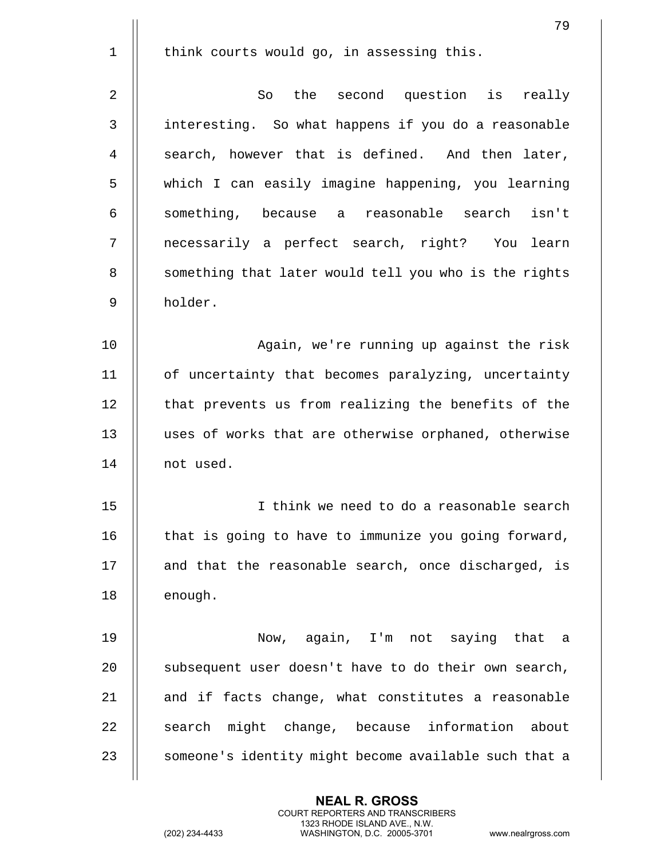|                | 79                                                    |
|----------------|-------------------------------------------------------|
| $\mathbf 1$    | think courts would go, in assessing this.             |
| $\overline{2}$ | the second question is really<br>So                   |
| 3              | interesting. So what happens if you do a reasonable   |
| 4              | search, however that is defined. And then later,      |
| 5              | which I can easily imagine happening, you learning    |
| 6              | something, because a reasonable search isn't          |
| 7              | necessarily a perfect search, right? You learn        |
| 8              | something that later would tell you who is the rights |
| 9              | holder.                                               |
| 10             | Again, we're running up against the risk              |
| 11             | of uncertainty that becomes paralyzing, uncertainty   |
|                |                                                       |
| 12             | that prevents us from realizing the benefits of the   |
| 13             | uses of works that are otherwise orphaned, otherwise  |
| 14             | not used.                                             |
| 15             | I think we need to do a reasonable search             |
| 16             | that is going to have to immunize you going forward,  |
| $17\,$         | and that the reasonable search, once discharged, is   |
| 18             | enough.                                               |
| 19             | Now, again, I'm not saying that a                     |
| 20             | subsequent user doesn't have to do their own search,  |
| 21             | and if facts change, what constitutes a reasonable    |
|                |                                                       |
| 22             | might change, because information about<br>search     |
| 23             | someone's identity might become available such that a |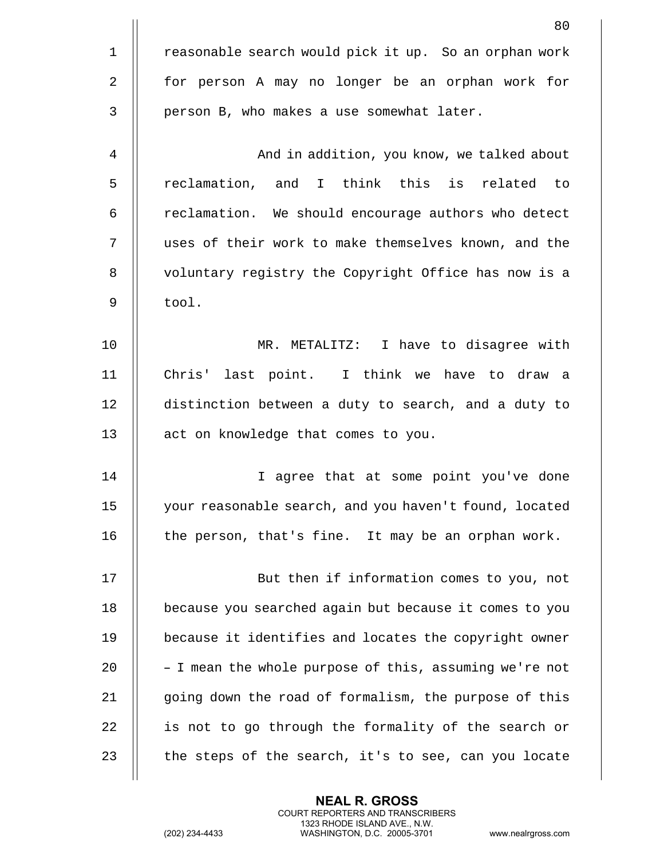|                | 80                                                     |
|----------------|--------------------------------------------------------|
| $\mathbf{1}$   | reasonable search would pick it up. So an orphan work  |
| $\overline{2}$ | for person A may no longer be an orphan work for       |
| 3              | person B, who makes a use somewhat later.              |
| 4              | And in addition, you know, we talked about             |
| 5              | reclamation, and I think this is related to            |
| 6              | reclamation. We should encourage authors who detect    |
| 7              | uses of their work to make themselves known, and the   |
| 8              | voluntary registry the Copyright Office has now is a   |
| 9              | tool.                                                  |
| 10             | MR. METALITZ: I have to disagree with                  |
| 11             | Chris' last point. I think we have to draw a           |
| 12             | distinction between a duty to search, and a duty to    |
| 13             | act on knowledge that comes to you.                    |
| 14             | I agree that at some point you've done                 |
| 15             | your reasonable search, and you haven't found, located |
| 16             | the person, that's fine. It may be an orphan work.     |
| 17             | But then if information comes to you, not              |
| 18             | because you searched again but because it comes to you |
| 19             | because it identifies and locates the copyright owner  |
| 20             | - I mean the whole purpose of this, assuming we're not |
| 21             | going down the road of formalism, the purpose of this  |
| 22             | is not to go through the formality of the search or    |
| 23             | the steps of the search, it's to see, can you locate   |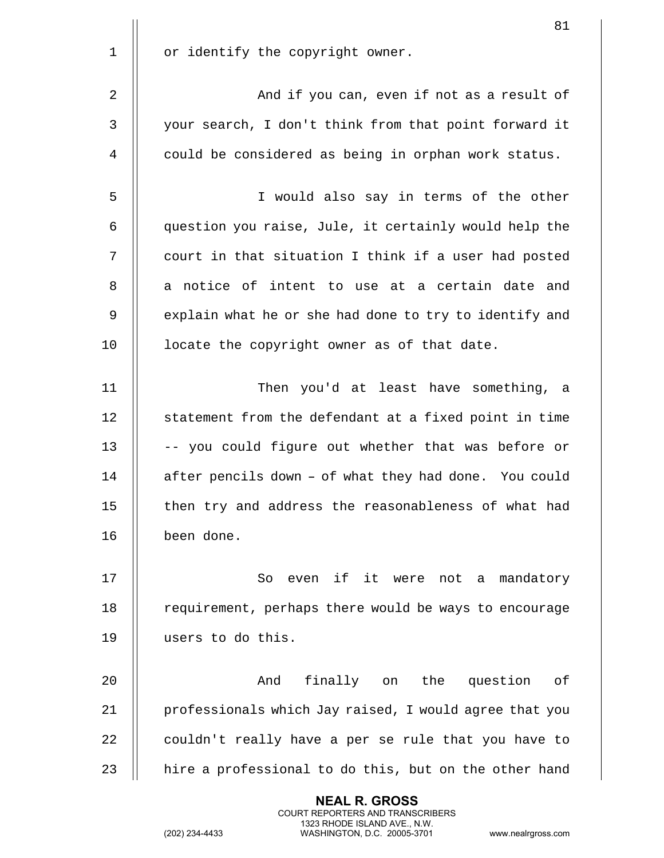|             | 81                                                     |
|-------------|--------------------------------------------------------|
| $\mathbf 1$ | or identify the copyright owner.                       |
| 2           | And if you can, even if not as a result of             |
| 3           | your search, I don't think from that point forward it  |
| 4           | could be considered as being in orphan work status.    |
| 5           | I would also say in terms of the other                 |
| 6           | question you raise, Jule, it certainly would help the  |
| 7           | court in that situation I think if a user had posted   |
| 8           | a notice of intent to use at a certain date and        |
| 9           | explain what he or she had done to try to identify and |
| 10          | locate the copyright owner as of that date.            |
| 11          | Then you'd at least have something, a                  |
| 12          | statement from the defendant at a fixed point in time  |
| 13          | -- you could figure out whether that was before or     |
| 14          | after pencils down - of what they had done. You could  |
| 15          | then try and address the reasonableness of what had    |
| 16          | been done.                                             |
| 17          | even if it were not a<br>So<br>mandatory               |
| 18          | requirement, perhaps there would be ways to encourage  |
| 19          | users to do this.                                      |
| 20          | And<br>finally on<br>the<br>question<br>оf             |
| 21          | professionals which Jay raised, I would agree that you |
| 22          | couldn't really have a per se rule that you have to    |
| 23          | hire a professional to do this, but on the other hand  |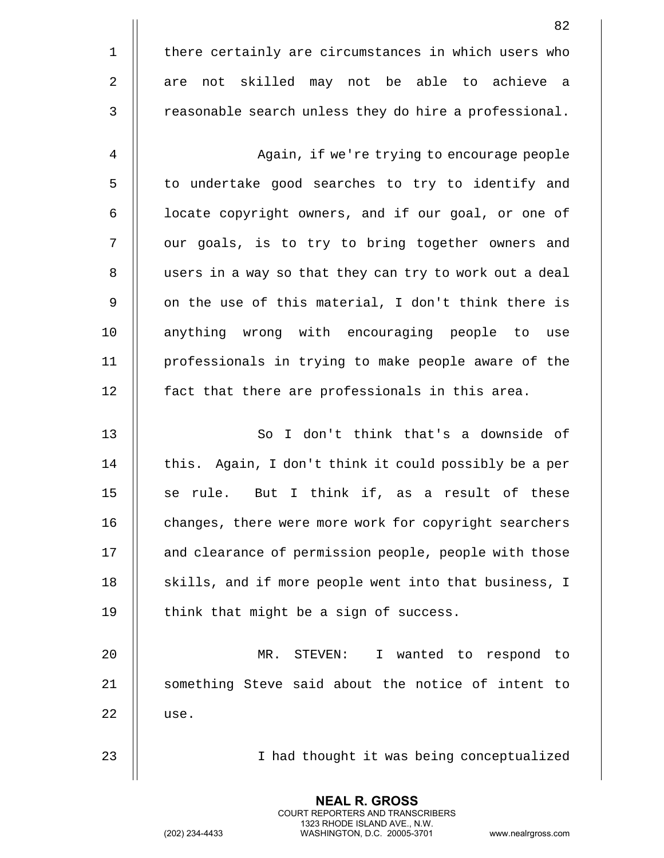|             | 82                                                     |
|-------------|--------------------------------------------------------|
| $\mathbf 1$ | there certainly are circumstances in which users who   |
| 2           | not skilled may not be able to achieve a<br>are        |
| 3           | reasonable search unless they do hire a professional.  |
| 4           | Again, if we're trying to encourage people             |
| 5           | to undertake good searches to try to identify and      |
| 6           | locate copyright owners, and if our goal, or one of    |
| 7           | our goals, is to try to bring together owners and      |
| 8           | users in a way so that they can try to work out a deal |
| 9           | on the use of this material, I don't think there is    |
| 10          | anything wrong with encouraging people to use          |
| 11          | professionals in trying to make people aware of the    |
| 12          | fact that there are professionals in this area.        |
| 13          | So I don't think that's a downside of                  |
| 14          | this. Again, I don't think it could possibly be a per  |
| 15          | But I think if, as a result of these<br>se rule.       |
| 16          | changes, there were more work for copyright searchers  |
| 17          | and clearance of permission people, people with those  |
| 18          | skills, and if more people went into that business, I  |
| 19          | think that might be a sign of success.                 |
| 20          | MR. STEVEN:<br>I wanted to respond to                  |
| 21          | something Steve said about the notice of intent to     |

| use.

23 || I had thought it was being conceptualized

**NEAL R. GROSS** COURT REPORTERS AND TRANSCRIBERS 1323 RHODE ISLAND AVE., N.W.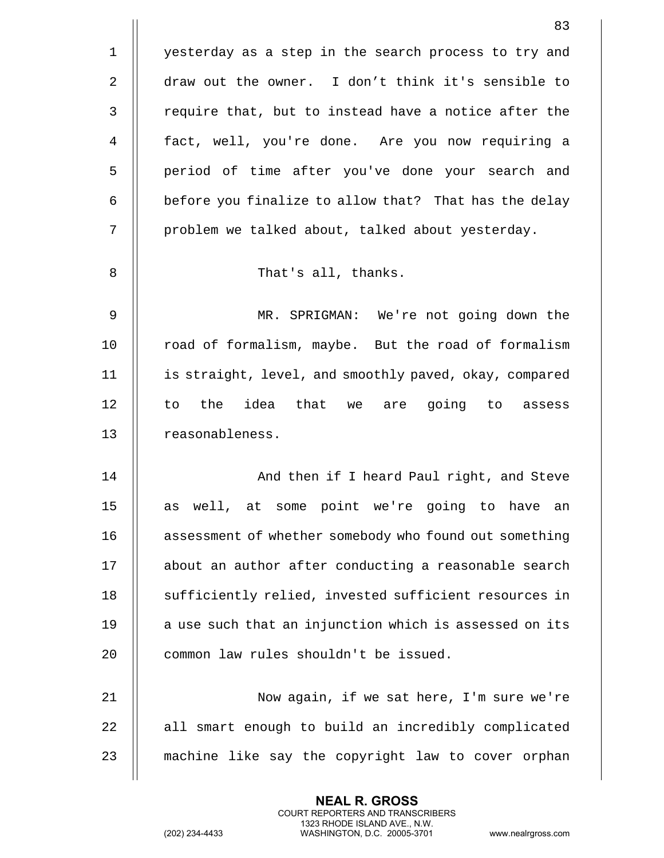|             | 83                                                     |
|-------------|--------------------------------------------------------|
| $\mathbf 1$ | yesterday as a step in the search process to try and   |
| 2           | draw out the owner. I don't think it's sensible to     |
| 3           | require that, but to instead have a notice after the   |
| 4           | fact, well, you're done. Are you now requiring a       |
| 5           | period of time after you've done your search and       |
| 6           | before you finalize to allow that? That has the delay  |
| 7           | problem we talked about, talked about yesterday.       |
| 8           | That's all, thanks.                                    |
| 9           | MR. SPRIGMAN: We're not going down the                 |
| 10          | road of formalism, maybe. But the road of formalism    |
| 11          | is straight, level, and smoothly paved, okay, compared |
| 12          | idea that we are going to assess<br>the<br>to          |
| 13          | reasonableness.                                        |
| 14          | And then if I heard Paul right, and Steve              |
| 15          | as well, at some point we're going to have<br>an       |
| 16          | assessment of whether somebody who found out something |
| 17          | about an author after conducting a reasonable search   |
| 18          | sufficiently relied, invested sufficient resources in  |
| 19          | a use such that an injunction which is assessed on its |
| 20          | common law rules shouldn't be issued.                  |
| 21          | Now again, if we sat here, I'm sure we're              |
| 22          | all smart enough to build an incredibly complicated    |
| 23          | machine like say the copyright law to cover orphan     |

(202) 234-4433 WASHINGTON, D.C. 20005-3701 www.nealrgross.com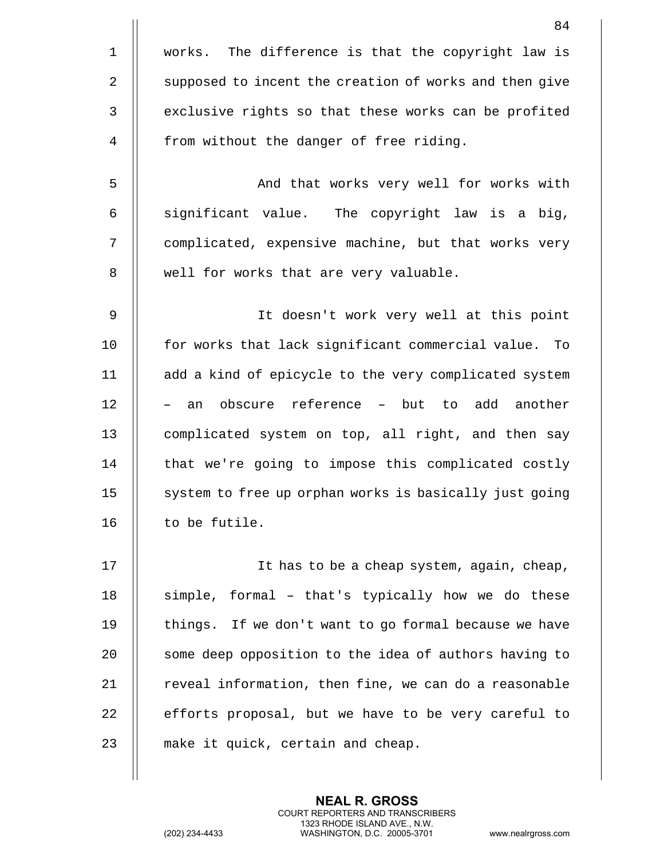|             | 84                                                     |
|-------------|--------------------------------------------------------|
| $\mathbf 1$ | The difference is that the copyright law is<br>works.  |
| 2           | supposed to incent the creation of works and then give |
| 3           | exclusive rights so that these works can be profited   |
| 4           | from without the danger of free riding.                |
| 5           | And that works very well for works with                |
| 6           | significant value. The copyright law is a big,         |
| 7           | complicated, expensive machine, but that works very    |
| 8           | well for works that are very valuable.                 |
| 9           | It doesn't work very well at this point                |
| 10          | for works that lack significant commercial value. To   |
| 11          | add a kind of epicycle to the very complicated system  |
| 12          | obscure reference - but to add another<br>an           |
| 13          | complicated system on top, all right, and then say     |
| 14          | that we're going to impose this complicated costly     |
| 15          | system to free up orphan works is basically just going |
| 16          | to be futile.                                          |
| 17          | It has to be a cheap system, again, cheap,             |
| 18          | simple, formal - that's typically how we do these      |
| 19          | things. If we don't want to go formal because we have  |
| 20          | some deep opposition to the idea of authors having to  |
| 21          | reveal information, then fine, we can do a reasonable  |
| 22          | efforts proposal, but we have to be very careful to    |
| 23          | make it quick, certain and cheap.                      |
|             |                                                        |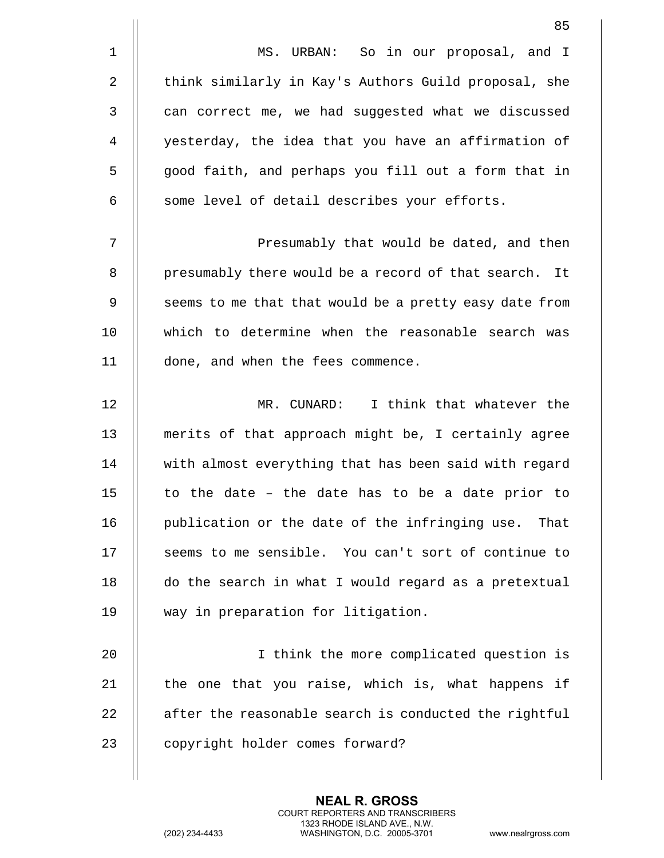| 85                                                       |
|----------------------------------------------------------|
| MS. URBAN: So in our proposal, and I                     |
| think similarly in Kay's Authors Guild proposal, she     |
| can correct me, we had suggested what we discussed       |
| yesterday, the idea that you have an affirmation of      |
| good faith, and perhaps you fill out a form that in      |
| some level of detail describes your efforts.             |
| Presumably that would be dated, and then                 |
| presumably there would be a record of that search.<br>It |
| seems to me that that would be a pretty easy date from   |
| which to determine when the reasonable search was        |
| done, and when the fees commence.                        |
| MR. CUNARD: I think that whatever the                    |
| merits of that approach might be, I certainly agree      |
| with almost everything that has been said with regard    |
| to the date - the date has to be a date prior to         |
| publication or the date of the infringing use. That      |
| seems to me sensible. You can't sort of continue to      |
| do the search in what I would regard as a pretextual     |
| way in preparation for litigation.                       |
|                                                          |

20 || I think the more complicated question is | the one that you raise, which is, what happens if  $\parallel$  after the reasonable search is conducted the rightful 23 | copyright holder comes forward?

> **NEAL R. GROSS** COURT REPORTERS AND TRANSCRIBERS 1323 RHODE ISLAND AVE., N.W.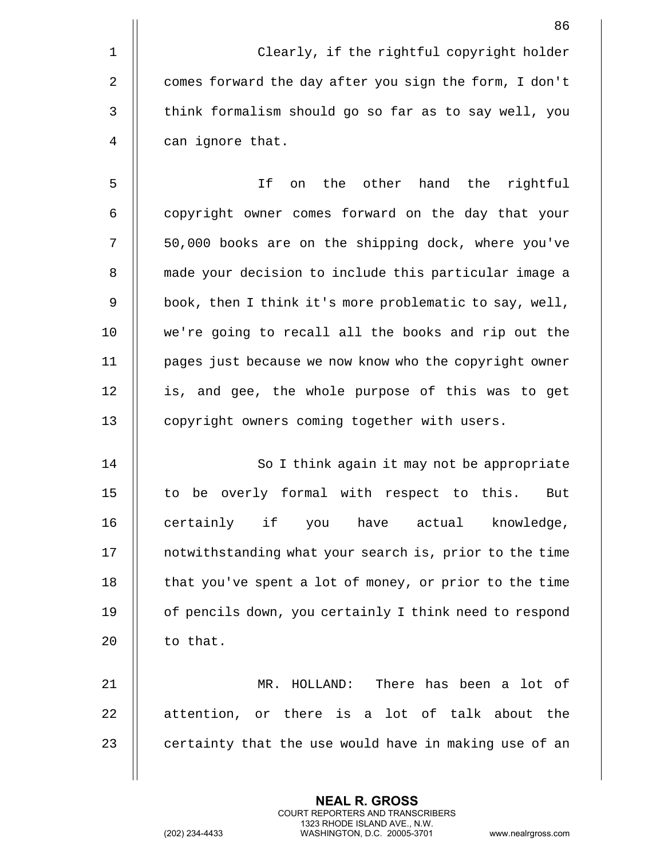|             | 86                                                     |
|-------------|--------------------------------------------------------|
| $\mathbf 1$ | Clearly, if the rightful copyright holder              |
| 2           | comes forward the day after you sign the form, I don't |
| 3           | think formalism should go so far as to say well, you   |
| 4           | can ignore that.                                       |
| 5           | If<br>the other<br>hand<br>the<br>rightful<br>on       |
| 6           | copyright owner comes forward on the day that your     |
| 7           | 50,000 books are on the shipping dock, where you've    |
| 8           | made your decision to include this particular image a  |
| 9           | book, then I think it's more problematic to say, well, |
| 10          | we're going to recall all the books and rip out the    |
| 11          | pages just because we now know who the copyright owner |
| 12          | is, and gee, the whole purpose of this was to get      |
| 13          | copyright owners coming together with users.           |
| 14          | So I think again it may not be appropriate             |
| 15          | to be overly formal with respect to this.<br>But       |
| 16          | certainly if<br>have actual<br>knowledge,<br>you       |
| 17          | notwithstanding what your search is, prior to the time |
| 18          | that you've spent a lot of money, or prior to the time |
| 19          | of pencils down, you certainly I think need to respond |
| 20          | to that.                                               |
| 21          | MR. HOLLAND: There has been a lot of                   |
| 22          | attention, or there is a lot of talk about the         |
| 23          | certainty that the use would have in making use of an  |
|             |                                                        |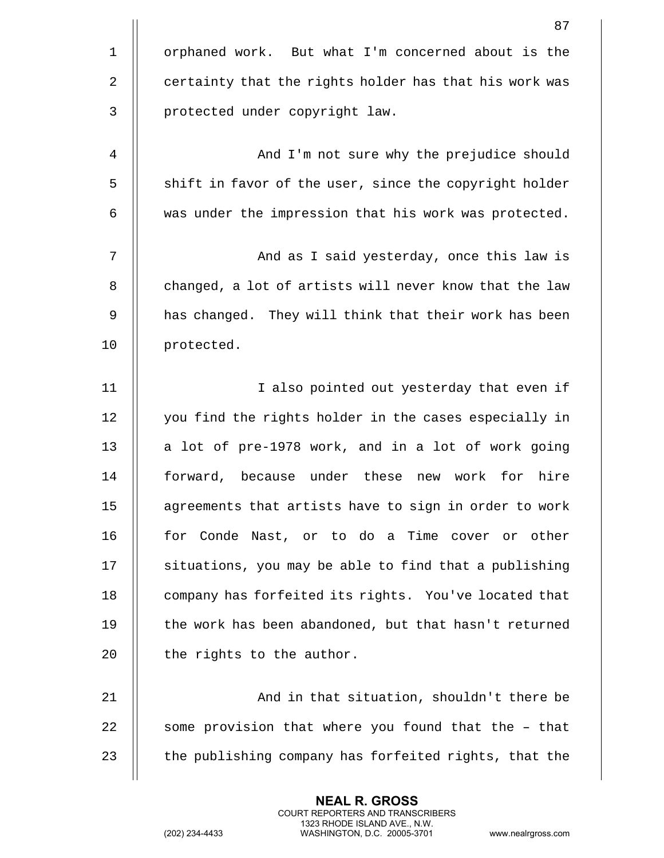|             | 87                                                      |
|-------------|---------------------------------------------------------|
| $\mathbf 1$ | orphaned work. But what I'm concerned about is the      |
| 2           | certainty that the rights holder has that his work was  |
| 3           | protected under copyright law.                          |
| 4           | And I'm not sure why the prejudice should               |
| 5           | shift in favor of the user, since the copyright holder  |
| 6           | was under the impression that his work was protected.   |
| 7           | And as I said yesterday, once this law is               |
| 8           | changed, a lot of artists will never know that the law  |
| 9           | has changed. They will think that their work has been   |
| 10          | protected.                                              |
| 11          | I also pointed out yesterday that even if               |
| 12          | you find the rights holder in the cases especially in   |
| 13          | a lot of pre-1978 work, and in a lot of work going      |
| 14          | under these<br>forward, because<br>new work for<br>hire |
| 15          | agreements that artists have to sign in order to work   |
| 16          | for Conde Nast, or to do a Time cover or other          |
| 17          | situations, you may be able to find that a publishing   |
| 18          | company has forfeited its rights. You've located that   |
| 19          | the work has been abandoned, but that hasn't returned   |
| 20          | the rights to the author.                               |
| 21          | And in that situation, shouldn't there be               |
| 22          | some provision that where you found that the - that     |
| 23          | the publishing company has forfeited rights, that the   |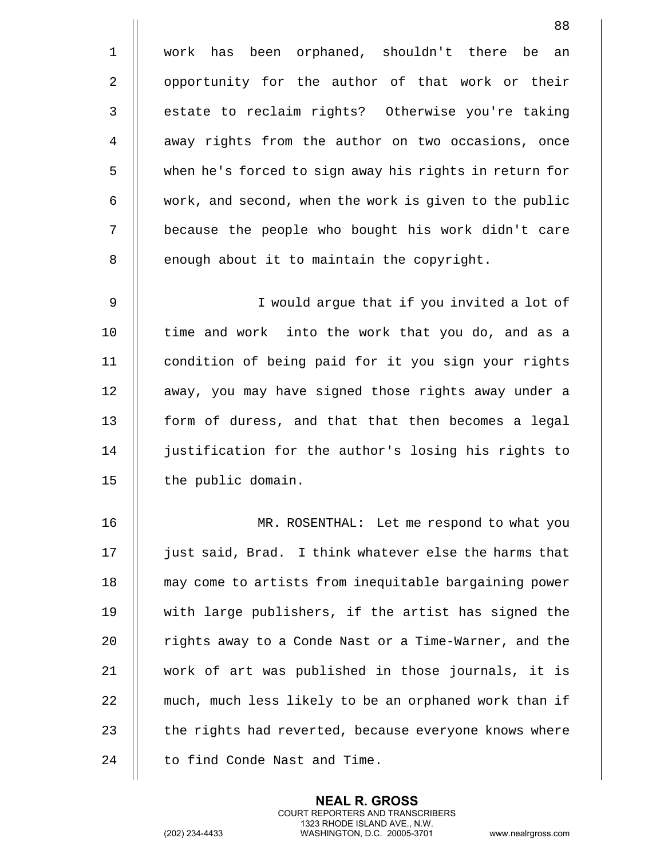1 work has been orphaned, shouldn't there be an 2 || opportunity for the author of that work or their 3 | estate to reclaim rights? Otherwise you're taking 4 | away rights from the author on two occasions, once 5 when he's forced to sign away his rights in return for 6 | work, and second, when the work is given to the public 7 || because the people who bought his work didn't care 8 | enough about it to maintain the copyright. 9 || I would argue that if you invited a lot of 10 || time and work into the work that you do, and as a 11 | condition of being paid for it you sign your rights 12 || away, you may have signed those rights away under a 13 | form of duress, and that that then becomes a legal 14 justification for the author's losing his rights to 15 | the public domain.

16 MR. ROSENTHAL: Let me respond to what you 17 || just said, Brad. I think whatever else the harms that 18 || may come to artists from inequitable bargaining power 19 with large publishers, if the artist has signed the 20 | rights away to a Conde Nast or a Time-Warner, and the 21 work of art was published in those journals, it is 22 | much, much less likely to be an orphaned work than if 23 | the rights had reverted, because everyone knows where 24 | to find Conde Nast and Time.

> **NEAL R. GROSS** COURT REPORTERS AND TRANSCRIBERS 1323 RHODE ISLAND AVE., N.W.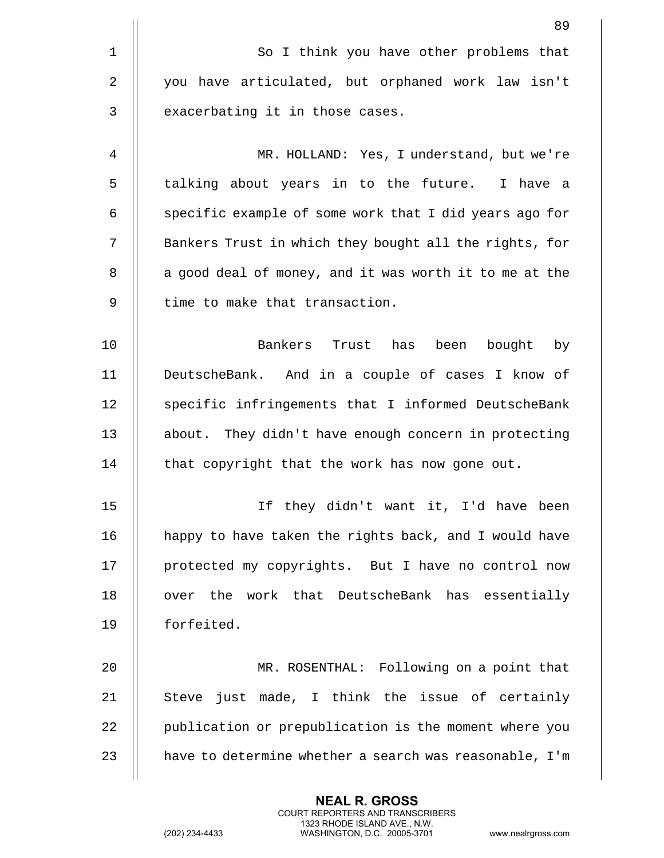|                | 89                                                     |
|----------------|--------------------------------------------------------|
| $\mathbf{1}$   | So I think you have other problems that                |
| $\overline{2}$ | you have articulated, but orphaned work law isn't      |
| 3              | exacerbating it in those cases.                        |
| 4              | MR. HOLLAND: Yes, I understand, but we're              |
| 5              | talking about years in to the future. I have a         |
| 6              | specific example of some work that I did years ago for |
| 7              | Bankers Trust in which they bought all the rights, for |
| 8              | a good deal of money, and it was worth it to me at the |
| 9              | time to make that transaction.                         |
| 10             | Bankers Trust has been bought by                       |
| 11             | DeutscheBank. And in a couple of cases I know of       |
| 12             | specific infringements that I informed DeutscheBank    |
| 13             | about. They didn't have enough concern in protecting   |
| 14             | that copyright that the work has now gone out.         |
| 15             | If they didn't want it, I'd have been                  |
| 16             | happy to have taken the rights back, and I would have  |
| 17             | protected my copyrights. But I have no control now     |
| 18             | work that DeutscheBank has essentially<br>the<br>over  |
| 19             | forfeited.                                             |
| 20             | MR. ROSENTHAL: Following on a point that               |
| 21             | Steve just made, I think the issue of certainly        |
| 22             | publication or prepublication is the moment where you  |
| 23             | have to determine whether a search was reasonable, I'm |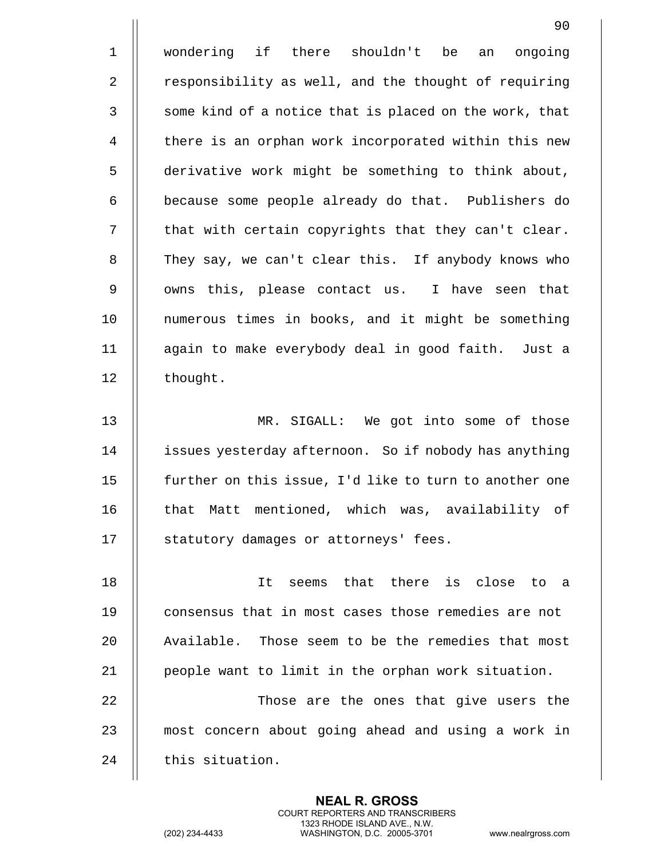1 wondering if there shouldn't be an ongoing 2 | responsibility as well, and the thought of requiring  $3$  || some kind of a notice that is placed on the work, that 4 || there is an orphan work incorporated within this new 5 derivative work might be something to think about, 6 | because some people already do that. Publishers do 7 || that with certain copyrights that they can't clear. 8 || They say, we can't clear this. If anybody knows who 9 || owns this, please contact us. I have seen that 10 || numerous times in books, and it might be something 11 again to make everybody deal in good faith. Just a 12 | thought. 13 MR. SIGALL: We got into some of those 14 | issues yesterday afternoon. So if nobody has anything 15 || further on this issue, I'd like to turn to another one 16 || that Matt mentioned, which was, availability of 17 || statutory damages or attorneys' fees. 18 It seems that there is close to a 19 || consensus that in most cases those remedies are not 20 || Available. Those seem to be the remedies that most 21 || people want to limit in the orphan work situation. 22 || Those are the ones that give users the 23 || most concern about going ahead and using a work in 24 || this situation.

> **NEAL R. GROSS** COURT REPORTERS AND TRANSCRIBERS 1323 RHODE ISLAND AVE., N.W.

(202) 234-4433 WASHINGTON, D.C. 20005-3701 www.nealrgross.com

90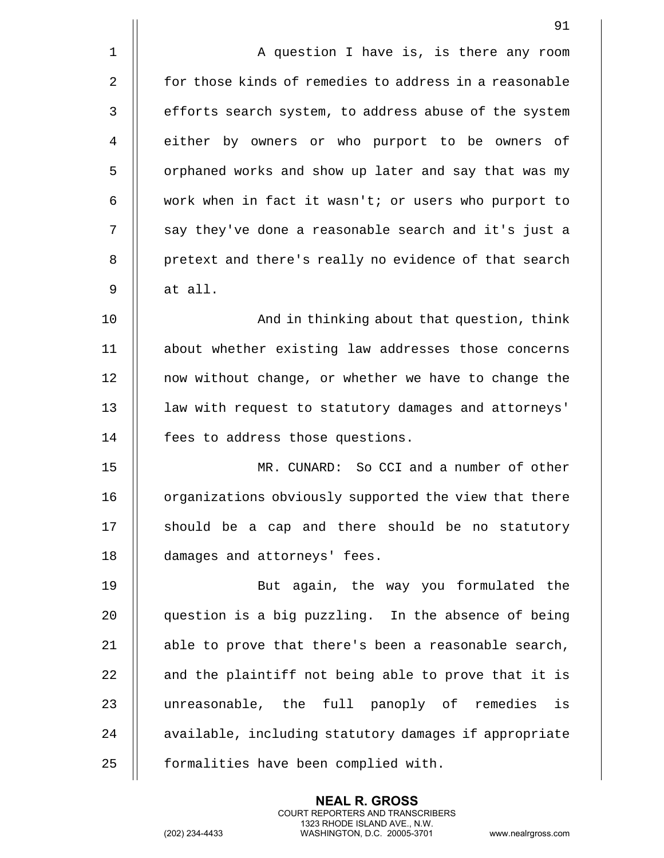|             | 91                                                     |
|-------------|--------------------------------------------------------|
| $\mathbf 1$ | A question I have is, is there any room                |
| 2           | for those kinds of remedies to address in a reasonable |
| 3           | efforts search system, to address abuse of the system  |
| 4           | either by owners or who purport to be owners<br>оf     |
| 5           | orphaned works and show up later and say that was my   |
| 6           | work when in fact it wasn't; or users who purport to   |
| 7           | say they've done a reasonable search and it's just a   |
| 8           | pretext and there's really no evidence of that search  |
| 9           | at all.                                                |
| 10          | And in thinking about that question, think             |
| 11          | about whether existing law addresses those concerns    |
| 12          | now without change, or whether we have to change the   |
| 13          | law with request to statutory damages and attorneys'   |
| 14          | fees to address those questions.                       |
| 15          | MR. CUNARD: So CCI and a number of other               |
| 16          | organizations obviously supported the view that there  |
| 17          | should be a cap and there should be no statutory       |
| 18          | damages and attorneys' fees.                           |
| 19          | But again, the way you formulated the                  |
| 20          | question is a big puzzling. In the absence of being    |
| 21          | able to prove that there's been a reasonable search,   |
| 22          | and the plaintiff not being able to prove that it is   |
| 23          | unreasonable, the full panoply of remedies<br>is       |
| 24          | available, including statutory damages if appropriate  |
| 25          | formalities have been complied with.                   |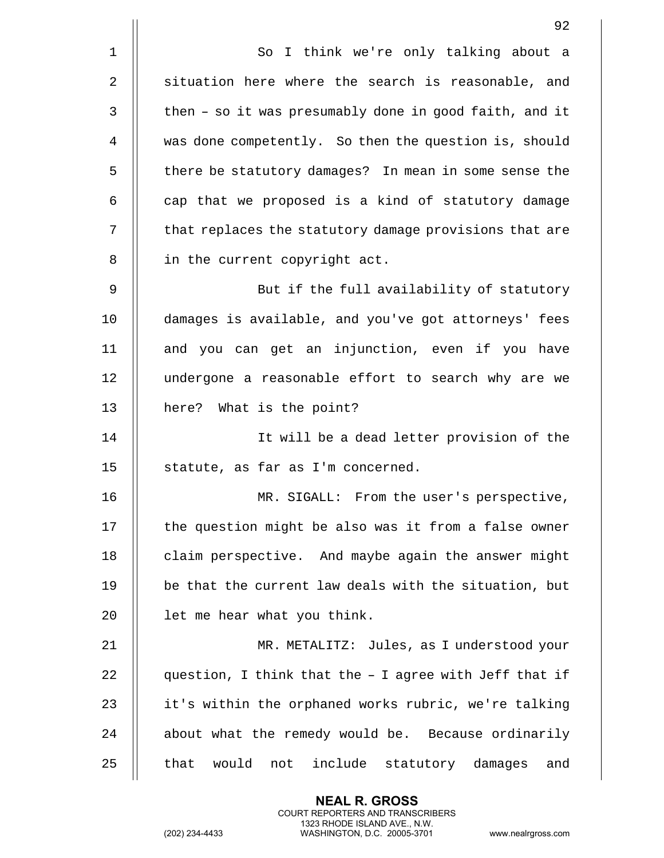|             | 92                                                       |
|-------------|----------------------------------------------------------|
| $\mathbf 1$ | So I think we're only talking about a                    |
| 2           | situation here where the search is reasonable, and       |
| 3           | then - so it was presumably done in good faith, and it   |
| 4           | was done competently. So then the question is, should    |
| 5           | there be statutory damages? In mean in some sense the    |
| 6           | cap that we proposed is a kind of statutory damage       |
| 7           | that replaces the statutory damage provisions that are   |
| 8           | in the current copyright act.                            |
| 9           | But if the full availability of statutory                |
| 10          | damages is available, and you've got attorneys' fees     |
| 11          | and you can get an injunction, even if you have          |
| 12          | undergone a reasonable effort to search why are we       |
| 13          | here? What is the point?                                 |
| 14          | It will be a dead letter provision of the                |
| 15          | statute, as far as I'm concerned.                        |
| 16          | MR. SIGALL: From the user's perspective,                 |
| 17          | the question might be also was it from a false owner     |
| 18          | claim perspective. And maybe again the answer might      |
| 19          | be that the current law deals with the situation, but    |
| 20          | let me hear what you think.                              |
| 21          | MR. METALITZ: Jules, as I understood your                |
| 22          | question, I think that the - I agree with Jeff that if   |
| 23          | it's within the orphaned works rubric, we're talking     |
| 24          | about what the remedy would be. Because ordinarily       |
| 25          | that<br>would<br>include statutory damages<br>not<br>and |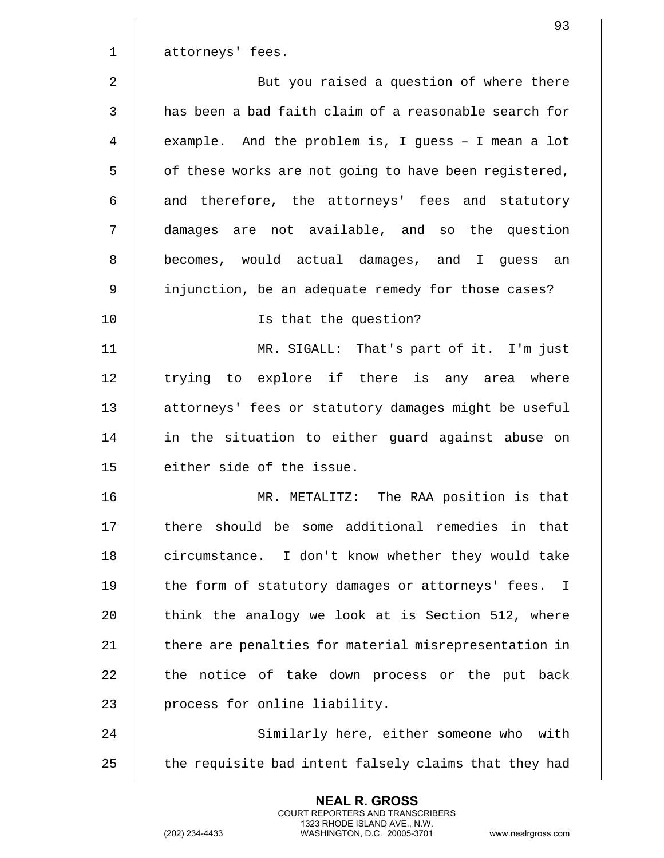|                | 93                                                    |
|----------------|-------------------------------------------------------|
| $\mathbf 1$    | attorneys' fees.                                      |
| $\overline{2}$ | But you raised a question of where there              |
| $\mathbf{3}$   | has been a bad faith claim of a reasonable search for |
| 4              | example. And the problem is, I guess - I mean a lot   |
| 5              | of these works are not going to have been registered, |
| 6              | and therefore, the attorneys' fees and statutory      |
| 7              | damages are not available, and so the question        |
| 8              | becomes, would actual damages, and I guess an         |
| 9              | injunction, be an adequate remedy for those cases?    |
| 10             | Is that the question?                                 |
| 11             | MR. SIGALL: That's part of it. I'm just               |
| 12             | trying to explore if there is any area where          |
| 13             | attorneys' fees or statutory damages might be useful  |
| 14             | in the situation to either guard against abuse on     |
| 15             | either side of the issue.                             |
| 16             | The RAA position is that<br>MR. METALITZ:             |
| 17             | there should be some additional remedies in that      |
| 18             | circumstance. I don't know whether they would take    |
| 19             | the form of statutory damages or attorneys' fees. I   |
| 20             | think the analogy we look at is Section 512, where    |
| 21             | there are penalties for material misrepresentation in |
| 22             | the notice of take down process or the put back       |
| 23             | process for online liability.                         |
| 24             | Similarly here, either someone who with               |
| 25             | the requisite bad intent falsely claims that they had |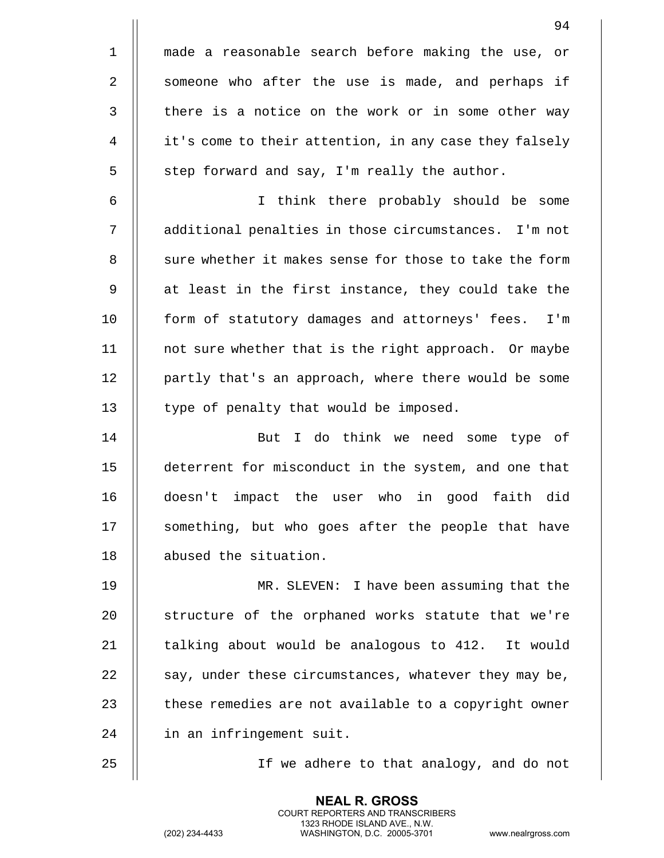|             | 94                                                     |
|-------------|--------------------------------------------------------|
| $\mathbf 1$ | made a reasonable search before making the use, or     |
| 2           | someone who after the use is made, and perhaps if      |
| 3           | there is a notice on the work or in some other way     |
| 4           | it's come to their attention, in any case they falsely |
| 5           | step forward and say, I'm really the author.           |
| 6           | I think there probably should be some                  |
| 7           | additional penalties in those circumstances. I'm not   |
| 8           | sure whether it makes sense for those to take the form |
| 9           | at least in the first instance, they could take the    |
| 10          | form of statutory damages and attorneys' fees. I'm     |
| 11          | not sure whether that is the right approach. Or maybe  |
| 12          | partly that's an approach, where there would be some   |
| 13          | type of penalty that would be imposed.                 |
| 14          | But I do think we need some type of                    |
| 15          | deterrent for misconduct in the system, and one that   |
| 16          | doesn't impact the user who in good faith did          |
| 17          | something, but who goes after the people that have     |
| 18          | abused the situation.                                  |
| 19          | MR. SLEVEN: I have been assuming that the              |
| 20          | structure of the orphaned works statute that we're     |
| 21          | talking about would be analogous to 412. It would      |
| 22          | say, under these circumstances, whatever they may be,  |
| 23          | these remedies are not available to a copyright owner  |
| 24          | in an infringement suit.                               |
| 25          | If we adhere to that analogy, and do not               |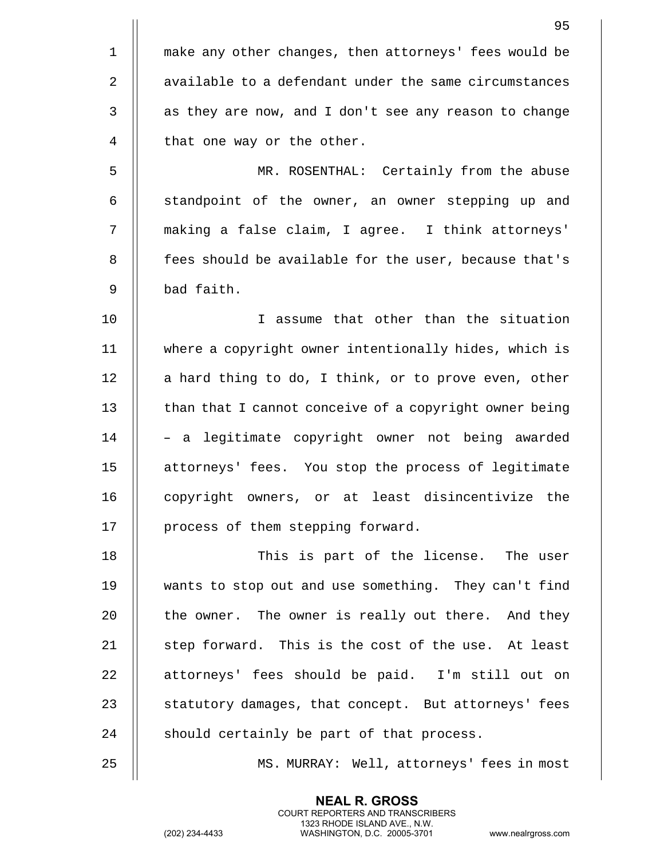|                | 95                                                     |
|----------------|--------------------------------------------------------|
| $\mathbf 1$    | make any other changes, then attorneys' fees would be  |
| $\overline{2}$ | available to a defendant under the same circumstances  |
| $\mathbf{3}$   | as they are now, and I don't see any reason to change  |
| 4              | that one way or the other.                             |
| 5              | MR. ROSENTHAL: Certainly from the abuse                |
| 6              | standpoint of the owner, an owner stepping up and      |
| 7              | making a false claim, I agree. I think attorneys'      |
| 8              | fees should be available for the user, because that's  |
| 9              | bad faith.                                             |
| 10             | I assume that other than the situation                 |
| 11             | where a copyright owner intentionally hides, which is  |
| 12             | a hard thing to do, I think, or to prove even, other   |
| 13             | than that I cannot conceive of a copyright owner being |
| 14             | - a legitimate copyright owner not being awarded       |
| 15             | attorneys' fees. You stop the process of legitimate    |
| 16             | copyright owners, or at least disincentivize the       |
| 17             | process of them stepping forward.                      |
| 18             | This is part of the license. The user                  |
| 19             | wants to stop out and use something. They can't find   |
| 20             | the owner. The owner is really out there. And they     |
| 21             | step forward. This is the cost of the use. At least    |
| 22             | attorneys' fees should be paid. I'm still out on       |
| 23             | statutory damages, that concept. But attorneys' fees   |
| 24             | should certainly be part of that process.              |
| 25             | MS. MURRAY: Well, attorneys' fees in most              |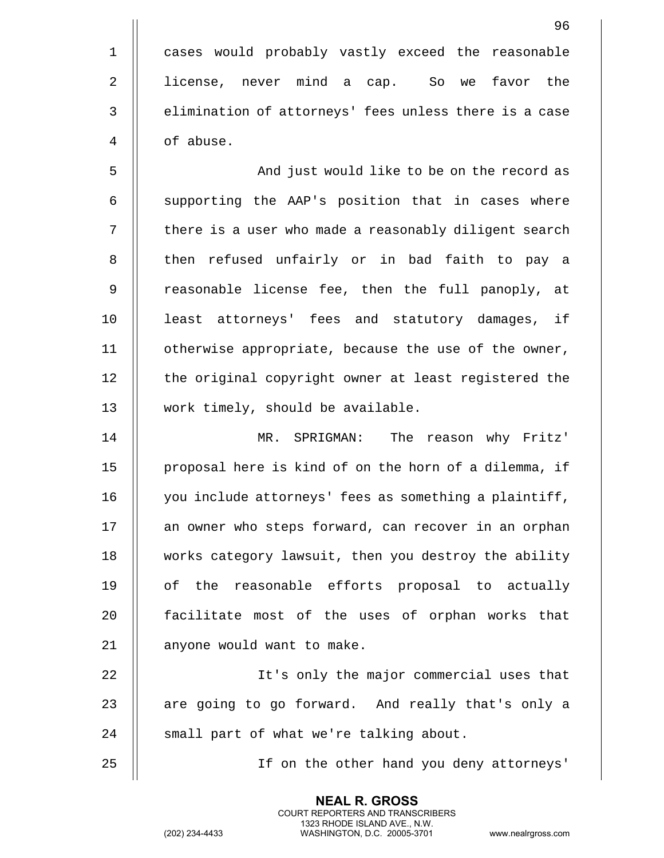1 || cases would probably vastly exceed the reasonable 2 || license, never mind a cap. So we favor the 3 | elimination of attorneys' fees unless there is a case 4 | of abuse.

5 And just would like to be on the record as  $6$   $\parallel$  supporting the AAP's position that in cases where 7 || there is a user who made a reasonably diligent search 8 || then refused unfairly or in bad faith to pay a 9 || reasonable license fee, then the full panoply, at 10 least attorneys' fees and statutory damages, if 11 otherwise appropriate, because the use of the owner, 12 || the original copyright owner at least registered the 13 || work timely, should be available.

14 MR. SPRIGMAN: The reason why Fritz' 15 | proposal here is kind of on the horn of a dilemma, if 16 || you include attorneys' fees as something a plaintiff, 17 || an owner who steps forward, can recover in an orphan 18 works category lawsuit, then you destroy the ability 19 || of the reasonable efforts proposal to actually 20 || facilitate most of the uses of orphan works that 21 | anyone would want to make.

22 || It's only the major commercial uses that 23  $\parallel$  are going to go forward. And really that's only a 24 || small part of what we're talking about.

> **NEAL R. GROSS** COURT REPORTERS AND TRANSCRIBERS 1323 RHODE ISLAND AVE., N.W.

25 If on the other hand you deny attorneys'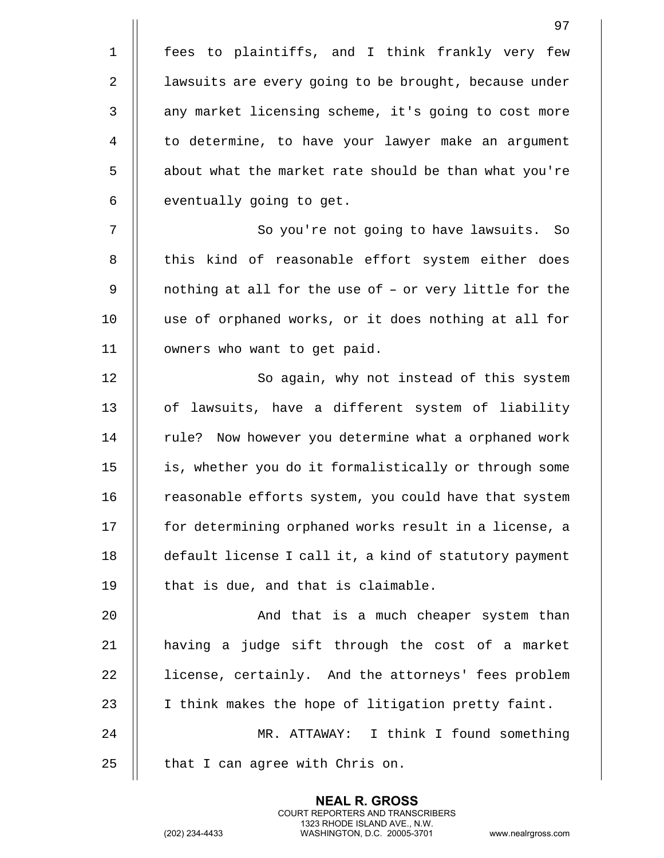1 || fees to plaintiffs, and I think frankly very few 2 | | lawsuits are every going to be brought, because under 3 || any market licensing scheme, it's going to cost more 4 | to determine, to have your lawyer make an argument 5 | about what the market rate should be than what you're  $6$  | eventually going to get. 7 || So you're not going to have lawsuits. So 8 || this kind of reasonable effort system either does 9 || nothing at all for the use of - or very little for the 10 use of orphaned works, or it does nothing at all for 11 | owners who want to get paid. 12 || So again, why not instead of this system 13 || of lawsuits, have a different system of liability 14 || rule? Now however you determine what a orphaned work 15 is, whether you do it formalistically or through some 16 | reasonable efforts system, you could have that system 17 | for determining orphaned works result in a license, a 18 default license I call it, a kind of statutory payment  $19$   $\parallel$  that is due, and that is claimable. 20 || And that is a much cheaper system than  $21$  | having a judge sift through the cost of a market 22 | license, certainly. And the attorneys' fees problem 23 || I think makes the hope of litigation pretty faint.

24 MR. ATTAWAY: I think I found something  $25$  | that I can agree with Chris on.

> **NEAL R. GROSS** COURT REPORTERS AND TRANSCRIBERS 1323 RHODE ISLAND AVE., N.W.

(202) 234-4433 WASHINGTON, D.C. 20005-3701 www.nealrgross.com

97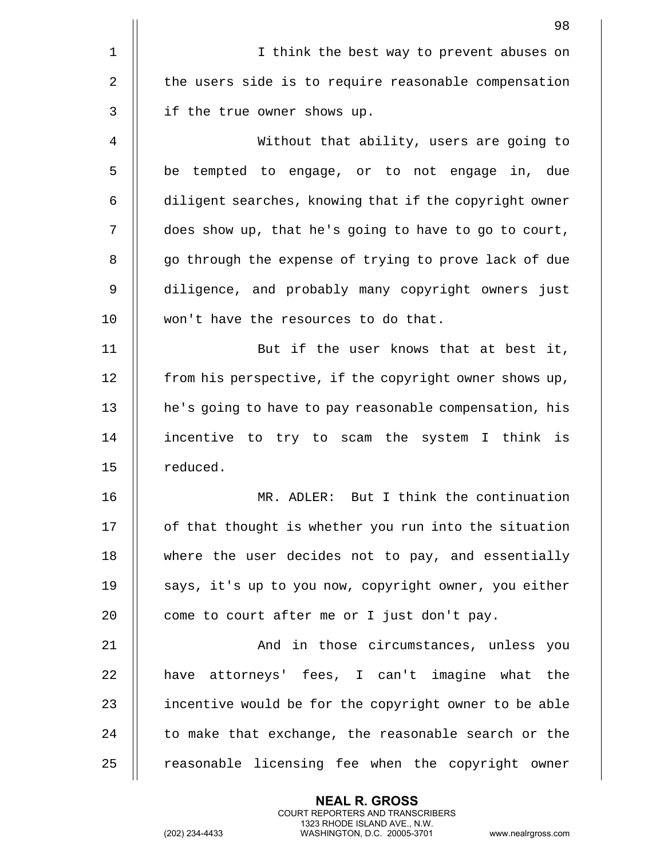|                | 98                                                     |
|----------------|--------------------------------------------------------|
| $\mathbf{1}$   | I think the best way to prevent abuses on              |
| $\overline{2}$ | the users side is to require reasonable compensation   |
| 3              | if the true owner shows up.                            |
| 4              | Without that ability, users are going to               |
| 5              | be tempted to engage, or to not engage in, due         |
| 6              | diligent searches, knowing that if the copyright owner |
| 7              | does show up, that he's going to have to go to court,  |
| 8              | go through the expense of trying to prove lack of due  |
| 9              | diligence, and probably many copyright owners just     |
| 10             | won't have the resources to do that.                   |
| 11             | But if the user knows that at best it,                 |
| 12             | from his perspective, if the copyright owner shows up, |
| 13             | he's going to have to pay reasonable compensation, his |
| 14             | incentive to try to scam the system I think is         |
| 15             | reduced.                                               |
| 16             | MR. ADLER: But I think the continuation                |
| 17             | of that thought is whether you run into the situation  |
| 18             | where the user decides not to pay, and essentially     |
| 19             | says, it's up to you now, copyright owner, you either  |
| 20             | come to court after me or I just don't pay.            |
| 21             | And in those circumstances, unless you                 |
| 22             | have attorneys' fees, I can't imagine what the         |
| 23             | incentive would be for the copyright owner to be able  |
| 24             | to make that exchange, the reasonable search or the    |
| 25             | reasonable licensing fee when the copyright owner      |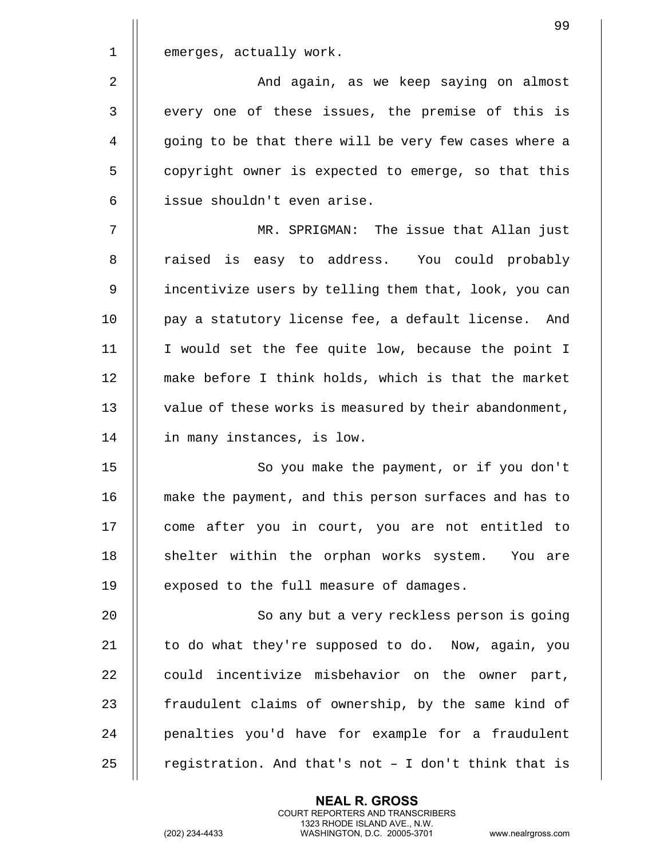| ٧ |  |  |
|---|--|--|
|   |  |  |

emerges, actually work.

2 || And again, as we keep saying on almost 3 || every one of these issues, the premise of this is 4 || going to be that there will be very few cases where a 5 | copyright owner is expected to emerge, so that this 6 issue shouldn't even arise.

7 MR. SPRIGMAN: The issue that Allan just 8 || raised is easy to address. You could probably 9 | incentivize users by telling them that, look, you can 10 || pay a statutory license fee, a default license. And 11 I would set the fee quite low, because the point I 12 make before I think holds, which is that the market 13 || value of these works is measured by their abandonment, 14 | in many instances, is low.

15 || So you make the payment, or if you don't 16 make the payment, and this person surfaces and has to 17 || come after you in court, you are not entitled to 18 || shelter within the orphan works system. You are 19 || exposed to the full measure of damages.

20 || So any but a very reckless person is going 21  $\parallel$  to do what they're supposed to do. Now, again, you  $22$   $\parallel$  could incentivize misbehavior on the owner part, 23 || fraudulent claims of ownership, by the same kind of 24 || penalties you'd have for example for a fraudulent 25  $\parallel$  registration. And that's not - I don't think that is

> **NEAL R. GROSS** COURT REPORTERS AND TRANSCRIBERS 1323 RHODE ISLAND AVE., N.W.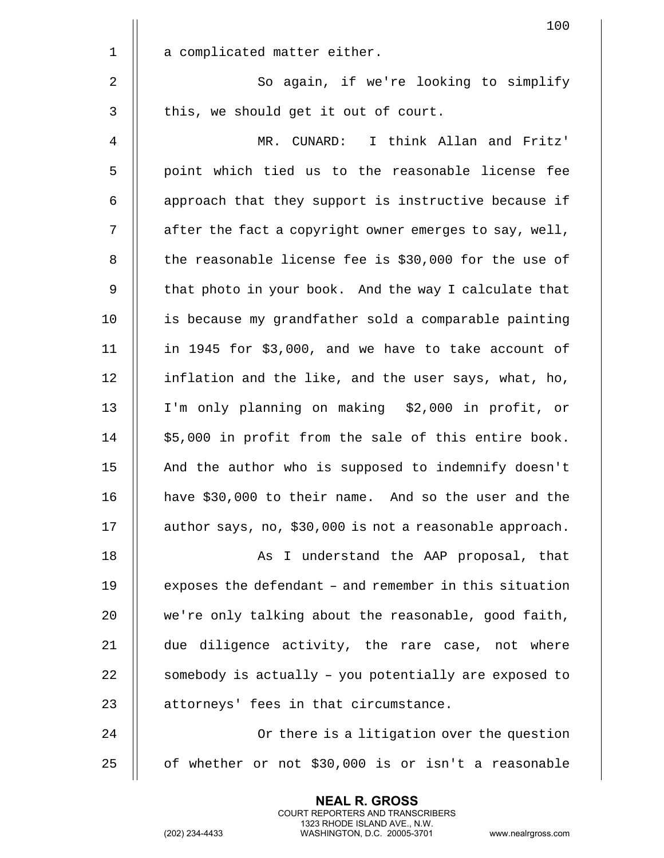|             | 100                                                     |
|-------------|---------------------------------------------------------|
| $\mathbf 1$ | a complicated matter either.                            |
| 2           | So again, if we're looking to simplify                  |
| 3           | this, we should get it out of court.                    |
| 4           | MR. CUNARD: I think Allan and Fritz'                    |
| 5           | point which tied us to the reasonable license fee       |
| 6           | approach that they support is instructive because if    |
| 7           | after the fact a copyright owner emerges to say, well,  |
| 8           | the reasonable license fee is \$30,000 for the use of   |
| 9           | that photo in your book. And the way I calculate that   |
| 10          | is because my grandfather sold a comparable painting    |
| 11          | in 1945 for \$3,000, and we have to take account of     |
| 12          | inflation and the like, and the user says, what, ho,    |
| 13          | I'm only planning on making \$2,000 in profit, or       |
| 14          | \$5,000 in profit from the sale of this entire book.    |
| 15          | And the author who is supposed to indemnify doesn't     |
| 16          | have \$30,000 to their name. And so the user and the    |
| 17          | author says, no, \$30,000 is not a reasonable approach. |
| 18          | As I understand the AAP proposal, that                  |
| 19          | exposes the defendant - and remember in this situation  |
| 20          | we're only talking about the reasonable, good faith,    |
| 21          | due diligence activity, the rare case, not where        |
| 22          | somebody is actually - you potentially are exposed to   |
| 23          | attorneys' fees in that circumstance.                   |
| 24          | Or there is a litigation over the question              |
| 25          | of whether or not \$30,000 is or isn't a reasonable     |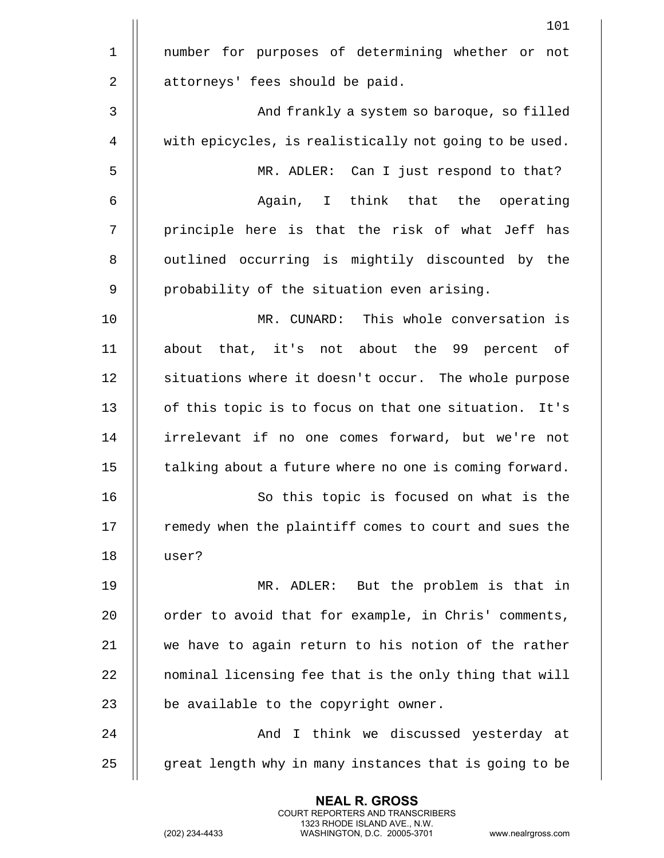|                | 101                                                    |
|----------------|--------------------------------------------------------|
| $\mathbf{1}$   | number for purposes of determining whether or<br>not   |
| $\overline{2}$ | attorneys' fees should be paid.                        |
| $\mathbf{3}$   | And frankly a system so baroque, so filled             |
| 4              | with epicycles, is realistically not going to be used. |
| 5              | MR. ADLER: Can I just respond to that?                 |
| 6              | Again, I think that the operating                      |
| 7              | principle here is that the risk of what Jeff has       |
| 8              | outlined occurring is mightily discounted by the       |
| 9              | probability of the situation even arising.             |
| 10             | MR. CUNARD: This whole conversation is                 |
| 11             | about that, it's not about the 99 percent of           |
| 12             | situations where it doesn't occur. The whole purpose   |
| 13             | of this topic is to focus on that one situation. It's  |
| 14             | irrelevant if no one comes forward, but we're not      |
| 15             | talking about a future where no one is coming forward. |
| 16             | So this topic is focused on what is the                |
| 17             | remedy when the plaintiff comes to court and sues the  |
| 18             | user?                                                  |
| 19             | MR. ADLER: But the problem is that in                  |
| 20             | order to avoid that for example, in Chris' comments,   |
| 21             | we have to again return to his notion of the rather    |
| 22             | nominal licensing fee that is the only thing that will |
| 23             | be available to the copyright owner.                   |
| 24             | And I think we discussed yesterday at                  |
| 25             | great length why in many instances that is going to be |
|                |                                                        |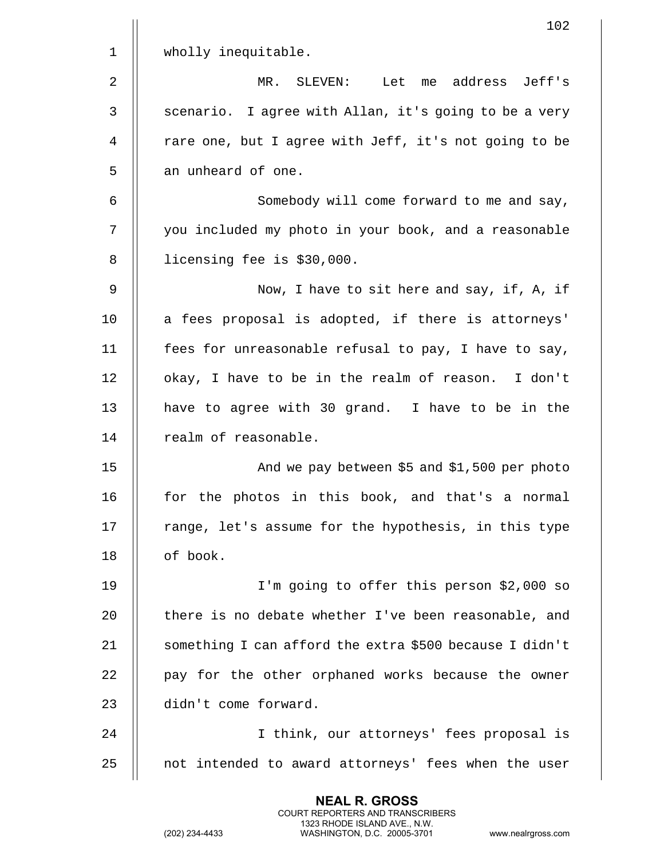| $\mathbf 1$<br>wholly inequitable.<br>2<br>address Jeff's<br>MR.<br>SLEVEN:<br>Let<br>me<br>3<br>scenario. I agree with Allan, it's going to be a very<br>rare one, but I agree with Jeff, it's not going to be<br>4<br>5<br>an unheard of one.<br>6<br>Somebody will come forward to me and say,<br>7<br>you included my photo in your book, and a reasonable<br>8<br>licensing fee is \$30,000.<br>9<br>Now, I have to sit here and say, if, A, if<br>10<br>a fees proposal is adopted, if there is attorneys'<br>11<br>fees for unreasonable refusal to pay, I have to say,<br>12<br>okay, I have to be in the realm of reason. I don't<br>13<br>have to agree with 30 grand. I have to be in the<br>14<br>realm of reasonable.<br>15<br>And we pay between \$5 and \$1,500 per photo<br>for the photos in this book, and that's a normal<br>16<br>17<br>range, let's assume for the hypothesis, in this type<br>18<br>of book.<br>19<br>I'm going to offer this person \$2,000 so<br>20<br>there is no debate whether I've been reasonable, and<br>21<br>something I can afford the extra \$500 because I didn't<br>22<br>pay for the other orphaned works because the owner<br>23<br>didn't come forward.<br>24<br>I think, our attorneys' fees proposal is<br>not intended to award attorneys' fees when the user<br>25 | 102 |
|-------------------------------------------------------------------------------------------------------------------------------------------------------------------------------------------------------------------------------------------------------------------------------------------------------------------------------------------------------------------------------------------------------------------------------------------------------------------------------------------------------------------------------------------------------------------------------------------------------------------------------------------------------------------------------------------------------------------------------------------------------------------------------------------------------------------------------------------------------------------------------------------------------------------------------------------------------------------------------------------------------------------------------------------------------------------------------------------------------------------------------------------------------------------------------------------------------------------------------------------------------------------------------------------------------------------------------|-----|
|                                                                                                                                                                                                                                                                                                                                                                                                                                                                                                                                                                                                                                                                                                                                                                                                                                                                                                                                                                                                                                                                                                                                                                                                                                                                                                                               |     |
|                                                                                                                                                                                                                                                                                                                                                                                                                                                                                                                                                                                                                                                                                                                                                                                                                                                                                                                                                                                                                                                                                                                                                                                                                                                                                                                               |     |
|                                                                                                                                                                                                                                                                                                                                                                                                                                                                                                                                                                                                                                                                                                                                                                                                                                                                                                                                                                                                                                                                                                                                                                                                                                                                                                                               |     |
|                                                                                                                                                                                                                                                                                                                                                                                                                                                                                                                                                                                                                                                                                                                                                                                                                                                                                                                                                                                                                                                                                                                                                                                                                                                                                                                               |     |
|                                                                                                                                                                                                                                                                                                                                                                                                                                                                                                                                                                                                                                                                                                                                                                                                                                                                                                                                                                                                                                                                                                                                                                                                                                                                                                                               |     |
|                                                                                                                                                                                                                                                                                                                                                                                                                                                                                                                                                                                                                                                                                                                                                                                                                                                                                                                                                                                                                                                                                                                                                                                                                                                                                                                               |     |
|                                                                                                                                                                                                                                                                                                                                                                                                                                                                                                                                                                                                                                                                                                                                                                                                                                                                                                                                                                                                                                                                                                                                                                                                                                                                                                                               |     |
|                                                                                                                                                                                                                                                                                                                                                                                                                                                                                                                                                                                                                                                                                                                                                                                                                                                                                                                                                                                                                                                                                                                                                                                                                                                                                                                               |     |
|                                                                                                                                                                                                                                                                                                                                                                                                                                                                                                                                                                                                                                                                                                                                                                                                                                                                                                                                                                                                                                                                                                                                                                                                                                                                                                                               |     |
|                                                                                                                                                                                                                                                                                                                                                                                                                                                                                                                                                                                                                                                                                                                                                                                                                                                                                                                                                                                                                                                                                                                                                                                                                                                                                                                               |     |
|                                                                                                                                                                                                                                                                                                                                                                                                                                                                                                                                                                                                                                                                                                                                                                                                                                                                                                                                                                                                                                                                                                                                                                                                                                                                                                                               |     |
|                                                                                                                                                                                                                                                                                                                                                                                                                                                                                                                                                                                                                                                                                                                                                                                                                                                                                                                                                                                                                                                                                                                                                                                                                                                                                                                               |     |
|                                                                                                                                                                                                                                                                                                                                                                                                                                                                                                                                                                                                                                                                                                                                                                                                                                                                                                                                                                                                                                                                                                                                                                                                                                                                                                                               |     |
|                                                                                                                                                                                                                                                                                                                                                                                                                                                                                                                                                                                                                                                                                                                                                                                                                                                                                                                                                                                                                                                                                                                                                                                                                                                                                                                               |     |
|                                                                                                                                                                                                                                                                                                                                                                                                                                                                                                                                                                                                                                                                                                                                                                                                                                                                                                                                                                                                                                                                                                                                                                                                                                                                                                                               |     |
|                                                                                                                                                                                                                                                                                                                                                                                                                                                                                                                                                                                                                                                                                                                                                                                                                                                                                                                                                                                                                                                                                                                                                                                                                                                                                                                               |     |
|                                                                                                                                                                                                                                                                                                                                                                                                                                                                                                                                                                                                                                                                                                                                                                                                                                                                                                                                                                                                                                                                                                                                                                                                                                                                                                                               |     |
|                                                                                                                                                                                                                                                                                                                                                                                                                                                                                                                                                                                                                                                                                                                                                                                                                                                                                                                                                                                                                                                                                                                                                                                                                                                                                                                               |     |
|                                                                                                                                                                                                                                                                                                                                                                                                                                                                                                                                                                                                                                                                                                                                                                                                                                                                                                                                                                                                                                                                                                                                                                                                                                                                                                                               |     |
|                                                                                                                                                                                                                                                                                                                                                                                                                                                                                                                                                                                                                                                                                                                                                                                                                                                                                                                                                                                                                                                                                                                                                                                                                                                                                                                               |     |
|                                                                                                                                                                                                                                                                                                                                                                                                                                                                                                                                                                                                                                                                                                                                                                                                                                                                                                                                                                                                                                                                                                                                                                                                                                                                                                                               |     |
|                                                                                                                                                                                                                                                                                                                                                                                                                                                                                                                                                                                                                                                                                                                                                                                                                                                                                                                                                                                                                                                                                                                                                                                                                                                                                                                               |     |
|                                                                                                                                                                                                                                                                                                                                                                                                                                                                                                                                                                                                                                                                                                                                                                                                                                                                                                                                                                                                                                                                                                                                                                                                                                                                                                                               |     |
|                                                                                                                                                                                                                                                                                                                                                                                                                                                                                                                                                                                                                                                                                                                                                                                                                                                                                                                                                                                                                                                                                                                                                                                                                                                                                                                               |     |
|                                                                                                                                                                                                                                                                                                                                                                                                                                                                                                                                                                                                                                                                                                                                                                                                                                                                                                                                                                                                                                                                                                                                                                                                                                                                                                                               |     |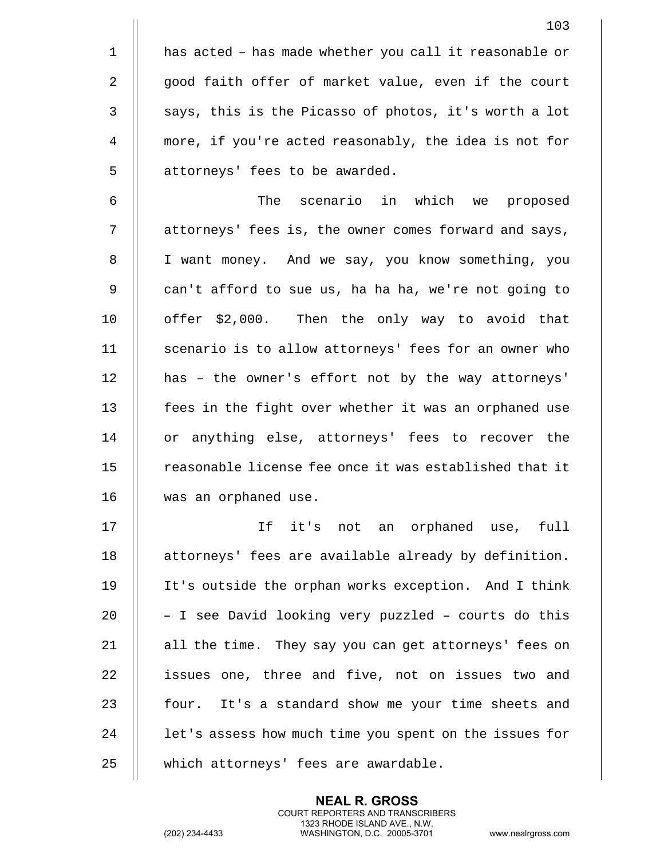|             | 103                                                    |
|-------------|--------------------------------------------------------|
| $\mathbf 1$ | has acted - has made whether you call it reasonable or |
| 2           | good faith offer of market value, even if the court    |
| 3           | says, this is the Picasso of photos, it's worth a lot  |
| 4           | more, if you're acted reasonably, the idea is not for  |
| 5           | attorneys' fees to be awarded.                         |
| 6           | scenario in which we proposed<br>The                   |
| 7           | attorneys' fees is, the owner comes forward and says,  |
| 8           | I want money. And we say, you know something, you      |
| 9           | can't afford to sue us, ha ha ha, we're not going to   |
| 10          | offer \$2,000. Then the only way to avoid that         |
| 11          | scenario is to allow attorneys' fees for an owner who  |
| 12          | has - the owner's effort not by the way attorneys'     |
| 13          | fees in the fight over whether it was an orphaned use  |
| 14          | or anything else, attorneys' fees to recover the       |
| 15          | reasonable license fee once it was established that it |
| 16          | was an orphaned use.                                   |
| 17          | If it's not an orphaned use, full                      |
| 18          | attorneys' fees are available already by definition.   |
| 19          | It's outside the orphan works exception. And I think   |
| 20          | - I see David looking very puzzled - courts do this    |
| 21          | all the time. They say you can get attorneys' fees on  |
| 22          | issues one, three and five, not on issues two and      |
| 23          | four. It's a standard show me your time sheets and     |
| 24          | let's assess how much time you spent on the issues for |
| 25          | which attorneys' fees are awardable.                   |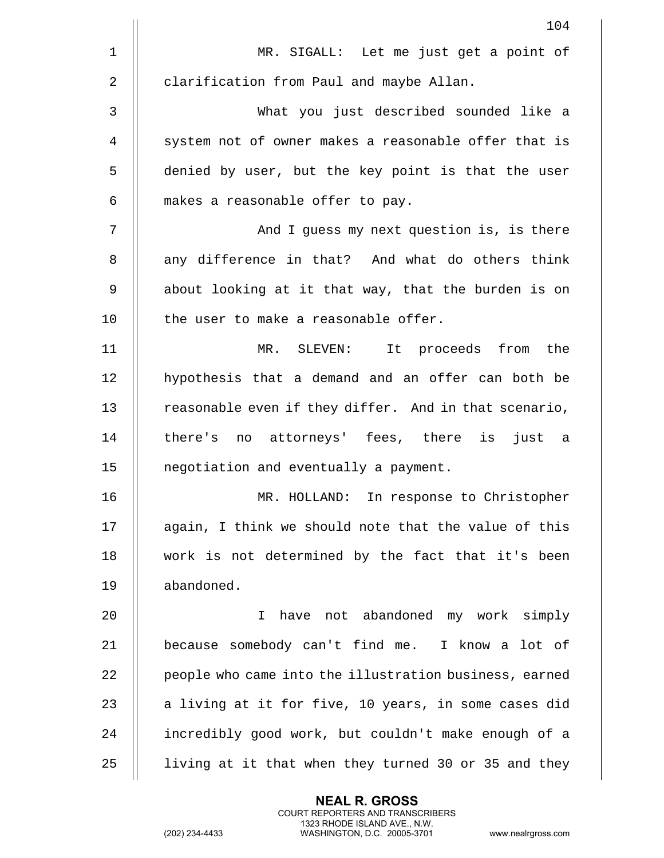|              | 104                                                    |
|--------------|--------------------------------------------------------|
| $\mathbf{1}$ | MR. SIGALL: Let me just get a point of                 |
| 2            | clarification from Paul and maybe Allan.               |
| 3            | What you just described sounded like a                 |
| 4            | system not of owner makes a reasonable offer that is   |
| 5            | denied by user, but the key point is that the user     |
| 6            | makes a reasonable offer to pay.                       |
| 7            | And I guess my next question is, is there              |
| 8            | any difference in that? And what do others think       |
| 9            | about looking at it that way, that the burden is on    |
| 10           | the user to make a reasonable offer.                   |
| 11           | MR. SLEVEN: It proceeds from the                       |
| 12           | hypothesis that a demand and an offer can both be      |
| 13           | reasonable even if they differ. And in that scenario,  |
| 14           | there's no attorneys' fees, there is just a            |
| 15           | negotiation and eventually a payment.                  |
| 16           | MR. HOLLAND: In response to Christopher                |
| 17           | again, I think we should note that the value of this   |
| 18           | work is not determined by the fact that it's been      |
| 19           | abandoned.                                             |
| 20           | have not abandoned my work simply<br>T.                |
| 21           | because somebody can't find me. I know a lot of        |
| 22           | people who came into the illustration business, earned |
| 23           | a living at it for five, 10 years, in some cases did   |
| 24           | incredibly good work, but couldn't make enough of a    |
| 25           | living at it that when they turned 30 or 35 and they   |
|              |                                                        |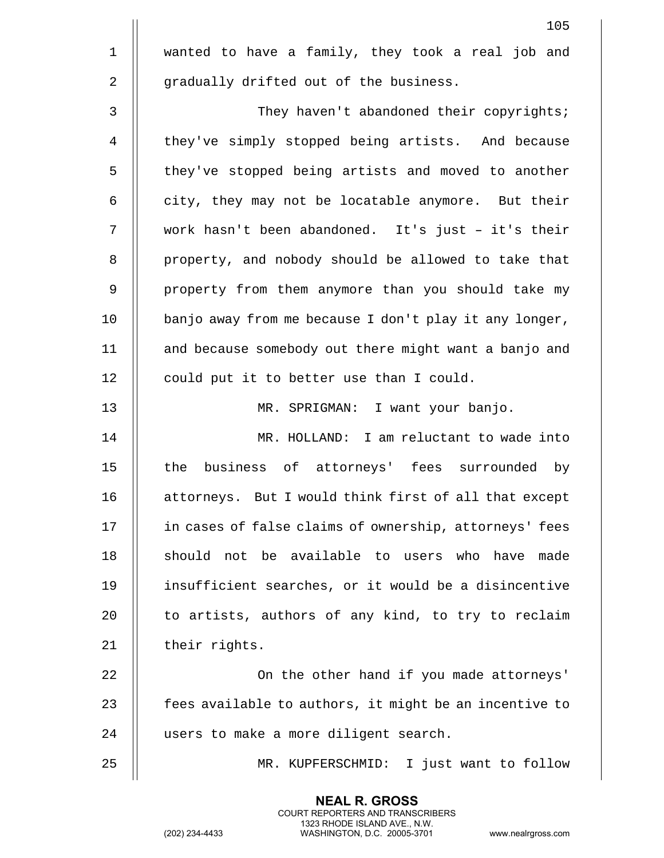|              | 105                                                    |
|--------------|--------------------------------------------------------|
| $\mathbf 1$  | wanted to have a family, they took a real job and      |
| 2            | gradually drifted out of the business.                 |
| $\mathbf{3}$ | They haven't abandoned their copyrights;               |
| 4            | they've simply stopped being artists. And because      |
| 5            | they've stopped being artists and moved to another     |
| 6            | city, they may not be locatable anymore. But their     |
| 7            | work hasn't been abandoned. It's just - it's their     |
| 8            | property, and nobody should be allowed to take that    |
| 9            | property from them anymore than you should take my     |
| 10           | banjo away from me because I don't play it any longer, |
| 11           | and because somebody out there might want a banjo and  |
| 12           | could put it to better use than I could.               |
| 13           | MR. SPRIGMAN: I want your banjo.                       |
| 14           | MR. HOLLAND: I am reluctant to wade into               |
| 15           | the<br>business of attorneys' fees surrounded by       |
| 16           | attorneys. But I would think first of all that except  |
| 17           | in cases of false claims of ownership, attorneys' fees |
| 18           | should not be available to users who have<br>made      |
| 19           | insufficient searches, or it would be a disincentive   |
| 20           | to artists, authors of any kind, to try to reclaim     |
| 21           | their rights.                                          |
| 22           | On the other hand if you made attorneys'               |
| 23           | fees available to authors, it might be an incentive to |
| 24           | users to make a more diligent search.                  |
| 25           | I just want to follow<br>MR. KUPFERSCHMID:             |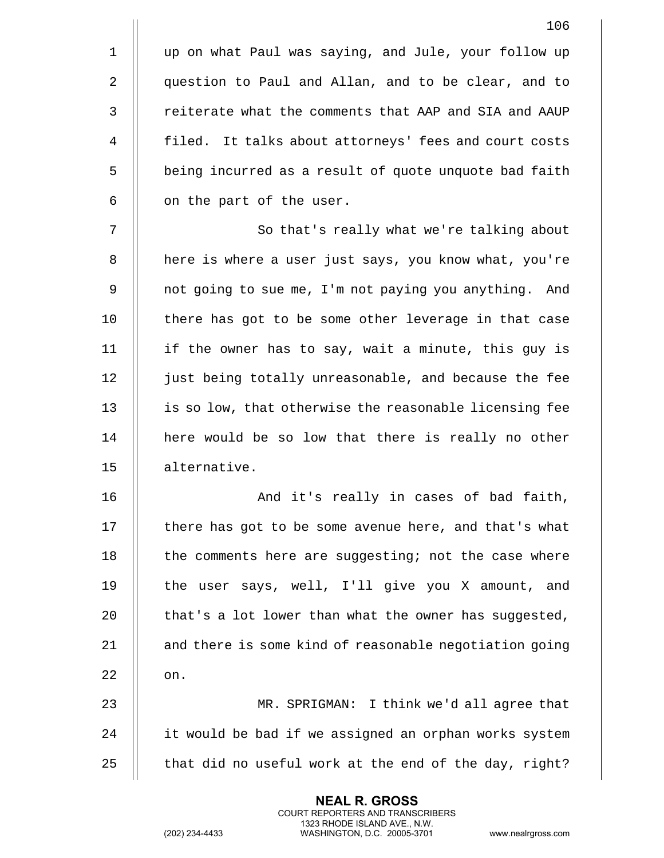1 up on what Paul was saying, and Jule, your follow up 2 | question to Paul and Allan, and to be clear, and to 3 || reiterate what the comments that AAP and SIA and AAUP 4 || filed. It talks about attorneys' fees and court costs 5 | being incurred as a result of quote unquote bad faith  $6 \parallel$  on the part of the user.

7 || So that's really what we're talking about 8 | here is where a user just says, you know what, you're 9 | | not going to sue me, I'm not paying you anything. And 10 || there has got to be some other leverage in that case 11 if the owner has to say, wait a minute, this guy is 12 | just being totally unreasonable, and because the fee 13 || is so low, that otherwise the reasonable licensing fee 14 || here would be so low that there is really no other 15 alternative.

16 And it's really in cases of bad faith, 17 | there has got to be some avenue here, and that's what 18 || the comments here are suggesting; not the case where 19 || the user says, well, I'll give you X amount, and 20  $\parallel$  that's a lot lower than what the owner has suggested,  $21$   $\parallel$  and there is some kind of reasonable negotiation going  $22 \parallel \cdot \cdot \cdot$  on. 23 MR. SPRIGMAN: I think we'd all agree that 24 it would be bad if we assigned an orphan works system

25  $\parallel$  that did no useful work at the end of the day, right?

**NEAL R. GROSS** COURT REPORTERS AND TRANSCRIBERS 1323 RHODE ISLAND AVE., N.W.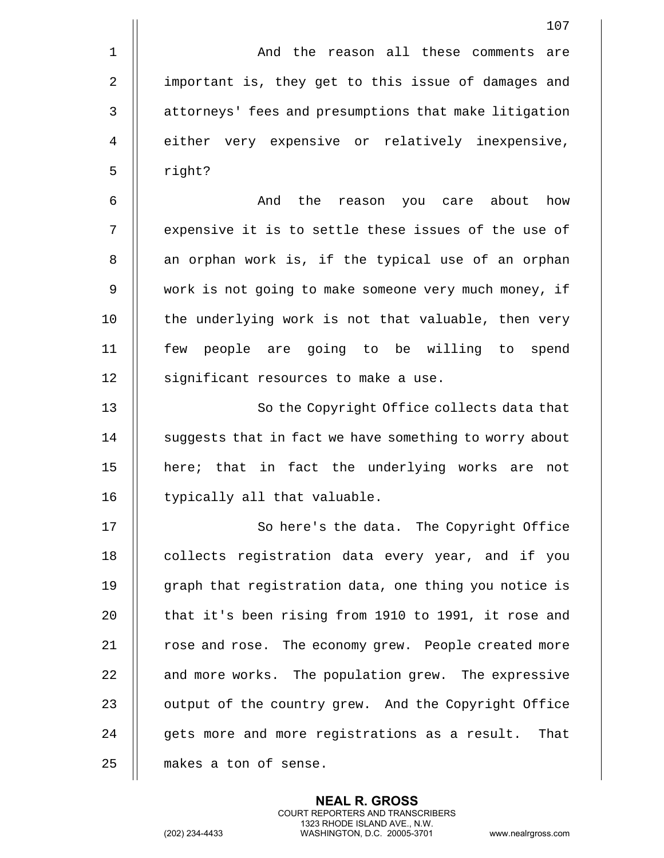|             | 107                                                    |
|-------------|--------------------------------------------------------|
| $\mathbf 1$ | And the reason all these comments<br>are               |
| 2           | important is, they get to this issue of damages and    |
| 3           | attorneys' fees and presumptions that make litigation  |
| 4           | either very expensive or relatively inexpensive,       |
| 5           | right?                                                 |
| 6           | the<br>reason you care about<br>how<br>And             |
| 7           | expensive it is to settle these issues of the use of   |
| 8           | an orphan work is, if the typical use of an orphan     |
| 9           | work is not going to make someone very much money, if  |
| 10          | the underlying work is not that valuable, then very    |
| 11          | few people are going to be willing to<br>spend         |
| 12          | significant resources to make a use.                   |
| 13          | So the Copyright Office collects data that             |
| 14          | suggests that in fact we have something to worry about |
| 15          | here; that in fact the underlying works are<br>not     |
| 16          | typically all that valuable.                           |
| 17          | So here's the data. The Copyright Office               |
| 18          | collects registration data every year, and if you      |
| 19          | graph that registration data, one thing you notice is  |
| 20          | that it's been rising from 1910 to 1991, it rose and   |
| 21          | rose and rose. The economy grew. People created more   |
| 22          | and more works. The population grew. The expressive    |
| 23          | output of the country grew. And the Copyright Office   |
| 24          | gets more and more registrations as a result. That     |
| 25          | makes a ton of sense.                                  |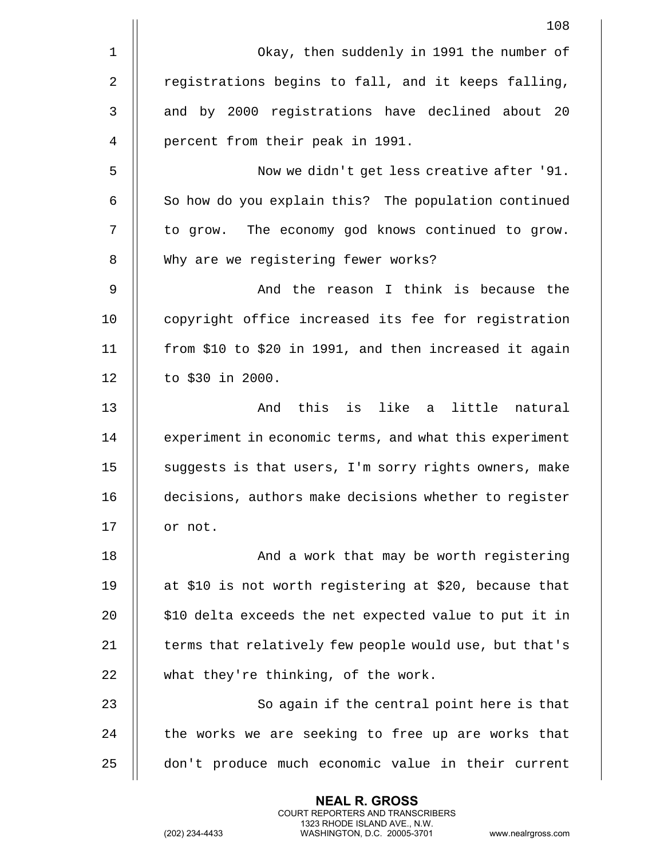|                | 108                                                    |
|----------------|--------------------------------------------------------|
| 1              | Okay, then suddenly in 1991 the number of              |
| 2              | registrations begins to fall, and it keeps falling,    |
| 3              | and by 2000 registrations have declined about 20       |
| $\overline{4}$ | percent from their peak in 1991.                       |
| 5              | Now we didn't get less creative after '91.             |
| 6              | So how do you explain this? The population continued   |
| 7              | to grow. The economy god knows continued to grow.      |
| 8              | Why are we registering fewer works?                    |
| 9              | And the reason I think is because the                  |
| 10             | copyright office increased its fee for registration    |
| 11             | from \$10 to \$20 in 1991, and then increased it again |
| 12             | to \$30 in 2000.                                       |
| 13             | this is like a<br>little natural<br>And                |
| 14             | experiment in economic terms, and what this experiment |
| 15             | suggests is that users, I'm sorry rights owners, make  |
| 16             | decisions, authors make decisions whether to register  |
| 17             | or not.                                                |
| 18             | And a work that may be worth registering               |
| 19             | at \$10 is not worth registering at \$20, because that |
| 20             | \$10 delta exceeds the net expected value to put it in |
| 21             | terms that relatively few people would use, but that's |
| 22             | what they're thinking, of the work.                    |
| 23             | So again if the central point here is that             |
| 24             | the works we are seeking to free up are works that     |
| 25             | don't produce much economic value in their current     |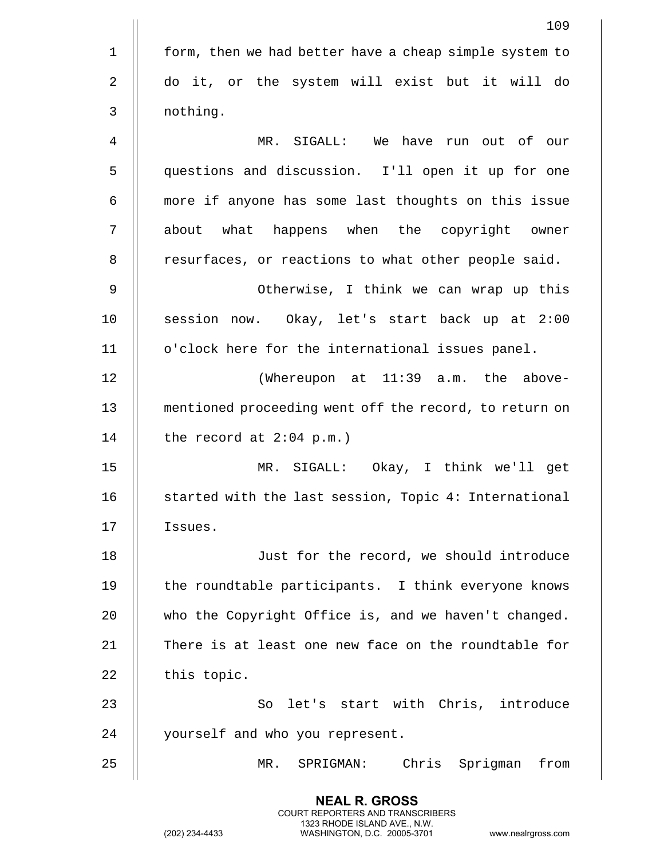|             | 109                                                    |
|-------------|--------------------------------------------------------|
| $\mathbf 1$ | form, then we had better have a cheap simple system to |
| 2           | do it, or the system will exist but it will do         |
| 3           | nothing.                                               |
| 4           | MR. SIGALL: We have run out of our                     |
| 5           | questions and discussion. I'll open it up for one      |
| 6           | more if anyone has some last thoughts on this issue    |
| 7           | about what happens when the copyright owner            |
| 8           | resurfaces, or reactions to what other people said.    |
| 9           | Otherwise, I think we can wrap up this                 |
| 10          | session now. Okay, let's start back up at 2:00         |
| 11          | o'clock here for the international issues panel.       |
| 12          | (Whereupon at 11:39 a.m. the above-                    |
| 13          | mentioned proceeding went off the record, to return on |
| 14          | the record at $2:04$ p.m.)                             |
| 15          | MR. SIGALL: Okay, I think we'll get                    |
| 16          | started with the last session, Topic 4: International  |
| 17          | Issues.                                                |
| 18          | Just for the record, we should introduce               |
| 19          | the roundtable participants. I think everyone knows    |
| 20          | who the Copyright Office is, and we haven't changed.   |
| 21          | There is at least one new face on the roundtable for   |
| 22          | this topic.                                            |
| 23          | So let's start with Chris, introduce                   |
| 24          | yourself and who you represent.                        |
| 25          | Chris Sprigman<br>from<br>MR.<br>SPRIGMAN:             |

(202) 234-4433 WASHINGTON, D.C. 20005-3701 www.nealrgross.com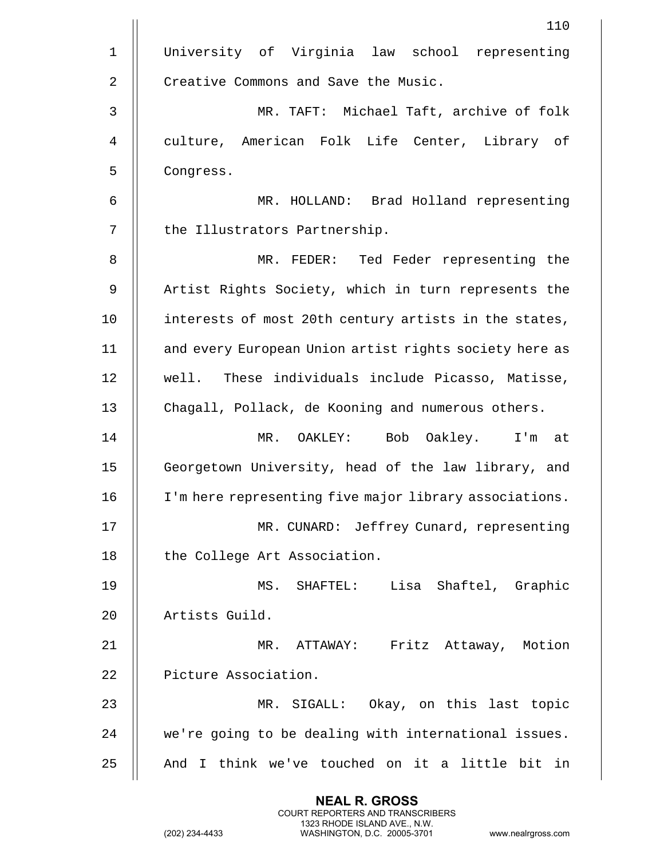|                | 110                                                    |
|----------------|--------------------------------------------------------|
| $\mathbf 1$    | University of Virginia law school representing         |
| $\sqrt{2}$     | Creative Commons and Save the Music.                   |
| 3              | MR. TAFT: Michael Taft, archive of folk                |
| $\overline{4}$ | culture, American Folk Life Center, Library of         |
| 5              | Congress.                                              |
| 6              | MR. HOLLAND: Brad Holland representing                 |
| 7              | the Illustrators Partnership.                          |
| 8              | MR. FEDER: Ted Feder representing the                  |
| 9              | Artist Rights Society, which in turn represents the    |
| 10             | interests of most 20th century artists in the states,  |
| 11             | and every European Union artist rights society here as |
| 12             | well. These individuals include Picasso, Matisse,      |
| 13             | Chagall, Pollack, de Kooning and numerous others.      |
| 14             | MR. OAKLEY: Bob Oakley. I'm at                         |
| 15             | Georgetown University, head of the law library, and    |
| 16             | I'm here representing five major library associations. |
| 17             | MR. CUNARD: Jeffrey Cunard, representing               |
| 18             | the College Art Association.                           |
| 19             | MS. SHAFTEL: Lisa Shaftel, Graphic                     |
| 20             | Artists Guild.                                         |
| 21             | MR. ATTAWAY: Fritz Attaway, Motion                     |
| 22             | Picture Association.                                   |
| 23             | MR. SIGALL: Okay, on this last topic                   |
| 24             | we're going to be dealing with international issues.   |
| 25             | And I think we've touched on it a little bit in        |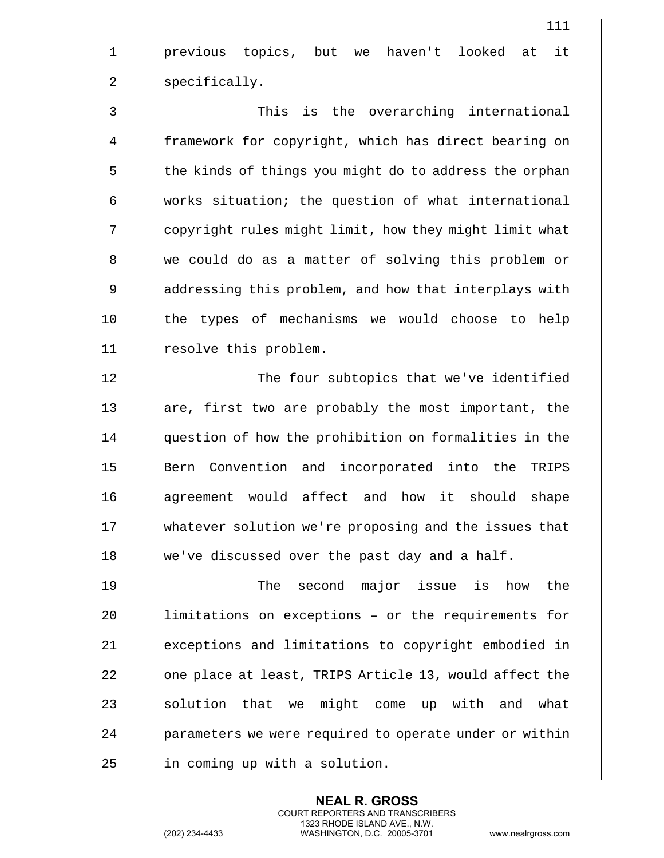1 previous topics, but we haven't looked at it 2 | specifically.

3 This is the overarching international 4 framework for copyright, which has direct bearing on 5 | the kinds of things you might do to address the orphan  $6$   $\parallel$  works situation; the question of what international 7 | copyright rules might limit, how they might limit what 8 || we could do as a matter of solving this problem or 9 | addressing this problem, and how that interplays with 10 || the types of mechanisms we would choose to help 11 | resolve this problem.

12 || The four subtopics that we've identified 13 || are, first two are probably the most important, the 14 question of how the prohibition on formalities in the 15 || Bern Convention and incorporated into the TRIPS 16 || agreement would affect and how it should shape 17 whatever solution we're proposing and the issues that 18 | we've discussed over the past day and a half.

19 The second major issue is how the  $20$  || limitations on exceptions - or the requirements for 21 | exceptions and limitations to copyright embodied in 22 | one place at least, TRIPS Article 13, would affect the  $23$   $\parallel$  solution that we might come up with and what 24 | parameters we were required to operate under or within  $25$  | in coming up with a solution.

> **NEAL R. GROSS** COURT REPORTERS AND TRANSCRIBERS 1323 RHODE ISLAND AVE., N.W.

(202) 234-4433 WASHINGTON, D.C. 20005-3701 www.nealrgross.com

111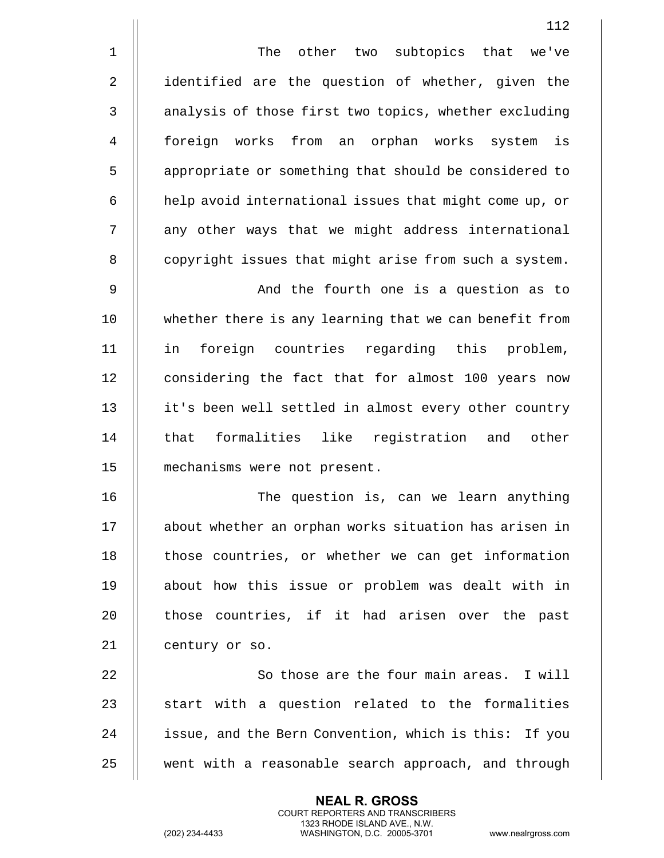1 || The other two subtopics that we've 2 || identified are the question of whether, given the 3 | analysis of those first two topics, whether excluding 4 foreign works from an orphan works system is 5 | appropriate or something that should be considered to  $6$  | help avoid international issues that might come up, or 7 || any other ways that we might address international

9 And the fourth one is a question as to 10 || whether there is any learning that we can benefit from 11 in foreign countries regarding this problem, 12 || considering the fact that for almost 100 years now 13 || it's been well settled in almost every other country 14 || that formalities like registration and other 15 mechanisms were not present.

8 | copyright issues that might arise from such a system.

16 The question is, can we learn anything 17 about whether an orphan works situation has arisen in 18 || those countries, or whether we can get information 19 about how this issue or problem was dealt with in 20 || those countries, if it had arisen over the past 21 | century or so.

22 || So those are the four main areas. I will  $23$   $\parallel$  start with a question related to the formalities 24 | issue, and the Bern Convention, which is this: If you 25 || went with a reasonable search approach, and through

> **NEAL R. GROSS** COURT REPORTERS AND TRANSCRIBERS 1323 RHODE ISLAND AVE., N.W.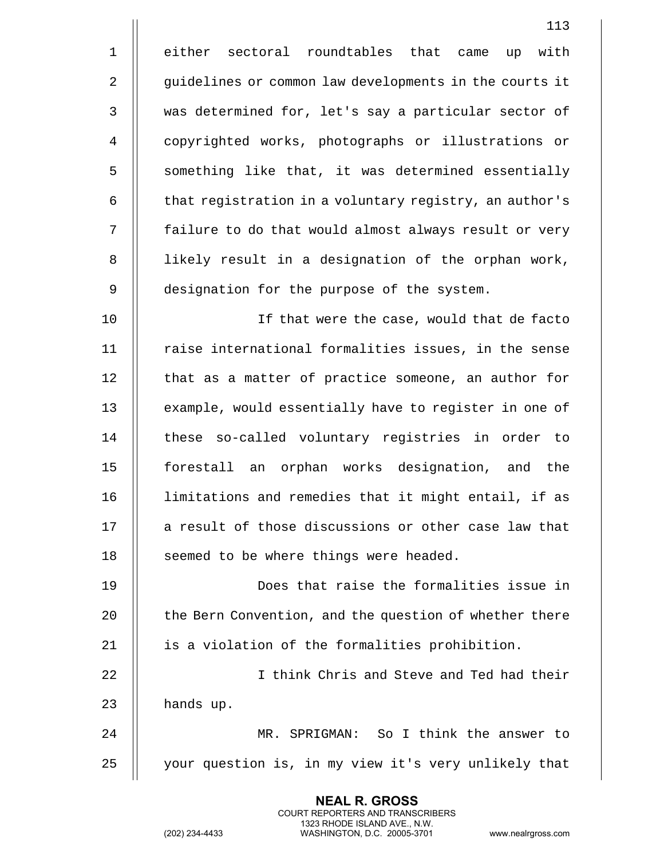|                | 113                                                    |
|----------------|--------------------------------------------------------|
| $\mathbf 1$    | either sectoral roundtables that came<br>with<br>up    |
| $\overline{2}$ | guidelines or common law developments in the courts it |
| $\mathbf{3}$   | was determined for, let's say a particular sector of   |
| 4              | copyrighted works, photographs or illustrations or     |
| 5              | something like that, it was determined essentially     |
| 6              | that registration in a voluntary registry, an author's |
| 7              | failure to do that would almost always result or very  |
| 8              | likely result in a designation of the orphan work,     |
| 9              | designation for the purpose of the system.             |
| 10             | If that were the case, would that de facto             |
| 11             | raise international formalities issues, in the sense   |
| 12             | that as a matter of practice someone, an author for    |
| 13             | example, would essentially have to register in one of  |
| 14             | these so-called voluntary registries in order to       |
| 15             | forestall an orphan works designation, and the         |
| 16             | limitations and remedies that it might entail, if as   |
| 17             | a result of those discussions or other case law that   |
| 18             | seemed to be where things were headed.                 |
| 19             | Does that raise the formalities issue in               |
| 20             | the Bern Convention, and the question of whether there |
| 21             | is a violation of the formalities prohibition.         |
| 22             | I think Chris and Steve and Ted had their              |
| 23             | hands up.                                              |
| 24             | MR. SPRIGMAN: So I think the answer to                 |
| 25             | your question is, in my view it's very unlikely that   |

(202) 234-4433 WASHINGTON, D.C. 20005-3701 www.nealrgross.com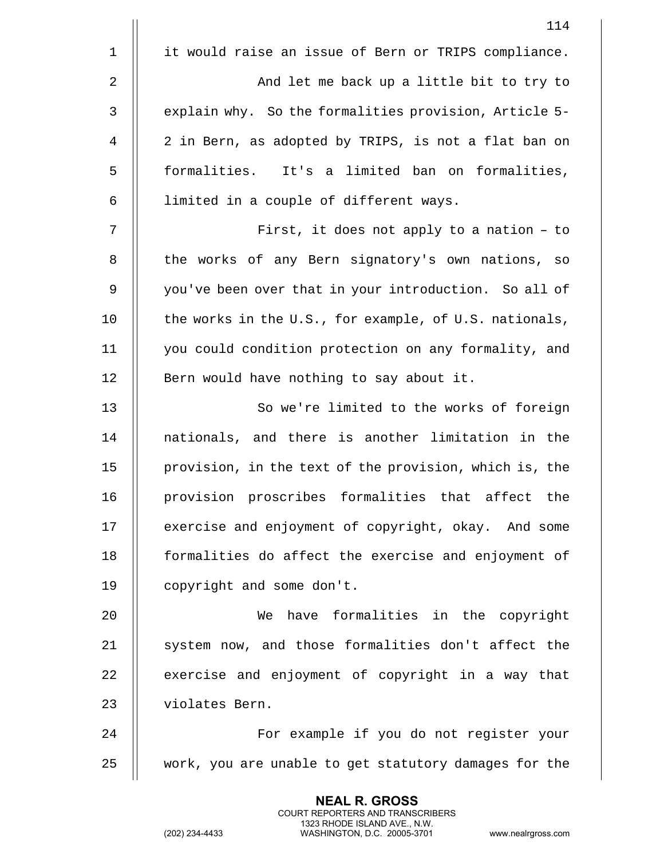|              | 114                                                    |
|--------------|--------------------------------------------------------|
| $\mathbf 1$  | it would raise an issue of Bern or TRIPS compliance.   |
| $\mathbf{2}$ | And let me back up a little bit to try to              |
| 3            | explain why. So the formalities provision, Article 5-  |
| 4            | 2 in Bern, as adopted by TRIPS, is not a flat ban on   |
| 5            | formalities. It's a limited ban on formalities,        |
| 6            | limited in a couple of different ways.                 |
| 7            | First, it does not apply to a nation - to              |
| 8            | the works of any Bern signatory's own nations, so      |
| 9            | you've been over that in your introduction. So all of  |
| 10           | the works in the U.S., for example, of U.S. nationals, |
| 11           | you could condition protection on any formality, and   |
| 12           | Bern would have nothing to say about it.               |
| 13           | So we're limited to the works of foreign               |
| 14           | nationals, and there is another limitation in the      |
| 15           | provision, in the text of the provision, which is, the |
| 16           | provision proscribes formalities that affect the       |
| 17           | exercise and enjoyment of copyright, okay. And some    |
| 18           | formalities do affect the exercise and enjoyment of    |
| 19           | copyright and some don't.                              |
| 20           | have formalities in the copyright<br>We                |
| 21           | system now, and those formalities don't affect the     |
| 22           | exercise and enjoyment of copyright in a way that      |
| 23           | violates Bern.                                         |
| 24           | For example if you do not register your                |
| 25           | work, you are unable to get statutory damages for the  |
|              |                                                        |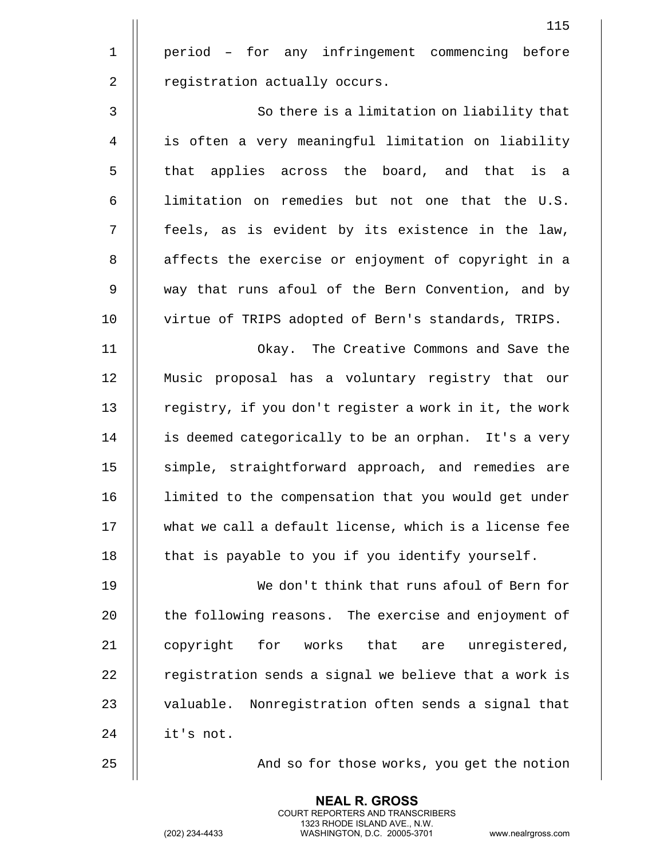|                | 115                                                       |
|----------------|-----------------------------------------------------------|
| $\mathbf 1$    | period - for any infringement commencing before           |
| $\overline{2}$ | registration actually occurs.                             |
| $\mathfrak{Z}$ | So there is a limitation on liability that                |
| 4              | is often a very meaningful limitation on liability        |
| 5              | that applies across the board, and that is a              |
| 6              | limitation on remedies but not one that the U.S.          |
| 7              | feels, as is evident by its existence in the law,         |
| $\,8\,$        | affects the exercise or enjoyment of copyright in a       |
| $\mathsf 9$    | way that runs afoul of the Bern Convention, and by        |
| 10             | virtue of TRIPS adopted of Bern's standards, TRIPS.       |
| 11             | Okay. The Creative Commons and Save the                   |
| 12             | Music proposal has a voluntary registry that our          |
| 13             | registry, if you don't register a work in it, the work    |
| 14             | is deemed categorically to be an orphan. It's a very      |
| 15             | simple, straightforward approach, and remedies are        |
| 16             | limited to the compensation that you would get under      |
| 17             | what we call a default license, which is a license fee    |
| 18             | that is payable to you if you identify yourself.          |
| 19             | We don't think that runs afoul of Bern for                |
| 20             | the following reasons. The exercise and enjoyment of      |
| 21             | that<br>copyright<br>for<br>works<br>unregistered,<br>are |
| 22             | registration sends a signal we believe that a work is     |
| 23             | valuable. Nonregistration often sends a signal that       |
| 24             | it's not.                                                 |
| 25             | And so for those works, you get the notion                |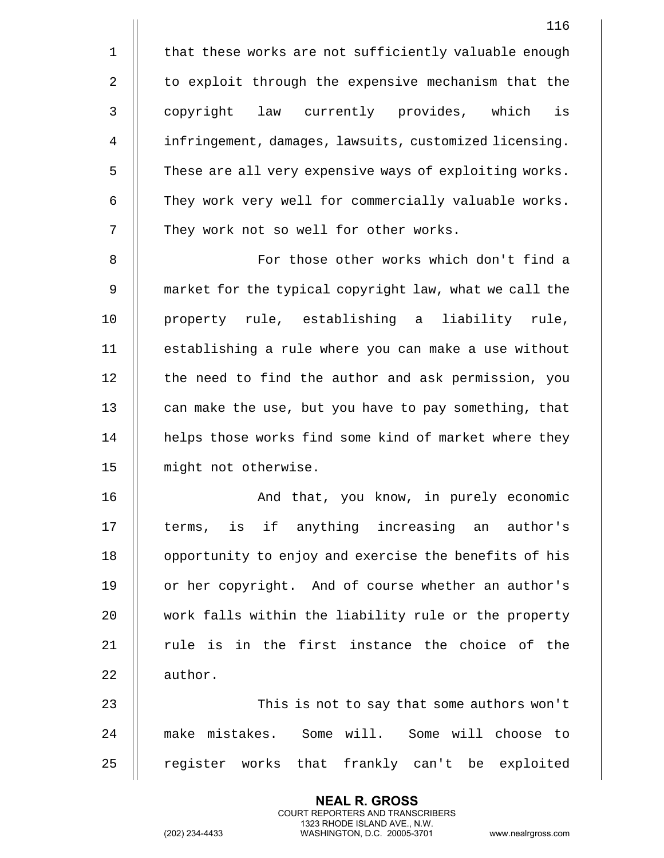1 | that these works are not sufficiently valuable enough 2 | to exploit through the expensive mechanism that the 3 || copyright law currently provides, which is 4 infringement, damages, lawsuits, customized licensing. 5 | These are all very expensive ways of exploiting works. 6 | They work very well for commercially valuable works. 7 | They work not so well for other works. 8 || For those other works which don't find a 9 market for the typical copyright law, what we call the 10 property rule, establishing a liability rule, 11 establishing a rule where you can make a use without 12 | the need to find the author and ask permission, you

13 | can make the use, but you have to pay something, that 14 || helps those works find some kind of market where they 15 || might not otherwise.

16 || And that, you know, in purely economic 17 || terms, is if anything increasing an author's 18 || opportunity to enjoy and exercise the benefits of his 19 || or her copyright. And of course whether an author's 20 || work falls within the liability rule or the property 21  $\parallel$  rule is in the first instance the choice of the 22 | author.

23 This is not to say that some authors won't 24 make mistakes. Some will. Some will choose to 25 || register works that frankly can't be exploited

> **NEAL R. GROSS** COURT REPORTERS AND TRANSCRIBERS 1323 RHODE ISLAND AVE., N.W.

116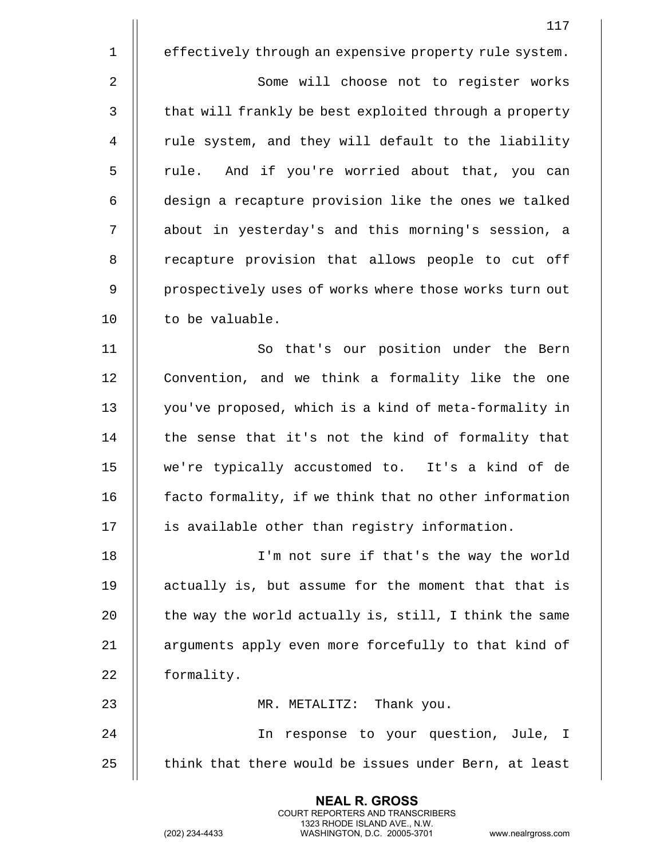|             | 117                                                    |
|-------------|--------------------------------------------------------|
| $\mathbf 1$ | effectively through an expensive property rule system. |
| 2           | Some will choose not to register works                 |
| 3           | that will frankly be best exploited through a property |
| 4           | rule system, and they will default to the liability    |
| 5           | rule. And if you're worried about that, you can        |
| 6           | design a recapture provision like the ones we talked   |
| 7           | about in yesterday's and this morning's session, a     |
| $\,8\,$     | recapture provision that allows people to cut off      |
| 9           | prospectively uses of works where those works turn out |
| 10          | to be valuable.                                        |
| 11          | So that's our position under the Bern                  |
| 12          | Convention, and we think a formality like the one      |
| 13          | you've proposed, which is a kind of meta-formality in  |
| 14          | the sense that it's not the kind of formality that     |
| 15          | we're typically accustomed to. It's a kind of de       |
| 16          | facto formality, if we think that no other information |
| 17          | is available other than registry information.          |
| 18          | I'm not sure if that's the way the world               |
| 19          | actually is, but assume for the moment that that is    |
| 20          | the way the world actually is, still, I think the same |
| 21          | arguments apply even more forcefully to that kind of   |
| 22          | formality.                                             |
| 23          | MR. METALITZ: Thank you.                               |
| 24          | In response to your question, Jule, I                  |
| 25          | think that there would be issues under Bern, at least  |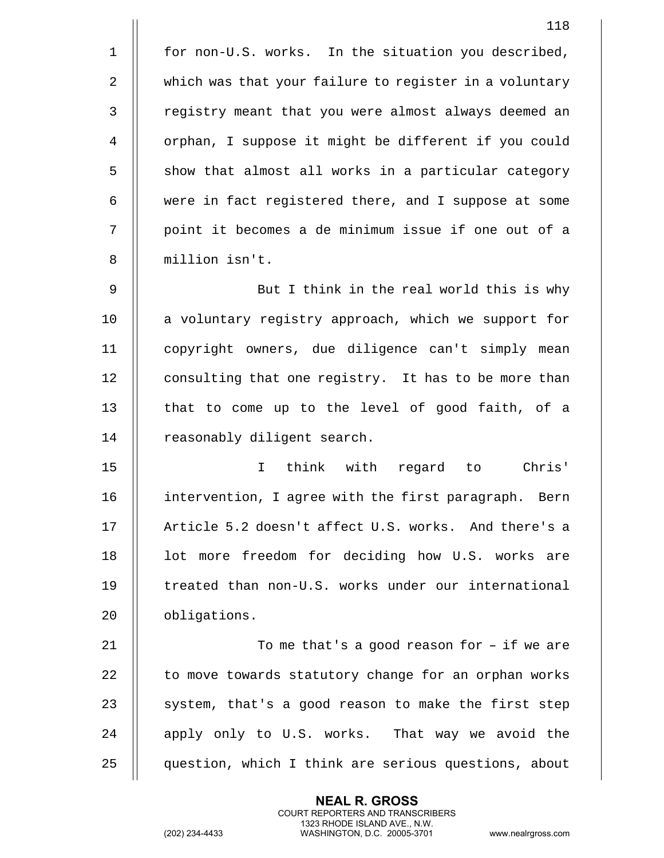|             | 118                                                    |
|-------------|--------------------------------------------------------|
| $\mathbf 1$ | for non-U.S. works. In the situation you described,    |
| 2           | which was that your failure to register in a voluntary |
| 3           | registry meant that you were almost always deemed an   |
| 4           | orphan, I suppose it might be different if you could   |
| 5           | show that almost all works in a particular category    |
| 6           | were in fact registered there, and I suppose at some   |
| 7           | point it becomes a de minimum issue if one out of a    |
| 8           | million isn't.                                         |
| 9           | But I think in the real world this is why              |
| 10          | a voluntary registry approach, which we support for    |
| 11          | copyright owners, due diligence can't simply mean      |
| 12          | consulting that one registry. It has to be more than   |
| 13          | that to come up to the level of good faith, of a       |
| 14          | reasonably diligent search.                            |
| 15          | think with regard<br>to Chris'<br>$\mathbf{I}$         |
| 16          | intervention, I agree with the first paragraph. Bern   |
| 17          | Article 5.2 doesn't affect U.S. works. And there's a   |
| 18          | lot more freedom for deciding how U.S. works are       |
| 19          | treated than non-U.S. works under our international    |
| 20          | obligations.                                           |
| 21          | To me that's a good reason for $-$ if we are           |
| 22          | to move towards statutory change for an orphan works   |
| 23          | system, that's a good reason to make the first step    |
| 24          | apply only to U.S. works. That way we avoid the        |
| 25          | question, which I think are serious questions, about   |

(202) 234-4433 WASHINGTON, D.C. 20005-3701 www.nealrgross.com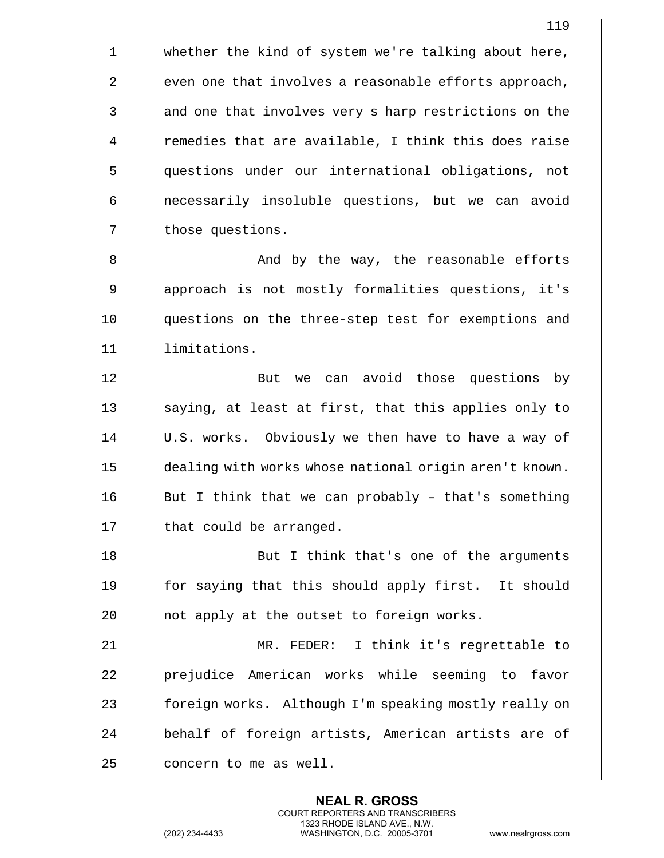1 || whether the kind of system we're talking about here, 2 | even one that involves a reasonable efforts approach, 3 || and one that involves very s harp restrictions on the  $4$  || remedies that are available, I think this does raise 5 questions under our international obligations, not 6 | necessarily insoluble questions, but we can avoid 7 | those questions.

8 And by the way, the reasonable efforts 9 || approach is not mostly formalities questions, it's 10 || questions on the three-step test for exemptions and 11 limitations.

12 || But we can avoid those questions by  $\parallel$  saying, at least at first, that this applies only to 14 | U.S. works. Obviously we then have to have a way of dealing with works whose national origin aren't known.  $\parallel$  But I think that we can probably - that's something | that could be arranged.

18 || But I think that's one of the arguments 19 || for saying that this should apply first. It should 20  $\parallel$  not apply at the outset to foreign works.

21 MR. FEDER: I think it's regrettable to 22 || prejudice American works while seeming to favor 23 | foreign works. Although I'm speaking mostly really on 24 || behalf of foreign artists, American artists are of  $25$  | concern to me as well.

> **NEAL R. GROSS** COURT REPORTERS AND TRANSCRIBERS 1323 RHODE ISLAND AVE., N.W.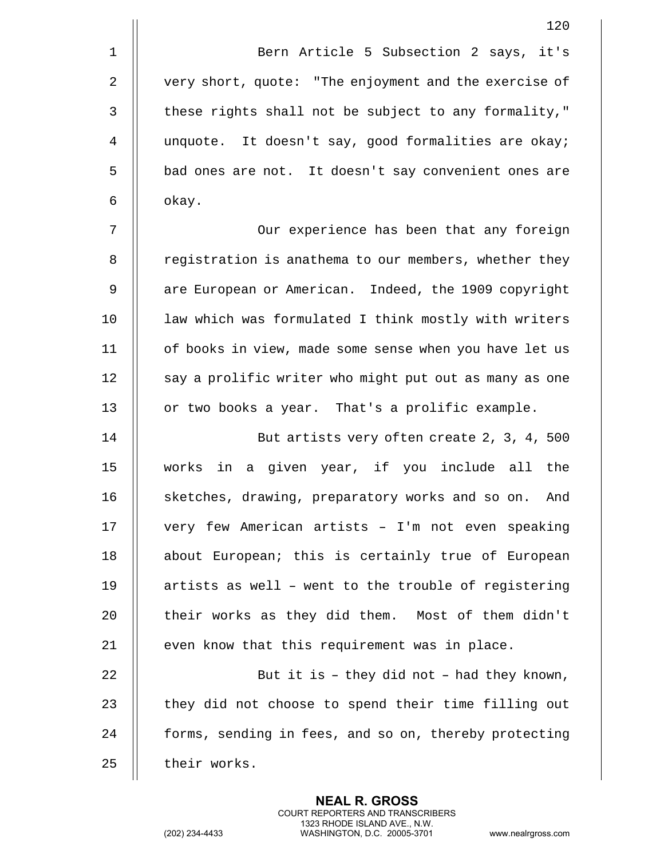1 || Bern Article 5 Subsection 2 says, it's 2 | very short, quote: "The enjoyment and the exercise of  $3$   $\parallel$  these rights shall not be subject to any formality," 4 unquote. It doesn't say, good formalities are okay; 5 | bad ones are not. It doesn't say convenient ones are  $6 \parallel$  okay.

7 Our experience has been that any foreign 8 | registration is anathema to our members, whether they 9 | are European or American. Indeed, the 1909 copyright 10 || law which was formulated I think mostly with writers 11 of books in view, made some sense when you have let us 12 || say a prolific writer who might put out as many as one 13 | or two books a year. That's a prolific example.

14 But artists very often create 2, 3, 4, 500 15 works in a given year, if you include all the 16 | sketches, drawing, preparatory works and so on. And 17 || very few American artists - I'm not even speaking 18 || about European; this is certainly true of European 19  $\parallel$  artists as well - went to the trouble of registering 20 || their works as they did them. Most of them didn't  $21$   $\parallel$  even know that this requirement was in place. 22  $\parallel$  But it is - they did not - had they known,

 $23$   $\parallel$  they did not choose to spend their time filling out 24 | forms, sending in fees, and so on, thereby protecting 25 | their works.

> **NEAL R. GROSS** COURT REPORTERS AND TRANSCRIBERS 1323 RHODE ISLAND AVE., N.W.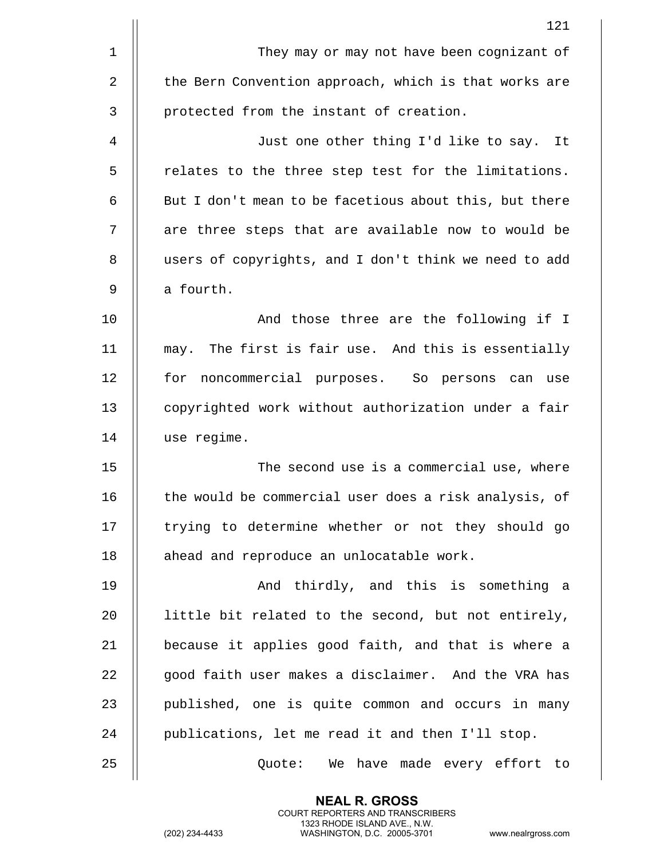|              | 121                                                    |
|--------------|--------------------------------------------------------|
| $\mathbf{1}$ | They may or may not have been cognizant of             |
| 2            | the Bern Convention approach, which is that works are  |
| 3            | protected from the instant of creation.                |
| 4            | Just one other thing I'd like to say. It               |
| 5            | relates to the three step test for the limitations.    |
| 6            | But I don't mean to be facetious about this, but there |
| 7            | are three steps that are available now to would be     |
| 8            | users of copyrights, and I don't think we need to add  |
| 9            | a fourth.                                              |
| 10           | And those three are the following if I                 |
| 11           | may. The first is fair use. And this is essentially    |
| 12           | for noncommercial purposes. So persons can use         |
| 13           | copyrighted work without authorization under a fair    |
| 14           | use regime.                                            |
| 15           | The second use is a commercial use, where              |
| 16           | the would be commercial user does a risk analysis, of  |
| 17           | trying to determine whether or not they should go      |
| 18           | ahead and reproduce an unlocatable work.               |
| 19           | And thirdly, and this is something a                   |
| 20           | little bit related to the second, but not entirely,    |
| 21           | because it applies good faith, and that is where a     |
| 22           | good faith user makes a disclaimer. And the VRA has    |
| 23           | published, one is quite common and occurs in many      |
| 24           | publications, let me read it and then I'll stop.       |
| 25           | Quote: We have made every effort to                    |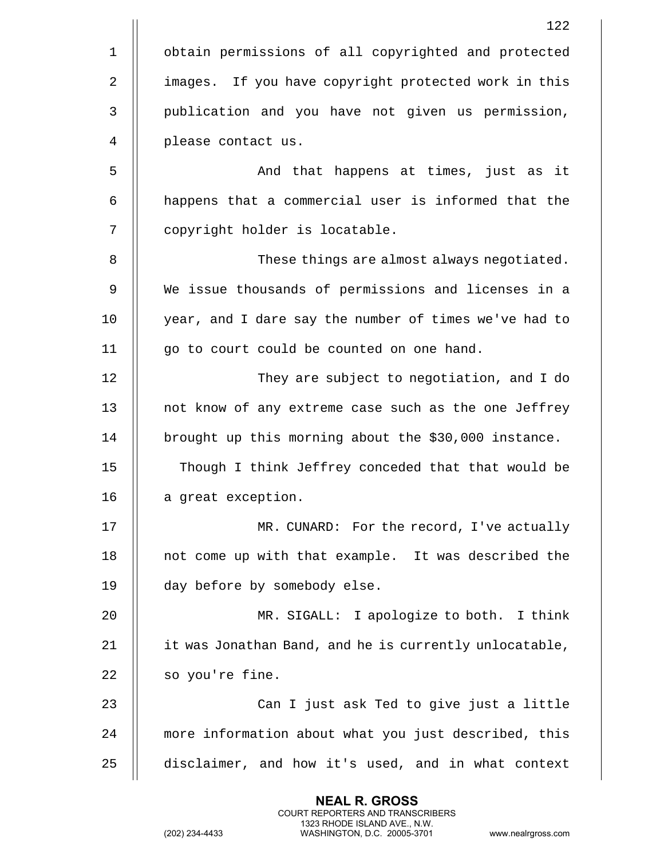|              | 122                                                    |
|--------------|--------------------------------------------------------|
| $\mathbf{1}$ | obtain permissions of all copyrighted and protected    |
| 2            | images. If you have copyright protected work in this   |
| 3            | publication and you have not given us permission,      |
| 4            | please contact us.                                     |
| 5            | And that happens at times, just as it                  |
| 6            | happens that a commercial user is informed that the    |
| 7            | copyright holder is locatable.                         |
| 8            | These things are almost always negotiated.             |
| 9            | We issue thousands of permissions and licenses in a    |
| 10           | year, and I dare say the number of times we've had to  |
| 11           | go to court could be counted on one hand.              |
| 12           | They are subject to negotiation, and I do              |
| 13           | not know of any extreme case such as the one Jeffrey   |
| 14           | brought up this morning about the \$30,000 instance.   |
| 15           | Though I think Jeffrey conceded that that would be     |
| 16           | a great exception.                                     |
| 17           | MR. CUNARD: For the record, I've actually              |
| 18           | not come up with that example. It was described the    |
| 19           | day before by somebody else.                           |
| 20           | MR. SIGALL: I apologize to both. I think               |
| 21           | it was Jonathan Band, and he is currently unlocatable, |
| 22           | so you're fine.                                        |
| 23           | Can I just ask Ted to give just a little               |
| 24           | more information about what you just described, this   |
| 25           | disclaimer, and how it's used, and in what context     |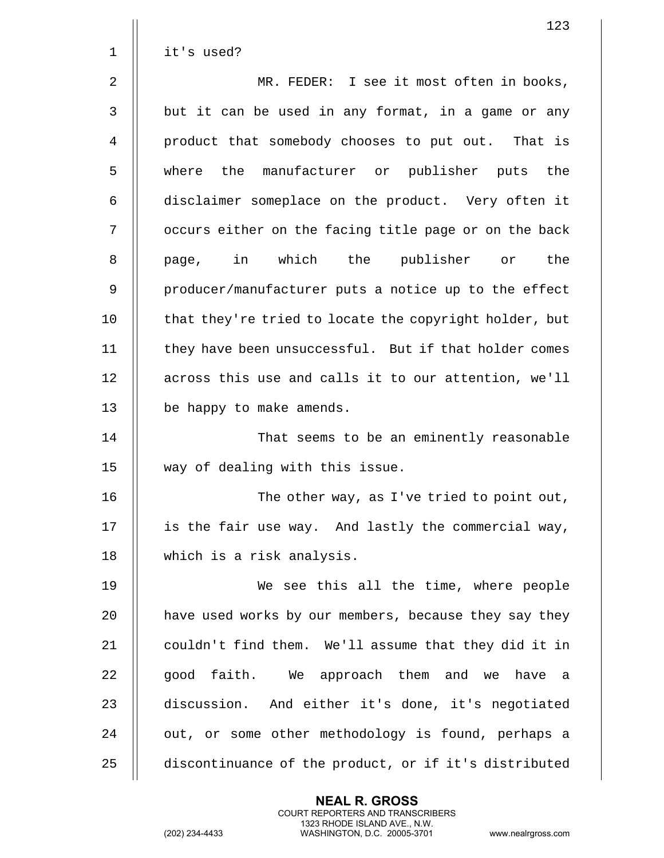|                | 123                                                    |
|----------------|--------------------------------------------------------|
| $\mathbf 1$    | it's used?                                             |
| $\overline{2}$ | MR. FEDER: I see it most often in books,               |
| $\mathbf{3}$   | but it can be used in any format, in a game or any     |
| 4              | product that somebody chooses to put out. That is      |
| 5              | where the manufacturer or publisher puts the           |
| 6              | disclaimer someplace on the product. Very often it     |
| 7              | occurs either on the facing title page or on the back  |
| 8              | page, in which the publisher or<br>the                 |
| 9              | producer/manufacturer puts a notice up to the effect   |
| 10             | that they're tried to locate the copyright holder, but |
| 11             | they have been unsuccessful. But if that holder comes  |
| 12             | across this use and calls it to our attention, we'll   |
| 13             | be happy to make amends.                               |
| 14             | That seems to be an eminently reasonable               |
| 15             | way of dealing with this issue.                        |
| 16             | The other way, as I've tried to point out,             |
| 17             | is the fair use way. And lastly the commercial way,    |
| 18             | which is a risk analysis.                              |
| 19             | We see this all the time, where people                 |
| 20             | have used works by our members, because they say they  |
| 21             | couldn't find them. We'll assume that they did it in   |
| 22             | good faith. We approach them and we have a             |
| 23             | discussion. And either it's done, it's negotiated      |
| 24             | out, or some other methodology is found, perhaps a     |
| 25             | discontinuance of the product, or if it's distributed  |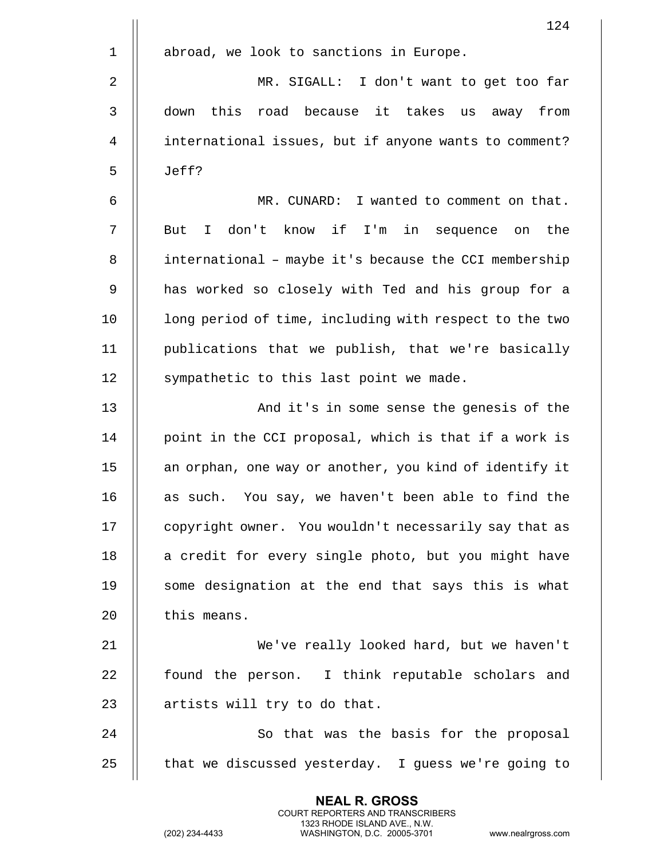|                | 124                                                    |
|----------------|--------------------------------------------------------|
| $\mathbf 1$    | abroad, we look to sanctions in Europe.                |
| $\overline{2}$ | MR. SIGALL: I don't want to get too far                |
| 3              | this road because it takes us away from<br>down        |
| $\overline{4}$ | international issues, but if anyone wants to comment?  |
| 5              | Jeff?                                                  |
| 6              | I wanted to comment on that.<br>MR. CUNARD:            |
| 7              | I don't know if I'm in sequence on<br>the<br>But       |
| 8              | international - maybe it's because the CCI membership  |
| 9              | has worked so closely with Ted and his group for a     |
| 10             | long period of time, including with respect to the two |
| 11             | publications that we publish, that we're basically     |
| 12             | sympathetic to this last point we made.                |
| 13             | And it's in some sense the genesis of the              |
| 14             | point in the CCI proposal, which is that if a work is  |
| 15             | an orphan, one way or another, you kind of identify it |
| 16             | as such. You say, we haven't been able to find the     |
| 17             | copyright owner. You wouldn't necessarily say that as  |
| 18             | a credit for every single photo, but you might have    |
| 19             | some designation at the end that says this is what     |
| 20             | this means.                                            |
| 21             | We've really looked hard, but we haven't               |
| 22             | found the person. I think reputable scholars and       |
| 23             | artists will try to do that.                           |
| 24             | So that was the basis for the proposal                 |
| 25             | that we discussed yesterday. I guess we're going to    |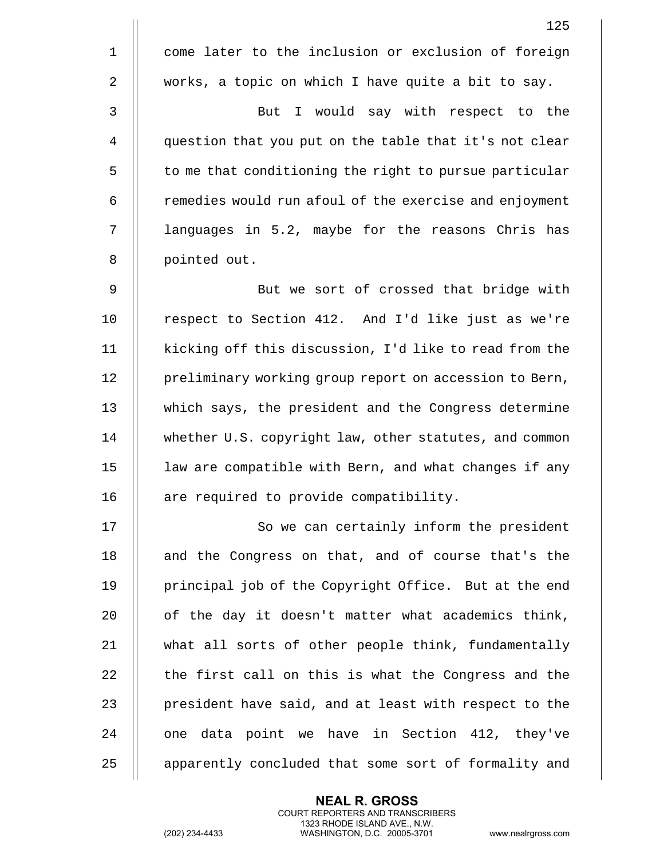|                | 125                                                    |
|----------------|--------------------------------------------------------|
| $\mathbf 1$    | come later to the inclusion or exclusion of foreign    |
| 2              | works, a topic on which I have quite a bit to say.     |
| 3              | But I would say with respect to the                    |
| $\overline{4}$ | question that you put on the table that it's not clear |
| 5              | to me that conditioning the right to pursue particular |
| 6              | remedies would run afoul of the exercise and enjoyment |
| 7              | languages in 5.2, maybe for the reasons Chris has      |
| 8              | pointed out.                                           |
| 9              | But we sort of crossed that bridge with                |
| 10             | respect to Section 412. And I'd like just as we're     |
| 11             | kicking off this discussion, I'd like to read from the |
| 12             | preliminary working group report on accession to Bern, |
| 13             | which says, the president and the Congress determine   |
| 14             | whether U.S. copyright law, other statutes, and common |
| 15             | law are compatible with Bern, and what changes if any  |
| 16             | are required to provide compatibility.                 |
| 17             | So we can certainly inform the president               |
| 18             | and the Congress on that, and of course that's the     |
| 19             | principal job of the Copyright Office. But at the end  |
| 20             | of the day it doesn't matter what academics think,     |
| 21             | what all sorts of other people think, fundamentally    |
| 22             | the first call on this is what the Congress and the    |
| 23             | president have said, and at least with respect to the  |
| 24             | one data point we have in Section 412, they've         |
| 25             | apparently concluded that some sort of formality and   |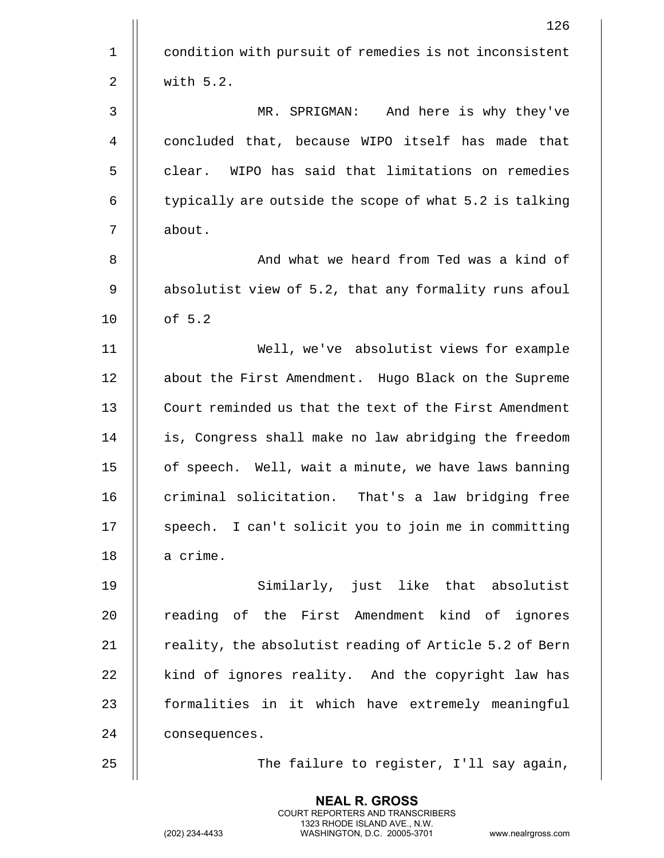|             | 126                                                    |
|-------------|--------------------------------------------------------|
| $\mathbf 1$ | condition with pursuit of remedies is not inconsistent |
| 2           | with 5.2.                                              |
| 3           | MR. SPRIGMAN: And here is why they've                  |
| 4           | concluded that, because WIPO itself has made that      |
| 5           | clear. WIPO has said that limitations on remedies      |
| 6           | typically are outside the scope of what 5.2 is talking |
| 7           | about.                                                 |
| 8           | And what we heard from Ted was a kind of               |
| 9           | absolutist view of 5.2, that any formality runs afoul  |
| 10          | of 5.2                                                 |
| 11          | Well, we've absolutist views for example               |
| 12          | about the First Amendment. Hugo Black on the Supreme   |
| 13          | Court reminded us that the text of the First Amendment |
| 14          | is, Congress shall make no law abridging the freedom   |
| 15          | of speech. Well, wait a minute, we have laws banning   |
| 16          | criminal solicitation. That's a law bridging free      |
| 17          | speech. I can't solicit you to join me in committing   |
| 18          | a crime.                                               |
| 19          | Similarly, just like that absolutist                   |
| 20          | reading of the First Amendment kind of ignores         |
| 21          | reality, the absolutist reading of Article 5.2 of Bern |
| 22          | kind of ignores reality. And the copyright law has     |
| 23          | formalities in it which have extremely meaningful      |
| 24          | consequences.                                          |
| 25          | The failure to register, I'll say again,               |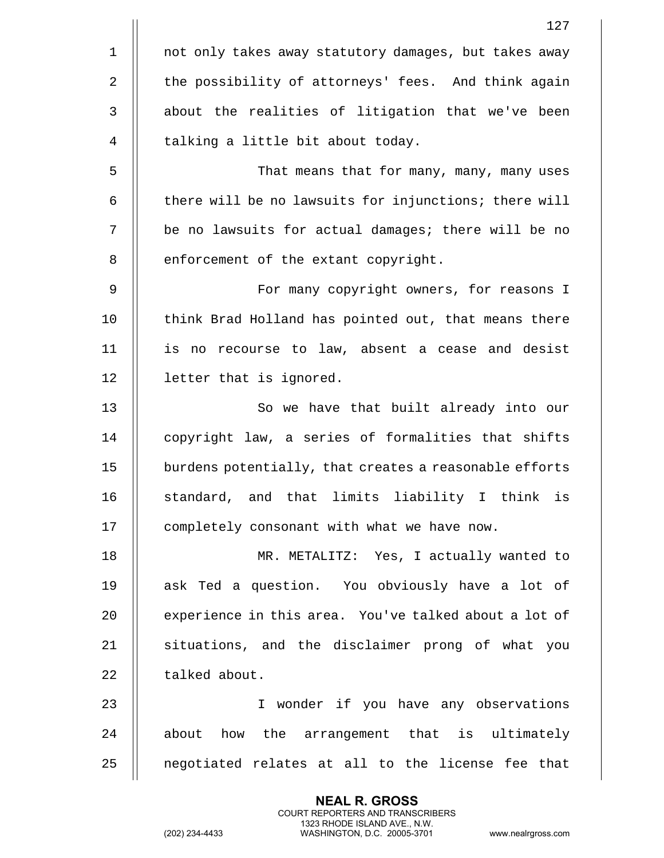|                | 127                                                    |
|----------------|--------------------------------------------------------|
| $\mathbf 1$    | not only takes away statutory damages, but takes away  |
| $\overline{2}$ | the possibility of attorneys' fees. And think again    |
| $\mathbf{3}$   | about the realities of litigation that we've been      |
| 4              | talking a little bit about today.                      |
| 5              | That means that for many, many, many uses              |
| 6              | there will be no lawsuits for injunctions; there will  |
| 7              | be no lawsuits for actual damages; there will be no    |
| 8              | enforcement of the extant copyright.                   |
| 9              | For many copyright owners, for reasons I               |
| 10             | think Brad Holland has pointed out, that means there   |
| 11             | is no recourse to law, absent a cease and desist       |
| 12             | letter that is ignored.                                |
| 13             | So we have that built already into our                 |
| 14             | copyright law, a series of formalities that shifts     |
| 15             | burdens potentially, that creates a reasonable efforts |
| 16             | standard, and that limits liability I think is         |
| 17             | completely consonant with what we have now.            |
| 18             | MR. METALITZ: Yes, I actually wanted to                |
| 19             | ask Ted a question. You obviously have a lot of        |
| 20             | experience in this area. You've talked about a lot of  |
| 21             | situations, and the disclaimer prong of what you       |
| 22             | talked about.                                          |
| 23             | I wonder if you have any observations                  |
| 24             | about how the arrangement that is ultimately           |
| 25             | negotiated relates at all to the license fee that      |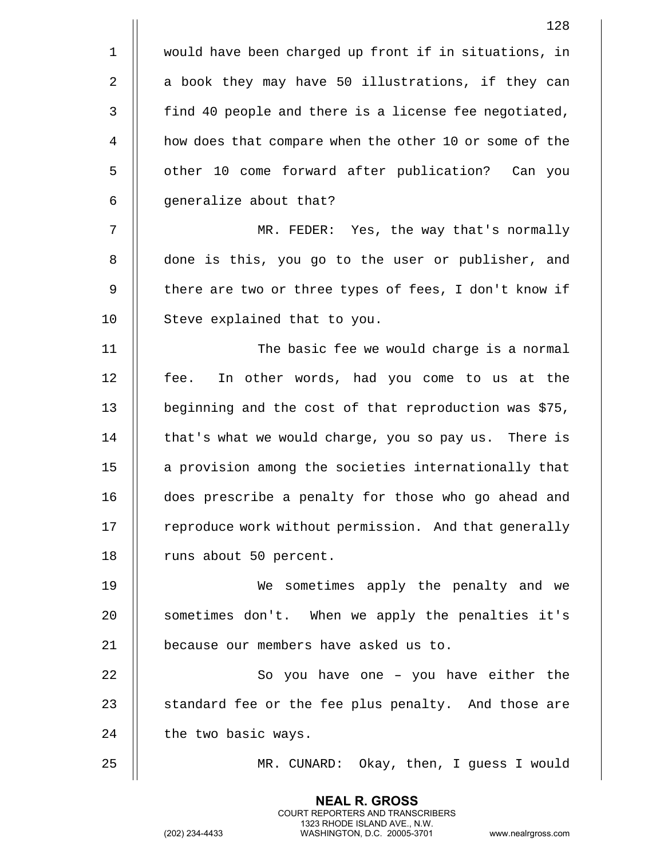|              | 128                                                    |
|--------------|--------------------------------------------------------|
| $\mathbf{1}$ | would have been charged up front if in situations, in  |
| 2            | a book they may have 50 illustrations, if they can     |
| 3            | find 40 people and there is a license fee negotiated,  |
| 4            | how does that compare when the other 10 or some of the |
| 5            | other 10 come forward after publication? Can you       |
| 6            | generalize about that?                                 |
| 7            | MR. FEDER: Yes, the way that's normally                |
| 8            | done is this, you go to the user or publisher, and     |
| 9            | there are two or three types of fees, I don't know if  |
| 10           | Steve explained that to you.                           |
| 11           | The basic fee we would charge is a normal              |
| 12           | In other words, had you come to us at the<br>fee.      |
| 13           | beginning and the cost of that reproduction was \$75,  |
| 14           | that's what we would charge, you so pay us. There is   |
| 15           | a provision among the societies internationally that   |
| 16           | does prescribe a penalty for those who go ahead and    |
| 17           | reproduce work without permission. And that generally  |
| 18           | runs about 50 percent.                                 |
| 19           | We sometimes apply the penalty and we                  |
| 20           | sometimes don't. When we apply the penalties it's      |
| 21           | because our members have asked us to.                  |
| 22           | So you have one - you have either the                  |
| 23           | standard fee or the fee plus penalty. And those are    |
| 24           | the two basic ways.                                    |
| 25           | MR. CUNARD: Okay, then, I guess I would                |
|              |                                                        |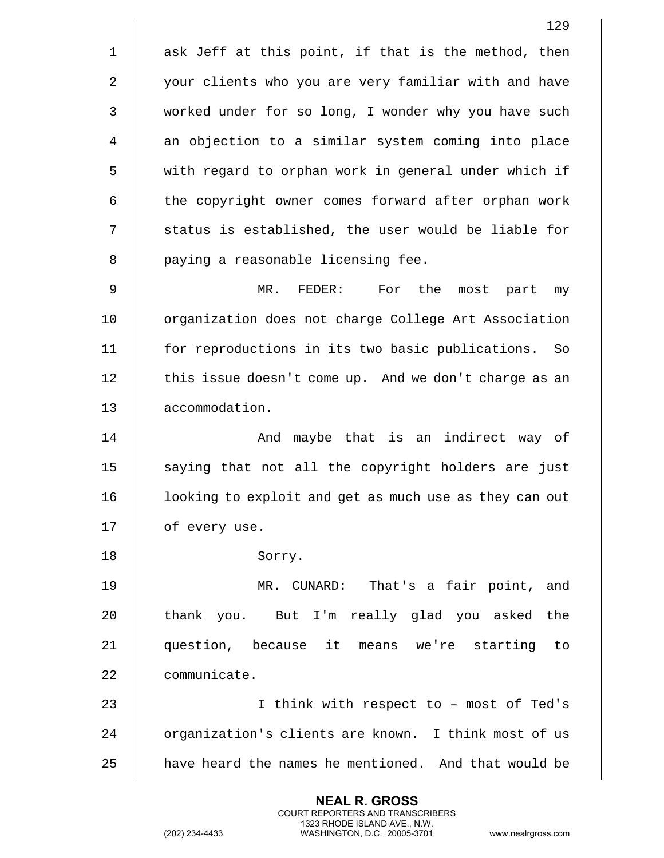1 || ask Jeff at this point, if that is the method, then 2 | your clients who you are very familiar with and have 3 | worked under for so long, I wonder why you have such 4 || an objection to a similar system coming into place 5 || with regard to orphan work in general under which if 6 | the copyright owner comes forward after orphan work 7 || status is established, the user would be liable for 8 || paying a reasonable licensing fee. 9 MR. FEDER: For the most part my 10 || organization does not charge College Art Association 11 for reproductions in its two basic publications. So 12 | this issue doesn't come up. And we don't charge as an 13 | accommodation. 14 || And maybe that is an indirect way of  $15$   $\parallel$  saying that not all the copyright holders are just 16 | looking to exploit and get as much use as they can out 17 | of every use. 18 || Sorry. 19 MR. CUNARD: That's a fair point, and 20 || thank you. But I'm really glad you asked the 21 question, because it means we're starting to 22 communicate. 23 || Think with respect to - most of Ted's 24 | organization's clients are known. I think most of us  $25$   $\parallel$  have heard the names he mentioned. And that would be

> **NEAL R. GROSS** COURT REPORTERS AND TRANSCRIBERS 1323 RHODE ISLAND AVE., N.W.

(202) 234-4433 WASHINGTON, D.C. 20005-3701 www.nealrgross.com

129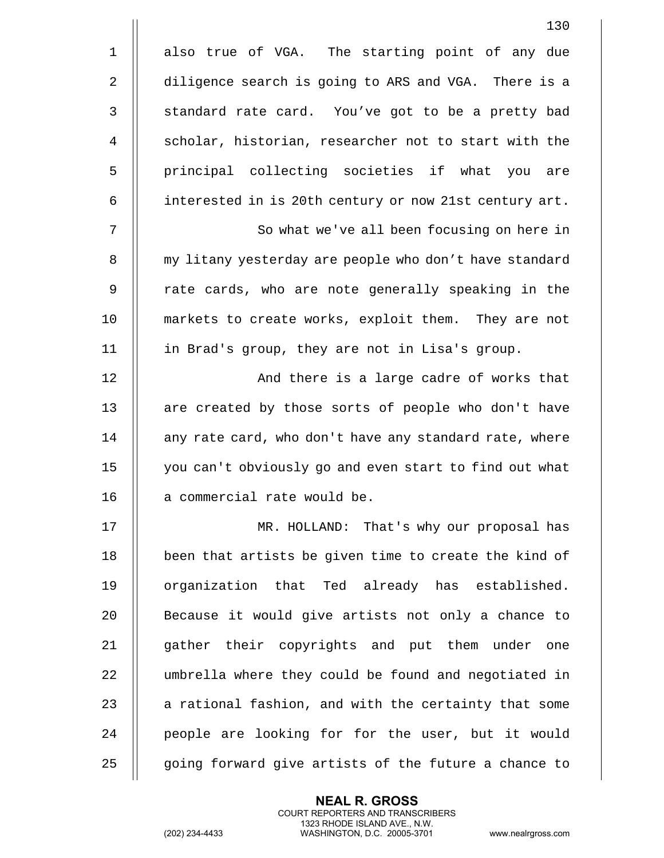|              | 130                                                    |
|--------------|--------------------------------------------------------|
| $\mathbf 1$  | also true of VGA. The starting point of any due        |
| 2            | diligence search is going to ARS and VGA. There is a   |
| $\mathbf{3}$ | standard rate card. You've got to be a pretty bad      |
| 4            | scholar, historian, researcher not to start with the   |
| 5            | principal collecting societies if what you are         |
| 6            | interested in is 20th century or now 21st century art. |
| 7            | So what we've all been focusing on here in             |
| 8            | my litany yesterday are people who don't have standard |
| 9            | rate cards, who are note generally speaking in the     |
| 10           | markets to create works, exploit them. They are not    |
| 11           | in Brad's group, they are not in Lisa's group.         |
| 12           | And there is a large cadre of works that               |
| 13           | are created by those sorts of people who don't have    |
| 14           | any rate card, who don't have any standard rate, where |
| 15           | you can't obviously go and even start to find out what |
| 16           | a commercial rate would be.                            |
| 17           | MR. HOLLAND: That's why our proposal has               |
| 18           | been that artists be given time to create the kind of  |
| 19           | organization that Ted already has established.         |
| 20           | Because it would give artists not only a chance to     |
| 21           | gather their copyrights and put them under one         |
| 22           | umbrella where they could be found and negotiated in   |
| 23           | a rational fashion, and with the certainty that some   |
| 24           | people are looking for for the user, but it would      |
| 25           | going forward give artists of the future a chance to   |

(202) 234-4433 WASHINGTON, D.C. 20005-3701 www.nealrgross.com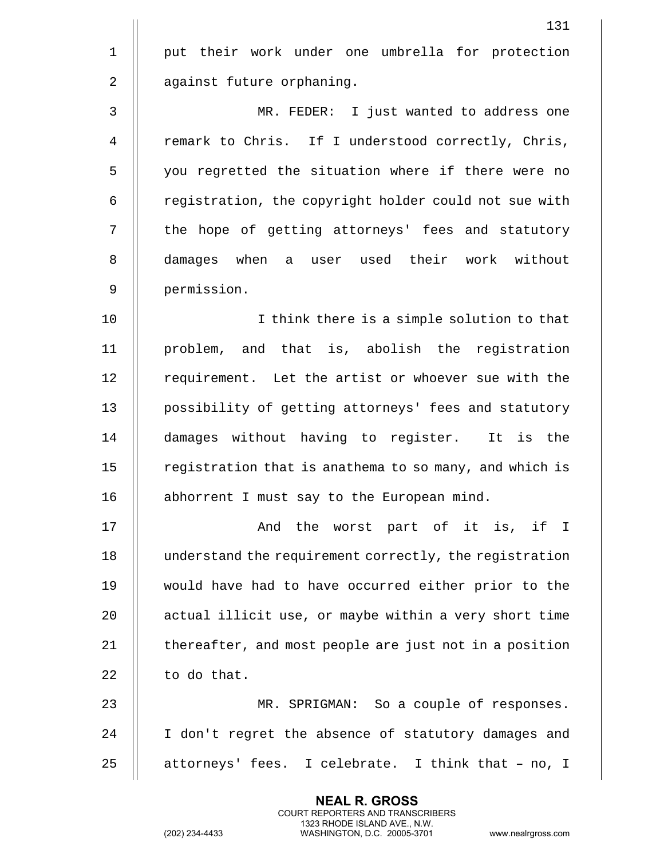131 1 || put their work under one umbrella for protection 2 | against future orphaning. 3 MR. FEDER: I just wanted to address one 4 | remark to Chris. If I understood correctly, Chris, 5 || you regretted the situation where if there were no 6 | registration, the copyright holder could not sue with 7 || the hope of getting attorneys' fees and statutory 8 damages when a user used their work without 9 permission. 10 || I think there is a simple solution to that 11 problem, and that is, abolish the registration 12 || requirement. Let the artist or whoever sue with the 13 | possibility of getting attorneys' fees and statutory 14 damages without having to register. It is the  $15$  | registration that is anathema to so many, and which is 16 | abhorrent I must say to the European mind. 17 And the worst part of it is, if I 18 understand the requirement correctly, the registration 19 would have had to have occurred either prior to the 20 | actual illicit use, or maybe within a very short time 21  $\parallel$  thereafter, and most people are just not in a position  $22$  | to do that. 23 MR. SPRIGMAN: So a couple of responses. 24 || I don't regret the absence of statutory damages and 25  $\parallel$  attorneys' fees. I celebrate. I think that - no, I

> **NEAL R. GROSS** COURT REPORTERS AND TRANSCRIBERS 1323 RHODE ISLAND AVE., N.W.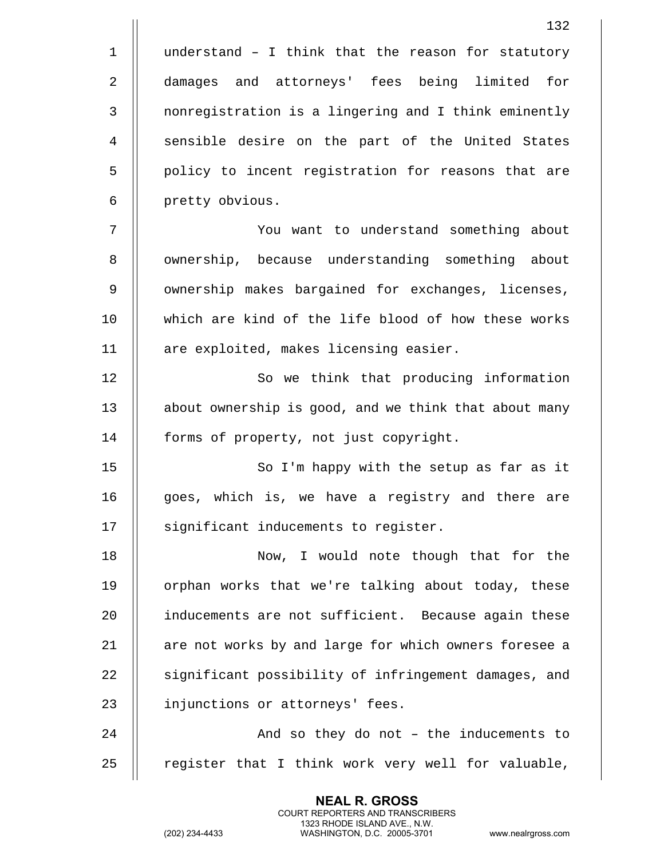$1$  | understand - I think that the reason for statutory 2 damages and attorneys' fees being limited for 3 || nonregistration is a lingering and I think eminently 4 || sensible desire on the part of the United States 5 || policy to incent registration for reasons that are 6 | pretty obvious. 7 You want to understand something about 8 || ownership, because understanding something about 9 | ownership makes bargained for exchanges, licenses, 10 which are kind of the life blood of how these works 11 | are exploited, makes licensing easier. 12 || So we think that producing information 13 || about ownership is good, and we think that about many 14 | forms of property, not just copyright. 15 || So I'm happy with the setup as far as it 16 || qoes, which is, we have a registry and there are 17 || significant inducements to register. 18 Now, I would note though that for the 19 || orphan works that we're talking about today, these 20 || inducements are not sufficient. Because again these 21 || are not works by and large for which owners foresee a 22 || significant possibility of infringement damages, and 23 | injunctions or attorneys' fees. 24 || And so they do not - the inducements to 25  $\parallel$  register that I think work very well for valuable,

> **NEAL R. GROSS** COURT REPORTERS AND TRANSCRIBERS 1323 RHODE ISLAND AVE., N.W.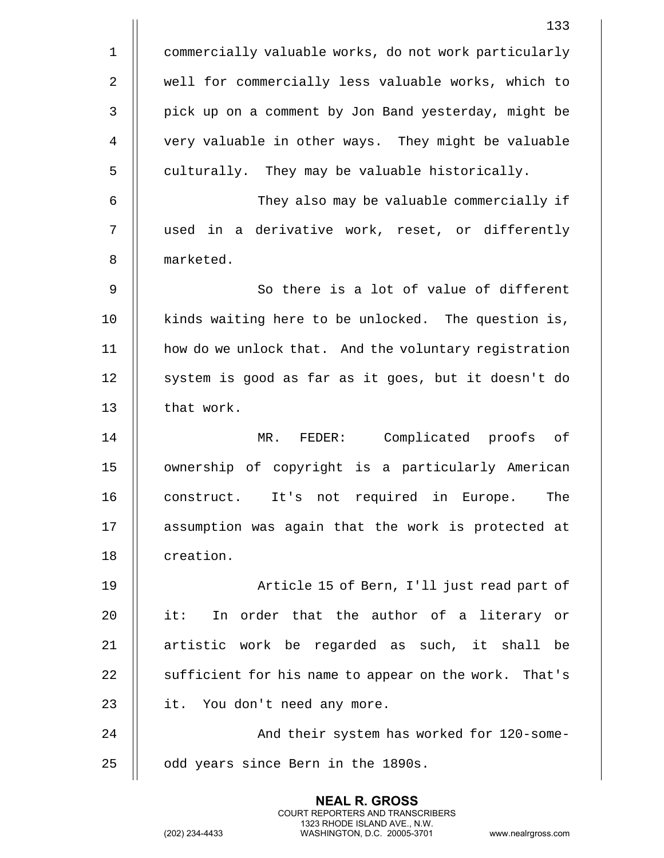|              | 133                                                   |
|--------------|-------------------------------------------------------|
| $\mathbf{1}$ | commercially valuable works, do not work particularly |
| 2            | well for commercially less valuable works, which to   |
| 3            | pick up on a comment by Jon Band yesterday, might be  |
| 4            | very valuable in other ways. They might be valuable   |
| 5            | culturally. They may be valuable historically.        |
| 6            | They also may be valuable commercially if             |
| 7            | used in a derivative work, reset, or differently      |
| 8            | marketed.                                             |
| 9            | So there is a lot of value of different               |
| 10           | kinds waiting here to be unlocked. The question is,   |
| 11           | how do we unlock that. And the voluntary registration |
| 12           | system is good as far as it goes, but it doesn't do   |
| 13           | that work.                                            |
| 14           | Complicated proofs of<br>MR. FEDER:                   |
| 15           | ownership of copyright is a particularly American     |
| 16           | not required in Europe.<br>The<br>construct.<br>It's  |
| 17           | assumption was again that the work is protected at    |
| 18           | creation.                                             |
| 19           | Article 15 of Bern, I'll just read part of            |
| 20           | In order that the author of a literary or<br>it:      |
| 21           | artistic work be regarded as such, it shall be        |
| 22           | sufficient for his name to appear on the work. That's |
| 23           | it. You don't need any more.                          |
| 24           | And their system has worked for 120-some-             |
| 25           | odd years since Bern in the 1890s.                    |
|              |                                                       |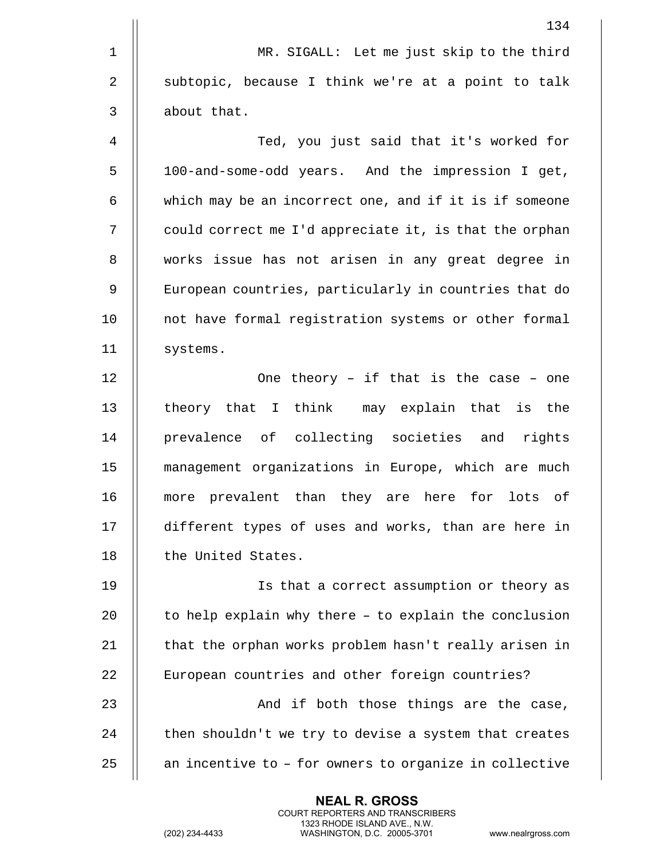|             | 134                                                    |
|-------------|--------------------------------------------------------|
| $\mathbf 1$ | MR. SIGALL: Let me just skip to the third              |
| 2           | subtopic, because I think we're at a point to talk     |
| 3           | about that.                                            |
| 4           | Ted, you just said that it's worked for                |
| 5           | 100-and-some-odd years. And the impression I get,      |
| 6           | which may be an incorrect one, and if it is if someone |
| 7           | could correct me I'd appreciate it, is that the orphan |
| 8           | works issue has not arisen in any great degree in      |
| 9           | European countries, particularly in countries that do  |
| 10          | not have formal registration systems or other formal   |
| 11          | systems.                                               |
| 12          | One theory - if that is the case - one                 |
| 13          | theory that I think may explain that is the            |
| 14          | prevalence of collecting societies and rights          |
| 15          | management organizations in Europe, which are much     |
| 16          | more prevalent than they are here for<br>lots of       |
| 17          | different types of uses and works, than are here in    |
| 18          | the United States.                                     |
| 19          | Is that a correct assumption or theory as              |
| 20          | to help explain why there - to explain the conclusion  |
| 21          | that the orphan works problem hasn't really arisen in  |
| 22          | European countries and other foreign countries?        |
| 23          | And if both those things are the case,                 |
| 24          | then shouldn't we try to devise a system that creates  |
| 25          | an incentive to - for owners to organize in collective |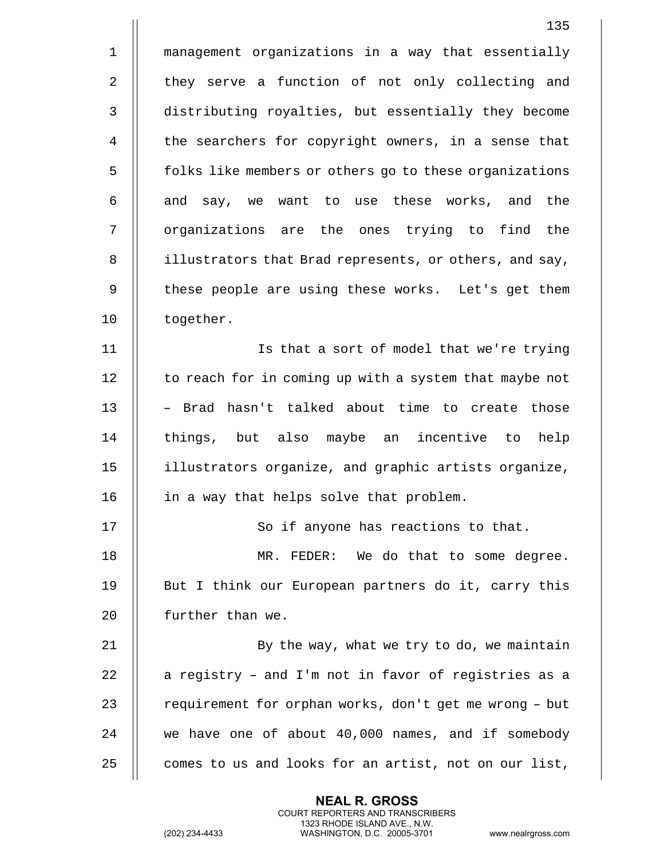|                | 135                                                    |
|----------------|--------------------------------------------------------|
| $\mathbf 1$    | management organizations in a way that essentially     |
| $\overline{2}$ | they serve a function of not only collecting and       |
| $\mathsf{3}$   | distributing royalties, but essentially they become    |
| 4              | the searchers for copyright owners, in a sense that    |
| 5              | folks like members or others go to these organizations |
| 6              | and say, we want to use these works, and the           |
| 7              | organizations are the ones trying to find the          |
| 8              | illustrators that Brad represents, or others, and say, |
| 9              | these people are using these works. Let's get them     |
| 10             | together.                                              |
| 11             | Is that a sort of model that we're trying              |
| 12             | to reach for in coming up with a system that maybe not |
| 13             | - Brad hasn't talked about time to create those        |
| 14             | things, but also maybe an incentive to help            |
| 15             | illustrators organize, and graphic artists organize,   |
| 16             | in a way that helps solve that problem.                |
| 17             | So if anyone has reactions to that.                    |
| 18             | MR. FEDER: We do that to some degree.                  |
| 19             | But I think our European partners do it, carry this    |
| 20             | further than we.                                       |
| 21             | By the way, what we try to do, we maintain             |
| 22             | a registry - and I'm not in favor of registries as a   |
| 23             | requirement for orphan works, don't get me wrong - but |
| 24             | we have one of about 40,000 names, and if somebody     |
| 25             | comes to us and looks for an artist, not on our list,  |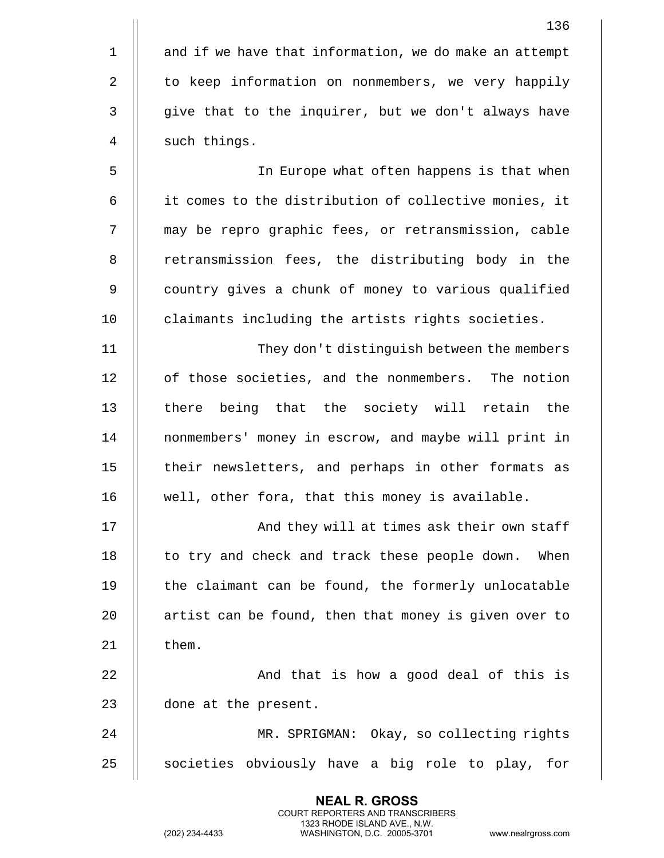|             | 136                                                    |
|-------------|--------------------------------------------------------|
| $\mathbf 1$ | and if we have that information, we do make an attempt |
| 2           | to keep information on nonmembers, we very happily     |
| 3           | give that to the inquirer, but we don't always have    |
| 4           | such things.                                           |
| 5           | In Europe what often happens is that when              |
| 6           | it comes to the distribution of collective monies, it  |
| 7           | may be repro graphic fees, or retransmission, cable    |
| 8           | retransmission fees, the distributing body in the      |
| 9           | country gives a chunk of money to various qualified    |
| 10          | claimants including the artists rights societies.      |
| 11          | They don't distinguish between the members             |
| 12          | of those societies, and the nonmembers. The notion     |
| 13          | there being that the society will retain the           |
| 14          | nonmembers' money in escrow, and maybe will print in   |
| 15          | their newsletters, and perhaps in other formats as     |
| 16          | well, other fora, that this money is available.        |
| 17          | And they will at times ask their own staff             |
| 18          | to try and check and track these people down.<br>When  |
| 19          | the claimant can be found, the formerly unlocatable    |
| 20          | artist can be found, then that money is given over to  |
| 21          | them.                                                  |
| 22          | And that is how a good deal of this is                 |
| 23          | done at the present.                                   |
| 24          | MR. SPRIGMAN: Okay, so collecting rights               |
| 25          | societies obviously have a big role to play, for       |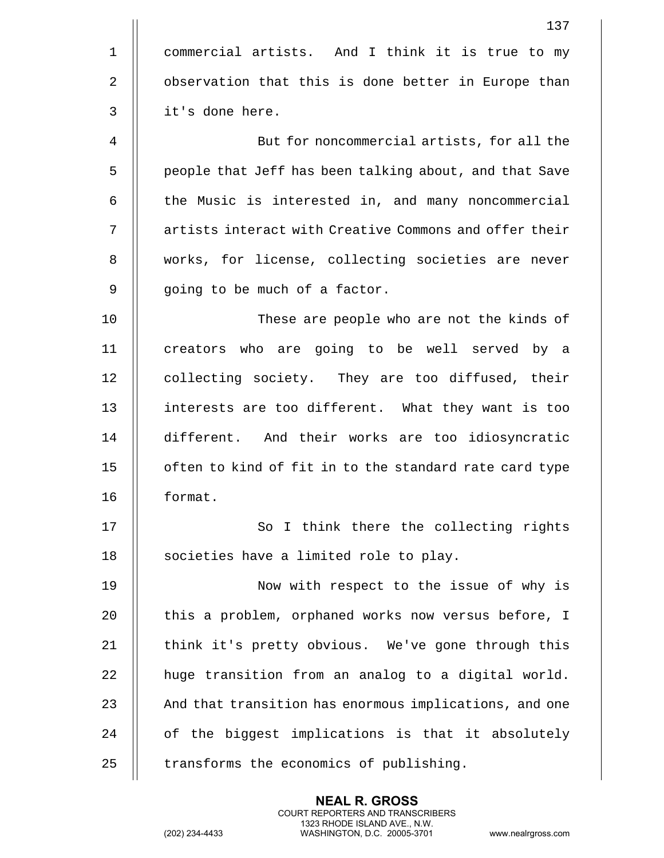|             | 137                                                    |
|-------------|--------------------------------------------------------|
| $\mathbf 1$ | commercial artists. And I think it is true to my       |
| 2           | observation that this is done better in Europe than    |
| 3           | it's done here.                                        |
| 4           | But for noncommercial artists, for all the             |
| 5           | people that Jeff has been talking about, and that Save |
| 6           | the Music is interested in, and many noncommercial     |
| 7           | artists interact with Creative Commons and offer their |
| 8           | works, for license, collecting societies are never     |
| 9           | going to be much of a factor.                          |
| 10          | These are people who are not the kinds of              |
| 11          | creators who are going to be well served by a          |
| 12          | collecting society. They are too diffused, their       |
| 13          | interests are too different. What they want is too     |
| 14          | different. And their works are too idiosyncratic       |
| 15          | often to kind of fit in to the standard rate card type |
| 16          | format.                                                |
| 17          | So I think there the collecting rights                 |
| 18          | societies have a limited role to play.                 |
| 19          | Now with respect to the issue of why is                |
| 20          | this a problem, orphaned works now versus before, I    |
| 21          | think it's pretty obvious. We've gone through this     |
| 22          | huge transition from an analog to a digital world.     |
| 23          | And that transition has enormous implications, and one |
| 24          | of the biggest implications is that it absolutely      |
| 25          | transforms the economics of publishing.                |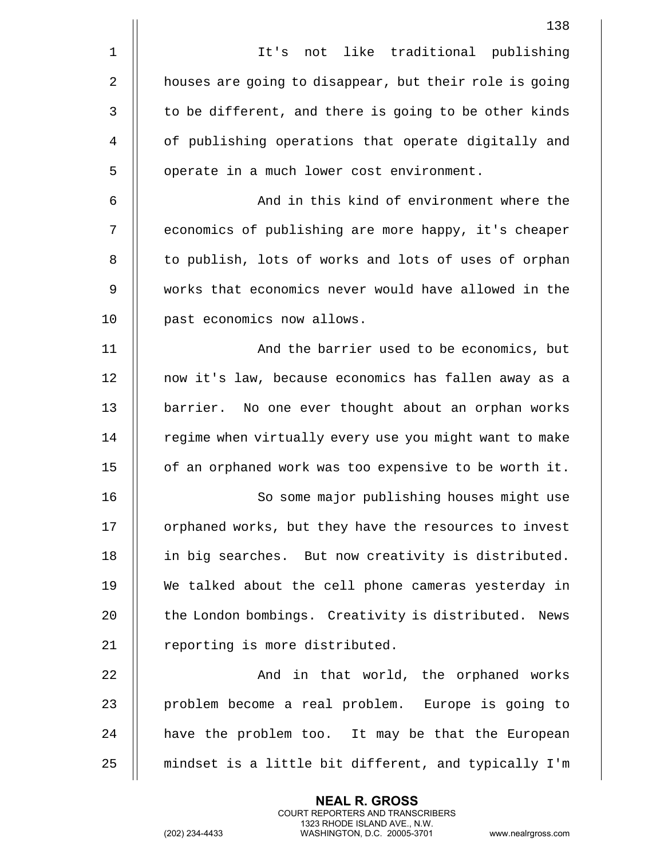|             | 138                                                    |
|-------------|--------------------------------------------------------|
| $\mathbf 1$ | It's not like traditional publishing                   |
| 2           | houses are going to disappear, but their role is going |
| 3           | to be different, and there is going to be other kinds  |
| 4           | of publishing operations that operate digitally and    |
| 5           | operate in a much lower cost environment.              |
| 6           | And in this kind of environment where the              |
| 7           | economics of publishing are more happy, it's cheaper   |
| 8           | to publish, lots of works and lots of uses of orphan   |
| 9           | works that economics never would have allowed in the   |
| 10          | past economics now allows.                             |
| 11          | And the barrier used to be economics, but              |
| 12          | now it's law, because economics has fallen away as a   |
| 13          | barrier. No one ever thought about an orphan works     |
| 14          | regime when virtually every use you might want to make |
| 15          | of an orphaned work was too expensive to be worth it.  |
| 16          | So some major publishing houses might use              |
| 17          | orphaned works, but they have the resources to invest  |
| 18          | in big searches. But now creativity is distributed.    |
| 19          | We talked about the cell phone cameras yesterday in    |
| 20          | the London bombings. Creativity is distributed. News   |
| 21          | reporting is more distributed.                         |
| 22          | And in that world, the orphaned works                  |
| 23          | problem become a real problem. Europe is going to      |
| 24          | have the problem too. It may be that the European      |
| 25          | mindset is a little bit different, and typically I'm   |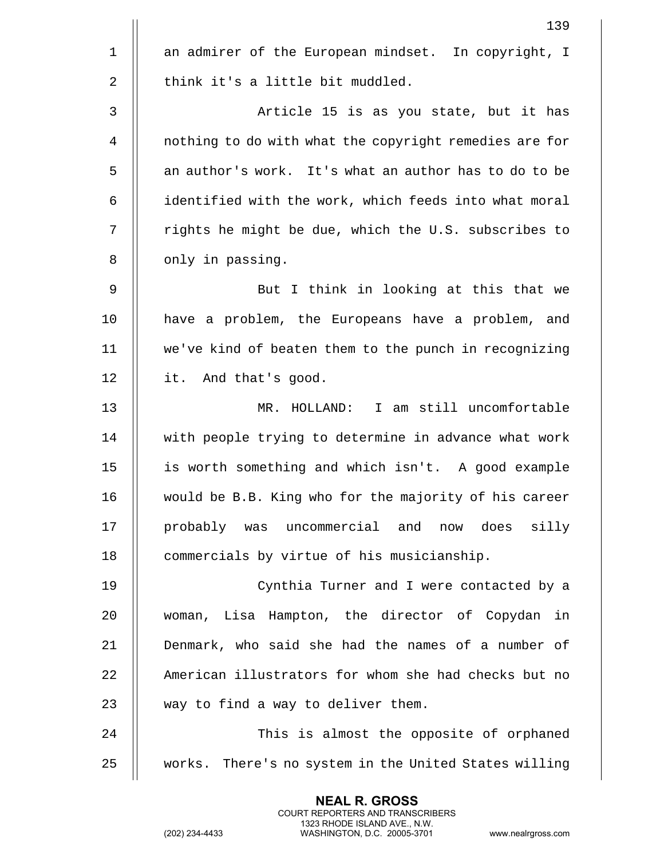| 139                                                    |
|--------------------------------------------------------|
| an admirer of the European mindset. In copyright, I    |
| think it's a little bit muddled.                       |
| Article 15 is as you state, but it has                 |
| nothing to do with what the copyright remedies are for |
| an author's work. It's what an author has to do to be  |
| identified with the work, which feeds into what moral  |
| rights he might be due, which the U.S. subscribes to   |
| only in passing.                                       |
| But I think in looking at this that we                 |
| have a problem, the Europeans have a problem, and      |
| we've kind of beaten them to the punch in recognizing  |
| it. And that's good.                                   |
| MR. HOLLAND: I am still uncomfortable                  |
| with people trying to determine in advance what work   |
| is worth something and which isn't. A good example     |
| would be B.B. King who for the majority of his career  |
| probably was uncommercial and now does<br>silly        |
| commercials by virtue of his musicianship.             |
| Cynthia Turner and I were contacted by a               |
| woman, Lisa Hampton, the director of Copydan in        |
| Denmark, who said she had the names of a number of     |
| American illustrators for whom she had checks but no   |
| way to find a way to deliver them.                     |
| This is almost the opposite of orphaned                |
| works. There's no system in the United States willing  |
|                                                        |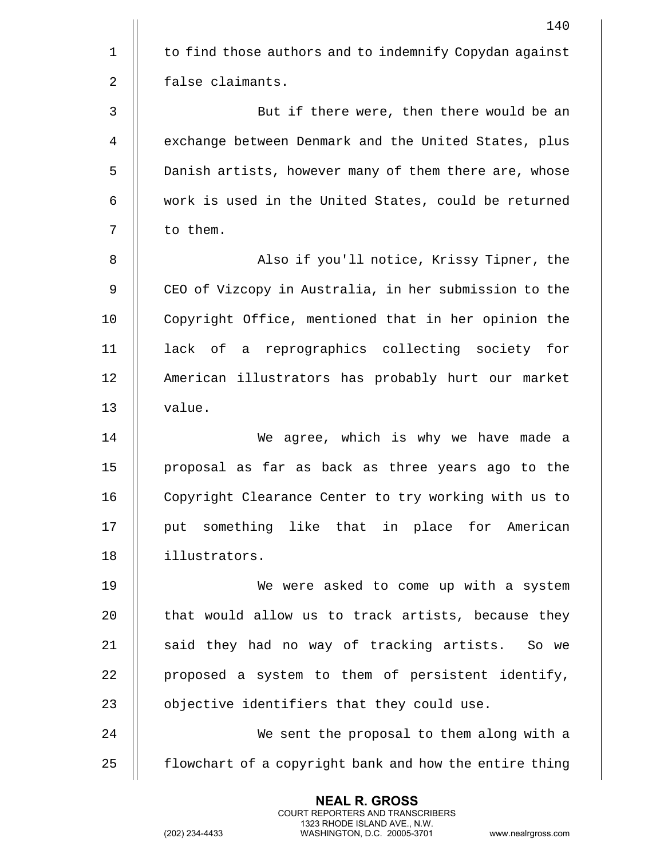|                | 140                                                    |
|----------------|--------------------------------------------------------|
| $\mathbf 1$    | to find those authors and to indemnify Copydan against |
| $\overline{2}$ | false claimants.                                       |
| 3              | But if there were, then there would be an              |
| 4              | exchange between Denmark and the United States, plus   |
| 5              | Danish artists, however many of them there are, whose  |
| 6              | work is used in the United States, could be returned   |
| 7              | to them.                                               |
| 8              | Also if you'll notice, Krissy Tipner, the              |
| 9              | CEO of Vizcopy in Australia, in her submission to the  |
| 10             | Copyright Office, mentioned that in her opinion the    |
| 11             | lack of a reprographics collecting society for         |
| 12             | American illustrators has probably hurt our market     |
| 13             | value.                                                 |
| 14             | We agree, which is why we have made a                  |
| 15             | proposal as far as back as three years ago to the      |
| 16             | Copyright Clearance Center to try working with us to   |
| 17             | put something like that in place for American          |
| 18             | illustrators.                                          |
| 19             | We were asked to come up with a system                 |
| 20             | that would allow us to track artists, because they     |
| 21             | said they had no way of tracking artists. So we        |
| 22             | proposed a system to them of persistent identify,      |
| 23             | objective identifiers that they could use.             |
| 24             | We sent the proposal to them along with a              |
| 25             | flowchart of a copyright bank and how the entire thing |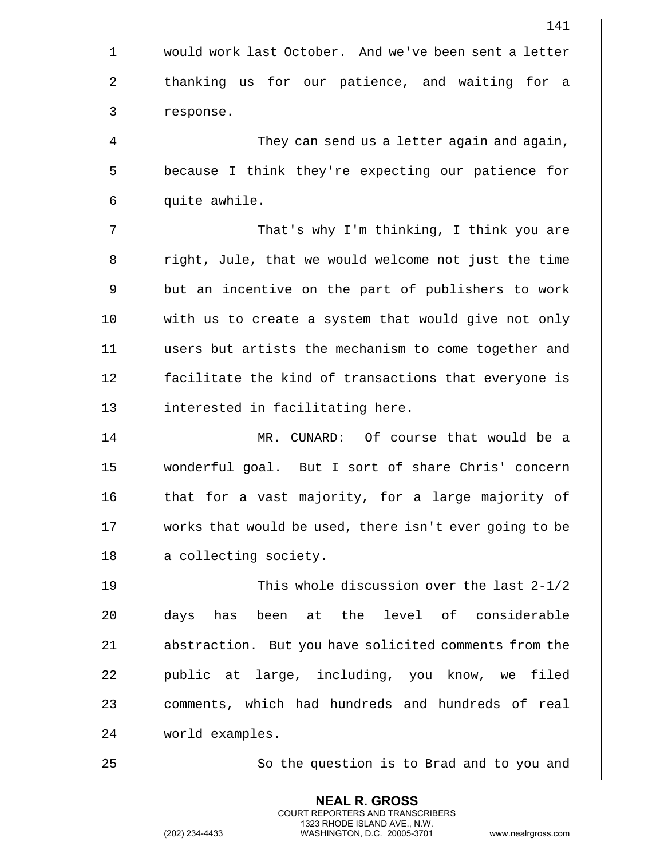|             | 141                                                    |
|-------------|--------------------------------------------------------|
| $\mathbf 1$ | would work last October. And we've been sent a letter  |
| 2           | thanking us for our patience, and waiting for a        |
| 3           | response.                                              |
| 4           | They can send us a letter again and again,             |
| 5           | because I think they're expecting our patience for     |
| 6           | quite awhile.                                          |
| 7           | That's why I'm thinking, I think you are               |
| 8           | right, Jule, that we would welcome not just the time   |
| 9           | but an incentive on the part of publishers to work     |
| 10          | with us to create a system that would give not only    |
| 11          | users but artists the mechanism to come together and   |
| 12          | facilitate the kind of transactions that everyone is   |
| 13          | interested in facilitating here.                       |
| 14          | MR. CUNARD: Of course that would be a                  |
| 15          | wonderful goal. But I sort of share Chris' concern     |
| 16          | that for a vast majority, for a large majority of      |
| 17          | works that would be used, there isn't ever going to be |
| 18          | a collecting society.                                  |
| 19          | This whole discussion over the last 2-1/2              |
| 20          | been at the level of considerable<br>has<br>days       |
| 21          | abstraction. But you have solicited comments from the  |
| 22          | public at large, including, you know, we filed         |
| 23          | comments, which had hundreds and hundreds of real      |
| 24          | world examples.                                        |
| 25          | So the question is to Brad and to you and              |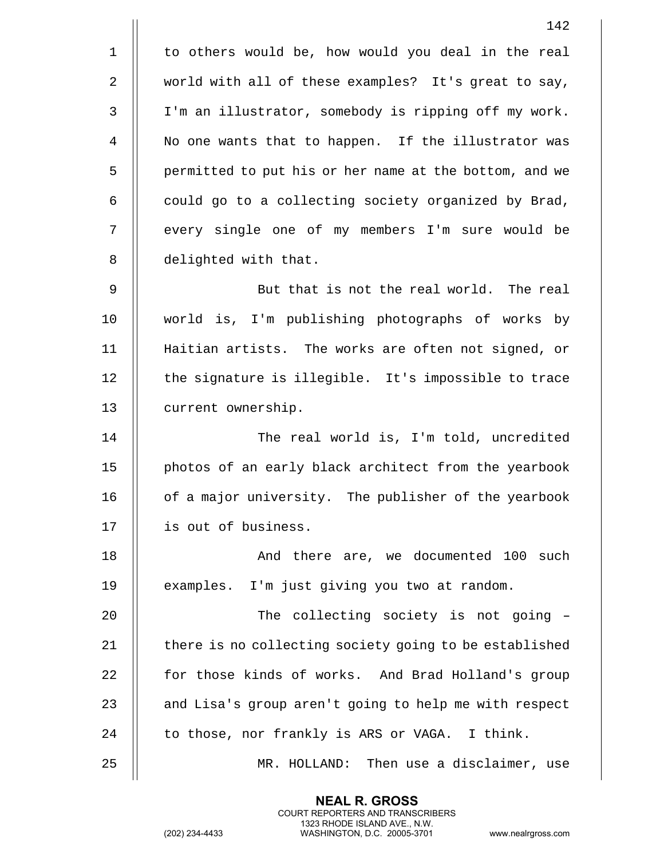|                | 142                                                    |
|----------------|--------------------------------------------------------|
| $\mathbf 1$    | to others would be, how would you deal in the real     |
| $\overline{2}$ | world with all of these examples? It's great to say,   |
| $\mathfrak{Z}$ | I'm an illustrator, somebody is ripping off my work.   |
| 4              | No one wants that to happen. If the illustrator was    |
| 5              | permitted to put his or her name at the bottom, and we |
| 6              | could go to a collecting society organized by Brad,    |
| 7              | every single one of my members I'm sure would be       |
| 8              | delighted with that.                                   |
| 9              | But that is not the real world. The real               |
| 10             | world is, I'm publishing photographs of works by       |
| 11             | Haitian artists. The works are often not signed, or    |
| 12             | the signature is illegible. It's impossible to trace   |
| 13             | current ownership.                                     |
| 14             | The real world is, I'm told, uncredited                |
| 15             | photos of an early black architect from the yearbook   |
| 16             | of a major university. The publisher of the yearbook   |
| 17             | is out of business.                                    |
| 18             | And there are, we documented 100 such                  |
| 19             | examples. I'm just giving you two at random.           |
| 20             | The collecting society is not going -                  |
| 21             | there is no collecting society going to be established |
| 22             | for those kinds of works. And Brad Holland's group     |
| 23             | and Lisa's group aren't going to help me with respect  |
| 24             | to those, nor frankly is ARS or VAGA. I think.         |
| 25             | MR. HOLLAND: Then use a disclaimer, use                |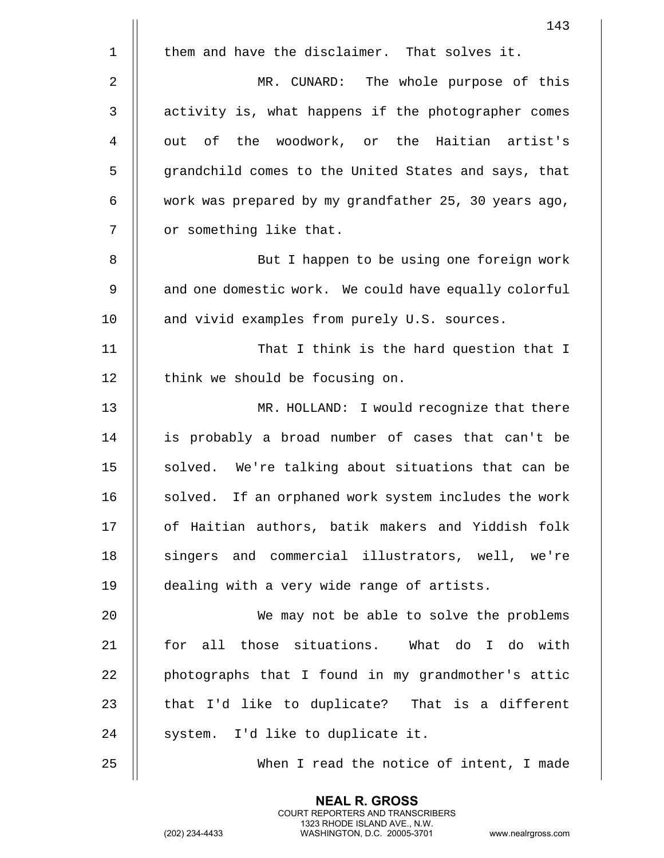|                | 143                                                   |
|----------------|-------------------------------------------------------|
| $\mathbf 1$    | them and have the disclaimer. That solves it.         |
| $\overline{2}$ | MR. CUNARD: The whole purpose of this                 |
| 3              | activity is, what happens if the photographer comes   |
| 4              | out of the woodwork, or the Haitian artist's          |
| 5              | grandchild comes to the United States and says, that  |
| 6              | work was prepared by my grandfather 25, 30 years ago, |
| 7              | or something like that.                               |
| 8              | But I happen to be using one foreign work             |
| 9              | and one domestic work. We could have equally colorful |
| 10             | and vivid examples from purely U.S. sources.          |
| 11             | That I think is the hard question that I              |
| 12             | think we should be focusing on.                       |
| 13             | MR. HOLLAND: I would recognize that there             |
| 14             | is probably a broad number of cases that can't be     |
| 15             | solved. We're talking about situations that can be    |
| 16             | solved. If an orphaned work system includes the work  |
| 17             | of Haitian authors, batik makers and Yiddish folk     |
| 18             | singers and commercial illustrators, well, we're      |
| 19             | dealing with a very wide range of artists.            |
| 20             | We may not be able to solve the problems              |
| 21             | for all those situations. What do I do with           |
| 22             | photographs that I found in my grandmother's attic    |
| 23             | that I'd like to duplicate? That is a different       |
| 24             | system. I'd like to duplicate it.                     |
| 25             | When I read the notice of intent, I made              |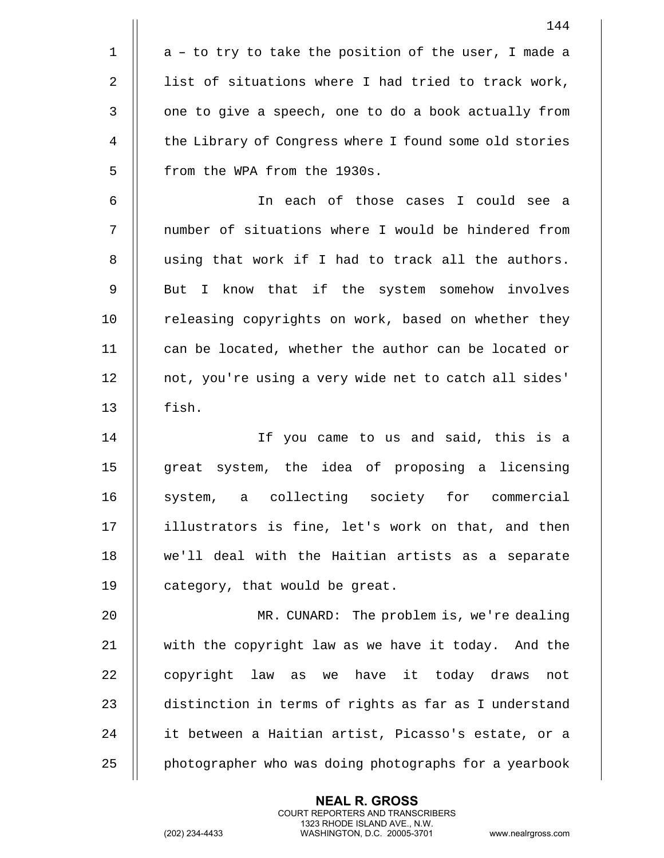|                | 144                                                    |
|----------------|--------------------------------------------------------|
| $\mathbf 1$    | a - to try to take the position of the user, I made a  |
| $\overline{2}$ | list of situations where I had tried to track work,    |
| 3              | one to give a speech, one to do a book actually from   |
| 4              | the Library of Congress where I found some old stories |
| 5              | from the WPA from the 1930s.                           |
| 6              | In each of those cases I could see a                   |
| 7              | number of situations where I would be hindered from    |
| 8              | using that work if I had to track all the authors.     |
| 9              | But I know that if the system somehow involves         |
| 10             | releasing copyrights on work, based on whether they    |
| 11             | can be located, whether the author can be located or   |
| 12             | not, you're using a very wide net to catch all sides'  |
| 13             | fish.                                                  |
| 14             | If you came to us and said, this is a                  |
| 15             | great system, the idea of proposing a licensing        |
| 16             | collecting society for commercial<br>system, a         |
| 17             | illustrators is fine, let's work on that, and then     |
| 18             | we'll deal with the Haitian artists as a separate      |
| 19             | category, that would be great.                         |
| 20             | MR. CUNARD: The problem is, we're dealing              |
| 21             | with the copyright law as we have it today. And the    |
| 22             | copyright law as we have it today draws<br>not         |
| 23             | distinction in terms of rights as far as I understand  |
| 24             | it between a Haitian artist, Picasso's estate, or a    |
| 25             | photographer who was doing photographs for a yearbook  |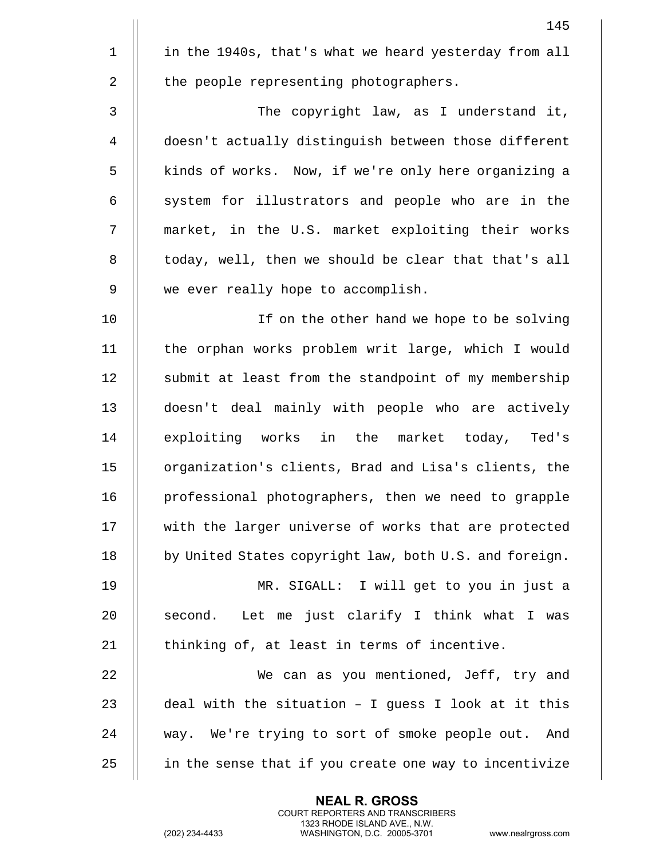|             | 145                                                    |
|-------------|--------------------------------------------------------|
| $\mathbf 1$ | in the 1940s, that's what we heard yesterday from all  |
| 2           | the people representing photographers.                 |
| 3           | The copyright law, as I understand it,                 |
| 4           | doesn't actually distinguish between those different   |
| 5           | kinds of works. Now, if we're only here organizing a   |
| 6           | system for illustrators and people who are in the      |
| 7           | market, in the U.S. market exploiting their works      |
| 8           | today, well, then we should be clear that that's all   |
| 9           | we ever really hope to accomplish.                     |
| 10          | If on the other hand we hope to be solving             |
| 11          | the orphan works problem writ large, which I would     |
| 12          | submit at least from the standpoint of my membership   |
| 13          | doesn't deal mainly with people who are actively       |
| 14          | exploiting works in the market today, Ted's            |
| 15          | organization's clients, Brad and Lisa's clients, the   |
| 16          | professional photographers, then we need to grapple    |
| 17          | with the larger universe of works that are protected   |
| 18          | by United States copyright law, both U.S. and foreign. |
| 19          | MR. SIGALL: I will get to you in just a                |
| 20          | Let me just clarify I think what I was<br>second.      |
| 21          | thinking of, at least in terms of incentive.           |
| 22          | We can as you mentioned, Jeff, try and                 |
| 23          | deal with the situation - I guess I look at it this    |
| 24          | way. We're trying to sort of smoke people out. And     |
| 25          | in the sense that if you create one way to incentivize |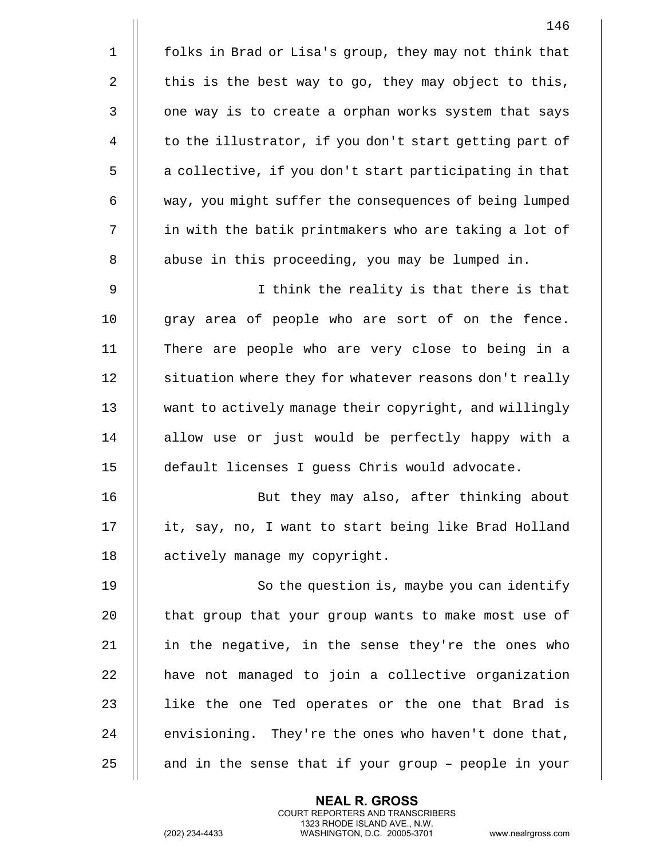|             | 146                                                    |
|-------------|--------------------------------------------------------|
| $\mathbf 1$ | folks in Brad or Lisa's group, they may not think that |
| 2           | this is the best way to go, they may object to this,   |
| 3           | one way is to create a orphan works system that says   |
| 4           | to the illustrator, if you don't start getting part of |
| 5           | a collective, if you don't start participating in that |
| 6           | way, you might suffer the consequences of being lumped |
| 7           | in with the batik printmakers who are taking a lot of  |
| 8           | abuse in this proceeding, you may be lumped in.        |
| 9           | I think the reality is that there is that              |
| 10          | gray area of people who are sort of on the fence.      |
| 11          | There are people who are very close to being in a      |
| 12          | situation where they for whatever reasons don't really |
| 13          | want to actively manage their copyright, and willingly |
| 14          | allow use or just would be perfectly happy with a      |
| 15          | default licenses I guess Chris would advocate.         |
| 16          | But they may also, after thinking about                |
| 17          | it, say, no, I want to start being like Brad Holland   |
| 18          | actively manage my copyright.                          |
| 19          | So the question is, maybe you can identify             |
| 20          | that group that your group wants to make most use of   |
| 21          | in the negative, in the sense they're the ones who     |
| 22          | have not managed to join a collective organization     |
| 23          | like the one Ted operates or the one that Brad is      |
| 24          | envisioning. They're the ones who haven't done that,   |
| 25          | and in the sense that if your group - people in your   |

(202) 234-4433 WASHINGTON, D.C. 20005-3701 www.nealrgross.com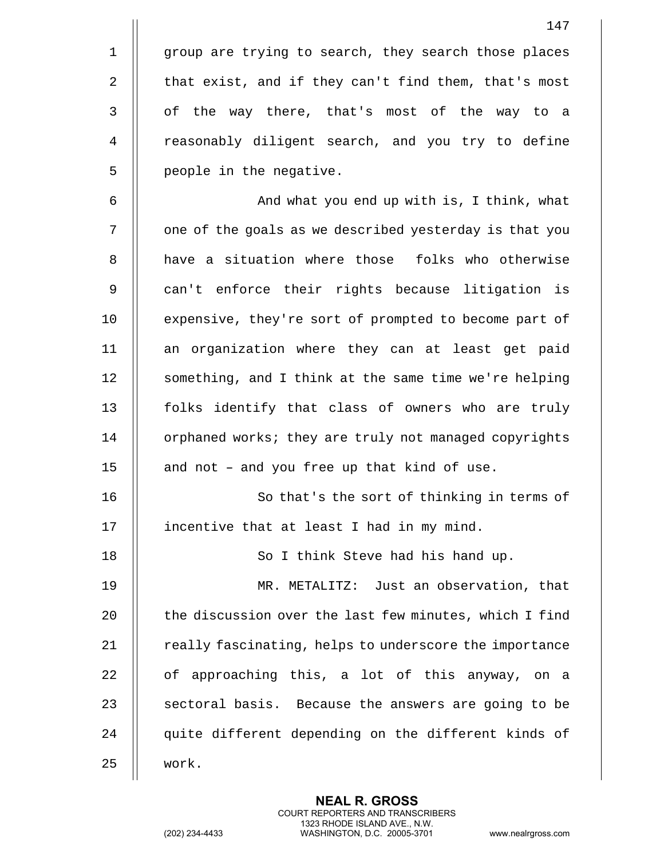1 || group are trying to search, they search those places 2  $\parallel$  that exist, and if they can't find them, that's most 3 || of the way there, that's most of the way to a 4 | reasonably diligent search, and you try to define 5 | people in the negative.

6 || And what you end up with is, I think, what 7 | | one of the goals as we described yesterday is that you 8 H have a situation where those folks who otherwise 9 || can't enforce their rights because litigation is 10 || expensive, they're sort of prompted to become part of 11 an organization where they can at least get paid 12 || something, and I think at the same time we're helping 13 || folks identify that class of owners who are truly 14 | orphaned works; they are truly not managed copyrights 15  $\parallel$  and not - and you free up that kind of use.

16 || So that's the sort of thinking in terms of 17 | incentive that at least I had in my mind.

18 || So I think Steve had his hand up.

 MR. METALITZ: Just an observation, that  $\parallel$  the discussion over the last few minutes, which I find  $\parallel$  really fascinating, helps to underscore the importance || of approaching this, a lot of this anyway, on a  $\parallel$  sectoral basis. Because the answers are going to be 24 || quite different depending on the different kinds of 25 work.

> **NEAL R. GROSS** COURT REPORTERS AND TRANSCRIBERS 1323 RHODE ISLAND AVE., N.W.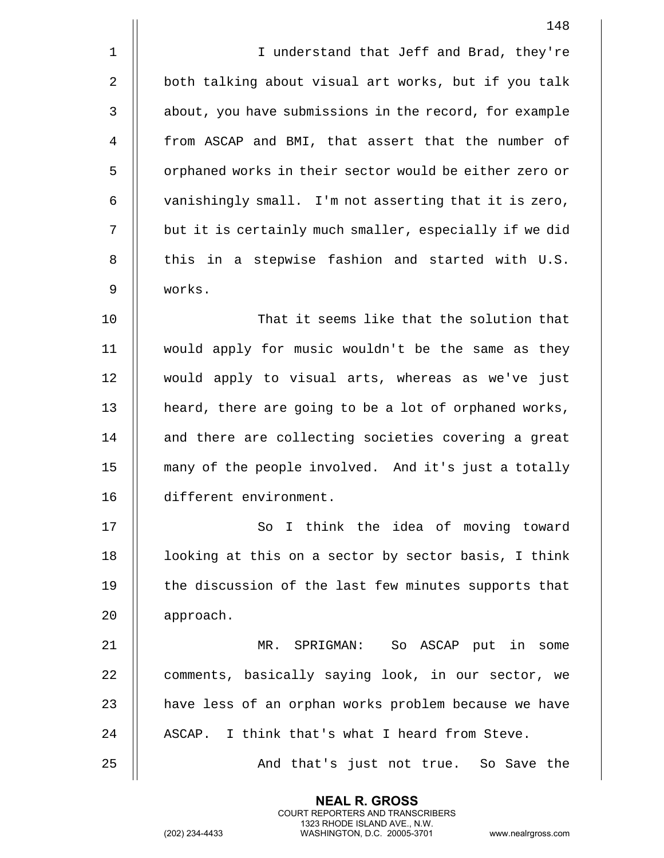|             | 148                                                    |
|-------------|--------------------------------------------------------|
| $\mathbf 1$ | I understand that Jeff and Brad, they're               |
| 2           | both talking about visual art works, but if you talk   |
| 3           | about, you have submissions in the record, for example |
| 4           | from ASCAP and BMI, that assert that the number of     |
| 5           | orphaned works in their sector would be either zero or |
| 6           | vanishingly small. I'm not asserting that it is zero,  |
| 7           | but it is certainly much smaller, especially if we did |
| 8           | this in a stepwise fashion and started with U.S.       |
| 9           | works.                                                 |
| 10          | That it seems like that the solution that              |
| 11          | would apply for music wouldn't be the same as they     |
| 12          | would apply to visual arts, whereas as we've just      |
| 13          | heard, there are going to be a lot of orphaned works,  |
| 14          | and there are collecting societies covering a great    |
| 15          | many of the people involved. And it's just a totally   |
| 16          | different environment.                                 |
| 17          | So I think the idea of moving toward                   |
| 18          | looking at this on a sector by sector basis, I think   |
| 19          | the discussion of the last few minutes supports that   |
| 20          | approach.                                              |
| 21          | MR. SPRIGMAN: So ASCAP put in some                     |
| 22          | comments, basically saying look, in our sector, we     |
| 23          | have less of an orphan works problem because we have   |
| 24          | ASCAP. I think that's what I heard from Steve.         |
| 25          | And that's just not true. So Save the                  |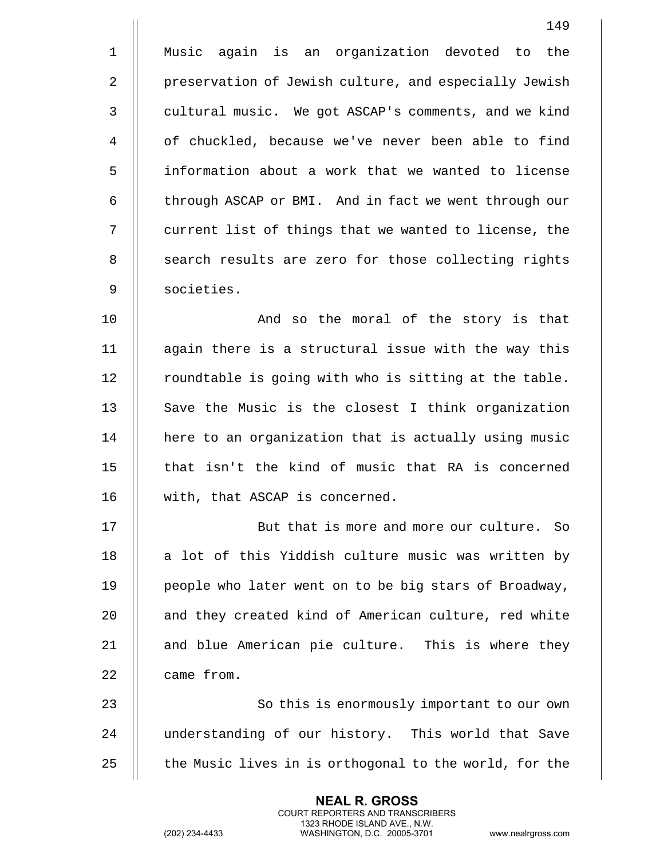1 Music again is an organization devoted to the 2 | preservation of Jewish culture, and especially Jewish 3 | cultural music. We got ASCAP's comments, and we kind 4 | of chuckled, because we've never been able to find 5 information about a work that we wanted to license 6 | through ASCAP or BMI. And in fact we went through our 7 || current list of things that we wanted to license, the 8 || search results are zero for those collecting rights 9 societies.

10 || And so the moral of the story is that 11 again there is a structural issue with the way this  $12$  | roundtable is going with who is sitting at the table. 13 || Save the Music is the closest I think organization 14 || here to an organization that is actually using music 15  $\parallel$  that isn't the kind of music that RA is concerned 16 || with, that ASCAP is concerned.

17 || But that is more and more our culture. So 18 || a lot of this Yiddish culture music was written by 19 || people who later went on to be big stars of Broadway, 20 || and they created kind of American culture, red white 21 || and blue American pie culture. This is where they 22 | came from.

23 || So this is enormously important to our own 24 || understanding of our history. This world that Save 25  $\parallel$  the Music lives in is orthogonal to the world, for the

> **NEAL R. GROSS** COURT REPORTERS AND TRANSCRIBERS 1323 RHODE ISLAND AVE., N.W.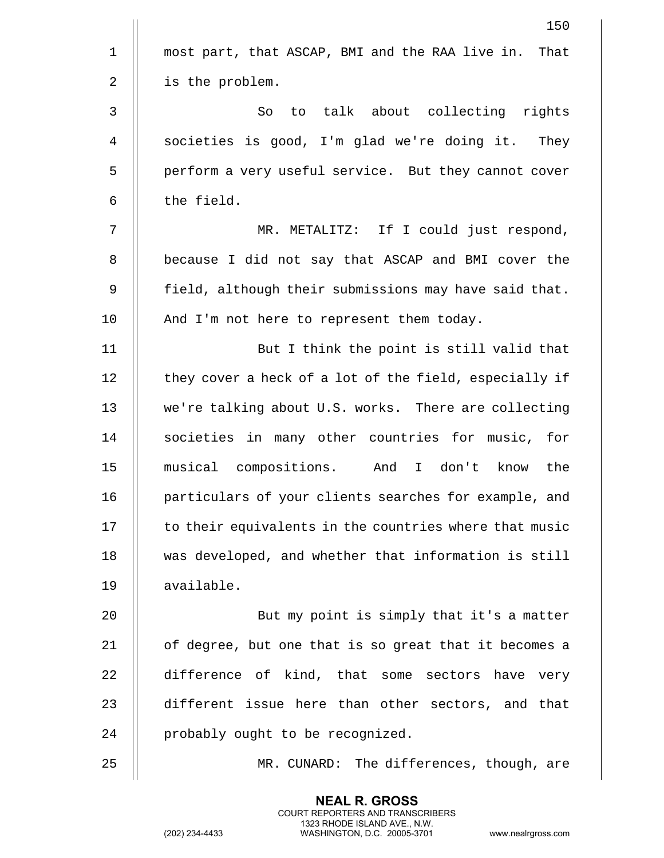|              | 150                                                    |
|--------------|--------------------------------------------------------|
| $\mathbf{1}$ | most part, that ASCAP, BMI and the RAA live in. That   |
| 2            | is the problem.                                        |
| 3            | to talk about collecting rights<br>So                  |
| 4            | societies is good, I'm glad we're doing it. They       |
| 5            | perform a very useful service. But they cannot cover   |
| 6            | the field.                                             |
| 7            | MR. METALITZ: If I could just respond,                 |
| 8            | because I did not say that ASCAP and BMI cover the     |
| 9            | field, although their submissions may have said that.  |
| 10           | And I'm not here to represent them today.              |
| 11           | But I think the point is still valid that              |
| 12           | they cover a heck of a lot of the field, especially if |
| 13           | we're talking about U.S. works. There are collecting   |
| 14           | societies in many other countries for music, for       |
| 15           | musical compositions. And I don't know<br>the          |
| 16           | particulars of your clients searches for example, and  |
| 17           | to their equivalents in the countries where that music |
| 18           | was developed, and whether that information is still   |
| 19           | available.                                             |
| 20           | But my point is simply that it's a matter              |
| 21           | of degree, but one that is so great that it becomes a  |
| 22           | difference of kind, that some sectors have<br>very     |
| 23           | different issue here than other sectors, and that      |
| 24           | probably ought to be recognized.                       |
| 25           | MR. CUNARD: The differences, though, are               |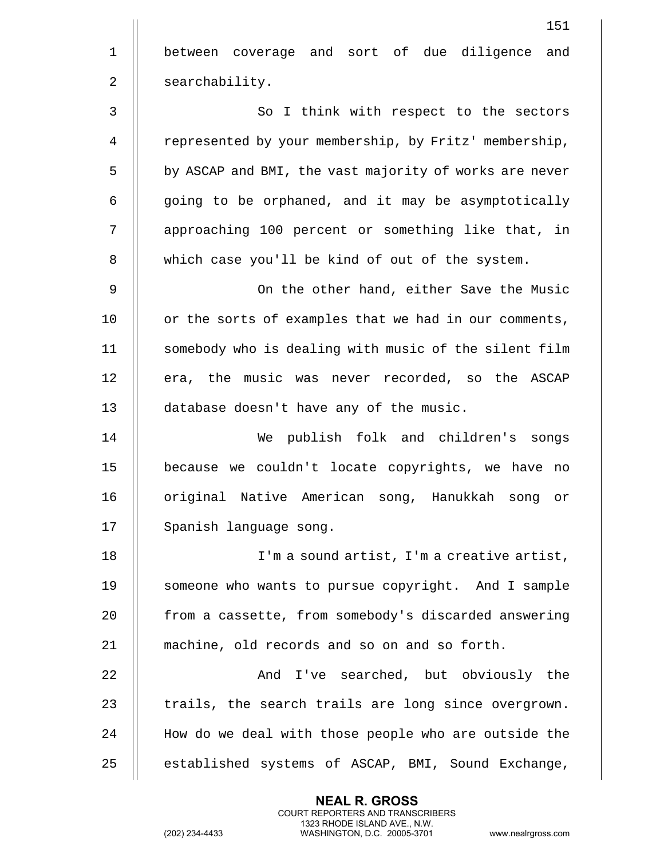151 1 || between coverage and sort of due diligence and 2 | searchability. 3 || So I think with respect to the sectors 4 | represented by your membership, by Fritz' membership, 5 | by ASCAP and BMI, the vast majority of works are never  $6$   $\parallel$  going to be orphaned, and it may be asymptotically 7 || approaching 100 percent or something like that, in 8 || which case you'll be kind of out of the system. 9 On the other hand, either Save the Music  $10$  | or the sorts of examples that we had in our comments, 11 || somebody who is dealing with music of the silent film 12 || era, the music was never recorded, so the ASCAP 13 || database doesn't have any of the music. 14 We publish folk and children's songs 15 because we couldn't locate copyrights, we have no 16 || original Native American song, Hanukkah song or 17 | Spanish language song. 18 || I'm a sound artist, I'm a creative artist, 19 || someone who wants to pursue copyright. And I sample 20 **from** a cassette, from somebody's discarded answering 21 machine, old records and so on and so forth. 22 And I've searched, but obviously the  $23$   $\parallel$  trails, the search trails are long since overgrown. 24 || How do we deal with those people who are outside the 25 || established systems of ASCAP, BMI, Sound Exchange,

> **NEAL R. GROSS** COURT REPORTERS AND TRANSCRIBERS 1323 RHODE ISLAND AVE., N.W.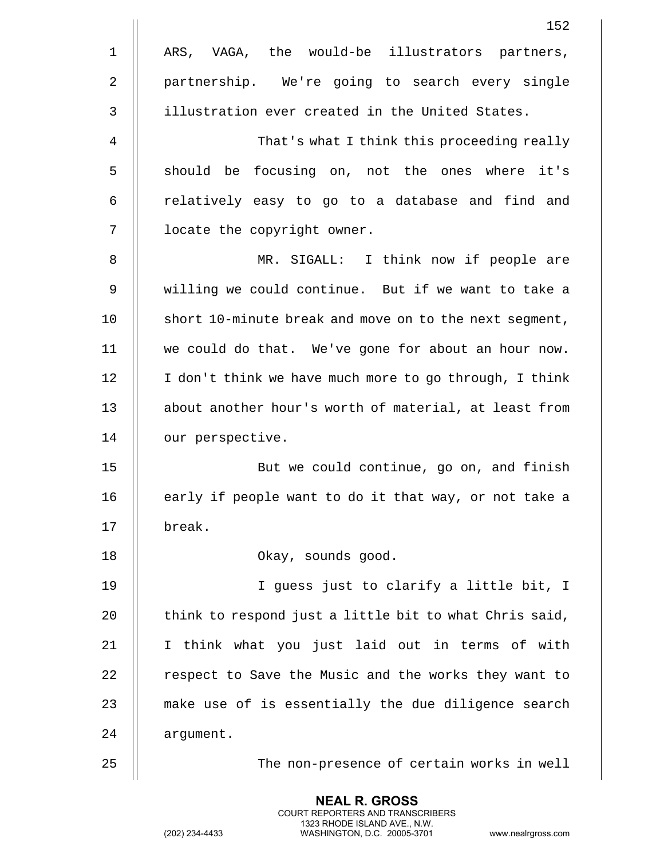|                | 152                                                    |
|----------------|--------------------------------------------------------|
| $\mathbf{1}$   | ARS, VAGA, the would-be illustrators partners,         |
| $\overline{2}$ | partnership. We're going to search every single        |
| 3              | illustration ever created in the United States.        |
| 4              | That's what I think this proceeding really             |
| 5              | should be focusing on, not the ones where it's         |
| 6              | relatively easy to go to a database and find and       |
| 7              | locate the copyright owner.                            |
| 8              | MR. SIGALL: I think now if people are                  |
| 9              | willing we could continue. But if we want to take a    |
| 10             | short 10-minute break and move on to the next segment, |
| 11             | we could do that. We've gone for about an hour now.    |
| 12             | I don't think we have much more to go through, I think |
| 13             | about another hour's worth of material, at least from  |
| 14             | our perspective.                                       |
| 15             | But we could continue, go on, and finish               |
| 16             | early if people want to do it that way, or not take a  |
| 17             | break.                                                 |
| 18             | Okay, sounds good.                                     |
| 19             | I guess just to clarify a little bit, I                |
| 20             | think to respond just a little bit to what Chris said, |
| 21             | I think what you just laid out in terms of with        |
| 22             | respect to Save the Music and the works they want to   |
| 23             | make use of is essentially the due diligence search    |
| 24             | argument.                                              |
| 25             | The non-presence of certain works in well              |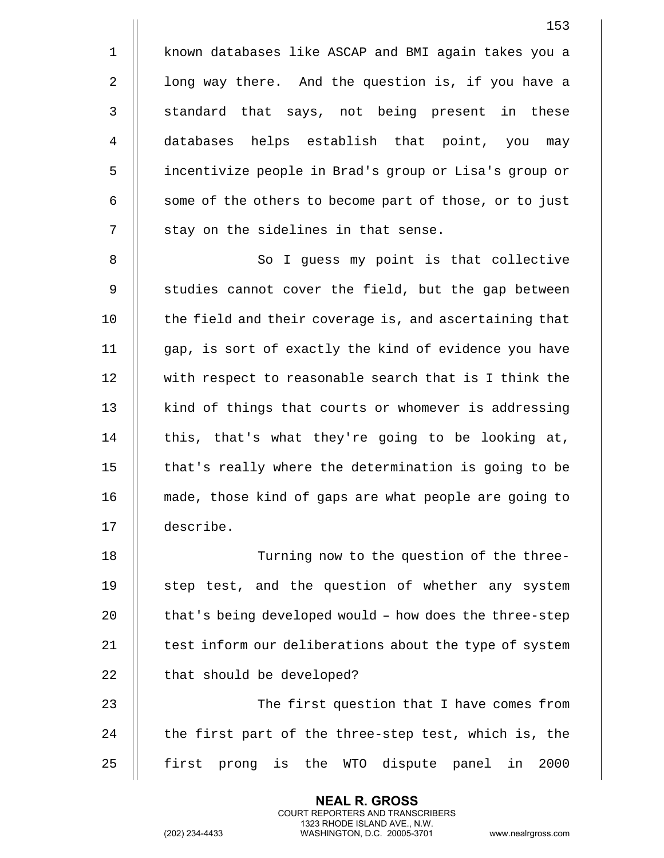1 known databases like ASCAP and BMI again takes you a 2 | long way there. And the question is, if you have a 3 || standard that says, not being present in these 4 databases helps establish that point, you may 5 incentivize people in Brad's group or Lisa's group or 6 | some of the others to become part of those, or to just  $7$  || stay on the sidelines in that sense.

8 || So I guess my point is that collective 9 | studies cannot cover the field, but the gap between  $10$   $\parallel$  the field and their coverage is, and ascertaining that 11 gap, is sort of exactly the kind of evidence you have 12 with respect to reasonable search that is I think the 13 || kind of things that courts or whomever is addressing  $14$  || this, that's what they're going to be looking at, 15 | that's really where the determination is going to be 16 made, those kind of gaps are what people are going to 17 describe.

18 Turning now to the question of the three-19 || step test, and the question of whether any system 20  $\parallel$  that's being developed would - how does the three-step 21 | test inform our deliberations about the type of system 22 | that should be developed? 23 || The first question that I have comes from

24  $\parallel$  the first part of the three-step test, which is, the 25 first prong is the WTO dispute panel in 2000

> **NEAL R. GROSS** COURT REPORTERS AND TRANSCRIBERS 1323 RHODE ISLAND AVE., N.W.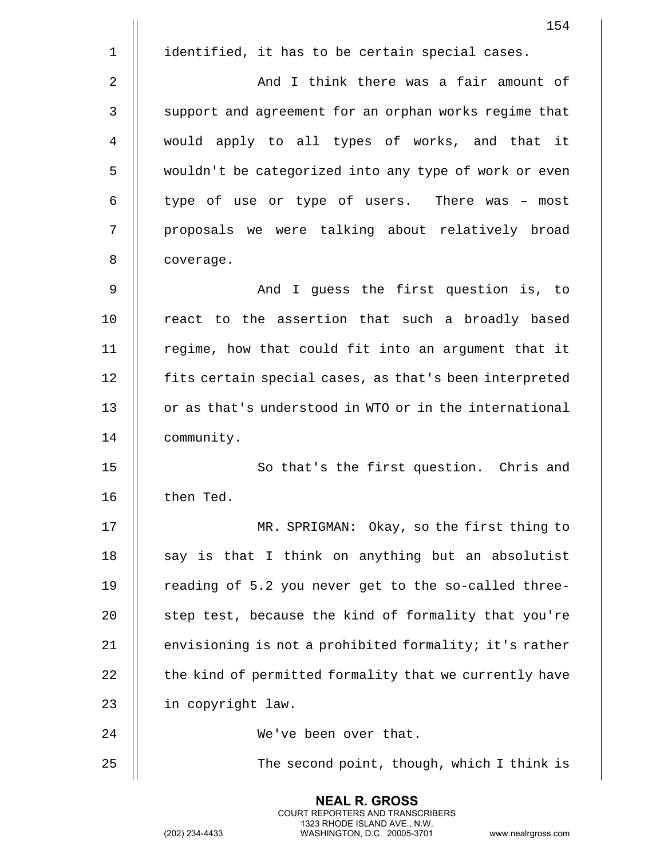|             | 154                                                    |
|-------------|--------------------------------------------------------|
| $\mathbf 1$ | identified, it has to be certain special cases.        |
| 2           | And I think there was a fair amount of                 |
| 3           | support and agreement for an orphan works regime that  |
| 4           | would apply to all types of works, and that it         |
| 5           | wouldn't be categorized into any type of work or even  |
| 6           | type of use or type of users. There was - most         |
| 7           | proposals we were talking about relatively broad       |
| 8           | coverage.                                              |
| 9           | And I guess the first question is, to                  |
| 10          | react to the assertion that such a broadly based       |
| 11          | regime, how that could fit into an argument that it    |
| 12          | fits certain special cases, as that's been interpreted |
| 13          | or as that's understood in WTO or in the international |
| 14          | community.                                             |
| 15          | So that's the first question. Chris and                |
| 16          | then Ted.                                              |
| 17          | MR. SPRIGMAN: Okay, so the first thing to              |
| 18          | say is that I think on anything but an absolutist      |
| 19          | reading of 5.2 you never get to the so-called three-   |
| 20          | step test, because the kind of formality that you're   |
| 21          | envisioning is not a prohibited formality; it's rather |
| 22          | the kind of permitted formality that we currently have |
| 23          | in copyright law.                                      |
| 24          | We've been over that.                                  |
| 25          | The second point, though, which I think is             |
|             |                                                        |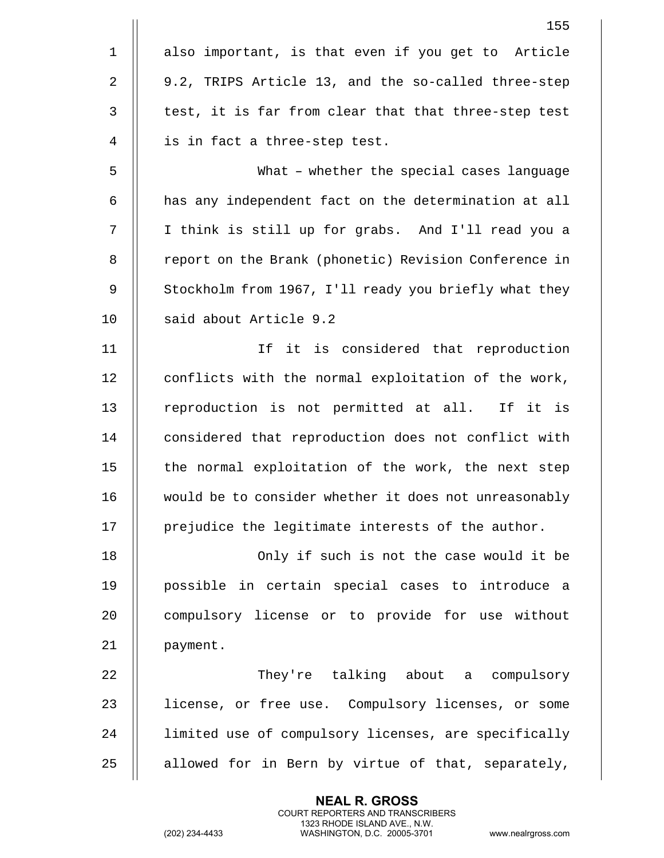|              | 155                                                   |
|--------------|-------------------------------------------------------|
| $\mathbf{1}$ | also important, is that even if you get to Article    |
| 2            | 9.2, TRIPS Article 13, and the so-called three-step   |
| 3            | test, it is far from clear that that three-step test  |
| 4            | is in fact a three-step test.                         |
| 5            | What - whether the special cases language             |
| 6            | has any independent fact on the determination at all  |
| 7            | I think is still up for grabs. And I'll read you a    |
| 8            | report on the Brank (phonetic) Revision Conference in |
| 9            | Stockholm from 1967, I'll ready you briefly what they |
| 10           | said about Article 9.2                                |
| 11           | If it is considered that reproduction                 |
| 12           | conflicts with the normal exploitation of the work,   |
| 13           | reproduction is not permitted at all. If it is        |
| 14           | considered that reproduction does not conflict with   |
| 15           | the normal exploitation of the work, the next step    |
| 16           | would be to consider whether it does not unreasonably |
| 17           | prejudice the legitimate interests of the author.     |
| 18           | Only if such is not the case would it be              |
| 19           | possible in certain special cases to introduce a      |
| 20           | compulsory license or to provide for use without      |
| 21           | payment.                                              |
| 22           | They're talking about a compulsory                    |
| 23           | license, or free use. Compulsory licenses, or some    |
| 24           | limited use of compulsory licenses, are specifically  |
| 25           | allowed for in Bern by virtue of that, separately,    |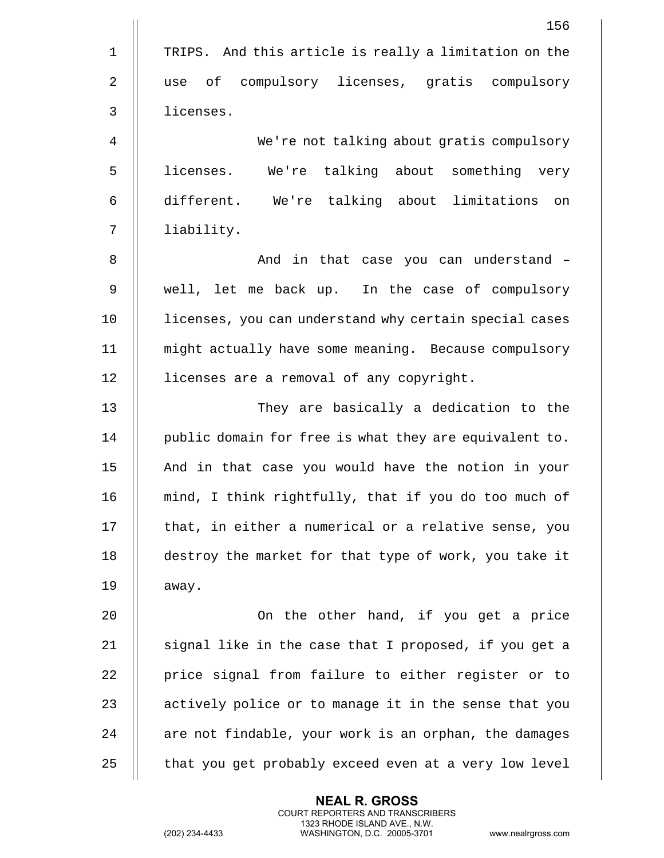|              | 156                                                    |
|--------------|--------------------------------------------------------|
| $\mathbf 1$  | TRIPS. And this article is really a limitation on the  |
| 2            | of compulsory licenses, gratis compulsory<br>use       |
| $\mathbf{3}$ | licenses.                                              |
| 4            | We're not talking about gratis compulsory              |
| 5            | We're talking about something very<br>licenses.        |
| 6            | different. We're talking about limitations on          |
| 7            | liability.                                             |
| 8            | And in that case you can understand -                  |
| 9            | well, let me back up. In the case of compulsory        |
| 10           | licenses, you can understand why certain special cases |
| 11           | might actually have some meaning. Because compulsory   |
| 12           | licenses are a removal of any copyright.               |
| 13           | They are basically a dedication to the                 |
| 14           | public domain for free is what they are equivalent to. |
| 15           | And in that case you would have the notion in your     |
| 16           | mind, I think rightfully, that if you do too much of   |
| 17           | that, in either a numerical or a relative sense, you   |
| 18           | destroy the market for that type of work, you take it  |
| 19           | away.                                                  |
| 20           | On the other hand, if you get a price                  |
| 21           | signal like in the case that I proposed, if you get a  |
| 22           | price signal from failure to either register or to     |
| 23           | actively police or to manage it in the sense that you  |
| 24           | are not findable, your work is an orphan, the damages  |
| 25           | that you get probably exceed even at a very low level  |
|              |                                                        |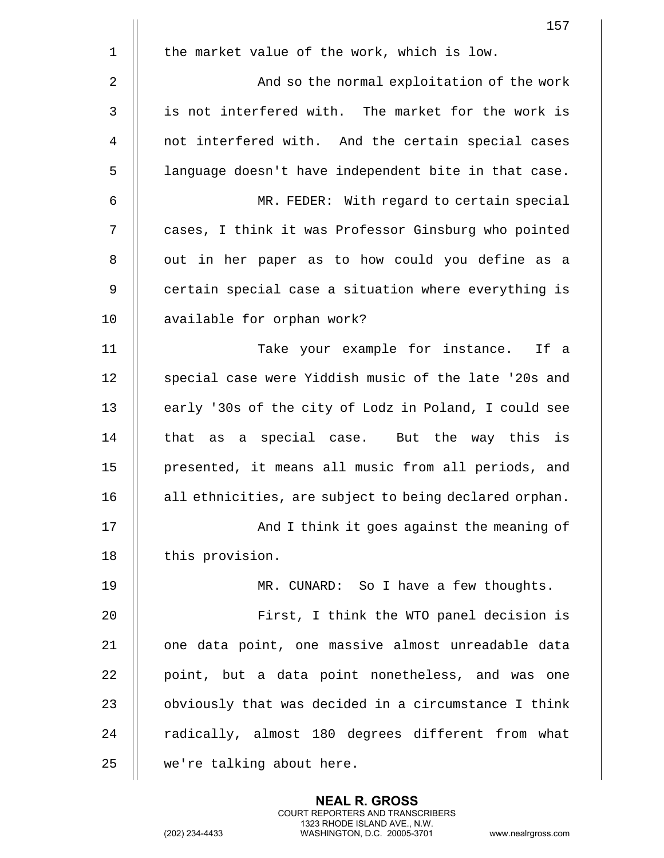|                | 157                                                    |
|----------------|--------------------------------------------------------|
| $\mathbf 1$    | the market value of the work, which is low.            |
| $\overline{2}$ | And so the normal exploitation of the work             |
| 3              | is not interfered with. The market for the work is     |
| 4              | not interfered with. And the certain special cases     |
| 5              | language doesn't have independent bite in that case.   |
| 6              | MR. FEDER: With regard to certain special              |
| 7              | cases, I think it was Professor Ginsburg who pointed   |
| 8              | out in her paper as to how could you define as a       |
| 9              | certain special case a situation where everything is   |
| 10             | available for orphan work?                             |
| 11             | Take your example for instance. If a                   |
| 12             | special case were Yiddish music of the late '20s and   |
| 13             | early '30s of the city of Lodz in Poland, I could see  |
| 14             | that as a special case. But the way this is            |
| 15             | presented, it means all music from all periods, and    |
| 16             | all ethnicities, are subject to being declared orphan. |
| 17             | And I think it goes against the meaning of             |
| 18             | this provision.                                        |
| 19             | MR. CUNARD: So I have a few thoughts.                  |
| 20             | First, I think the WTO panel decision is               |
| 21             | one data point, one massive almost unreadable data     |
| 22             | point, but a data point nonetheless, and was one       |
| 23             | obviously that was decided in a circumstance I think   |
| 24             | radically, almost 180 degrees different from what      |
| 25             | we're talking about here.                              |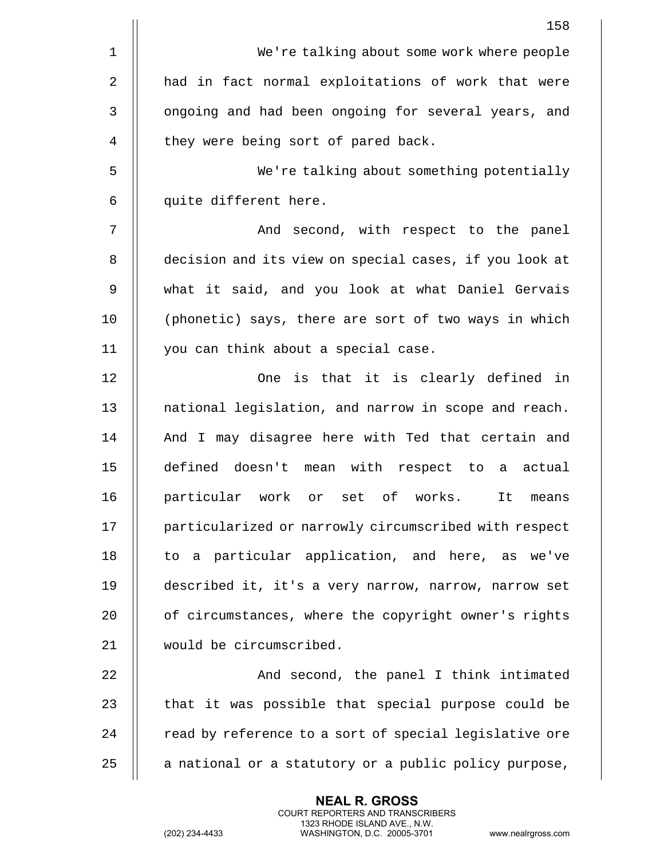|    | 158                                                    |
|----|--------------------------------------------------------|
| 1  | We're talking about some work where people             |
| 2  | had in fact normal exploitations of work that were     |
| 3  | ongoing and had been ongoing for several years, and    |
| 4  | they were being sort of pared back.                    |
| 5  | We're talking about something potentially              |
| 6  | quite different here.                                  |
| 7  | And second, with respect to the panel                  |
| 8  | decision and its view on special cases, if you look at |
| 9  | what it said, and you look at what Daniel Gervais      |
| 10 | (phonetic) says, there are sort of two ways in which   |
| 11 | you can think about a special case.                    |
| 12 | One is that it is clearly defined in                   |
| 13 | national legislation, and narrow in scope and reach.   |
| 14 | And I may disagree here with Ted that certain and      |
| 15 | defined doesn't mean with respect to a actual          |
| 16 | particular work or set of works.<br>It means           |
| 17 | particularized or narrowly circumscribed with respect  |
| 18 | to a particular application, and here, as we've        |
| 19 | described it, it's a very narrow, narrow, narrow set   |
| 20 | of circumstances, where the copyright owner's rights   |
| 21 | would be circumscribed.                                |
| 22 | And second, the panel I think intimated                |
| 23 | that it was possible that special purpose could be     |
| 24 | read by reference to a sort of special legislative ore |
| 25 | a national or a statutory or a public policy purpose,  |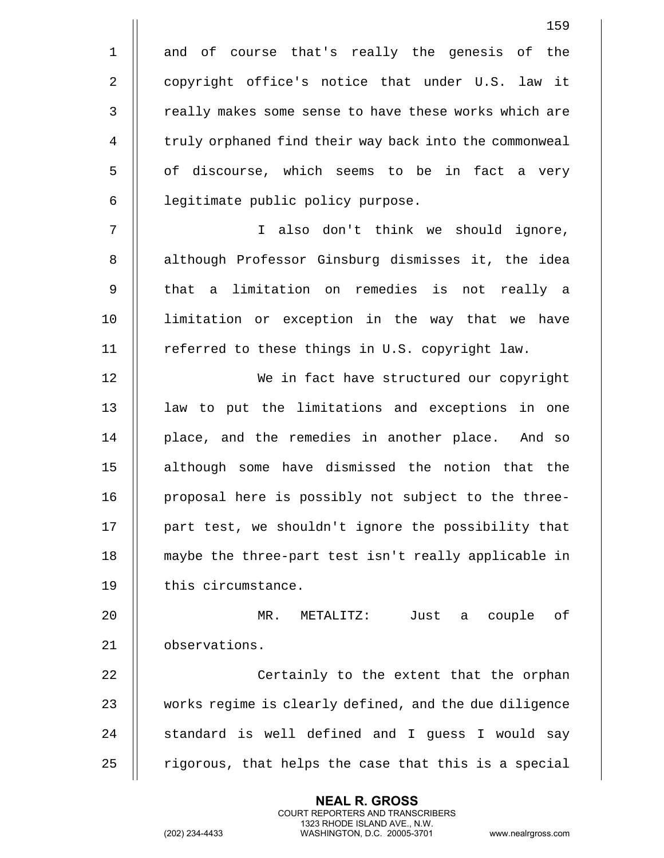|                | 159                                                    |
|----------------|--------------------------------------------------------|
| $\mathbf 1$    | and of course that's really the genesis of the         |
| 2              | copyright office's notice that under U.S. law it       |
| $\mathsf{3}$   | really makes some sense to have these works which are  |
| $\overline{4}$ | truly orphaned find their way back into the commonweal |
| 5              | of discourse, which seems to be in fact a very         |
| 6              | legitimate public policy purpose.                      |
| 7              | I also don't think we should ignore,                   |
| $\, 8$         | although Professor Ginsburg dismisses it, the idea     |
| 9              | that a limitation on remedies is not really a          |
| 10             | limitation or exception in the way that we have        |
| 11             | referred to these things in U.S. copyright law.        |
| 12             | We in fact have structured our copyright               |
| 13             | law to put the limitations and exceptions in one       |
| 14             | place, and the remedies in another place. And so       |
| 15             | although some have dismissed the notion that the       |
| 16             | proposal here is possibly not subject to the three-    |
| 17             | part test, we shouldn't ignore the possibility that    |
| 18             | maybe the three-part test isn't really applicable in   |
| 19             | this circumstance.                                     |
| 20             | METALITZ: Just a couple<br>оf<br>MR.                   |
| 21             | observations.                                          |
| 22             | Certainly to the extent that the orphan                |
| 23             | works regime is clearly defined, and the due diligence |
| 24             | standard is well defined and I guess I would say       |
| 25             | rigorous, that helps the case that this is a special   |

(202) 234-4433 WASHINGTON, D.C. 20005-3701 www.nealrgross.com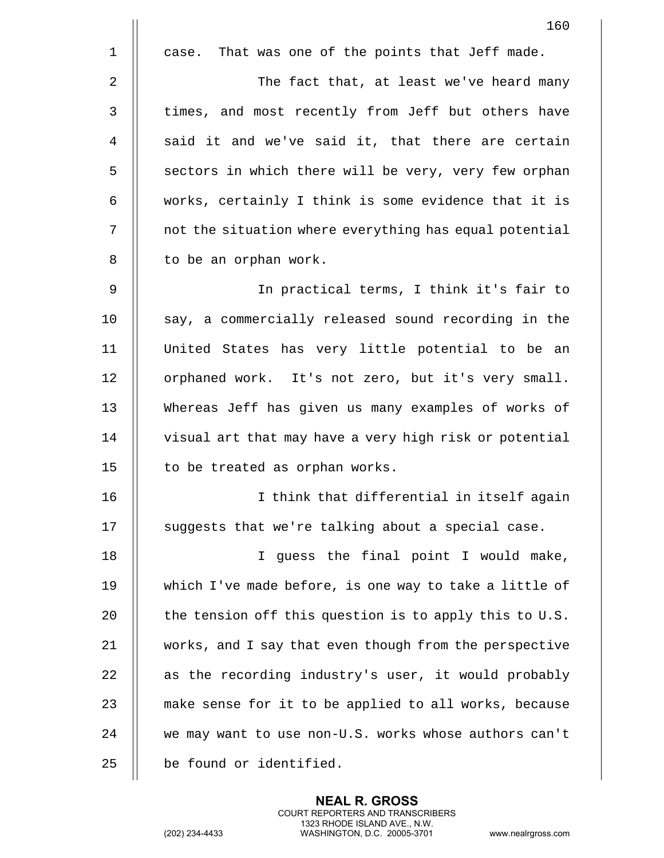|             | 160                                                    |
|-------------|--------------------------------------------------------|
| $\mathbf 1$ | That was one of the points that Jeff made.<br>case.    |
| 2           | The fact that, at least we've heard many               |
| 3           | times, and most recently from Jeff but others have     |
| 4           | said it and we've said it, that there are certain      |
| 5           | sectors in which there will be very, very few orphan   |
| 6           | works, certainly I think is some evidence that it is   |
| 7           | not the situation where everything has equal potential |
| 8           | to be an orphan work.                                  |
| 9           | In practical terms, I think it's fair to               |
| 10          | say, a commercially released sound recording in the    |
| 11          | United States has very little potential to be an       |
| 12          | orphaned work. It's not zero, but it's very small.     |
| 13          | Whereas Jeff has given us many examples of works of    |
| 14          | visual art that may have a very high risk or potential |
| 15          | to be treated as orphan works.                         |
| 16          | I think that differential in itself again              |
| 17          | suggests that we're talking about a special case.      |
| 18          | I guess the final point I would make,                  |
| 19          | which I've made before, is one way to take a little of |
| 20          | the tension off this question is to apply this to U.S. |
| 21          | works, and I say that even though from the perspective |
| 22          | as the recording industry's user, it would probably    |
| 23          | make sense for it to be applied to all works, because  |
| 24          | we may want to use non-U.S. works whose authors can't  |
| 25          | be found or identified.                                |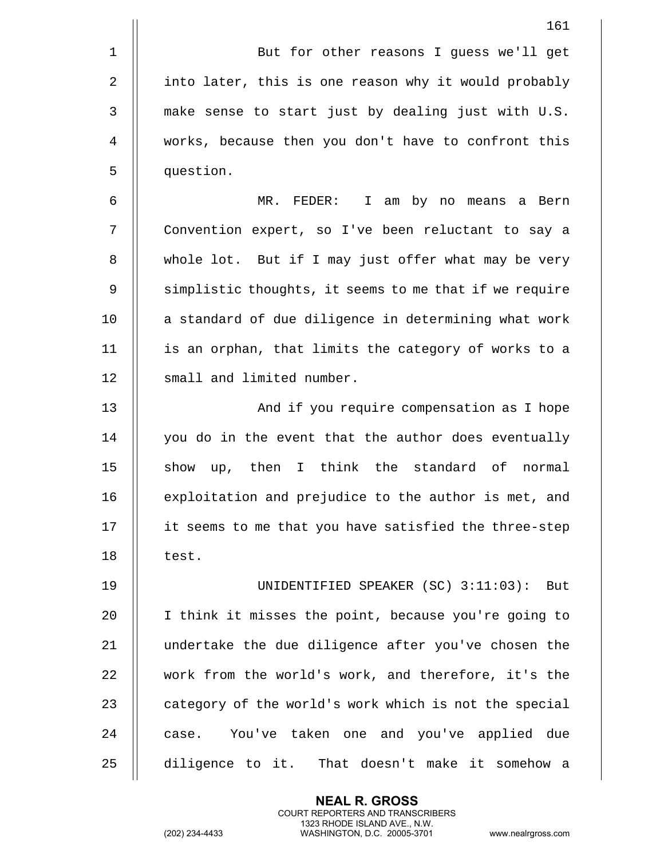|             | 161                                                    |
|-------------|--------------------------------------------------------|
| $\mathbf 1$ | But for other reasons I guess we'll get                |
| 2           | into later, this is one reason why it would probably   |
| 3           | make sense to start just by dealing just with U.S.     |
| 4           | works, because then you don't have to confront this    |
| 5           | question.                                              |
| 6           | $MR.$ FEDER:<br>I am by no means a Bern                |
| 7           | Convention expert, so I've been reluctant to say a     |
| 8           | whole lot. But if I may just offer what may be very    |
| 9           | simplistic thoughts, it seems to me that if we require |
| 10          | a standard of due diligence in determining what work   |
| 11          | is an orphan, that limits the category of works to a   |
| 12          | small and limited number.                              |
| 13          | And if you require compensation as I hope              |
| 14          | you do in the event that the author does eventually    |
| 15          | show up, then I think the standard of normal           |
| 16          | exploitation and prejudice to the author is met, and   |
| 17          | it seems to me that you have satisfied the three-step  |
| 18          | test.                                                  |
| 19          | UNIDENTIFIED SPEAKER (SC) 3:11:03): But                |
| 20          | I think it misses the point, because you're going to   |
| 21          | undertake the due diligence after you've chosen the    |
| 22          | work from the world's work, and therefore, it's the    |
| 23          | category of the world's work which is not the special  |
| 24          | case. You've taken one and you've applied due          |
| 25          | diligence to it. That doesn't make it somehow a        |

**NEAL R. GROSS** COURT REPORTERS AND TRANSCRIBERS

1323 RHODE ISLAND AVE., N.W.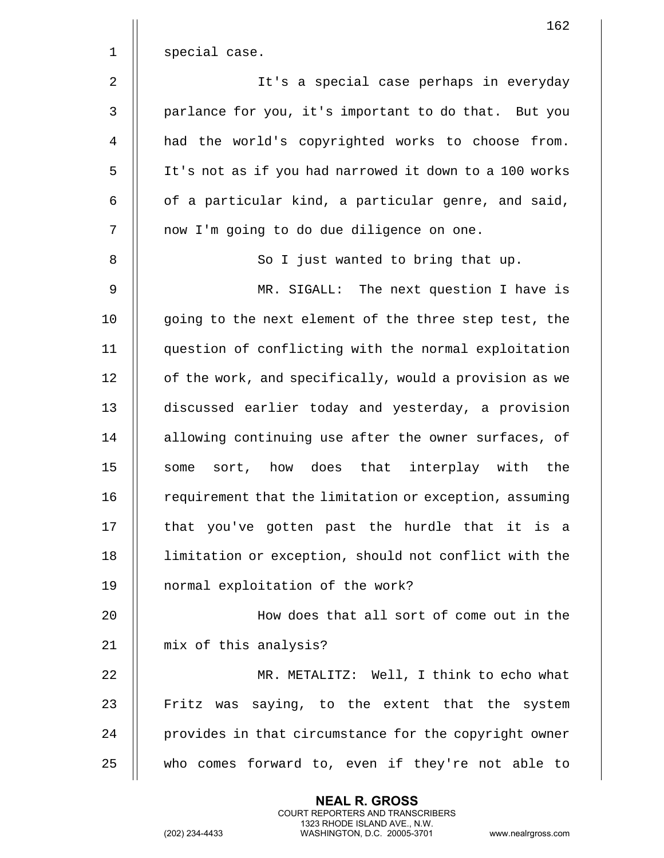|                | 162                                                    |
|----------------|--------------------------------------------------------|
| $\mathbf 1$    | special case.                                          |
| $\overline{2}$ | It's a special case perhaps in everyday                |
| 3              | parlance for you, it's important to do that. But you   |
| 4              | had the world's copyrighted works to choose from.      |
| 5              | It's not as if you had narrowed it down to a 100 works |
| 6              | of a particular kind, a particular genre, and said,    |
| 7              | now I'm going to do due diligence on one.              |
| 8              | So I just wanted to bring that up.                     |
| 9              | MR. SIGALL: The next question I have is                |
| 10             | going to the next element of the three step test, the  |
| 11             | question of conflicting with the normal exploitation   |
| 12             | of the work, and specifically, would a provision as we |
| 13             | discussed earlier today and yesterday, a provision     |
| 14             | allowing continuing use after the owner surfaces, of   |
| 15             | sort, how does that interplay with<br>the<br>some      |
| 16             | requirement that the limitation or exception, assuming |
| 17             | that you've gotten past the hurdle that it is a        |
| 18             | limitation or exception, should not conflict with the  |
| 19             | normal exploitation of the work?                       |
| 20             | How does that all sort of come out in the              |
| 21             | mix of this analysis?                                  |
| 22             | MR. METALITZ: Well, I think to echo what               |
| 23             | Fritz was saying, to the extent that the system        |
| 24             | provides in that circumstance for the copyright owner  |
| 25             | who comes forward to, even if they're not able to      |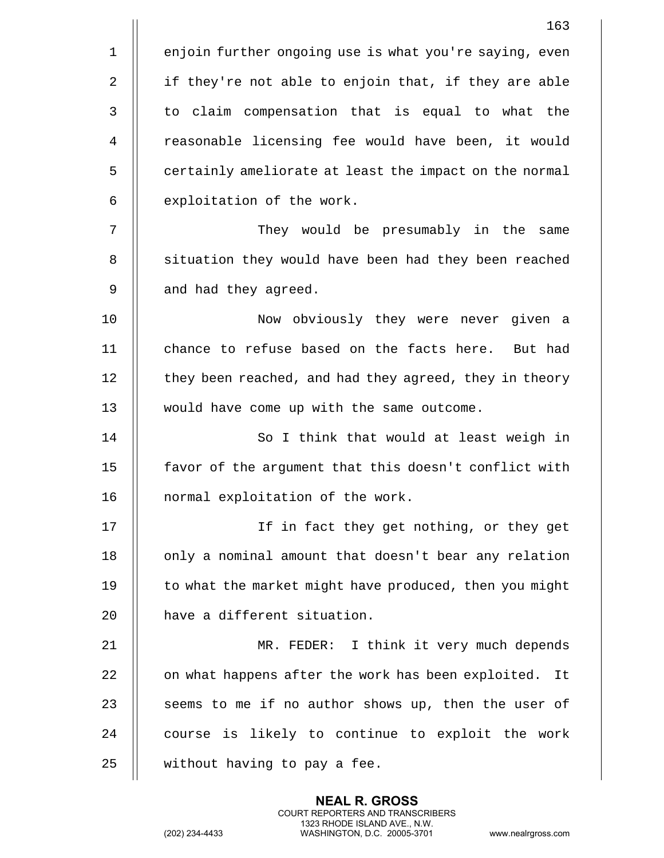|             | 163                                                    |
|-------------|--------------------------------------------------------|
| $\mathbf 1$ | enjoin further ongoing use is what you're saying, even |
| 2           | if they're not able to enjoin that, if they are able   |
| 3           | to claim compensation that is equal to what the        |
| 4           | reasonable licensing fee would have been, it would     |
| 5           | certainly ameliorate at least the impact on the normal |
| 6           | exploitation of the work.                              |
| 7           | They would be presumably in the same                   |
| 8           | situation they would have been had they been reached   |
| 9           | and had they agreed.                                   |
| 10          | Now obviously they were never given a                  |
| 11          | chance to refuse based on the facts here. But had      |
| 12          | they been reached, and had they agreed, they in theory |
| 13          | would have come up with the same outcome.              |
| 14          | So I think that would at least weigh in                |
| 15          | favor of the argument that this doesn't conflict with  |
| 16          | normal exploitation of the work.                       |
| 17          | If in fact they get nothing, or they get               |
| 18          | only a nominal amount that doesn't bear any relation   |
| 19          | to what the market might have produced, then you might |
| 20          | have a different situation.                            |
| 21          | MR. FEDER: I think it very much depends                |
| 22          | on what happens after the work has been exploited. It  |
| 23          | seems to me if no author shows up, then the user of    |
| 24          | course is likely to continue to exploit the work       |
| 25          | without having to pay a fee.                           |

(202) 234-4433 WASHINGTON, D.C. 20005-3701 www.nealrgross.com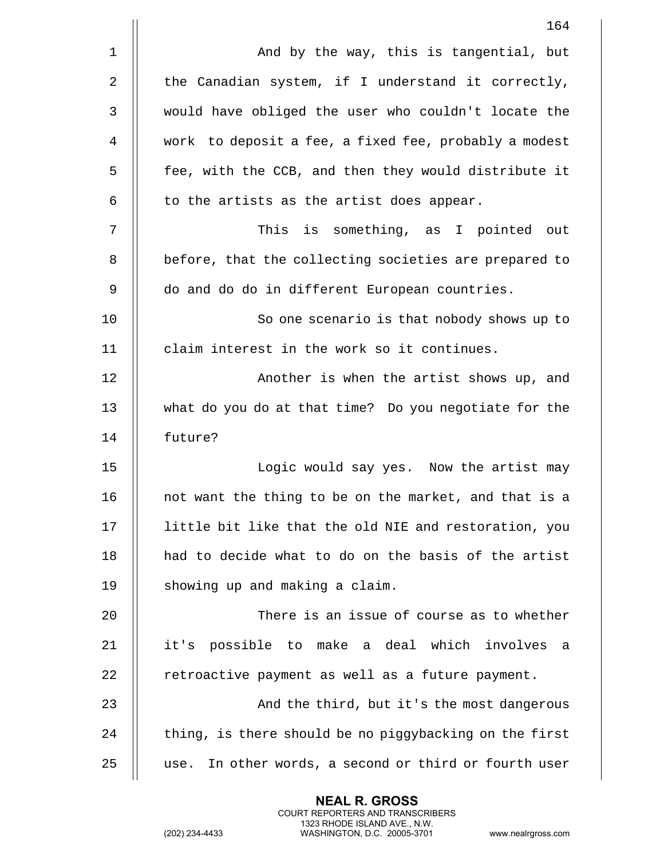|             | 164                                                      |
|-------------|----------------------------------------------------------|
| $\mathbf 1$ | And by the way, this is tangential, but                  |
| 2           | the Canadian system, if I understand it correctly,       |
| 3           | would have obliged the user who couldn't locate the      |
| 4           | work to deposit a fee, a fixed fee, probably a modest    |
| 5           | fee, with the CCB, and then they would distribute it     |
| 6           | to the artists as the artist does appear.                |
| 7           | This is something, as I pointed out                      |
| 8           | before, that the collecting societies are prepared to    |
| 9           | do and do do in different European countries.            |
| 10          | So one scenario is that nobody shows up to               |
| 11          | claim interest in the work so it continues.              |
| 12          | Another is when the artist shows up, and                 |
| 13          | what do you do at that time? Do you negotiate for the    |
| 14          | future?                                                  |
| 15          | Logic would say yes. Now the artist may                  |
| 16          | not want the thing to be on the market, and that is a    |
| 17          | little bit like that the old NIE and restoration, you    |
| 18          | had to decide what to do on the basis of the artist      |
| 19          | showing up and making a claim.                           |
| 20          | There is an issue of course as to whether                |
| 21          | it's possible to make a deal which involves<br>a         |
| 22          | retroactive payment as well as a future payment.         |
| 23          | And the third, but it's the most dangerous               |
| 24          | thing, is there should be no piggybacking on the first   |
| 25          | In other words, a second or third or fourth user<br>use. |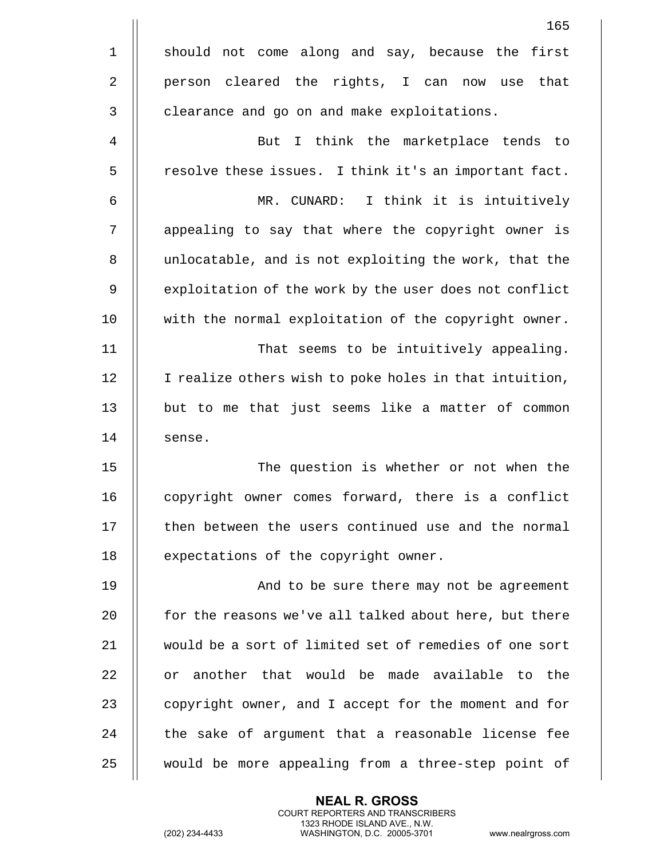|                | 165                                                    |
|----------------|--------------------------------------------------------|
| $\mathbf 1$    | should not come along and say, because the first       |
| $\overline{2}$ | person cleared the rights, I can now<br>that<br>use    |
| $\mathbf{3}$   | clearance and go on and make exploitations.            |
| $\overline{4}$ | But I think the marketplace tends to                   |
| 5              | resolve these issues. I think it's an important fact.  |
| 6              | I think it is intuitively<br>MR. CUNARD:               |
| 7              | appealing to say that where the copyright owner is     |
| 8              | unlocatable, and is not exploiting the work, that the  |
| 9              | exploitation of the work by the user does not conflict |
| 10             | with the normal exploitation of the copyright owner.   |
| 11             | That seems to be intuitively appealing.                |
| 12             | I realize others wish to poke holes in that intuition, |
| 13             | but to me that just seems like a matter of common      |
| 14             | sense.                                                 |
| 15             | The question is whether or not when the                |
| 16             | copyright owner comes forward, there is a conflict     |
| 17             | then between the users continued use and the normal    |
| 18             | expectations of the copyright owner.                   |
| 19             | And to be sure there may not be agreement              |
| 20             | for the reasons we've all talked about here, but there |
| 21             | would be a sort of limited set of remedies of one sort |
| 22             | or another that would be made available to the         |
| 23             | copyright owner, and I accept for the moment and for   |
| 24             | the sake of argument that a reasonable license fee     |
| 25             | would be more appealing from a three-step point of     |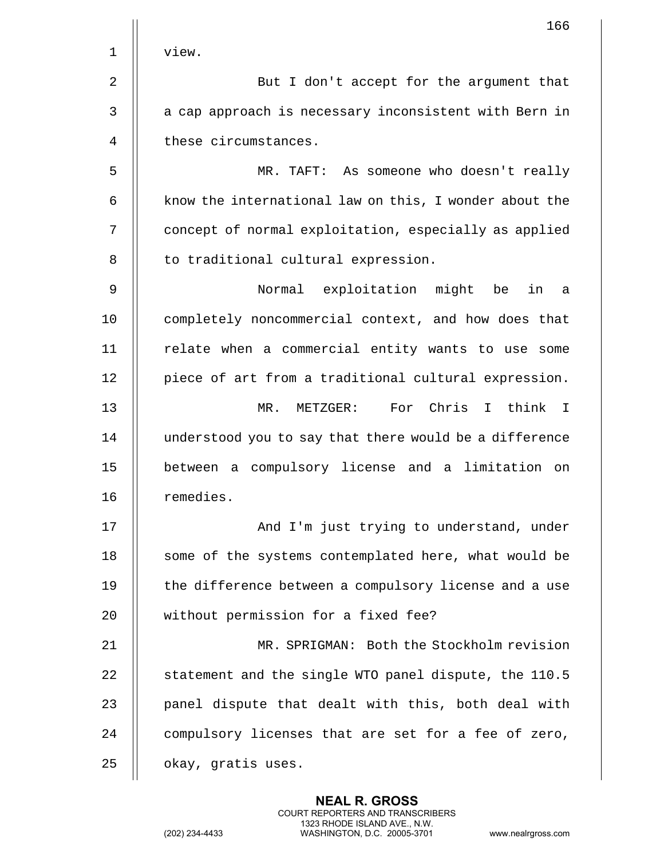|             | 166                                                    |
|-------------|--------------------------------------------------------|
| $\mathbf 1$ | view.                                                  |
| 2           | But I don't accept for the argument that               |
| 3           | a cap approach is necessary inconsistent with Bern in  |
| 4           | these circumstances.                                   |
| 5           | MR. TAFT: As someone who doesn't really                |
| 6           | know the international law on this, I wonder about the |
| 7           | concept of normal exploitation, especially as applied  |
| 8           | to traditional cultural expression.                    |
| 9           | Normal exploitation might be<br>in<br>а                |
| 10          | completely noncommercial context, and how does that    |
| 11          | relate when a commercial entity wants to use some      |
| 12          | piece of art from a traditional cultural expression.   |
| 13          | For Chris<br>MR. METZGER:<br>I think<br>$\mathbf{I}$   |
| 14          | understood you to say that there would be a difference |
| 15          | between a compulsory license and a limitation on       |
| 16          | remedies.                                              |
| 17          | And I'm just trying to understand, under               |
| 18          | some of the systems contemplated here, what would be   |
| 19          | the difference between a compulsory license and a use  |
| 20          | without permission for a fixed fee?                    |
| 21          | MR. SPRIGMAN: Both the Stockholm revision              |
| 22          | statement and the single WTO panel dispute, the 110.5  |
| 23          | panel dispute that dealt with this, both deal with     |
| 24          | compulsory licenses that are set for a fee of zero,    |
| 25          | okay, gratis uses.                                     |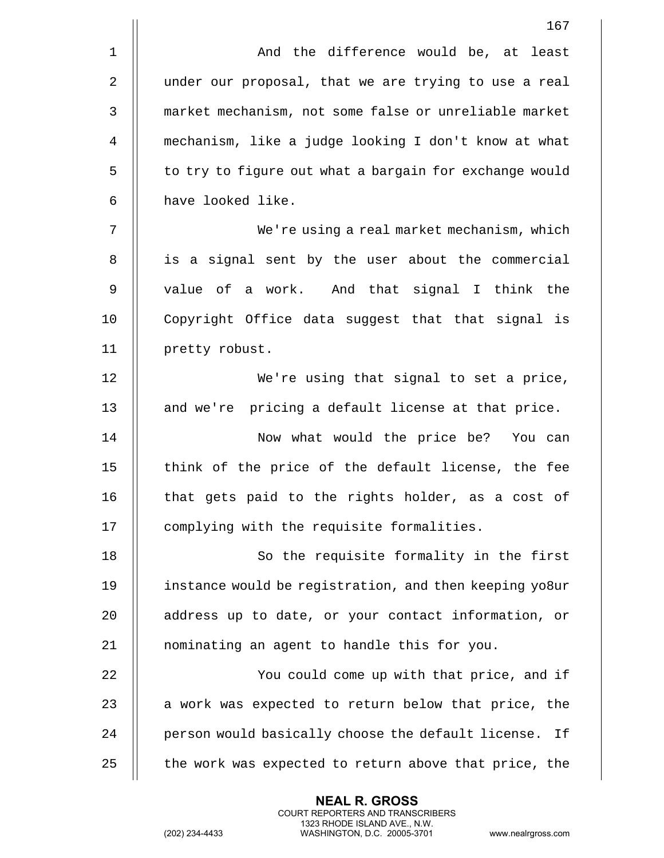|             | 167                                                      |
|-------------|----------------------------------------------------------|
| $\mathbf 1$ | And the difference would be, at least                    |
| 2           | under our proposal, that we are trying to use a real     |
| 3           | market mechanism, not some false or unreliable market    |
| 4           | mechanism, like a judge looking I don't know at what     |
| 5           | to try to figure out what a bargain for exchange would   |
| 6           | have looked like.                                        |
| 7           | We're using a real market mechanism, which               |
| 8           | is a signal sent by the user about the commercial        |
| 9           | value of a work. And that signal I think the             |
| 10          | Copyright Office data suggest that that signal is        |
| 11          | pretty robust.                                           |
| 12          | We're using that signal to set a price,                  |
| 13          | and we're pricing a default license at that price.       |
| 14          | Now what would the price be? You can                     |
| 15          | think of the price of the default license, the fee       |
| 16          | that gets paid to the rights holder, as a cost of        |
| 17          | complying with the requisite formalities.                |
| 18          | So the requisite formality in the first                  |
| 19          | instance would be registration, and then keeping yo8ur   |
| 20          | address up to date, or your contact information, or      |
| 21          | nominating an agent to handle this for you.              |
| 22          | You could come up with that price, and if                |
| 23          | a work was expected to return below that price, the      |
| 24          | person would basically choose the default license.<br>Ιf |
| 25          | the work was expected to return above that price, the    |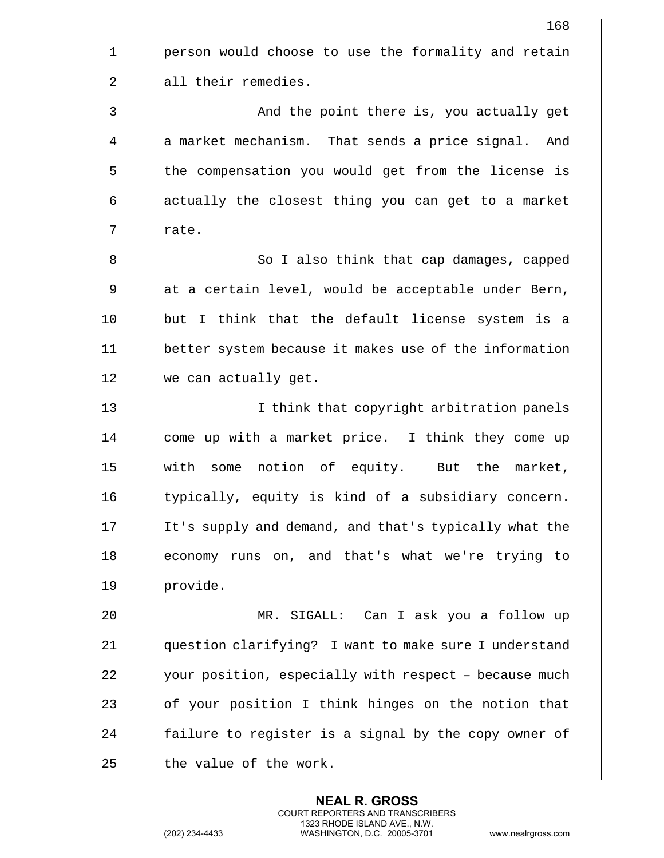|                | 168                                                   |
|----------------|-------------------------------------------------------|
| $\mathbf{1}$   | person would choose to use the formality and retain   |
| $\overline{2}$ | all their remedies.                                   |
| 3              | And the point there is, you actually get              |
| 4              | a market mechanism. That sends a price signal. And    |
| 5              | the compensation you would get from the license is    |
| 6              | actually the closest thing you can get to a market    |
| 7              | rate.                                                 |
| 8              | So I also think that cap damages, capped              |
| 9              | at a certain level, would be acceptable under Bern,   |
| 10             | but I think that the default license system is a      |
| 11             | better system because it makes use of the information |
| 12             | we can actually get.                                  |
| 13             | I think that copyright arbitration panels             |
| 14             | come up with a market price. I think they come up     |
| 15             | with some notion of equity. But the market,           |
| 16             | typically, equity is kind of a subsidiary concern.    |
| 17             | It's supply and demand, and that's typically what the |
| 18             | economy runs on, and that's what we're trying to      |
| 19             | provide.                                              |
| 20             | MR. SIGALL: Can I ask you a follow up                 |
| 21             | question clarifying? I want to make sure I understand |
| 22             | your position, especially with respect - because much |
| 23             | of your position I think hinges on the notion that    |
| 24             | failure to register is a signal by the copy owner of  |
| 25             | the value of the work.                                |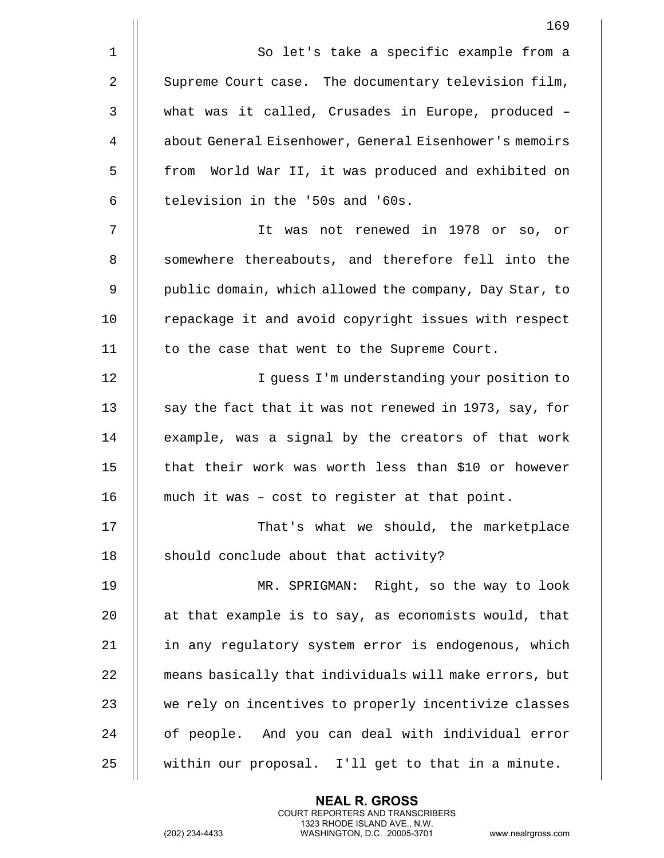|                | 169                                                    |
|----------------|--------------------------------------------------------|
| $\mathbf 1$    | So let's take a specific example from a                |
| 2              | Supreme Court case. The documentary television film,   |
| 3              | what was it called, Crusades in Europe, produced -     |
| $\overline{4}$ | about General Eisenhower, General Eisenhower's memoirs |
| 5              | from World War II, it was produced and exhibited on    |
| 6              | television in the '50s and '60s.                       |
| 7              | It was not renewed in 1978 or so, or                   |
| 8              | somewhere thereabouts, and therefore fell into the     |
| 9              | public domain, which allowed the company, Day Star, to |
| 10             | repackage it and avoid copyright issues with respect   |
| 11             | to the case that went to the Supreme Court.            |
| 12             | I guess I'm understanding your position to             |
| 13             | say the fact that it was not renewed in 1973, say, for |
| 14             | example, was a signal by the creators of that work     |
| 15             | that their work was worth less than \$10 or however    |
| 16             | much it was - cost to register at that point.          |
| 17             | That's what we should, the marketplace                 |
| 18             | should conclude about that activity?                   |
| 19             | MR. SPRIGMAN: Right, so the way to look                |
| 20             | at that example is to say, as economists would, that   |
| 21             | in any regulatory system error is endogenous, which    |
| 22             | means basically that individuals will make errors, but |
| 23             | we rely on incentives to properly incentivize classes  |
| 24             | of people. And you can deal with individual error      |
| 25             | within our proposal. I'll get to that in a minute.     |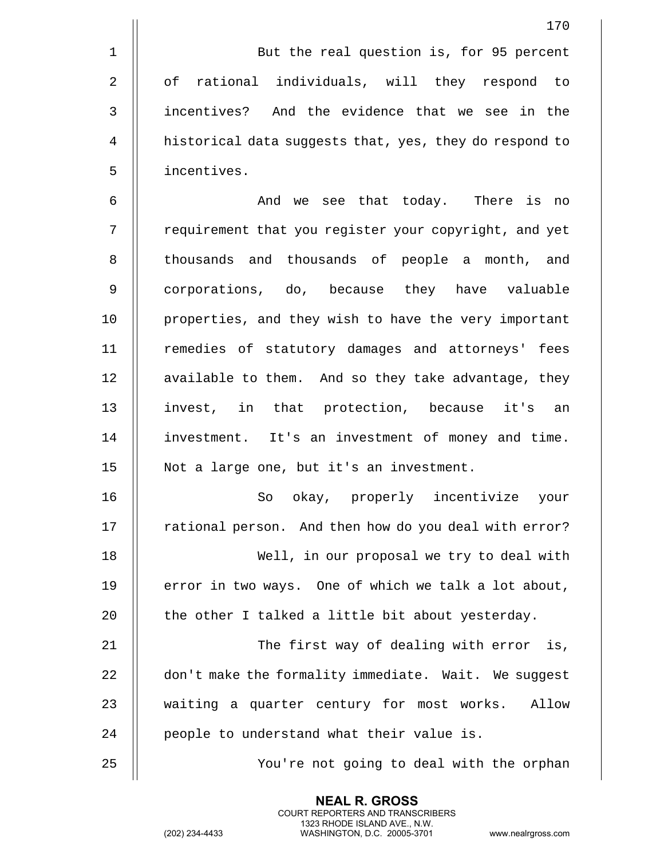|                | But the real question is, for 95 percent               |
|----------------|--------------------------------------------------------|
| $\overline{a}$ | of rational individuals, will they respond to          |
| 3              | incentives?<br>And the evidence that we see in the     |
| $\overline{4}$ | historical data suggests that, yes, they do respond to |
| 5              | incentives.                                            |
|                |                                                        |

6 And we see that today. There is no 7 | requirement that you register your copyright, and yet 8 || thousands and thousands of people a month, and 9 || corporations, do, because they have valuable 10 || properties, and they wish to have the very important 11 || remedies of statutory damages and attorneys' fees 12 | available to them. And so they take advantage, they 13 || invest, in that protection, because it's an 14 investment. It's an investment of money and time. 15 Not a large one, but it's an investment.

 So okay, properly incentivize your 17 | rational person. And then how do you deal with error? Well, in our proposal we try to deal with  $\parallel$  error in two ways. One of which we talk a lot about,  $\parallel$  the other I talked a little bit about yesterday.

21 The first way of dealing with error is, 22  $\parallel$  don't make the formality immediate. Wait. We suggest 23 || waiting a quarter century for most works. Allow 24 | people to understand what their value is.

> **NEAL R. GROSS** COURT REPORTERS AND TRANSCRIBERS 1323 RHODE ISLAND AVE., N.W.

25 || You're not going to deal with the orphan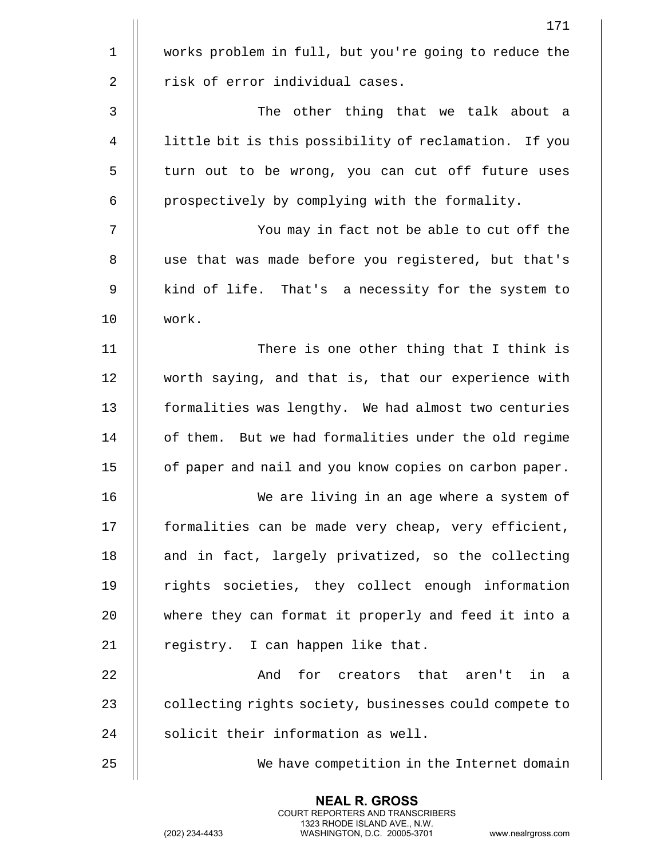|             | 171                                                    |
|-------------|--------------------------------------------------------|
| $\mathbf 1$ | works problem in full, but you're going to reduce the  |
| 2           | risk of error individual cases.                        |
| 3           | The other thing that we talk about a                   |
| 4           | little bit is this possibility of reclamation. If you  |
| 5           | turn out to be wrong, you can cut off future uses      |
| 6           | prospectively by complying with the formality.         |
| 7           | You may in fact not be able to cut off the             |
| 8           | use that was made before you registered, but that's    |
| 9           | kind of life. That's a necessity for the system to     |
| 10          | work.                                                  |
| 11          | There is one other thing that I think is               |
| 12          | worth saying, and that is, that our experience with    |
| 13          | formalities was lengthy. We had almost two centuries   |
| 14          | of them. But we had formalities under the old regime   |
| 15          | of paper and nail and you know copies on carbon paper. |
| 16          | We are living in an age where a system of              |
| 17          | formalities can be made very cheap, very efficient,    |
| 18          | and in fact, largely privatized, so the collecting     |
| 19          | rights societies, they collect enough information      |
| 20          | where they can format it properly and feed it into a   |
| 21          | registry. I can happen like that.                      |
| 22          | And<br>for creators that aren't<br>in a                |
| 23          | collecting rights society, businesses could compete to |
| 24          | solicit their information as well.                     |
| 25          | We have competition in the Internet domain             |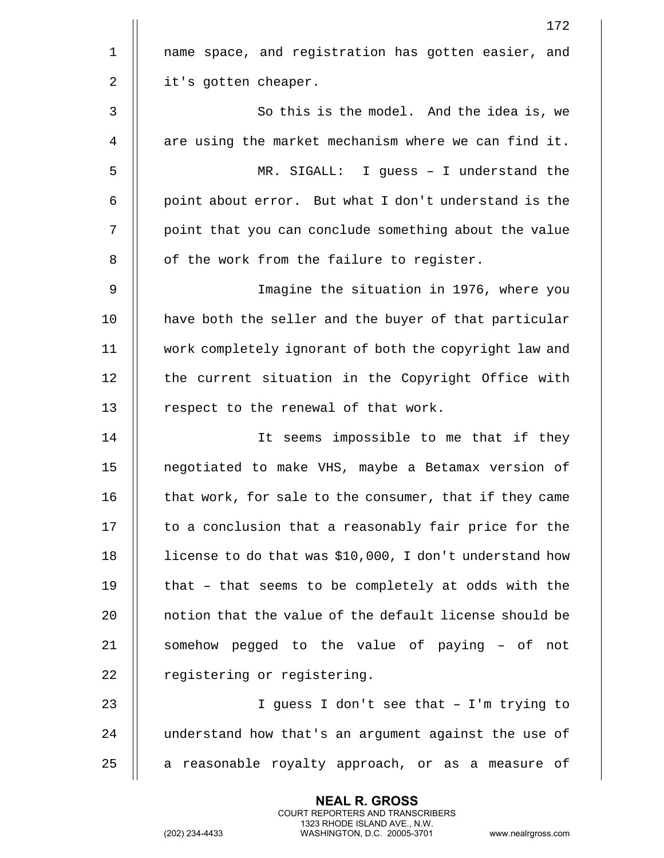|             | 172                                                     |
|-------------|---------------------------------------------------------|
| $\mathbf 1$ | name space, and registration has gotten easier, and     |
| 2           | it's gotten cheaper.                                    |
| 3           | So this is the model. And the idea is, we               |
| 4           | are using the market mechanism where we can find it.    |
| 5           | MR. SIGALL: I guess - I understand the                  |
| 6           | point about error. But what I don't understand is the   |
| 7           | point that you can conclude something about the value   |
| 8           | of the work from the failure to register.               |
| 9           | Imagine the situation in 1976, where you                |
| 10          | have both the seller and the buyer of that particular   |
| 11          | work completely ignorant of both the copyright law and  |
| 12          | the current situation in the Copyright Office with      |
| 13          | respect to the renewal of that work.                    |
| 14          | It seems impossible to me that if they                  |
| 15          | negotiated to make VHS, maybe a Betamax version of      |
| 16          | that work, for sale to the consumer, that if they came  |
| 17          | to a conclusion that a reasonably fair price for the    |
| 18          | license to do that was \$10,000, I don't understand how |
| 19          | that - that seems to be completely at odds with the     |
| 20          | notion that the value of the default license should be  |
| 21          | somehow pegged to the value of paying - of not          |
| 22          | registering or registering.                             |
| 23          | I guess I don't see that - I'm trying to                |
| 24          | understand how that's an argument against the use of    |
| 25          | a reasonable royalty approach, or as a measure of       |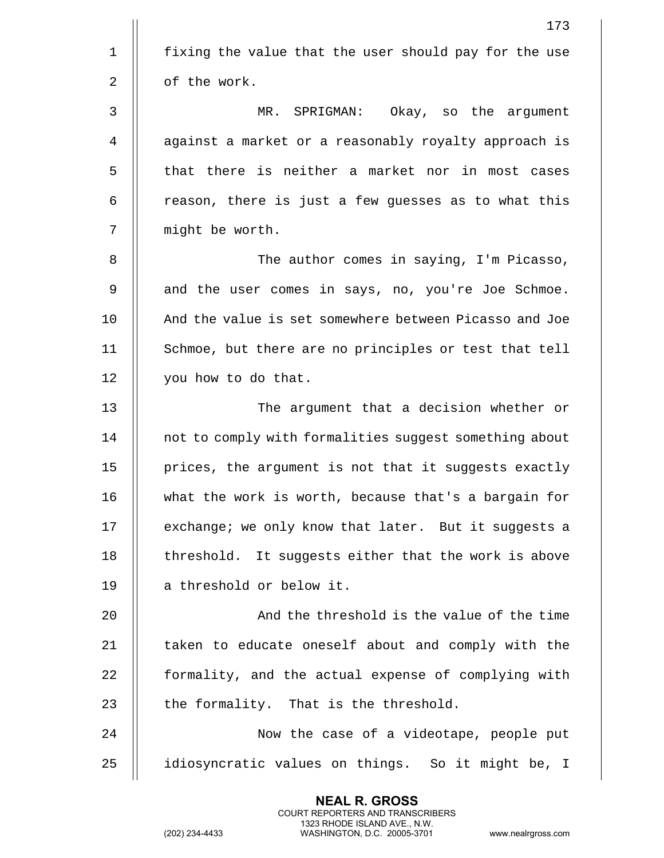|                | 173                                                    |
|----------------|--------------------------------------------------------|
| $\mathbf{1}$   | fixing the value that the user should pay for the use  |
| $\overline{2}$ | of the work.                                           |
| 3              | MR. SPRIGMAN: Okay, so the argument                    |
| 4              | against a market or a reasonably royalty approach is   |
| 5              | that there is neither a market nor in most cases       |
| 6              | reason, there is just a few guesses as to what this    |
| 7              | might be worth.                                        |
| 8              | The author comes in saying, I'm Picasso,               |
| 9              | and the user comes in says, no, you're Joe Schmoe.     |
| 10             | And the value is set somewhere between Picasso and Joe |
| 11             | Schmoe, but there are no principles or test that tell  |
| 12             | you how to do that.                                    |
| 13             | The argument that a decision whether or                |
| 14             | not to comply with formalities suggest something about |
| 15             | prices, the argument is not that it suggests exactly   |
| 16             | what the work is worth, because that's a bargain for   |
| 17             | exchange; we only know that later. But it suggests a   |
| 18             | threshold. It suggests either that the work is above   |
| 19             | a threshold or below it.                               |
| 20             | And the threshold is the value of the time             |
| 21             | taken to educate oneself about and comply with the     |
| 22             | formality, and the actual expense of complying with    |
| 23             | the formality. That is the threshold.                  |
| 24             | Now the case of a videotape, people put                |
| 25             | idiosyncratic values on things. So it might be, I      |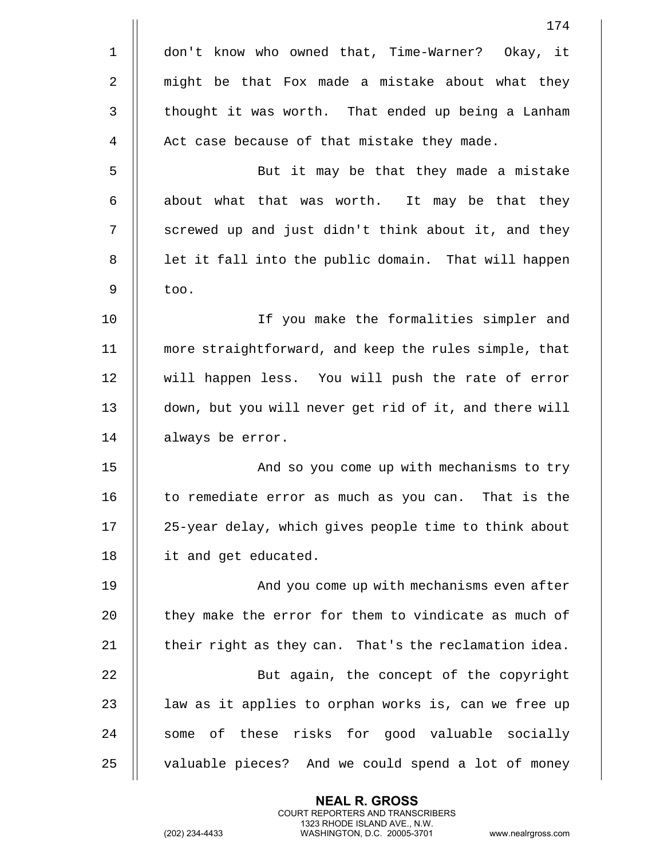|                | 174                                                    |
|----------------|--------------------------------------------------------|
| $\mathbf 1$    | don't know who owned that, Time-Warner? Okay, it       |
| $\overline{2}$ | might be that Fox made a mistake about what they       |
| 3              | thought it was worth. That ended up being a Lanham     |
| 4              | Act case because of that mistake they made.            |
| 5              | But it may be that they made a mistake                 |
| 6              | about what that was worth.<br>It may be that they      |
| 7              | screwed up and just didn't think about it, and they    |
| 8              | let it fall into the public domain. That will happen   |
| 9              | too.                                                   |
| 10             | If you make the formalities simpler and                |
| 11             | more straightforward, and keep the rules simple, that  |
| 12             | will happen less. You will push the rate of error      |
| 13             | down, but you will never get rid of it, and there will |
| 14             | always be error.                                       |
| 15             | And so you come up with mechanisms to try              |
| 16             | to remediate error as much as you can. That is the     |
| 17             | 25-year delay, which gives people time to think about  |
| 18             | it and get educated.                                   |
| 19             | And you come up with mechanisms even after             |
| 20             | they make the error for them to vindicate as much of   |
| 21             | their right as they can. That's the reclamation idea.  |
| 22             | But again, the concept of the copyright                |
| 23             | law as it applies to orphan works is, can we free up   |
| 24             | some of these risks for good valuable socially         |
| 25             | valuable pieces? And we could spend a lot of money     |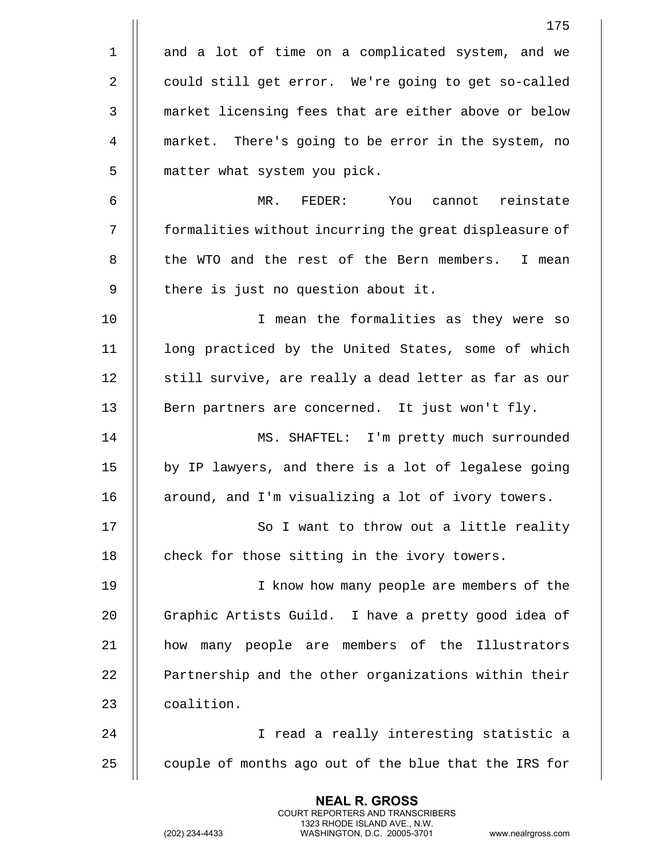|             | 175                                                    |
|-------------|--------------------------------------------------------|
| $\mathbf 1$ | and a lot of time on a complicated system, and we      |
| 2           | could still get error. We're going to get so-called    |
| 3           | market licensing fees that are either above or below   |
| 4           | market. There's going to be error in the system, no    |
| 5           | matter what system you pick.                           |
| 6           | MR. FEDER: You cannot reinstate                        |
| 7           | formalities without incurring the great displeasure of |
| 8           | the WTO and the rest of the Bern members. I mean       |
| 9           | there is just no question about it.                    |
| 10          | I mean the formalities as they were so                 |
| 11          | long practiced by the United States, some of which     |
| 12          | still survive, are really a dead letter as far as our  |
| 13          | Bern partners are concerned. It just won't fly.        |
| 14          | MS. SHAFTEL: I'm pretty much surrounded                |
| 15          | by IP lawyers, and there is a lot of legalese going    |
| 16          | around, and I'm visualizing a lot of ivory towers.     |
| 17          | So I want to throw out a little reality                |
| 18          | check for those sitting in the ivory towers.           |
| 19          | I know how many people are members of the              |
| 20          | Graphic Artists Guild. I have a pretty good idea of    |
| 21          | how many people are members of the Illustrators        |
| 22          | Partnership and the other organizations within their   |
| 23          | coalition.                                             |
| 24          | I read a really interesting statistic a                |
| 25          | couple of months ago out of the blue that the IRS for  |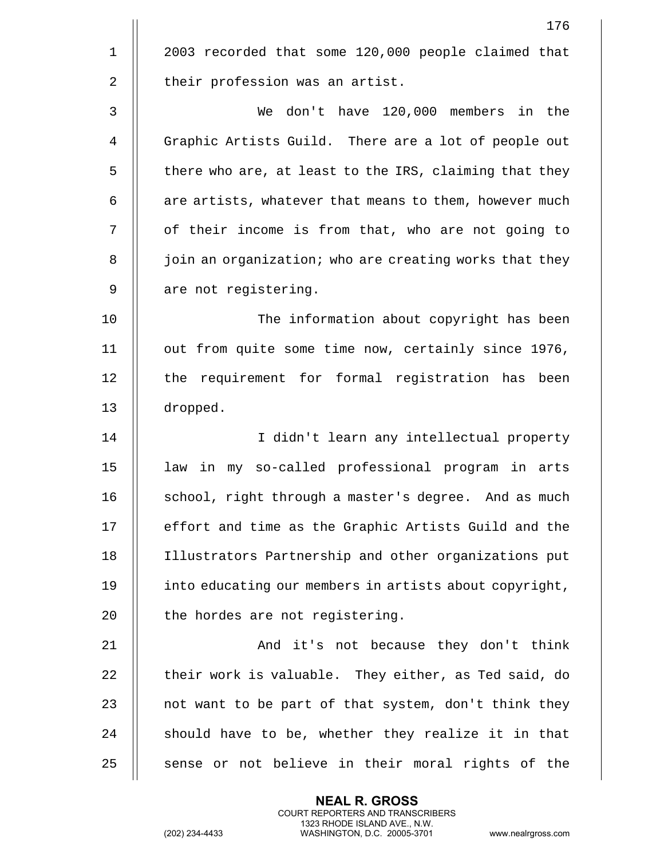|              | 176                                                    |
|--------------|--------------------------------------------------------|
| $\mathbf 1$  | 2003 recorded that some 120,000 people claimed that    |
| $\mathbf{2}$ | their profession was an artist.                        |
| 3            | don't have 120,000 members in the<br>We                |
| 4            | Graphic Artists Guild. There are a lot of people out   |
| 5            | there who are, at least to the IRS, claiming that they |
| 6            | are artists, whatever that means to them, however much |
| 7            | of their income is from that, who are not going to     |
| 8            | join an organization; who are creating works that they |
| 9            | are not registering.                                   |
| 10           | The information about copyright has been               |
| 11           | out from quite some time now, certainly since 1976,    |
| 12           | the requirement for formal registration has been       |
| 13           | dropped.                                               |
| 14           | I didn't learn any intellectual property               |
| 15           | law in my so-called professional program in arts       |
| 16           | school, right through a master's degree. And as much   |
| 17           | effort and time as the Graphic Artists Guild and the   |
| 18           | Illustrators Partnership and other organizations put   |
| 19           | into educating our members in artists about copyright, |
| 20           | the hordes are not registering.                        |
| 21           | And it's not because they don't think                  |
| 22           | their work is valuable. They either, as Ted said, do   |
| 23           | not want to be part of that system, don't think they   |
| 24           | should have to be, whether they realize it in that     |
| 25           | sense or not believe in their moral rights of the      |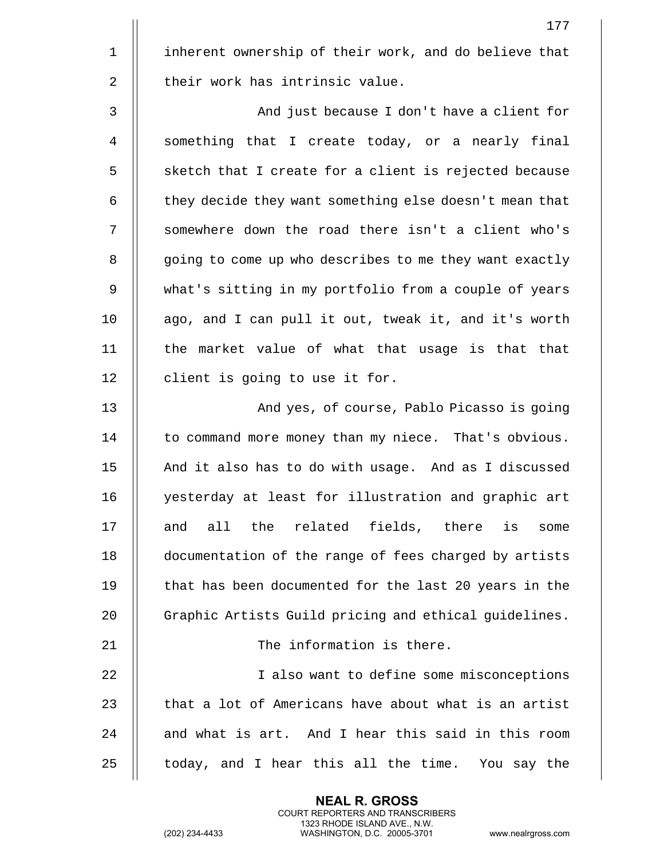1 || inherent ownership of their work, and do believe that 2 || their work has intrinsic value.

3 And just because I don't have a client for 4 || something that I create today, or a nearly final 5 || sketch that I create for a client is rejected because 6  $\parallel$  they decide they want something else doesn't mean that 7 || somewhere down the road there isn't a client who's 8 | going to come up who describes to me they want exactly 9 what's sitting in my portfolio from a couple of years 10 || ago, and I can pull it out, tweak it, and it's worth 11 || the market value of what that usage is that that 12 | client is going to use it for.

13 || And yes, of course, Pablo Picasso is going 14 | to command more money than my niece. That's obvious. 15 || And it also has to do with usage. And as I discussed 16 || yesterday at least for illustration and graphic art 17 || and all the related fields, there is some 18 documentation of the range of fees charged by artists 19 || that has been documented for the last 20 years in the 20 | Graphic Artists Guild pricing and ethical quidelines. 21 || The information is there. 22 I also want to define some misconceptions 23  $\parallel$  that a lot of Americans have about what is an artist  $24$   $\parallel$  and what is art. And I hear this said in this room  $25$   $\parallel$  today, and I hear this all the time. You say the

> **NEAL R. GROSS** COURT REPORTERS AND TRANSCRIBERS 1323 RHODE ISLAND AVE., N.W.

177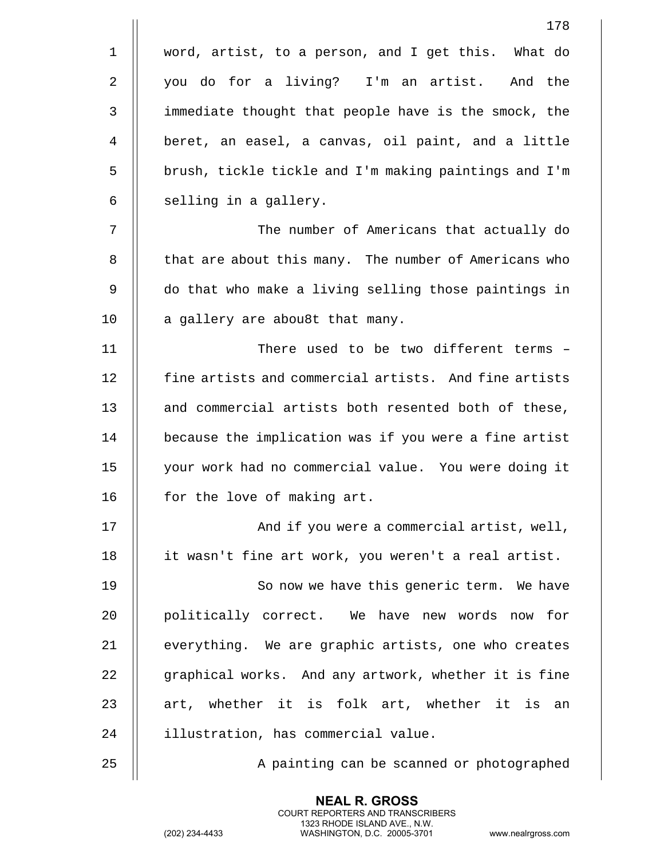|             | 178                                                   |
|-------------|-------------------------------------------------------|
| $\mathbf 1$ | word, artist, to a person, and I get this. What do    |
| 2           | you do for a living? I'm an artist. And the           |
| 3           | immediate thought that people have is the smock, the  |
| 4           | beret, an easel, a canvas, oil paint, and a little    |
| 5           | brush, tickle tickle and I'm making paintings and I'm |
| 6           | selling in a gallery.                                 |
| 7           | The number of Americans that actually do              |
| 8           | that are about this many. The number of Americans who |
| 9           | do that who make a living selling those paintings in  |
| 10          | a gallery are abou8t that many.                       |
| 11          | There used to be two different terms -                |
| 12          | fine artists and commercial artists. And fine artists |
| 13          | and commercial artists both resented both of these,   |
| 14          | because the implication was if you were a fine artist |
| 15          | your work had no commercial value. You were doing it  |
| 16          | for the love of making art.                           |
| 17          | And if you were a commercial artist, well,            |
| 18          | it wasn't fine art work, you weren't a real artist.   |
| 19          | So now we have this generic term. We have             |
| 20          | politically correct. We have new words now for        |
| 21          | everything. We are graphic artists, one who creates   |
| 22          | graphical works. And any artwork, whether it is fine  |
| 23          | art, whether it is folk art, whether it is an         |
| 24          | illustration, has commercial value.                   |
| 25          | A painting can be scanned or photographed             |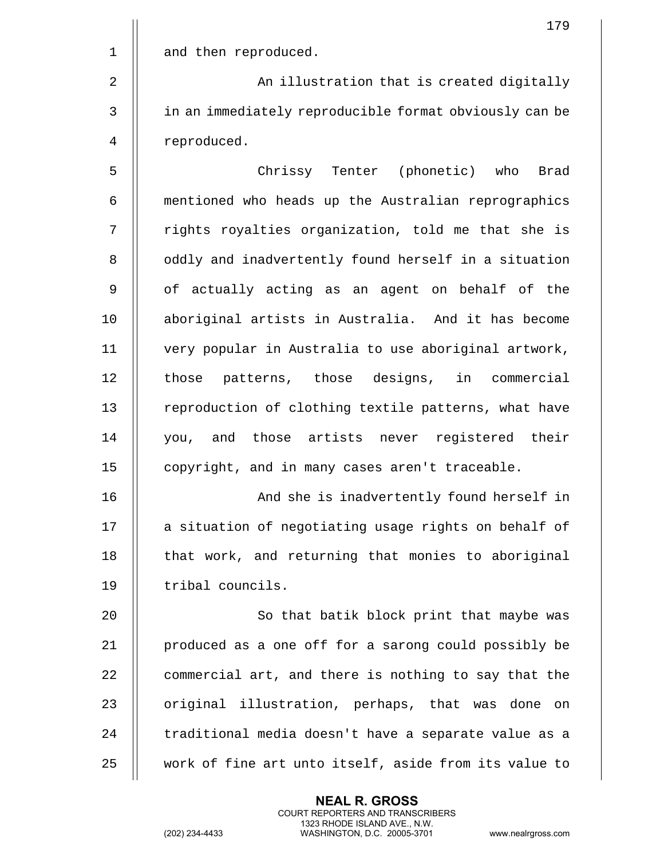|             | 179                                                    |
|-------------|--------------------------------------------------------|
| $\mathbf 1$ | and then reproduced.                                   |
| 2           | An illustration that is created digitally              |
| 3           | in an immediately reproducible format obviously can be |
| 4           | reproduced.                                            |
| 5           | Chrissy Tenter (phonetic) who Brad                     |
| 6           | mentioned who heads up the Australian reprographics    |
| 7           | rights royalties organization, told me that she is     |
| 8           | oddly and inadvertently found herself in a situation   |
| 9           | of actually acting as an agent on behalf of the        |
| 10          | aboriginal artists in Australia. And it has become     |
| 11          | very popular in Australia to use aboriginal artwork,   |
| 12          | those patterns, those designs, in commercial           |
| 13          | reproduction of clothing textile patterns, what have   |
| 14          | you, and those artists never registered their          |
| 15          | copyright, and in many cases aren't traceable.         |
| 16          | And she is inadvertently found herself in              |
| 17          | a situation of negotiating usage rights on behalf of   |
| 18          | that work, and returning that monies to aboriginal     |
| 19          | tribal councils.                                       |
| 20          | So that batik block print that maybe was               |
| 21          | produced as a one off for a sarong could possibly be   |
| 22          | commercial art, and there is nothing to say that the   |
| 23          | original illustration, perhaps, that was done on       |
| 24          | traditional media doesn't have a separate value as a   |
| 25          | work of fine art unto itself, aside from its value to  |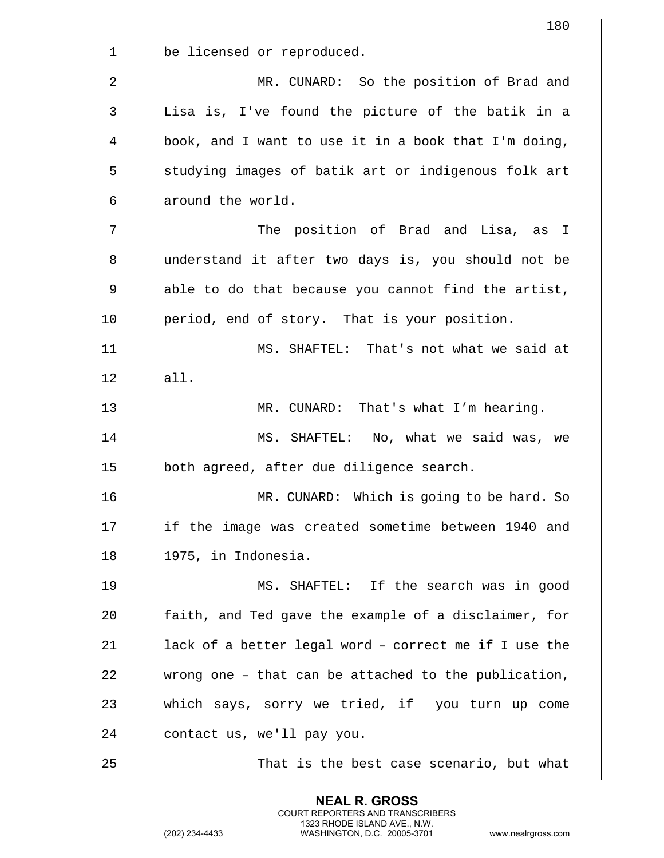|             | 180                                                   |
|-------------|-------------------------------------------------------|
| $\mathbf 1$ | be licensed or reproduced.                            |
| $\sqrt{2}$  | MR. CUNARD: So the position of Brad and               |
| 3           | Lisa is, I've found the picture of the batik in a     |
| 4           | book, and I want to use it in a book that I'm doing,  |
| 5           | studying images of batik art or indigenous folk art   |
| 6           | around the world.                                     |
| 7           | The position of Brad and Lisa, as I                   |
| 8           | understand it after two days is, you should not be    |
| 9           | able to do that because you cannot find the artist,   |
| 10          | period, end of story. That is your position.          |
| 11          | MS. SHAFTEL: That's not what we said at               |
| 12          | all.                                                  |
| 13          | MR. CUNARD: That's what I'm hearing.                  |
| 14          | MS. SHAFTEL: No, what we said was, we                 |
| 15          | both agreed, after due diligence search.              |
| 16          | MR. CUNARD: Which is going to be hard. So             |
| 17          | if the image was created sometime between 1940 and    |
| 18          | 1975, in Indonesia.                                   |
| 19          | MS. SHAFTEL: If the search was in good                |
| 20          | faith, and Ted gave the example of a disclaimer, for  |
| 21          | lack of a better legal word - correct me if I use the |
| 22          | wrong one - that can be attached to the publication,  |
| 23          | which says, sorry we tried, if you turn up come       |
| 24          | contact us, we'll pay you.                            |
| 25          | That is the best case scenario, but what              |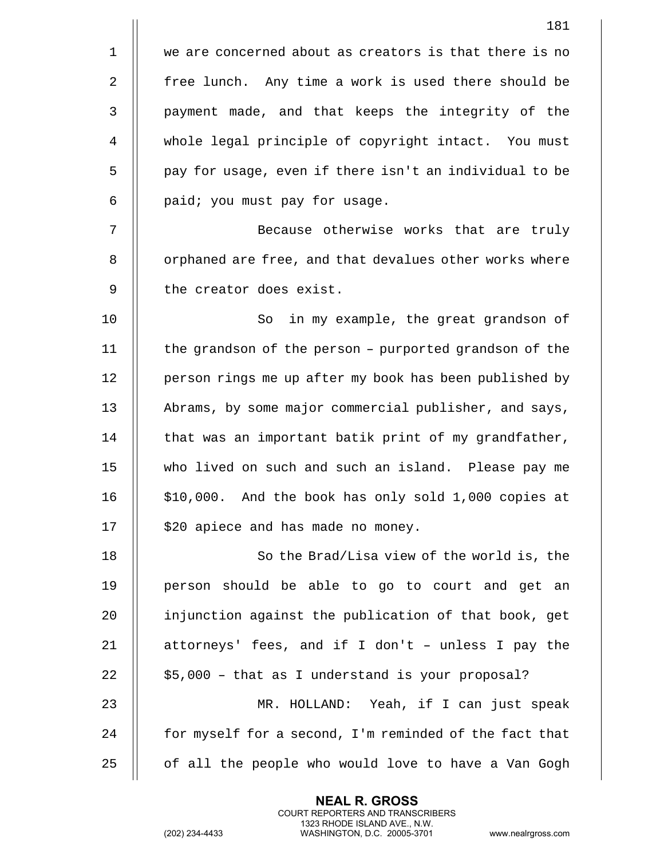|             | 181                                                    |
|-------------|--------------------------------------------------------|
| $\mathbf 1$ | we are concerned about as creators is that there is no |
| 2           | free lunch. Any time a work is used there should be    |
| 3           | payment made, and that keeps the integrity of the      |
| 4           | whole legal principle of copyright intact. You must    |
| 5           | pay for usage, even if there isn't an individual to be |
| 6           | paid; you must pay for usage.                          |
| 7           | Because otherwise works that are truly                 |
| 8           | orphaned are free, and that devalues other works where |
| 9           | the creator does exist.                                |
| 10          | So<br>in my example, the great grandson of             |
| 11          | the grandson of the person - purported grandson of the |
| 12          | person rings me up after my book has been published by |
| 13          | Abrams, by some major commercial publisher, and says,  |
| 14          | that was an important batik print of my grandfather,   |
| 15          | who lived on such and such an island. Please pay me    |
| 16          | \$10,000. And the book has only sold 1,000 copies at   |
| 17          | \$20 apiece and has made no money.                     |
| 18          | So the Brad/Lisa view of the world is, the             |
| 19          | person should be able to go to court and get an        |
| 20          | injunction against the publication of that book, get   |
| 21          | attorneys' fees, and if I don't - unless I pay the     |
| 22          | \$5,000 - that as I understand is your proposal?       |
| 23          | MR. HOLLAND: Yeah, if I can just speak                 |
| 24          | for myself for a second, I'm reminded of the fact that |
| 25          | of all the people who would love to have a Van Gogh    |

(202) 234-4433 WASHINGTON, D.C. 20005-3701 www.nealrgross.com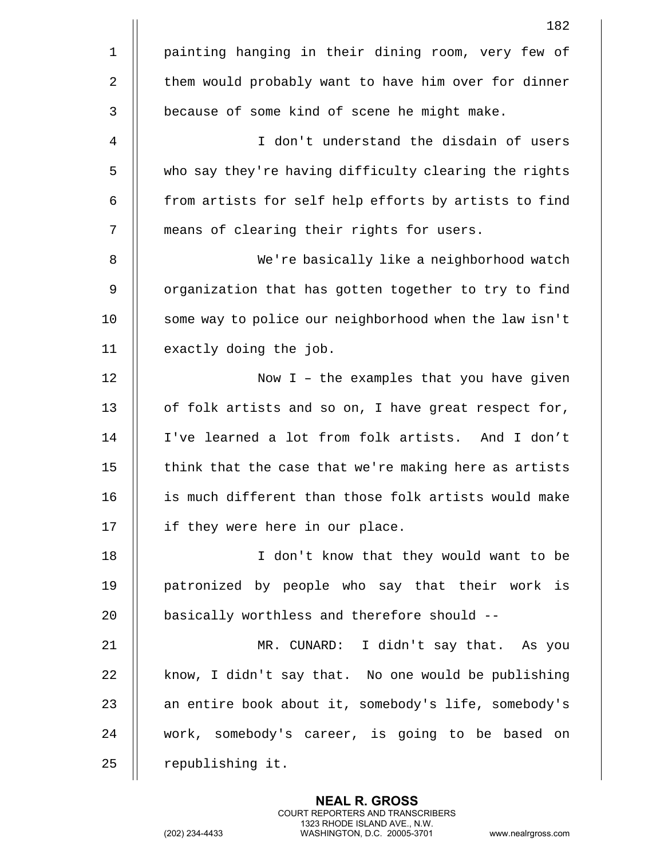|                | 182                                                    |
|----------------|--------------------------------------------------------|
| $\mathbf 1$    | painting hanging in their dining room, very few of     |
| $\overline{2}$ | them would probably want to have him over for dinner   |
| $\mathbf{3}$   | because of some kind of scene he might make.           |
| 4              | I don't understand the disdain of users                |
| 5              | who say they're having difficulty clearing the rights  |
| 6              | from artists for self help efforts by artists to find  |
| 7              | means of clearing their rights for users.              |
| 8              | We're basically like a neighborhood watch              |
| 9              | organization that has gotten together to try to find   |
| 10             | some way to police our neighborhood when the law isn't |
| 11             | exactly doing the job.                                 |
| 12             | Now I - the examples that you have given               |
| 13             | of folk artists and so on, I have great respect for,   |
| 14             | I've learned a lot from folk artists. And I don't      |
| 15             | think that the case that we're making here as artists  |
| 16             | is much different than those folk artists would make   |
| 17             | if they were here in our place.                        |
| 18             | I don't know that they would want to be                |
| 19             | patronized by people who say that their work is        |
| 20             | basically worthless and therefore should --            |
| 21             | MR. CUNARD: I didn't say that. As you                  |
| 22             | know, I didn't say that. No one would be publishing    |
| 23             | an entire book about it, somebody's life, somebody's   |
| 24             | work, somebody's career, is going to be based on       |
| 25             | republishing it.                                       |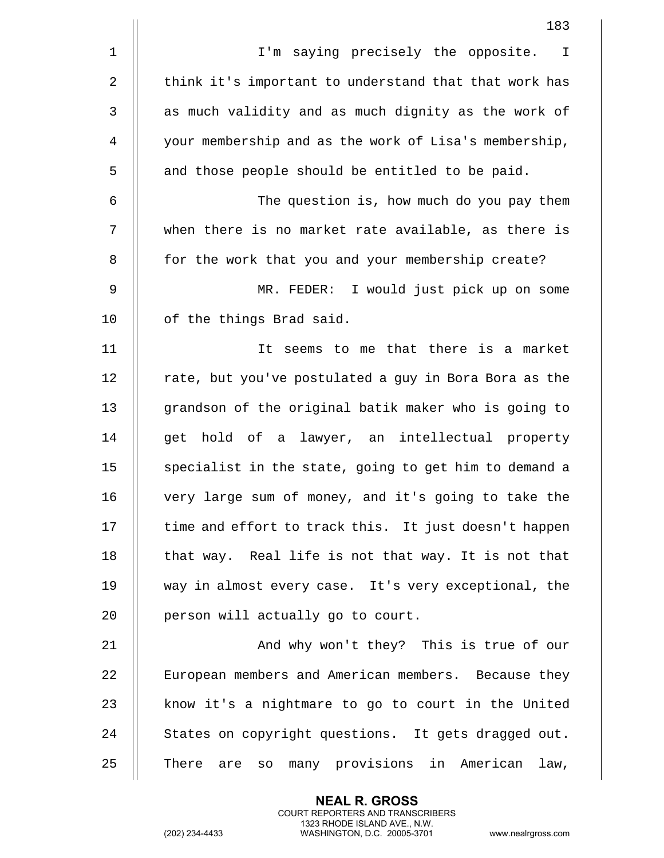|             | 183                                                       |
|-------------|-----------------------------------------------------------|
| $\mathbf 1$ | I'm saying precisely the opposite.<br>$\mathbb{I}$        |
| 2           | think it's important to understand that that work has     |
| 3           | as much validity and as much dignity as the work of       |
| 4           | your membership and as the work of Lisa's membership,     |
| 5           | and those people should be entitled to be paid.           |
| 6           | The question is, how much do you pay them                 |
| 7           | when there is no market rate available, as there is       |
| 8           | for the work that you and your membership create?         |
| 9           | MR. FEDER: I would just pick up on some                   |
| 10          | of the things Brad said.                                  |
| 11          | seems to me that there is a market<br>It                  |
| 12          | rate, but you've postulated a guy in Bora Bora as the     |
| 13          | grandson of the original batik maker who is going to      |
| 14          | get hold of a lawyer, an intellectual property            |
| 15          | specialist in the state, going to get him to demand a     |
| 16          | very large sum of money, and it's going to take the       |
| 17          | time and effort to track this. It just doesn't happen     |
| 18          | that way. Real life is not that way. It is not that       |
| 19          | way in almost every case. It's very exceptional, the      |
| 20          | person will actually go to court.                         |
| 21          | And why won't they? This is true of our                   |
| 22          | European members and American members. Because they       |
| 23          | know it's a nightmare to go to court in the United        |
| 24          | States on copyright questions. It gets dragged out.       |
| 25          | many provisions in American<br>There<br>law,<br>SO<br>are |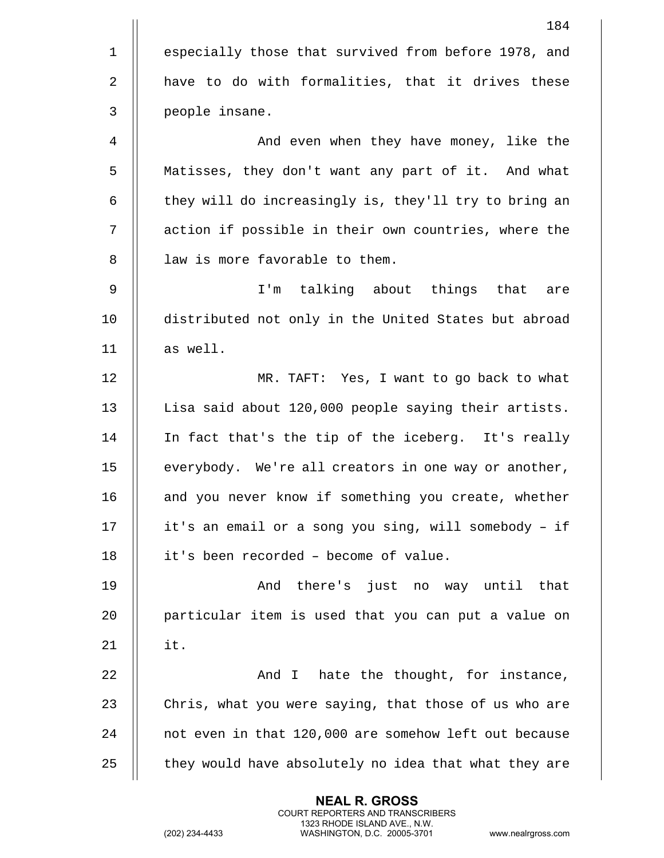|              | 184                                                   |
|--------------|-------------------------------------------------------|
| $\mathbf{1}$ | especially those that survived from before 1978, and  |
| 2            | have to do with formalities, that it drives these     |
| 3            | people insane.                                        |
| 4            | And even when they have money, like the               |
| 5            | Matisses, they don't want any part of it. And what    |
| 6            | they will do increasingly is, they'll try to bring an |
| 7            | action if possible in their own countries, where the  |
| 8            | law is more favorable to them.                        |
| 9            | I'm talking about things that<br>are                  |
| 10           | distributed not only in the United States but abroad  |
| 11           | as well.                                              |
| 12           | MR. TAFT: Yes, I want to go back to what              |
| 13           | Lisa said about 120,000 people saying their artists.  |
| 14           | In fact that's the tip of the iceberg. It's really    |
| 15           | everybody. We're all creators in one way or another,  |
| 16           | and you never know if something you create, whether   |
| 17           | it's an email or a song you sing, will somebody - if  |
| 18           | it's been recorded - become of value.                 |
| 19           | And there's just no way until that                    |
| 20           | particular item is used that you can put a value on   |
| 21           | it.                                                   |
| 22           | And I hate the thought, for instance,                 |
| 23           | Chris, what you were saying, that those of us who are |
| 24           | not even in that 120,000 are somehow left out because |
| 25           | they would have absolutely no idea that what they are |
|              |                                                       |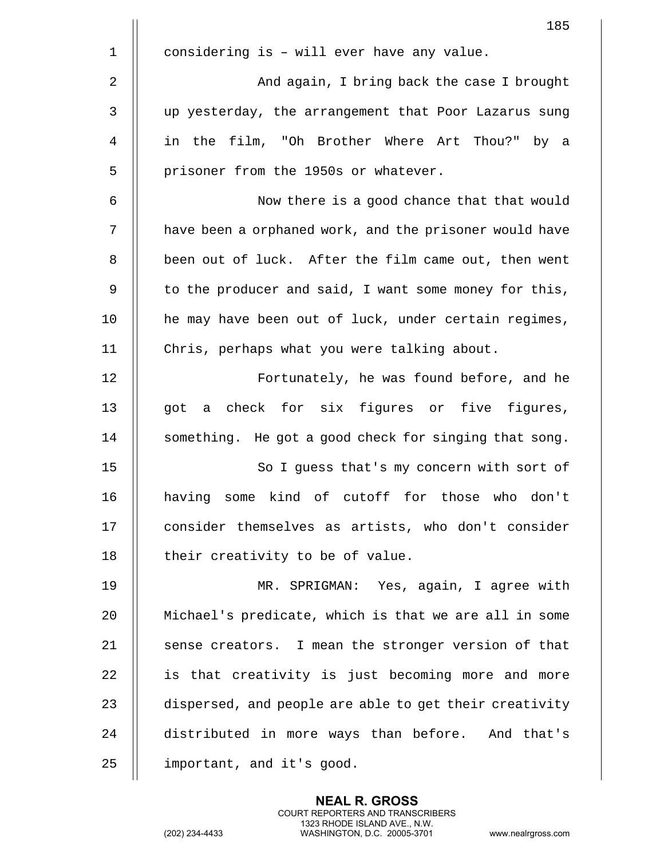|    | 185                                                    |
|----|--------------------------------------------------------|
| 1  | considering is - will ever have any value.             |
| 2  | And again, I bring back the case I brought             |
| 3  | up yesterday, the arrangement that Poor Lazarus sung   |
| 4  | in the film, "Oh Brother Where Art Thou?" by a         |
| 5  | prisoner from the 1950s or whatever.                   |
| 6  | Now there is a good chance that that would             |
| 7  | have been a orphaned work, and the prisoner would have |
| 8  | been out of luck. After the film came out, then went   |
| 9  | to the producer and said, I want some money for this,  |
| 10 | he may have been out of luck, under certain regimes,   |
| 11 | Chris, perhaps what you were talking about.            |
| 12 | Fortunately, he was found before, and he               |
| 13 | got a check for six figures or five figures,           |
| 14 | something. He got a good check for singing that song.  |
| 15 | So I guess that's my concern with sort of              |
| 16 | having some kind of cutoff for those who don't         |
| 17 | consider themselves as artists, who don't consider     |
| 18 | their creativity to be of value.                       |
| 19 | MR. SPRIGMAN: Yes, again, I agree with                 |
| 20 | Michael's predicate, which is that we are all in some  |
| 21 | sense creators. I mean the stronger version of that    |
| 22 | is that creativity is just becoming more and more      |
| 23 | dispersed, and people are able to get their creativity |
| 24 | distributed in more ways than before. And that's       |
| 25 | important, and it's good.                              |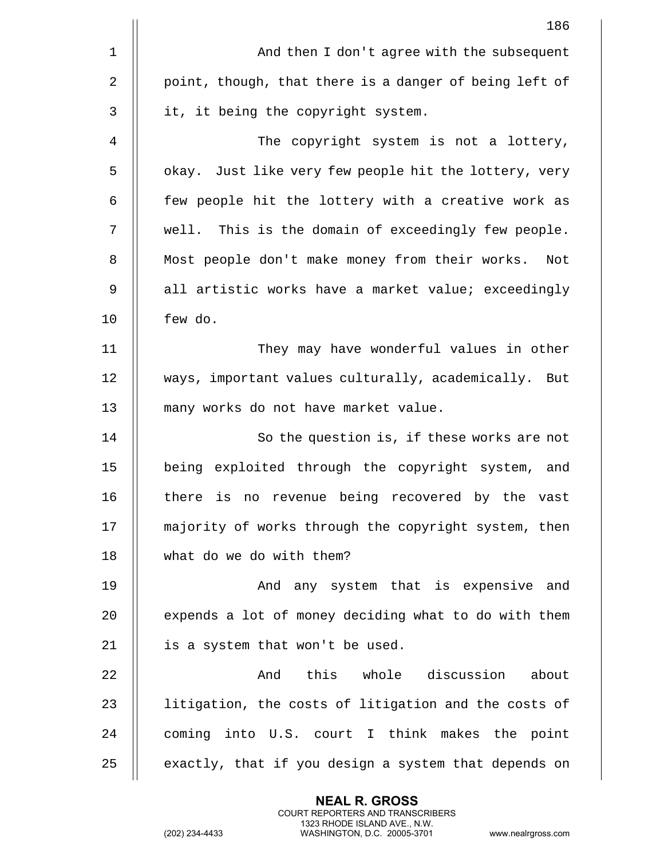|              | 186                                                    |
|--------------|--------------------------------------------------------|
| 1            | And then I don't agree with the subsequent             |
| $\mathbf{2}$ | point, though, that there is a danger of being left of |
| 3            | it, it being the copyright system.                     |
| 4            | The copyright system is not a lottery,                 |
| 5            | okay. Just like very few people hit the lottery, very  |
| 6            | few people hit the lottery with a creative work as     |
| 7            | well. This is the domain of exceedingly few people.    |
| 8            | Most people don't make money from their works.<br>Not  |
| 9            | all artistic works have a market value; exceedingly    |
| 10           | few do.                                                |
| 11           | They may have wonderful values in other                |
| 12           | ways, important values culturally, academically. But   |
| 13           | many works do not have market value.                   |
| 14           | So the question is, if these works are not             |
| 15           | being exploited through the copyright system, and      |
| 16           | there is no revenue being recovered by the vast        |
| 17           | majority of works through the copyright system, then   |
| 18           | what do we do with them?                               |
| 19           | And any system that is expensive and                   |
| 20           | expends a lot of money deciding what to do with them   |
| 21           | is a system that won't be used.                        |
| 22           | this whole discussion<br>about<br>And                  |
| 23           | litigation, the costs of litigation and the costs of   |
| 24           | coming into U.S. court I think makes the point         |
| 25           | exactly, that if you design a system that depends on   |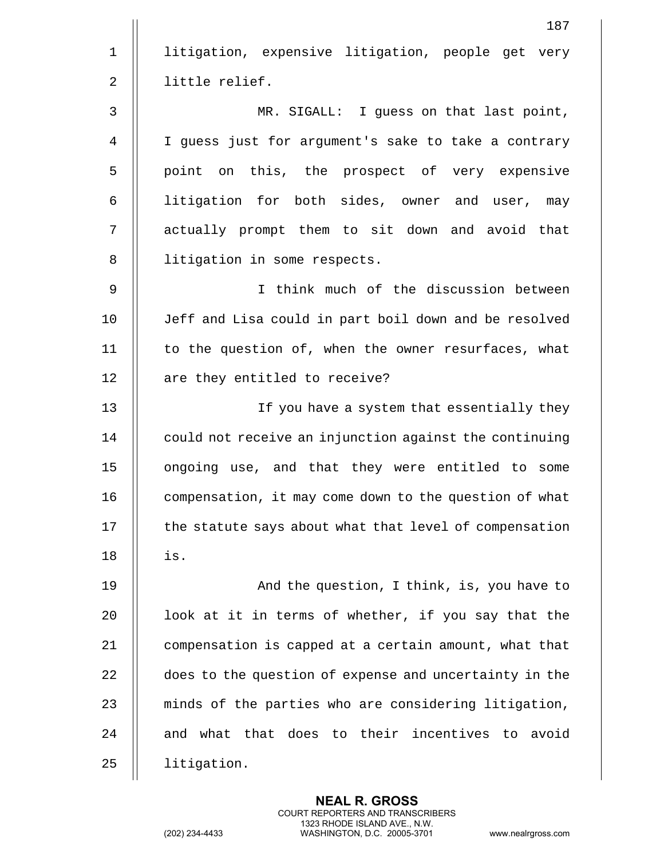187 1 || litigation, expensive litigation, people get very 2 | little relief. 3 MR. SIGALL: I guess on that last point, 4 I guess just for argument's sake to take a contrary 5 || point on this, the prospect of very expensive 6 || litigation for both sides, owner and user, may 7 || actually prompt them to sit down and avoid that 8 | litigation in some respects. 9 I think much of the discussion between 10 Jeff and Lisa could in part boil down and be resolved 11 || to the question of, when the owner resurfaces, what 12 | are they entitled to receive? 13 || If you have a system that essentially they  $14$  | could not receive an injunction against the continuing 15 ongoing use, and that they were entitled to some 16 | compensation, it may come down to the question of what  $17$   $\parallel$  the statute says about what that level of compensation 18 is. 19 || And the question, I think, is, you have to 20  $\parallel$  100k at it in terms of whether, if you say that the 21 **compensation is capped at a certain amount, what that** 22 does to the question of expense and uncertainty in the 23  $\parallel$  minds of the parties who are considering litigation, 24 || and what that does to their incentives to avoid 25 | litigation.

> **NEAL R. GROSS** COURT REPORTERS AND TRANSCRIBERS 1323 RHODE ISLAND AVE., N.W.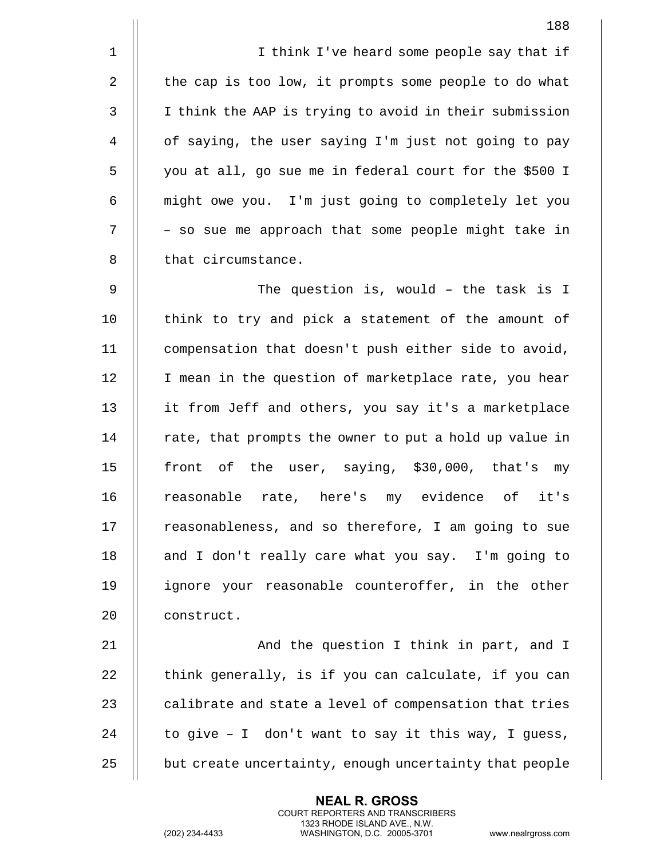1 || I think I've heard some people say that if 2 | the cap is too low, it prompts some people to do what 3 | I think the AAP is trying to avoid in their submission 4 of saying, the user saying I'm just not going to pay 5 you at all, go sue me in federal court for the \$500 I 6 might owe you. I'm just going to completely let you  $7$   $\parallel$  - so sue me approach that some people might take in 8 || that circumstance.

9 The question is, would B the task is I 10 || think to try and pick a statement of the amount of 11 compensation that doesn't push either side to avoid, 12 || I mean in the question of marketplace rate, you hear 13 || it from Jeff and others, you say it's a marketplace  $14$  | rate, that prompts the owner to put a hold up value in 15 || front of the user, saying, \$30,000, that's my 16 || reasonable rate, here's my evidence of it's  $17$  | reasonableness, and so therefore, I am going to sue 18 || and I don't really care what you say. I'm going to 19 ignore your reasonable counteroffer, in the other 20 || construct.

21 || And the question I think in part, and I 22  $\parallel$  think generally, is if you can calculate, if you can 23  $\parallel$  calibrate and state a level of compensation that tries 24  $\parallel$  to give - I don't want to say it this way, I guess, 25 | but create uncertainty, enough uncertainty that people

> **NEAL R. GROSS** COURT REPORTERS AND TRANSCRIBERS 1323 RHODE ISLAND AVE., N.W.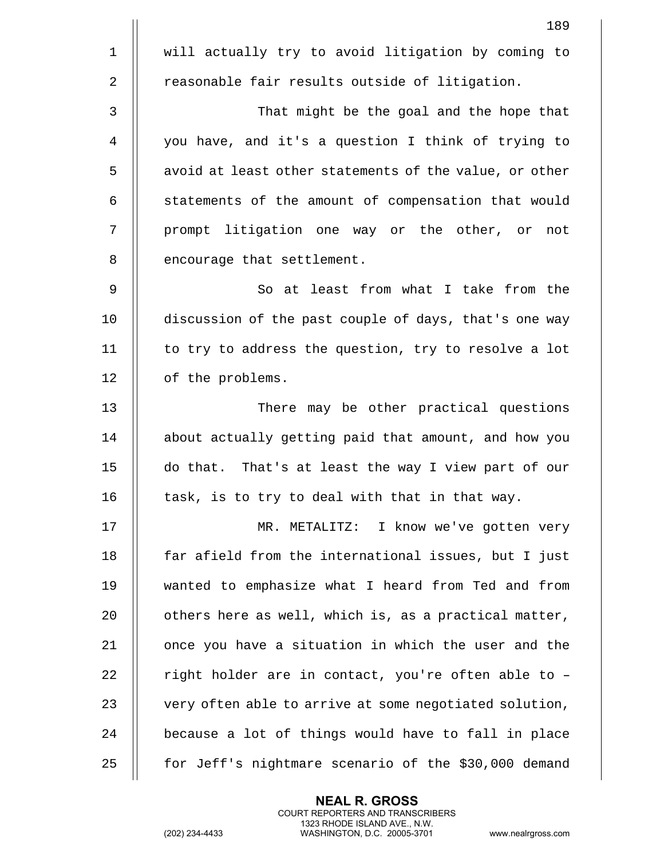|                | 189                                                    |
|----------------|--------------------------------------------------------|
| $\mathbf 1$    | will actually try to avoid litigation by coming to     |
| $\overline{2}$ | reasonable fair results outside of litigation.         |
| 3              | That might be the goal and the hope that               |
| 4              | you have, and it's a question I think of trying to     |
| 5              | avoid at least other statements of the value, or other |
| 6              | statements of the amount of compensation that would    |
| 7              | prompt litigation one way or the other, or not         |
| 8              | encourage that settlement.                             |
| 9              | So at least from what I take from the                  |
| 10             | discussion of the past couple of days, that's one way  |
| 11             | to try to address the question, try to resolve a lot   |
| 12             | of the problems.                                       |
| 13             | There may be other practical questions                 |
| 14             | about actually getting paid that amount, and how you   |
| 15             | do that. That's at least the way I view part of our    |
| 16             | task, is to try to deal with that in that way.         |
| 17             | MR. METALITZ: I know we've gotten very                 |
| 18             | far afield from the international issues, but I just   |
| 19             | wanted to emphasize what I heard from Ted and from     |
| 20             | others here as well, which is, as a practical matter,  |
| 21             | once you have a situation in which the user and the    |
| 22             | right holder are in contact, you're often able to -    |
| 23             | very often able to arrive at some negotiated solution, |
| 24             | because a lot of things would have to fall in place    |
| 25             | for Jeff's nightmare scenario of the \$30,000 demand   |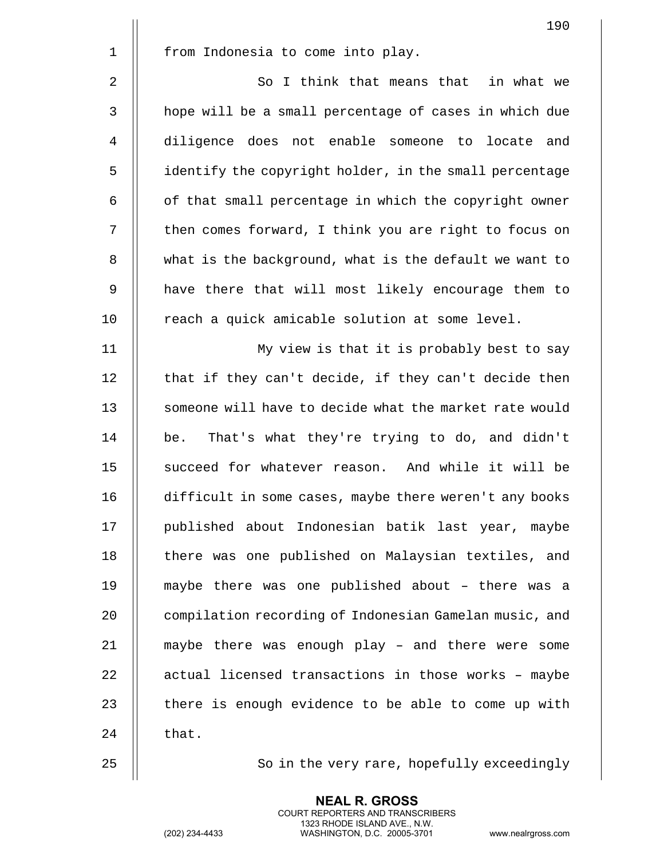|             | 190                                                    |
|-------------|--------------------------------------------------------|
| $\mathbf 1$ | from Indonesia to come into play.                      |
| 2           | So I think that means that in what we                  |
| 3           | hope will be a small percentage of cases in which due  |
| 4           | diligence does not enable someone to locate and        |
| 5           | identify the copyright holder, in the small percentage |
| 6           | of that small percentage in which the copyright owner  |
| 7           | then comes forward, I think you are right to focus on  |
| $\, 8$      | what is the background, what is the default we want to |
| 9           | have there that will most likely encourage them to     |
| 10          | reach a quick amicable solution at some level.         |
| 11          | My view is that it is probably best to say             |
| 12          | that if they can't decide, if they can't decide then   |
| 13          | someone will have to decide what the market rate would |
| 14          | That's what they're trying to do, and didn't<br>be.    |
| 15          | succeed for whatever reason. And while it will be      |
| 16          | difficult in some cases, maybe there weren't any books |
| 17          | published about Indonesian batik last year, maybe      |
| 18          | there was one published on Malaysian textiles, and     |
| 19          | maybe there was one published about - there was a      |
| 20          | compilation recording of Indonesian Gamelan music, and |
| 21          | maybe there was enough play - and there were some      |
| 22          | actual licensed transactions in those works - maybe    |
| 23          | there is enough evidence to be able to come up with    |
| 24          | that.                                                  |
| 25          | So in the very rare, hopefully exceedingly             |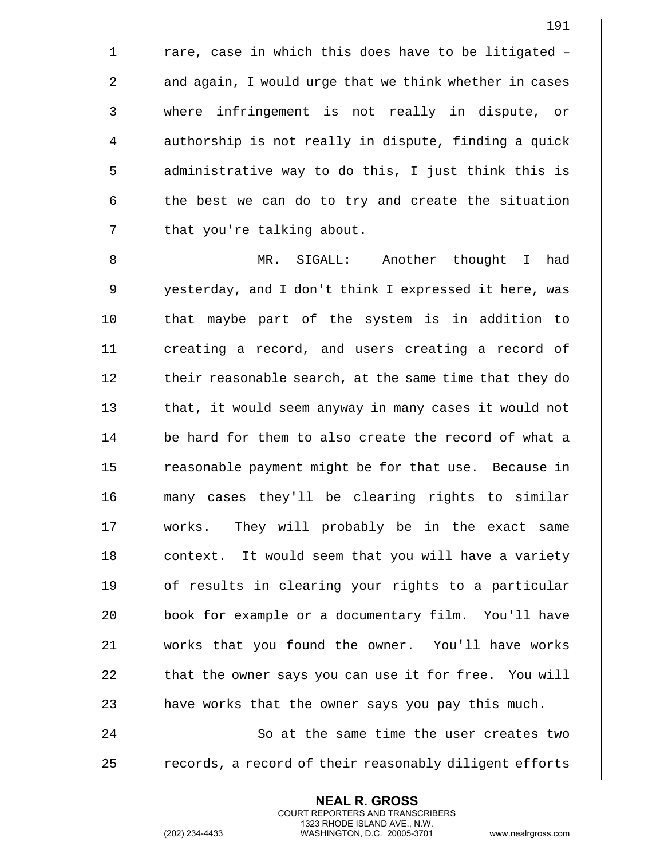$1$  | rare, case in which this does have to be litigated -2 | and again, I would urge that we think whether in cases 3 where infringement is not really in dispute, or 4 | authorship is not really in dispute, finding a quick  $5$   $\parallel$  administrative way to do this, I just think this is  $6$   $\parallel$  the best we can do to try and create the situation 7 | that you're talking about.

8 MR. SIGALL: Another thought I had 9 || yesterday, and I don't think I expressed it here, was 10 || that maybe part of the system is in addition to 11 | creating a record, and users creating a record of 12 | their reasonable search, at the same time that they do 13  $\parallel$  that, it would seem anyway in many cases it would not 14 be hard for them to also create the record of what a 15 | reasonable payment might be for that use. Because in 16 many cases they'll be clearing rights to similar 17 works. They will probably be in the exact same 18 || context. It would seem that you will have a variety 19 || of results in clearing your rights to a particular 20 || book for example or a documentary film. You'll have 21 works that you found the owner. You'll have works 22  $\parallel$  that the owner says you can use it for free. You will 23  $\parallel$  have works that the owner says you pay this much. 24 || So at the same time the user creates two

25 || records, a record of their reasonably diligent efforts

**NEAL R. GROSS** COURT REPORTERS AND TRANSCRIBERS 1323 RHODE ISLAND AVE., N.W.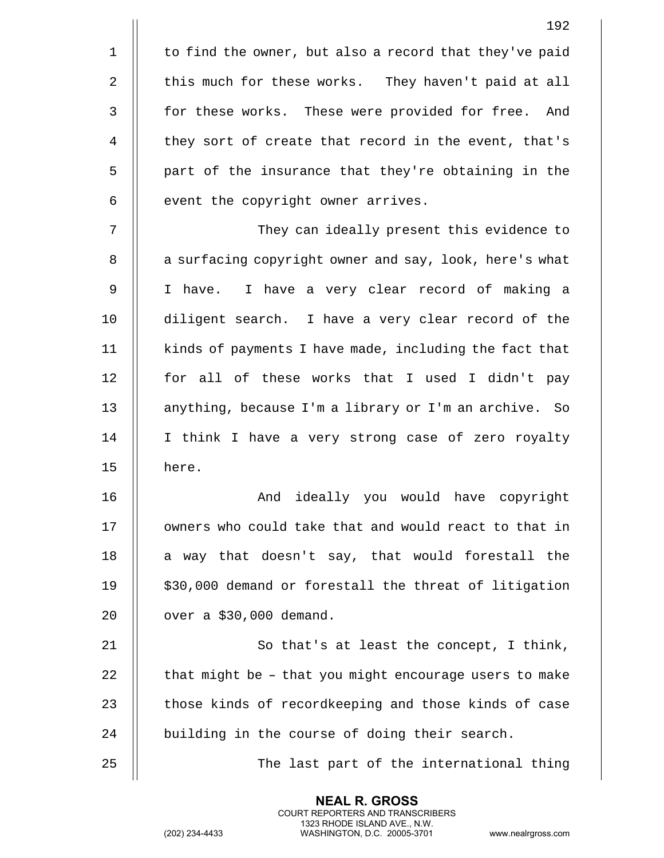|                | 192                                                    |
|----------------|--------------------------------------------------------|
| $\mathbf 1$    | to find the owner, but also a record that they've paid |
| $\overline{2}$ | this much for these works. They haven't paid at all    |
| $\mathsf{3}$   | for these works. These were provided for free. And     |
| 4              | they sort of create that record in the event, that's   |
| 5              | part of the insurance that they're obtaining in the    |
| 6              | event the copyright owner arrives.                     |
| 7              | They can ideally present this evidence to              |
| 8              | a surfacing copyright owner and say, look, here's what |
| 9              | I have. I have a very clear record of making a         |
| 10             | diligent search. I have a very clear record of the     |
| 11             | kinds of payments I have made, including the fact that |
| 12             | for all of these works that I used I didn't pay        |
| 13             | anything, because I'm a library or I'm an archive. So  |
| 14             | I think I have a very strong case of zero royalty      |
| 15             | here.                                                  |
| 16             | ideally you would have copyright<br>And                |
| 17             | owners who could take that and would react to that in  |
| 18             | a way that doesn't say, that would forestall the       |
| 19             | \$30,000 demand or forestall the threat of litigation  |
| 20             | over a \$30,000 demand.                                |
| 21             | So that's at least the concept, I think,               |
| 22             | that might be - that you might encourage users to make |
| 23             | those kinds of recordkeeping and those kinds of case   |
| 24             | building in the course of doing their search.          |
| 25             | The last part of the international thing               |

(202) 234-4433 WASHINGTON, D.C. 20005-3701 www.nealrgross.com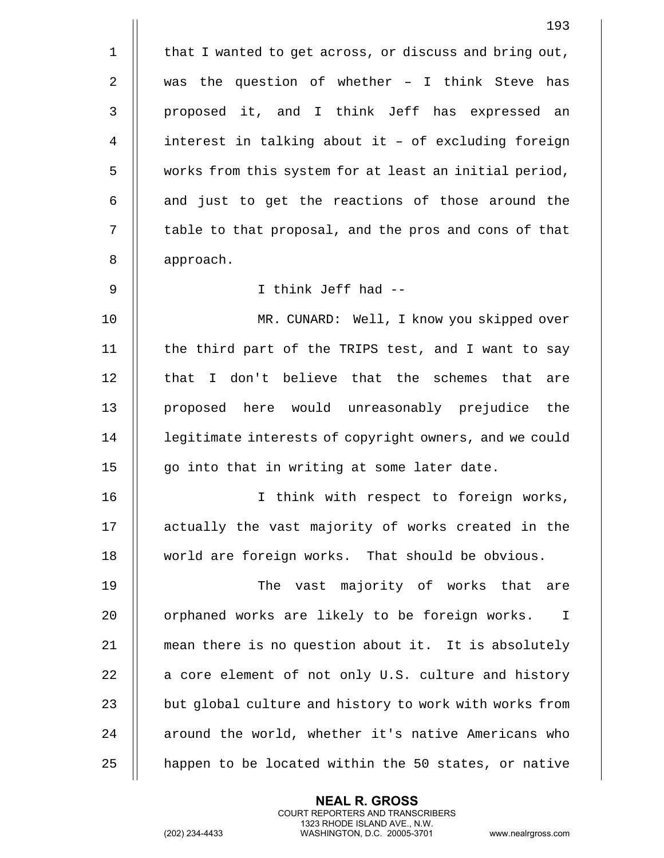1 | that I wanted to get across, or discuss and bring out, 2  $\parallel$  was the question of whether - I think Steve has 3 proposed it, and I think Jeff has expressed an 4 | interest in talking about it - of excluding foreign 5 | works from this system for at least an initial period,  $6$  || and just to get the reactions of those around the 7 | table to that proposal, and the pros and cons of that 8 | approach. 9 I think Jeff had -- 10 MR. CUNARD: Well, I know you skipped over 11 || the third part of the TRIPS test, and I want to say 12 || that I don't believe that the schemes that are 13 || proposed here would unreasonably prejudice the 14 | legitimate interests of copyright owners, and we could  $15$  | qo into that in writing at some later date. 16 I think with respect to foreign works, 17 || actually the vast majority of works created in the 18 world are foreign works. That should be obvious. 19 The vast majority of works that are 20 || orphaned works are likely to be foreign works. I 21 mean there is no question about it. It is absolutely 22  $\parallel$  a core element of not only U.S. culture and history 23 | but global culture and history to work with works from 24 || around the world, whether it's native Americans who 25  $\parallel$  happen to be located within the 50 states, or native

> **NEAL R. GROSS** COURT REPORTERS AND TRANSCRIBERS 1323 RHODE ISLAND AVE., N.W.

(202) 234-4433 WASHINGTON, D.C. 20005-3701 www.nealrgross.com

193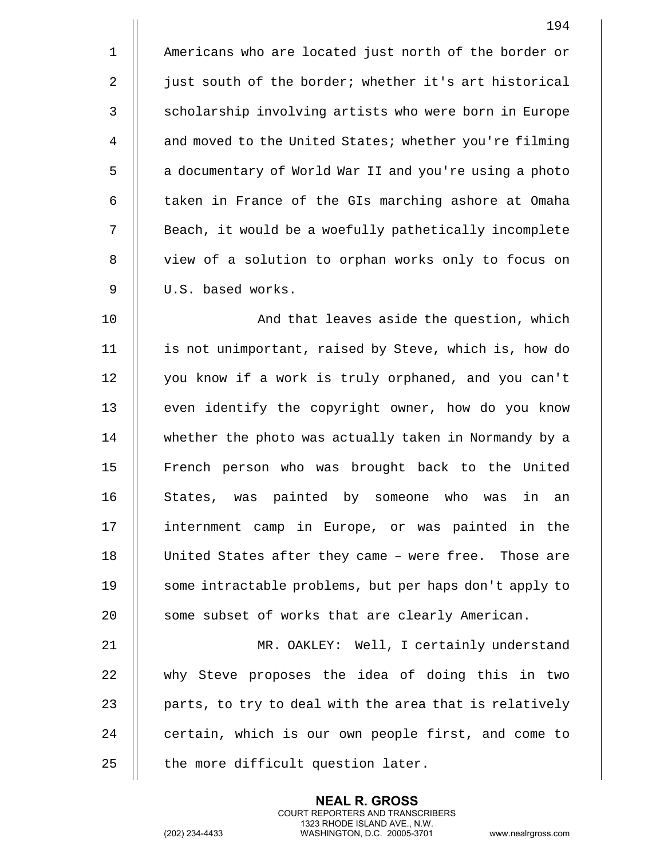1 || Americans who are located just north of the border or 2 | just south of the border; whether it's art historical 3 || scholarship involving artists who were born in Europe 4 | and moved to the United States; whether you're filming 5 | a documentary of World War II and you're using a photo 6 | taken in France of the GIs marching ashore at Omaha 7 || Beach, it would be a woefully pathetically incomplete 8 || view of a solution to orphan works only to focus on 9 | U.S. based works.

10 || And that leaves aside the question, which 11 is not unimportant, raised by Steve, which is, how do 12 | you know if a work is truly orphaned, and you can't 13 || even identify the copyright owner, how do you know 14 whether the photo was actually taken in Normandy by a 15 || French person who was brought back to the United 16 || States, was painted by someone who was in an 17 || internment camp in Europe, or was painted in the 18 || United States after they came - were free. Those are 19 || some intractable problems, but per haps don't apply to 20 || some subset of works that are clearly American.

 MR. OAKLEY: Well, I certainly understand why Steve proposes the idea of doing this in two  $\parallel$  parts, to try to deal with the area that is relatively 24 | certain, which is our own people first, and come to  $\parallel$  the more difficult question later.

> **NEAL R. GROSS** COURT REPORTERS AND TRANSCRIBERS 1323 RHODE ISLAND AVE., N.W.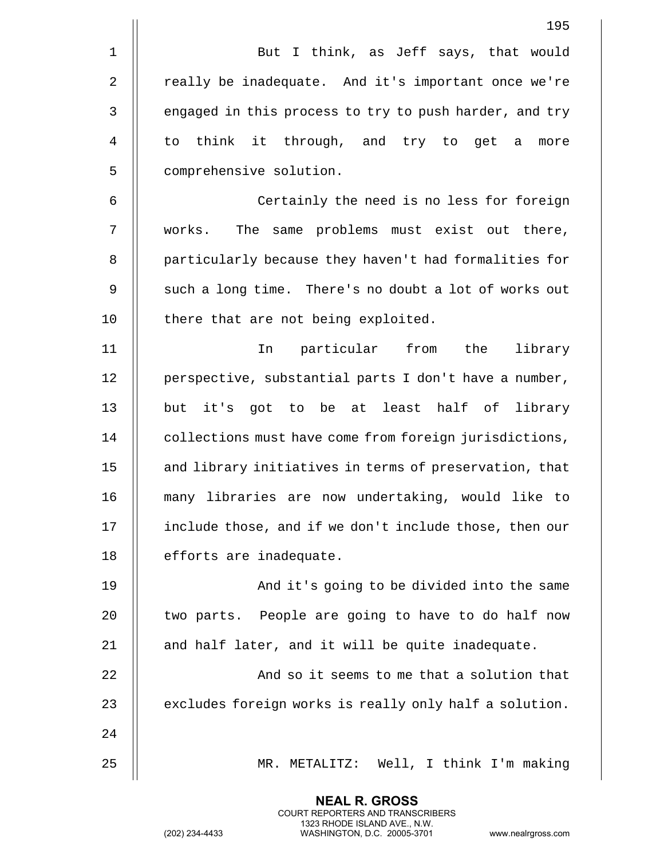|                | 195                                                    |
|----------------|--------------------------------------------------------|
| 1              | But I think, as Jeff says, that would                  |
| $\overline{2}$ | really be inadequate. And it's important once we're    |
| 3              | engaged in this process to try to push harder, and try |
| 4              | to think it through, and try to get<br>a<br>more       |
| 5              | comprehensive solution.                                |
| 6              | Certainly the need is no less for foreign              |
| 7              | works. The same problems must exist out there,         |
| 8              | particularly because they haven't had formalities for  |
| 9              | such a long time. There's no doubt a lot of works out  |
| 10             | there that are not being exploited.                    |
| 11             | particular from<br>the<br>library<br>In                |
| 12             | perspective, substantial parts I don't have a number,  |
| 13             | it's got to be at least half of<br>but<br>library      |
| 14             | collections must have come from foreign jurisdictions, |
| 15             | and library initiatives in terms of preservation, that |
| 16             | many libraries are now undertaking, would like to      |
| 17             | include those, and if we don't include those, then our |
| 18             | efforts are inadequate.                                |
| 19             | And it's going to be divided into the same             |
| 20             | two parts. People are going to have to do half now     |
| 21             | and half later, and it will be quite inadequate.       |
| 22             | And so it seems to me that a solution that             |
| 23             | excludes foreign works is really only half a solution. |
| 24             |                                                        |
| 25             | MR. METALITZ: Well, I think I'm making                 |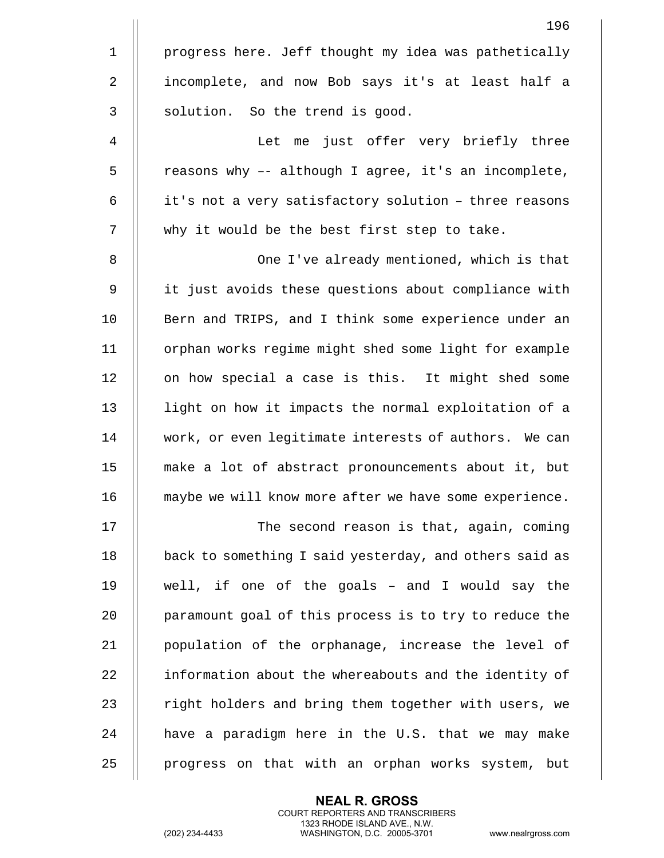|                | 196                                                    |
|----------------|--------------------------------------------------------|
| $\mathbf 1$    | progress here. Jeff thought my idea was pathetically   |
| $\overline{2}$ | incomplete, and now Bob says it's at least half a      |
| 3              | solution. So the trend is good.                        |
| 4              | Let me just offer very briefly three                   |
| 5              | reasons why -- although I agree, it's an incomplete,   |
| 6              | it's not a very satisfactory solution - three reasons  |
| 7              | why it would be the best first step to take.           |
| 8              | One I've already mentioned, which is that              |
| 9              | it just avoids these questions about compliance with   |
| 10             | Bern and TRIPS, and I think some experience under an   |
| 11             | orphan works regime might shed some light for example  |
| 12             | on how special a case is this. It might shed some      |
| 13             | light on how it impacts the normal exploitation of a   |
| 14             | work, or even legitimate interests of authors. We can  |
| 15             | make a lot of abstract pronouncements about it, but    |
| 16             | maybe we will know more after we have some experience. |
| 17             | The second reason is that, again, coming               |
| 18             | back to something I said yesterday, and others said as |
| 19             | well, if one of the goals - and I would say the        |
| 20             | paramount goal of this process is to try to reduce the |
| 21             | population of the orphanage, increase the level of     |
| 22             | information about the whereabouts and the identity of  |
| 23             | right holders and bring them together with users, we   |
| 24             | have a paradigm here in the U.S. that we may make      |
| 25             | progress on that with an orphan works system, but      |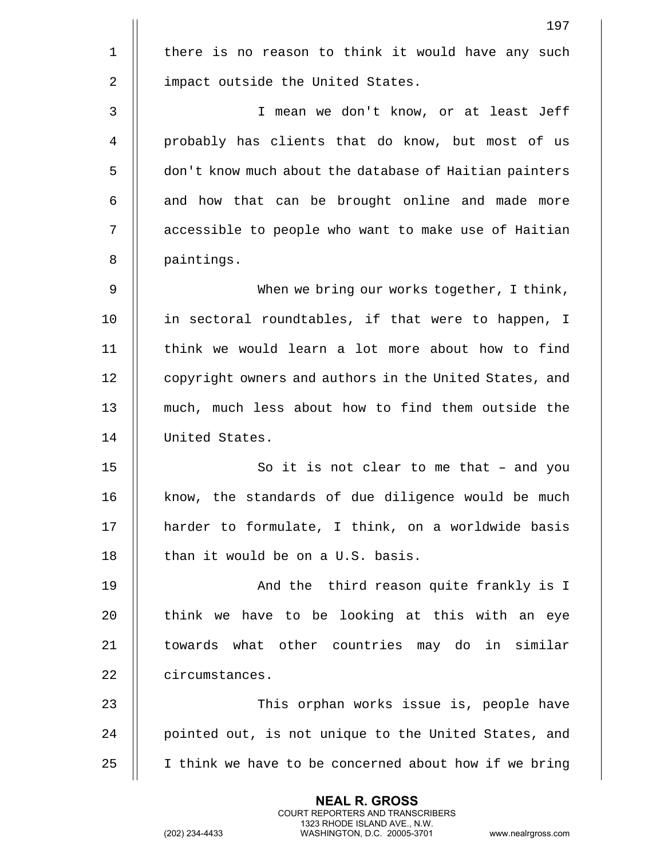|             | 197                                                    |
|-------------|--------------------------------------------------------|
| $\mathbf 1$ | there is no reason to think it would have any such     |
| 2           | impact outside the United States.                      |
| 3           | I mean we don't know, or at least Jeff                 |
| 4           | probably has clients that do know, but most of us      |
| 5           | don't know much about the database of Haitian painters |
| 6           | and how that can be brought online and made more       |
| 7           | accessible to people who want to make use of Haitian   |
| 8           | paintings.                                             |
| 9           | When we bring our works together, I think,             |
| 10          | in sectoral roundtables, if that were to happen, I     |
| 11          | think we would learn a lot more about how to find      |
| 12          | copyright owners and authors in the United States, and |
| 13          | much, much less about how to find them outside the     |
| 14          | United States.                                         |
| 15          | So it is not clear to me that - and you                |
| 16          | know, the standards of due diligence would be much     |
| 17          | harder to formulate, I think, on a worldwide basis     |
| 18          | than it would be on a U.S. basis.                      |
| 19          | And the third reason quite frankly is I                |
| 20          | think we have to be looking at this with an eye        |
| 21          | towards what other countries may do in similar         |
| 22          | circumstances.                                         |
| 23          | This orphan works issue is, people have                |
| 24          | pointed out, is not unique to the United States, and   |
| 25          | I think we have to be concerned about how if we bring  |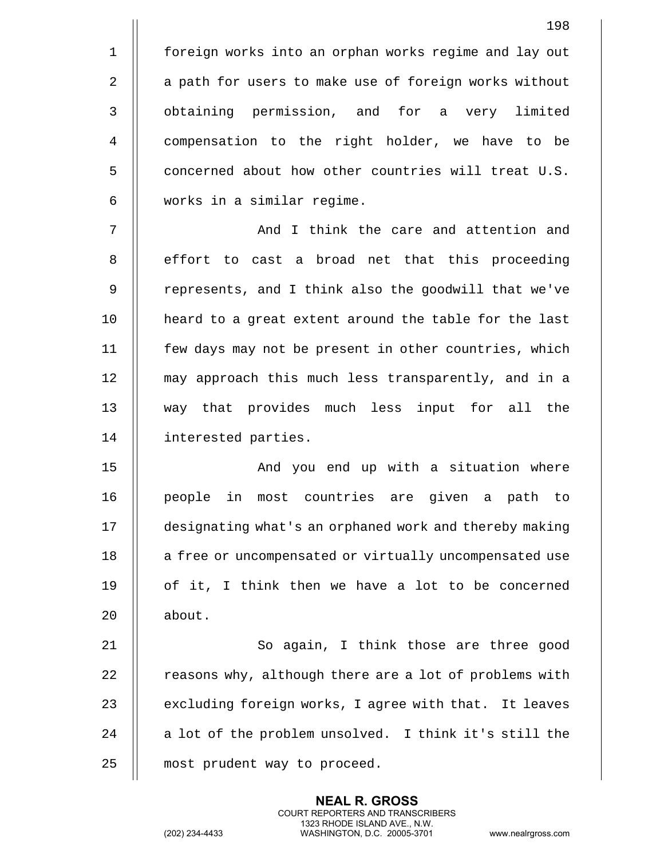And I think the care and attention and 8 || effort to cast a broad net that this proceeding 9 || represents, and I think also the goodwill that we've 10 || heard to a great extent around the table for the last few days may not be present in other countries, which may approach this much less transparently, and in a way that provides much less input for all the interested parties.

6 works in a similar regime.

15 || And you end up with a situation where 16 people in most countries are given a path to 17 designating what's an orphaned work and thereby making 18 || a free or uncompensated or virtually uncompensated use 19  $\parallel$  of it, I think then we have a lot to be concerned 20 | about.

21 || So again, I think those are three good 22  $\parallel$  reasons why, although there are a lot of problems with 23  $\parallel$  excluding foreign works, I agree with that. It leaves 24  $\parallel$  a lot of the problem unsolved. I think it's still the 25 | most prudent way to proceed.

> **NEAL R. GROSS** COURT REPORTERS AND TRANSCRIBERS 1323 RHODE ISLAND AVE., N.W.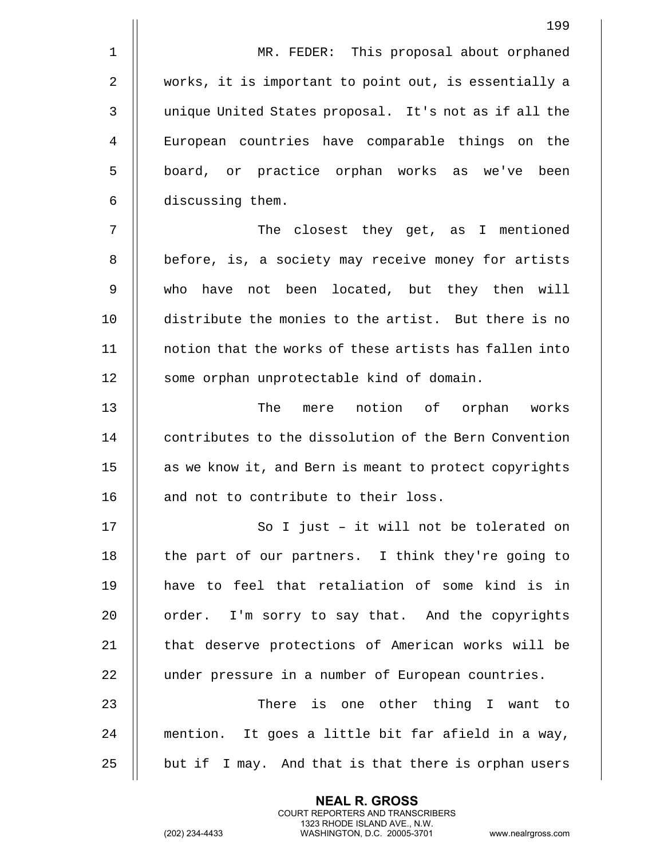1 || MR. FEDER: This proposal about orphaned 2 works, it is important to point out, is essentially a 3 | unique United States proposal. It's not as if all the 4 European countries have comparable things on the 5 || board, or practice orphan works as we've been 6 discussing them. 7 The closest they get, as I mentioned 8 || before, is, a society may receive money for artists 9 who have not been located, but they then will 10 distribute the monies to the artist. But there is no 11 notion that the works of these artists has fallen into 12 | some orphan unprotectable kind of domain. 13 The mere notion of orphan works 14  $\parallel$  contributes to the dissolution of the Bern Convention 15 || as we know it, and Bern is meant to protect copyrights 16 || and not to contribute to their loss. 17 || So I just - it will not be tolerated on 18 || the part of our partners. I think they're going to 19 have to feel that retaliation of some kind is in  $20$  | order. I'm sorry to say that. And the copyrights 21 || that deserve protections of American works will be 22 | under pressure in a number of European countries. 23 There is one other thing I want to 24 mention. It goes a little bit far afield in a way,  $25$  || but if I may. And that is that there is orphan users

> **NEAL R. GROSS** COURT REPORTERS AND TRANSCRIBERS 1323 RHODE ISLAND AVE., N.W.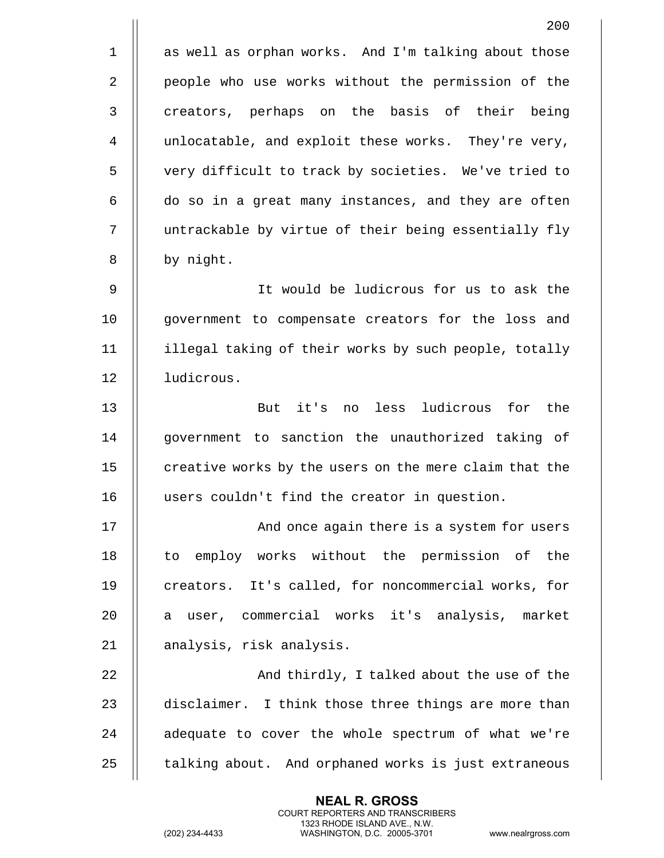| 200                                                    |
|--------------------------------------------------------|
| as well as orphan works. And I'm talking about those   |
| people who use works without the permission of the     |
| creators, perhaps on the basis of their being          |
| unlocatable, and exploit these works. They're very,    |
| very difficult to track by societies. We've tried to   |
| do so in a great many instances, and they are often    |
| untrackable by virtue of their being essentially fly   |
| by night.                                              |
| It would be ludicrous for us to ask the                |
| government to compensate creators for the loss and     |
| illegal taking of their works by such people, totally  |
| ludicrous.                                             |
| But it's<br>no less ludicrous for the                  |
| government to sanction the unauthorized taking of      |
| creative works by the users on the mere claim that the |
| users couldn't find the creator in question.           |
| And once again there is a system for users             |
| to employ works without the permission of the          |
| creators. It's called, for noncommercial works, for    |
| a user, commercial works it's analysis, market         |
| analysis, risk analysis.                               |
| And thirdly, I talked about the use of the             |
| disclaimer. I think those three things are more than   |
| adequate to cover the whole spectrum of what we're     |
| talking about. And orphaned works is just extraneous   |
|                                                        |

(202) 234-4433 WASHINGTON, D.C. 20005-3701 www.nealrgross.com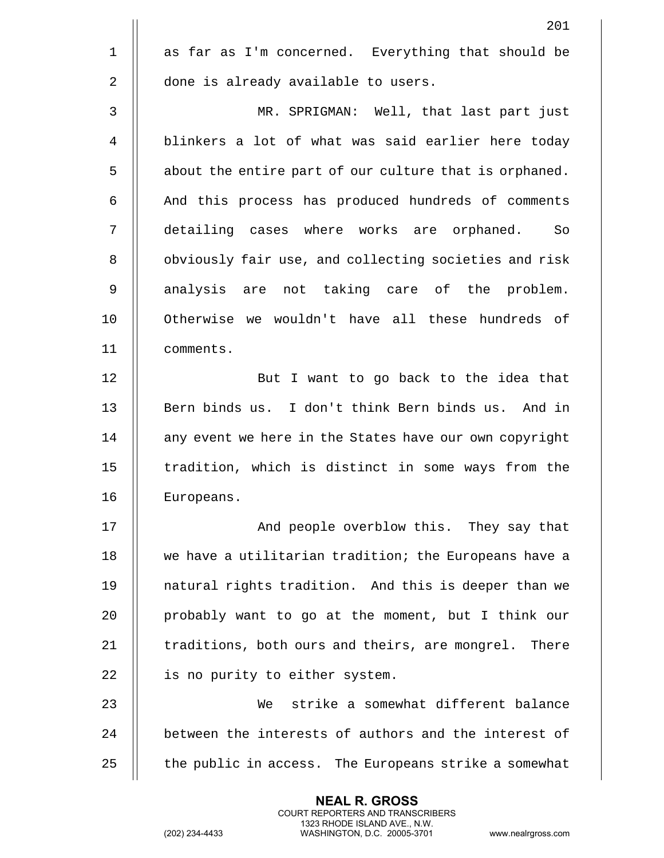|                | 201                                                    |
|----------------|--------------------------------------------------------|
| $\mathbf 1$    | as far as I'm concerned. Everything that should be     |
| $\overline{2}$ | done is already available to users.                    |
| $\mathsf{3}$   | MR. SPRIGMAN: Well, that last part just                |
| 4              | blinkers a lot of what was said earlier here today     |
| 5              | about the entire part of our culture that is orphaned. |
| 6              | And this process has produced hundreds of comments     |
| 7              | detailing cases where works are orphaned. So           |
| 8              | obviously fair use, and collecting societies and risk  |
| 9              | analysis are not taking care of the problem.           |
| 10             | Otherwise we wouldn't have all these hundreds of       |
| 11             | comments.                                              |
| 12             | But I want to go back to the idea that                 |
| 13             | Bern binds us. I don't think Bern binds us. And in     |
| 14             | any event we here in the States have our own copyright |
| 15             | tradition, which is distinct in some ways from the     |
| 16             | Europeans.                                             |
| 17             | And people overblow this. They say that                |
| 18             | we have a utilitarian tradition; the Europeans have a  |
| 19             | natural rights tradition. And this is deeper than we   |
| 20             | probably want to go at the moment, but I think our     |
| 21             | traditions, both ours and theirs, are mongrel. There   |
| 22             | is no purity to either system.                         |
| 23             | strike a somewhat different balance<br>We              |
| 24             | between the interests of authors and the interest of   |
| 25             | the public in access. The Europeans strike a somewhat  |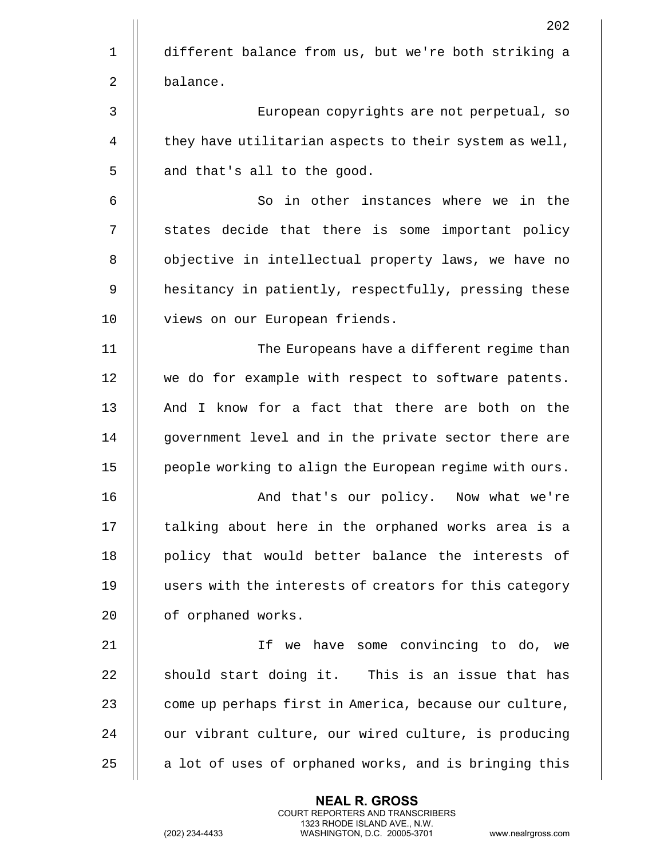|                | 202                                                    |
|----------------|--------------------------------------------------------|
| $\mathbf{1}$   | different balance from us, but we're both striking a   |
| $\overline{2}$ | balance.                                               |
| 3              | European copyrights are not perpetual, so              |
| 4              | they have utilitarian aspects to their system as well, |
| 5              | and that's all to the good.                            |
| 6              | So in other instances where we in the                  |
| 7              | states decide that there is some important policy      |
| 8              | objective in intellectual property laws, we have no    |
| 9              | hesitancy in patiently, respectfully, pressing these   |
| 10             | views on our European friends.                         |
| 11             | The Europeans have a different regime than             |
| 12             | we do for example with respect to software patents.    |
| 13             | And I know for a fact that there are both on the       |
| 14             | government level and in the private sector there are   |
| 15             | people working to align the European regime with ours. |
| 16             | And that's our policy. Now what we're                  |
| 17             | talking about here in the orphaned works area is a     |
| 18             | policy that would better balance the interests of      |
| 19             | users with the interests of creators for this category |
| 20             | of orphaned works.                                     |
| 21             | If we have some convincing to do, we                   |
| 22             | should start doing it. This is an issue that has       |
| 23             | come up perhaps first in America, because our culture, |
| 24             | our vibrant culture, our wired culture, is producing   |
| 25             | a lot of uses of orphaned works, and is bringing this  |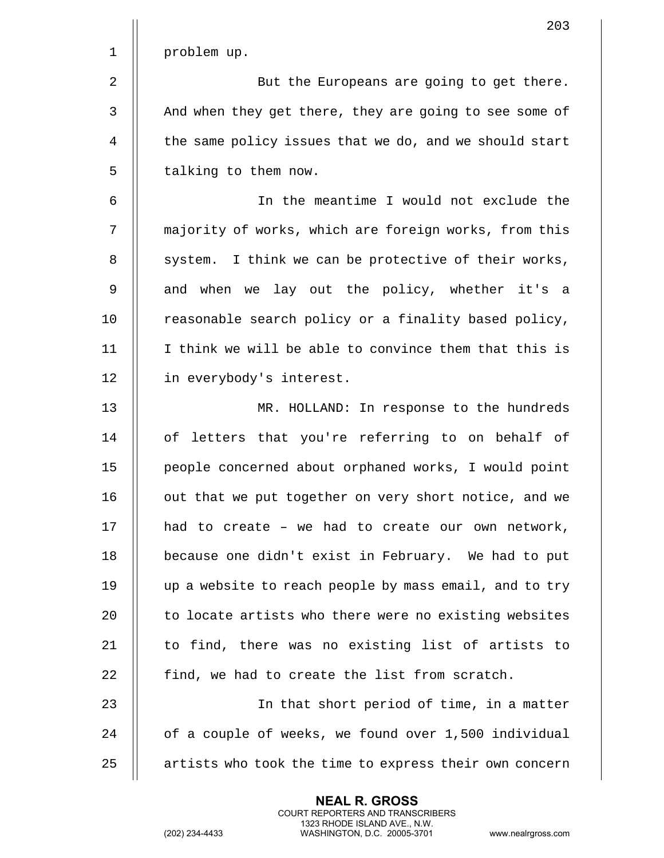|                | 203                                                    |
|----------------|--------------------------------------------------------|
| $\mathbf 1$    | problem up.                                            |
| $\overline{2}$ | But the Europeans are going to get there.              |
| $\mathbf{3}$   | And when they get there, they are going to see some of |
| 4              | the same policy issues that we do, and we should start |
| 5              | talking to them now.                                   |
| 6              | In the meantime I would not exclude the                |
| 7              | majority of works, which are foreign works, from this  |
| 8              | system. I think we can be protective of their works,   |
| 9              | and when we lay out the policy, whether it's a         |
| 10             | reasonable search policy or a finality based policy,   |
| 11             | I think we will be able to convince them that this is  |
| 12             | in everybody's interest.                               |
| 13             | MR. HOLLAND: In response to the hundreds               |
| 14             | of letters that you're referring to on behalf of       |
| 15             | people concerned about orphaned works, I would point   |
| 16             | out that we put together on very short notice, and we  |
| 17             | had to create - we had to create our own network,      |
| 18             | because one didn't exist in February. We had to put    |
| 19             | up a website to reach people by mass email, and to try |
| 20             | to locate artists who there were no existing websites  |
| 21             | to find, there was no existing list of artists to      |
| 22             | find, we had to create the list from scratch.          |
| 23             | In that short period of time, in a matter              |
| 24             | of a couple of weeks, we found over 1,500 individual   |
| 25             | artists who took the time to express their own concern |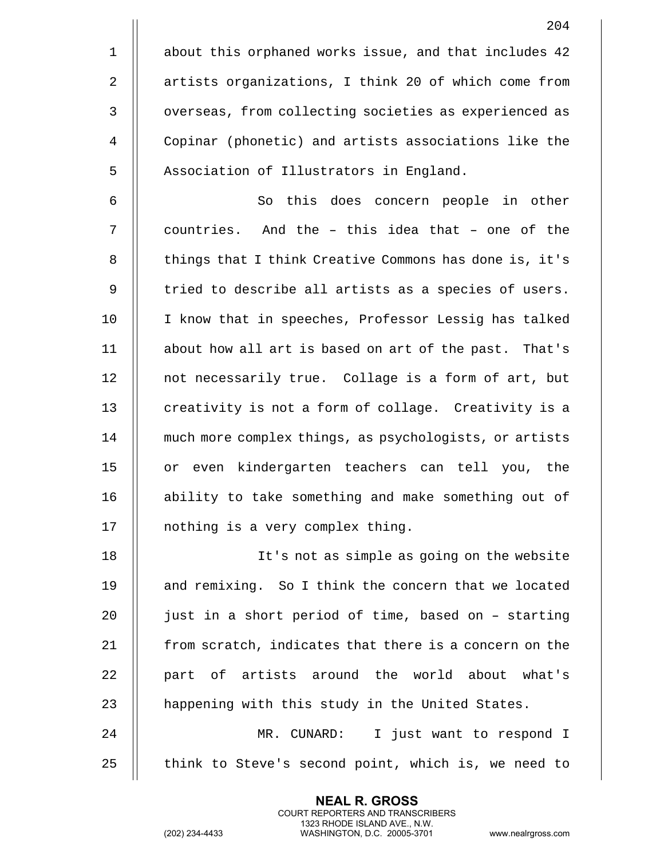1 | about this orphaned works issue, and that includes 42 2 | artists organizations, I think 20 of which come from 3 | overseas, from collecting societies as experienced as 4 Copinar (phonetic) and artists associations like the 5 | Association of Illustrators in England.

6 || So this does concern people in other  $7$   $\parallel$  countries. And the - this idea that - one of the 8 | things that I think Creative Commons has done is, it's  $9$   $\parallel$  tried to describe all artists as a species of users. 10 || I know that in speeches, Professor Lessig has talked 11 about how all art is based on art of the past. That's 12 | not necessarily true. Collage is a form of art, but 13 || creativity is not a form of collage. Creativity is a 14 | much more complex things, as psychologists, or artists 15 || or even kindergarten teachers can tell you, the 16 || ability to take something and make something out of 17 | nothing is a very complex thing.

18 It's not as simple as going on the website 19 || and remixing. So I think the concern that we located 20  $\parallel$  just in a short period of time, based on - starting  $21$  | from scratch, indicates that there is a concern on the 22 || part of artists around the world about what's 23 || happening with this study in the United States. 24 MR. CUNARD: I just want to respond I

 $25$   $\parallel$  think to Steve's second point, which is, we need to

**NEAL R. GROSS** COURT REPORTERS AND TRANSCRIBERS 1323 RHODE ISLAND AVE., N.W.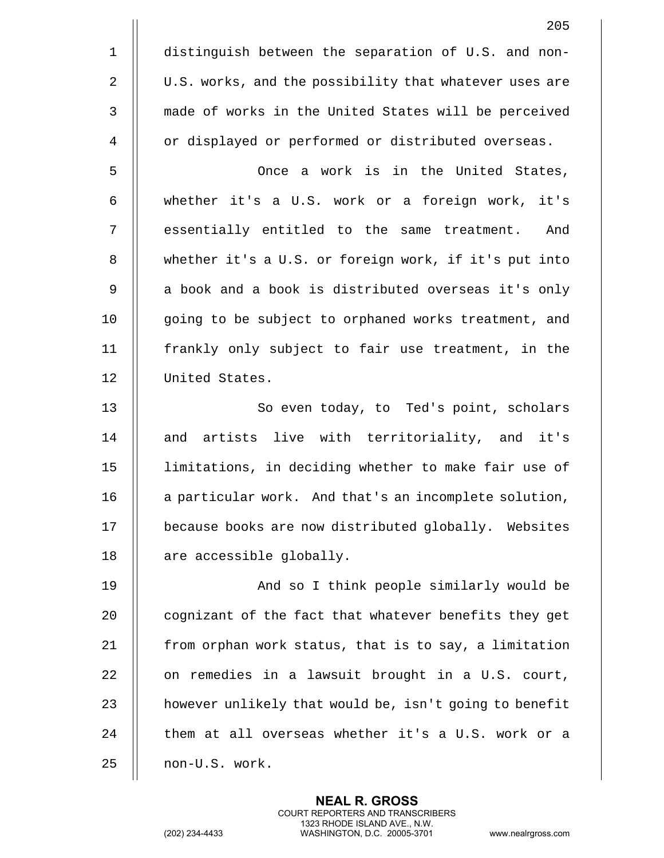|                | 205                                                    |
|----------------|--------------------------------------------------------|
| $\mathbf 1$    | distinguish between the separation of U.S. and non-    |
| $\overline{2}$ | U.S. works, and the possibility that whatever uses are |
| $\mathbf{3}$   | made of works in the United States will be perceived   |
| 4              | or displayed or performed or distributed overseas.     |
| 5              | Once a work is in the United States,                   |
| 6              | whether it's a U.S. work or a foreign work, it's       |
| 7              | essentially entitled to the same treatment.<br>And     |
| 8              | whether it's a U.S. or foreign work, if it's put into  |
| 9              | a book and a book is distributed overseas it's only    |
| 10             | going to be subject to orphaned works treatment, and   |
| 11             | frankly only subject to fair use treatment, in the     |
| 12             | United States.                                         |
| 13             | So even today, to Ted's point, scholars                |
| 14             | and artists live with territoriality, and it's         |
| 15             | limitations, in deciding whether to make fair use of   |
| 16             | a particular work. And that's an incomplete solution,  |
| 17             | because books are now distributed globally. Websites   |
| 18             | are accessible globally.                               |
| 19             | And so I think people similarly would be               |
| 20             | cognizant of the fact that whatever benefits they get  |
| 21             | from orphan work status, that is to say, a limitation  |
| 22             | on remedies in a lawsuit brought in a U.S. court,      |
| 23             | however unlikely that would be, isn't going to benefit |
| 24             | them at all overseas whether it's a U.S. work or a     |
| 25             | non-U.S. work.                                         |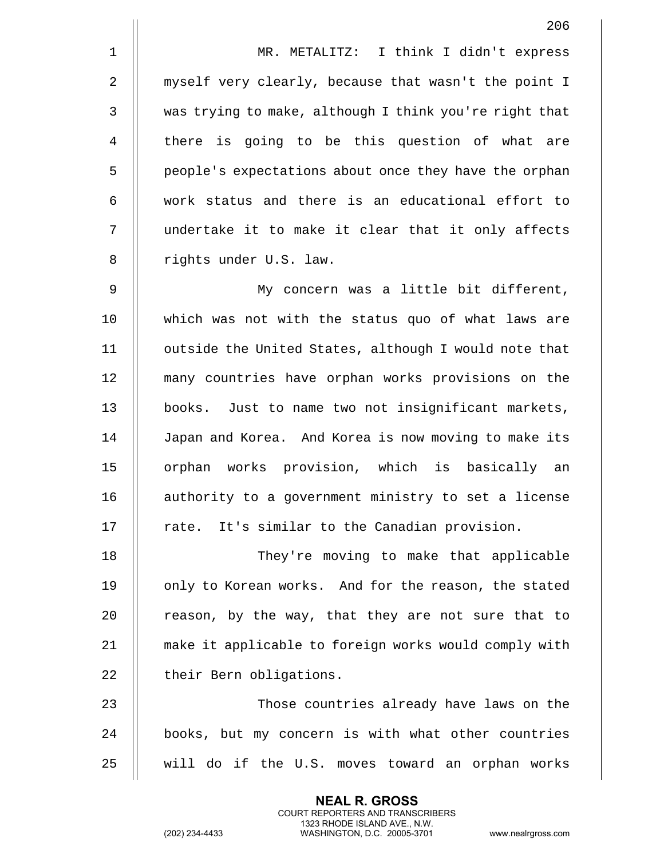1 MR. METALITZ: I think I didn't express 2 || myself very clearly, because that wasn't the point I 3 was trying to make, although I think you're right that 4 || there is going to be this question of what are 5 | people's expectations about once they have the orphan  $6$   $\parallel$  work status and there is an educational effort to 7 undertake it to make it clear that it only affects 8 || rights under U.S. law.

9 My concern was a little bit different, 10 which was not with the status quo of what laws are 11 | outside the United States, although I would note that 12 many countries have orphan works provisions on the 13 || books. Just to name two not insignificant markets, 14 | Japan and Korea. And Korea is now moving to make its 15 || orphan works provision, which is basically an 16 || authority to a government ministry to set a license  $17$  || rate. It's similar to the Canadian provision.

18 They're moving to make that applicable 19 || only to Korean works. And for the reason, the stated 20  $\parallel$  reason, by the way, that they are not sure that to 21 make it applicable to foreign works would comply with 22 | their Bern obligations.

23 Those countries already have laws on the 24 || books, but my concern is with what other countries 25 will do if the U.S. moves toward an orphan works

> **NEAL R. GROSS** COURT REPORTERS AND TRANSCRIBERS 1323 RHODE ISLAND AVE., N.W.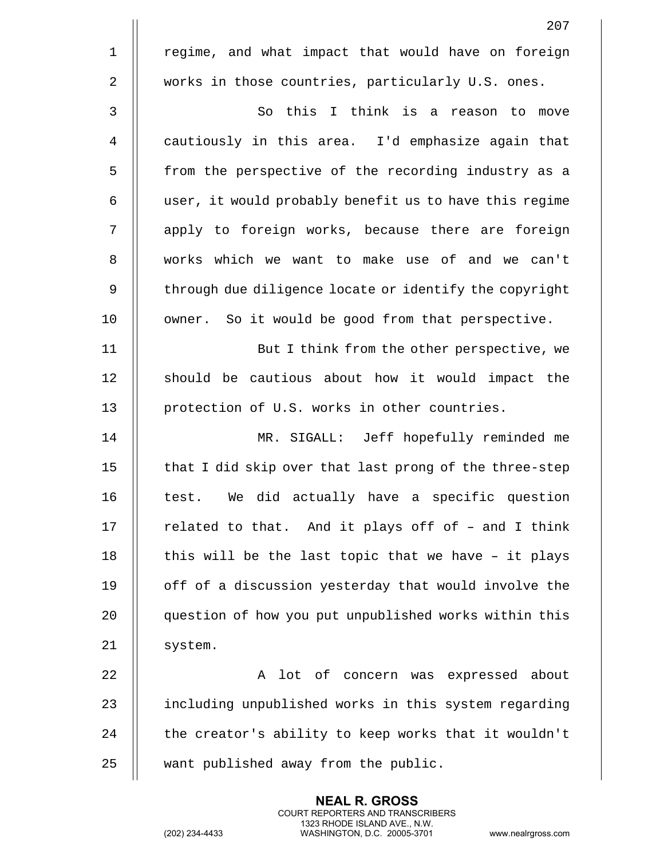|                | 207                                                    |
|----------------|--------------------------------------------------------|
| $\mathbf 1$    | regime, and what impact that would have on foreign     |
| $\overline{2}$ | works in those countries, particularly U.S. ones.      |
| $\mathsf 3$    | So this I think is a reason to move                    |
| $\overline{4}$ | cautiously in this area. I'd emphasize again that      |
| 5              | from the perspective of the recording industry as a    |
| 6              | user, it would probably benefit us to have this regime |
| 7              | apply to foreign works, because there are foreign      |
| 8              | works which we want to make use of and we can't        |
| 9              | through due diligence locate or identify the copyright |
| 10             | owner. So it would be good from that perspective.      |
| 11             | But I think from the other perspective, we             |
| 12             | should be cautious about how it would impact the       |
| 13             | protection of U.S. works in other countries.           |
| 14             | MR. SIGALL: Jeff hopefully reminded me                 |
| 15             | that I did skip over that last prong of the three-step |
| 16             | We did actually have a specific question<br>test.      |
| 17             | related to that. And it plays off of - and I think     |
| 18             | this will be the last topic that we have - it plays    |
| 19             | off of a discussion yesterday that would involve the   |
| 20             | question of how you put unpublished works within this  |
| 21             | system.                                                |
| 22             | A lot of concern was expressed about                   |
| 23             | including unpublished works in this system regarding   |
| 24             | the creator's ability to keep works that it wouldn't   |
| 25             | want published away from the public.                   |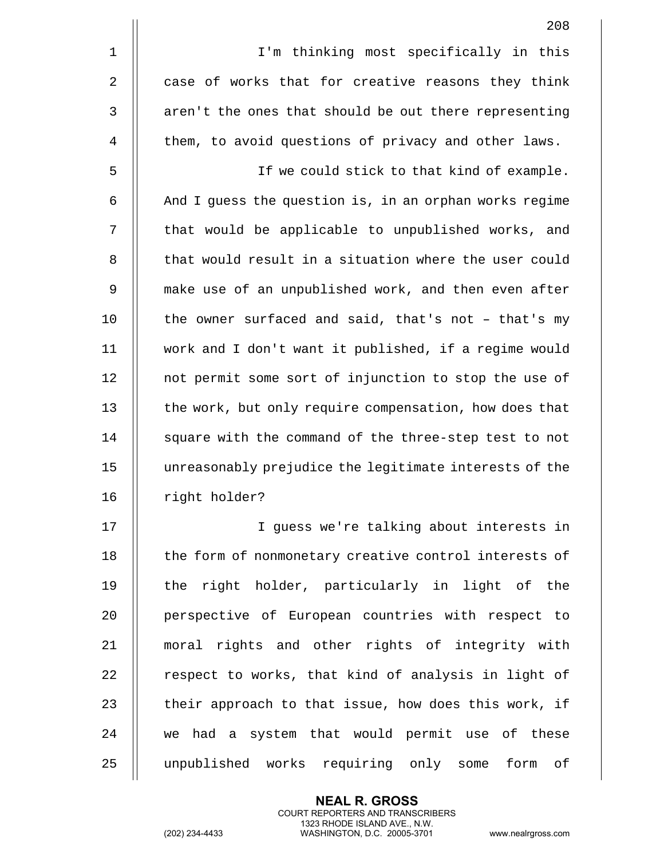|             | 208                                                    |
|-------------|--------------------------------------------------------|
| $\mathbf 1$ | I'm thinking most specifically in this                 |
| 2           | case of works that for creative reasons they think     |
| 3           | aren't the ones that should be out there representing  |
| 4           | them, to avoid questions of privacy and other laws.    |
| 5           | If we could stick to that kind of example.             |
| 6           | And I guess the question is, in an orphan works regime |
| 7           | that would be applicable to unpublished works, and     |
| 8           | that would result in a situation where the user could  |
| 9           | make use of an unpublished work, and then even after   |
| 10          | the owner surfaced and said, that's not - that's my    |
| 11          | work and I don't want it published, if a regime would  |
| 12          | not permit some sort of injunction to stop the use of  |
| 13          | the work, but only require compensation, how does that |
| 14          | square with the command of the three-step test to not  |
| 15          | unreasonably prejudice the legitimate interests of the |
| 16          | right holder?                                          |
| 17          | I guess we're talking about interests in               |
| 18          | the form of nonmonetary creative control interests of  |
| 19          | the right holder, particularly in light of the         |
| 20          | perspective of European countries with respect to      |
| 21          | moral rights and other rights of integrity with        |
| 22          | respect to works, that kind of analysis in light of    |
| 23          | their approach to that issue, how does this work, if   |

  $\parallel$  we had a system that would permit use of these 25 | unpublished works requiring only some form of

> **NEAL R. GROSS** COURT REPORTERS AND TRANSCRIBERS 1323 RHODE ISLAND AVE., N.W.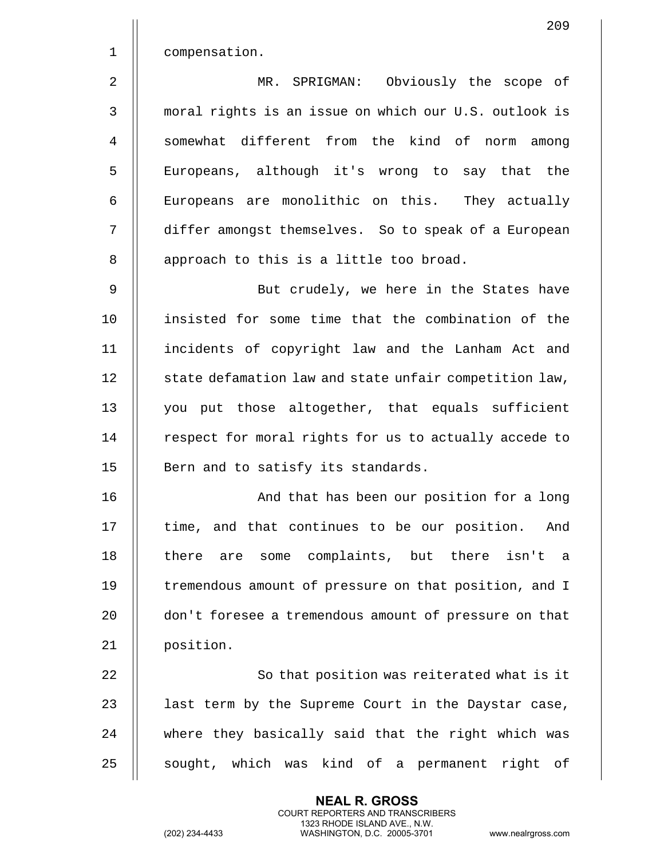1 | compensation.

2 MR. SPRIGMAN: Obviously the scope of 3 moral rights is an issue on which our U.S. outlook is 4 || somewhat different from the kind of norm among 5 || Europeans, although it's wrong to say that the 6 | Europeans are monolithic on this. They actually 7 differ amongst themselves. So to speak of a European 8 || approach to this is a little too broad.

9 || But crudely, we here in the States have 10 insisted for some time that the combination of the 11 incidents of copyright law and the Lanham Act and 12 | state defamation law and state unfair competition law, 13 || you put those altogether, that equals sufficient 14 | respect for moral rights for us to actually accede to  $15$  || Bern and to satisfy its standards.

16 || And that has been our position for a long 17 || time, and that continues to be our position. And 18 || there are some complaints, but there isn't a 19 || tremendous amount of pressure on that position, and I 20 | don't foresee a tremendous amount of pressure on that 21 | position.

22 || So that position was reiterated what is it 23  $\parallel$  last term by the Supreme Court in the Daystar case, 24 || where they basically said that the right which was 25 || sought, which was kind of a permanent right of

> **NEAL R. GROSS** COURT REPORTERS AND TRANSCRIBERS 1323 RHODE ISLAND AVE., N.W.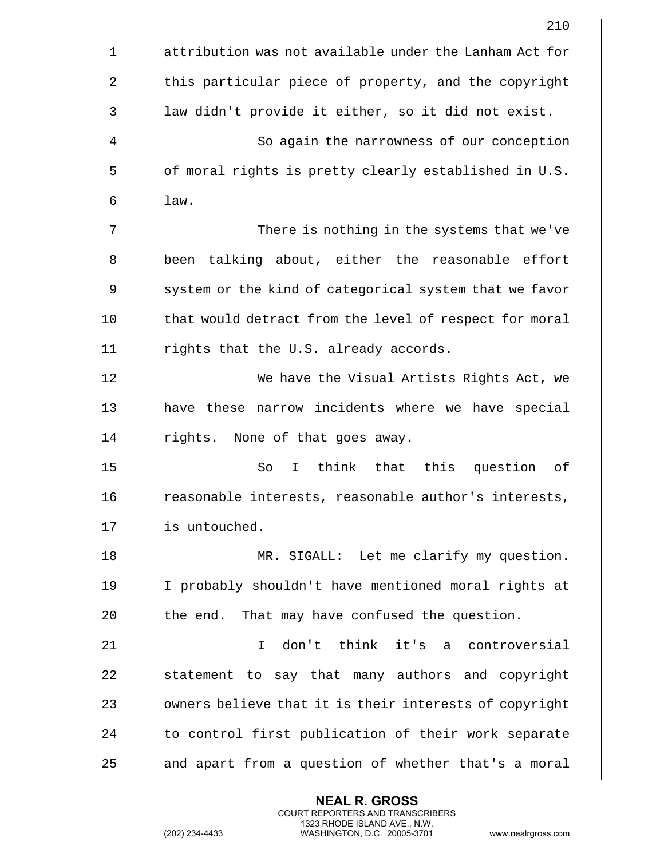|                | 210                                                     |
|----------------|---------------------------------------------------------|
| $\mathbf 1$    | attribution was not available under the Lanham Act for  |
| $\overline{2}$ | this particular piece of property, and the copyright    |
| 3              | law didn't provide it either, so it did not exist.      |
| 4              | So again the narrowness of our conception               |
| 5              | of moral rights is pretty clearly established in U.S.   |
| 6              | law.                                                    |
| 7              | There is nothing in the systems that we've              |
| 8              | been talking about, either the reasonable effort        |
| 9              | system or the kind of categorical system that we favor  |
| 10             | that would detract from the level of respect for moral  |
| 11             | rights that the U.S. already accords.                   |
| 12             | We have the Visual Artists Rights Act, we               |
| 13             | have these narrow incidents where we have special       |
| 14             | rights. None of that goes away.                         |
| 15             | think<br>that this question<br>So<br>оf<br>$\mathbf{I}$ |
| 16             | reasonable interests, reasonable author's interests,    |
| 17             | is untouched.                                           |
| 18             | MR. SIGALL: Let me clarify my question.                 |
| 19             | I probably shouldn't have mentioned moral rights at     |
| 20             | the end. That may have confused the question.           |
| 21             | don't think it's a controversial<br>T.                  |
| 22             | statement to say that many authors and copyright        |
| 23             | owners believe that it is their interests of copyright  |
| 24             | to control first publication of their work separate     |
| 25             | and apart from a question of whether that's a moral     |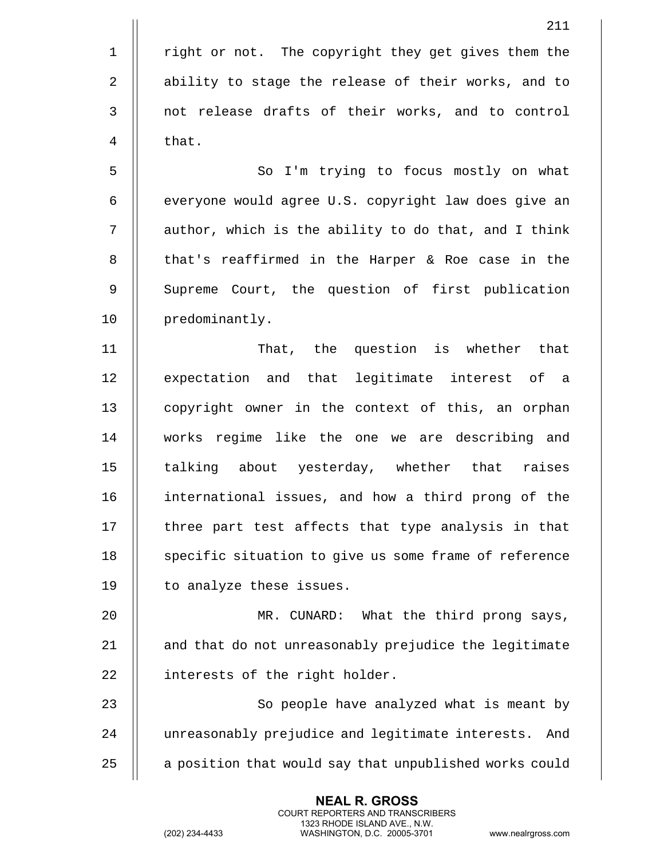5 || So I'm trying to focus mostly on what  $6$  | everyone would agree U.S. copyright law does give an  $7$   $\parallel$  author, which is the ability to do that, and I think 8 || that's reaffirmed in the Harper & Roe case in the 9 || Supreme Court, the question of first publication 10 || predominantly.

11 That, the question is whether that 12 || expectation and that legitimate interest of a 13 || copyright owner in the context of this, an orphan 14 works regime like the one we are describing and 15 || talking about yesterday, whether that raises 16 || international issues, and how a third prong of the  $17$   $\parallel$  three part test affects that type analysis in that 18 || specific situation to give us some frame of reference 19 | to analyze these issues.

20 MR. CUNARD: What the third prong says, 21 || and that do not unreasonably prejudice the legitimate 22 | interests of the right holder.

23 || So people have analyzed what is meant by 24 unreasonably prejudice and legitimate interests. And 25 | a position that would say that unpublished works could

> **NEAL R. GROSS** COURT REPORTERS AND TRANSCRIBERS 1323 RHODE ISLAND AVE., N.W.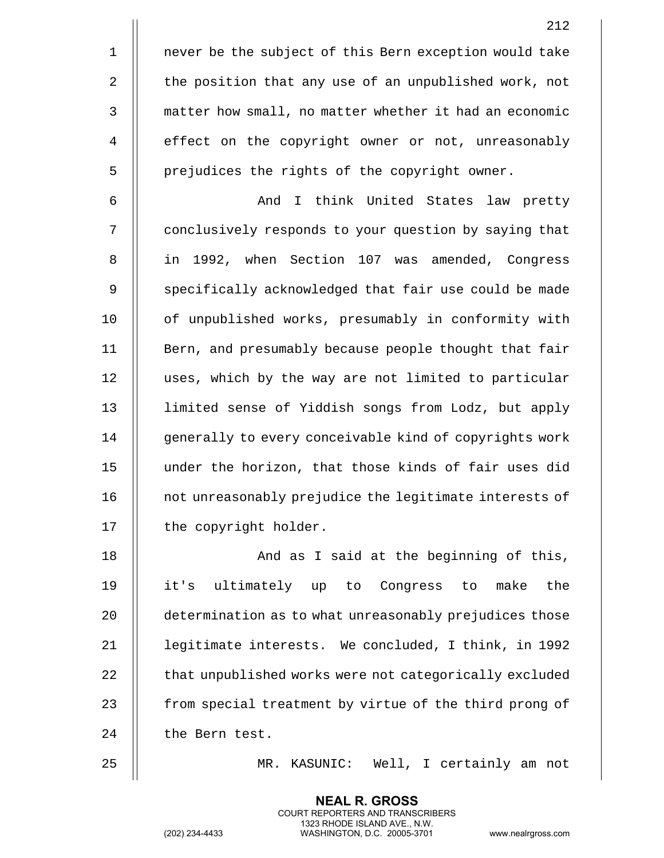1 || never be the subject of this Bern exception would take 2 | the position that any use of an unpublished work, not 3 | matter how small, no matter whether it had an economic 4 | effect on the copyright owner or not, unreasonably  $5$  | prejudices the rights of the copyright owner. 6 || And I think United States law pretty

7 | conclusively responds to your question by saying that 8 in 1992, when Section 107 was amended, Congress 9 || specifically acknowledged that fair use could be made 10 || of unpublished works, presumably in conformity with 11 || Bern, and presumably because people thought that fair 12 | uses, which by the way are not limited to particular 13 limited sense of Yiddish songs from Lodz, but apply 14 || qenerally to every conceivable kind of copyrights work 15 under the horizon, that those kinds of fair uses did 16 || not unreasonably prejudice the legitimate interests of 17 | the copyright holder.

18 || And as I said at the beginning of this, 19 it's ultimately up to Congress to make the 20 **determination as to what unreasonably prejudices those** 21 legitimate interests. We concluded, I think, in 1992 22 | that unpublished works were not categorically excluded 23 | from special treatment by virtue of the third prong of 24 | the Bern test.

25 MR. KASUNIC: Well, I certainly am not

**NEAL R. GROSS** COURT REPORTERS AND TRANSCRIBERS 1323 RHODE ISLAND AVE., N.W.

212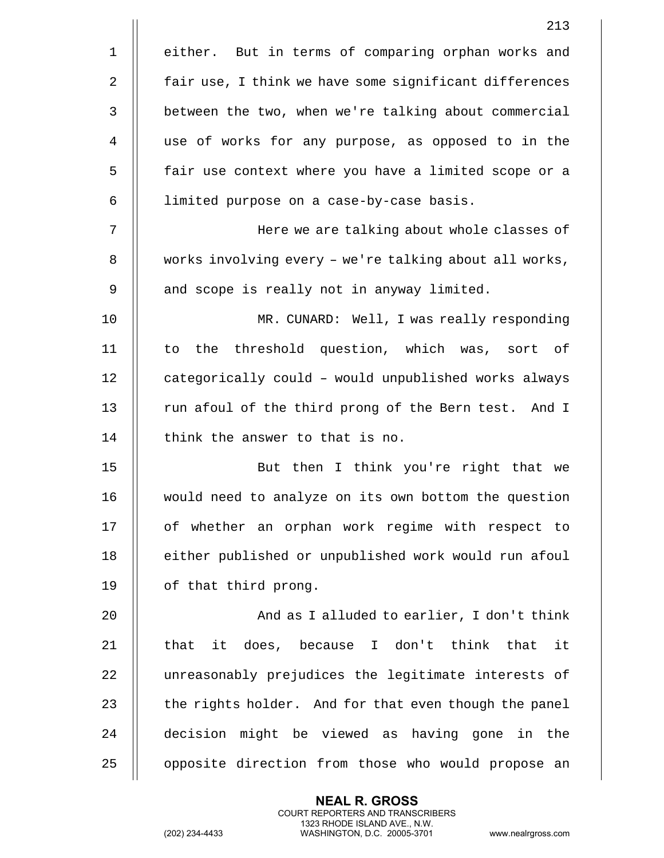|             | 213                                                    |
|-------------|--------------------------------------------------------|
| $\mathbf 1$ | either. But in terms of comparing orphan works and     |
| 2           | fair use, I think we have some significant differences |
| 3           | between the two, when we're talking about commercial   |
| 4           | use of works for any purpose, as opposed to in the     |
| 5           | fair use context where you have a limited scope or a   |
| 6           | limited purpose on a case-by-case basis.               |
| 7           | Here we are talking about whole classes of             |
| 8           | works involving every - we're talking about all works, |
| 9           | and scope is really not in anyway limited.             |
| 10          | MR. CUNARD: Well, I was really responding              |
| 11          | to the threshold question, which was, sort of          |
| 12          | categorically could - would unpublished works always   |
| 13          | run afoul of the third prong of the Bern test. And I   |
| 14          | think the answer to that is no.                        |
| 15          | But then I think you're right that we                  |
| 16          | would need to analyze on its own bottom the question   |
| 17          | of whether an orphan work regime with respect to       |
| 18          | either published or unpublished work would run afoul   |
| 19          | of that third prong.                                   |
| 20          | And as I alluded to earlier, I don't think             |
| 21          | that it does, because I don't think that<br>it         |
| 22          | unreasonably prejudices the legitimate interests of    |
| 23          | the rights holder. And for that even though the panel  |
| 24          | decision might be viewed as having gone in the         |
| 25          | opposite direction from those who would propose an     |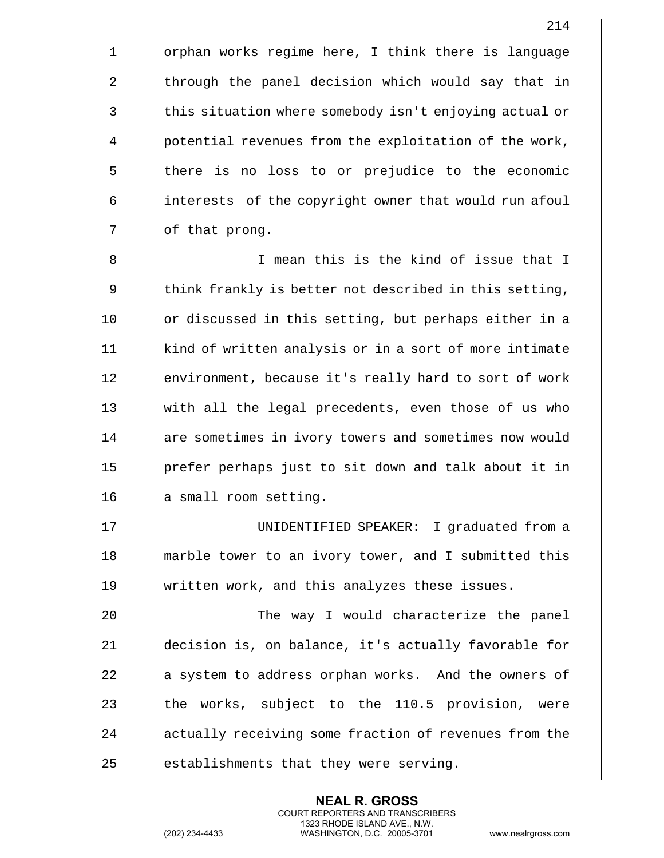1 | | orphan works regime here, I think there is language 2 | through the panel decision which would say that in 3 | this situation where somebody isn't enjoying actual or 4 | potential revenues from the exploitation of the work, 5 | there is no loss to or prejudice to the economic 6 interests of the copyright owner that would run afoul 7 | of that prong.

8 I mean this is the kind of issue that I 9  $\parallel$  think frankly is better not described in this setting, 10 || or discussed in this setting, but perhaps either in a 11 || kind of written analysis or in a sort of more intimate 12 | environment, because it's really hard to sort of work 13 with all the legal precedents, even those of us who 14 || are sometimes in ivory towers and sometimes now would 15 prefer perhaps just to sit down and talk about it in 16 || a small room setting.

17 UNIDENTIFIED SPEAKER: I graduated from a 18 marble tower to an ivory tower, and I submitted this 19 written work, and this analyzes these issues.

 The way I would characterize the panel decision is, on balance, it's actually favorable for 22 | a system to address orphan works. And the owners of  $\parallel$  the works, subject to the 110.5 provision, were 24 || actually receiving some fraction of revenues from the  $\parallel$  establishments that they were serving.

> **NEAL R. GROSS** COURT REPORTERS AND TRANSCRIBERS 1323 RHODE ISLAND AVE., N.W.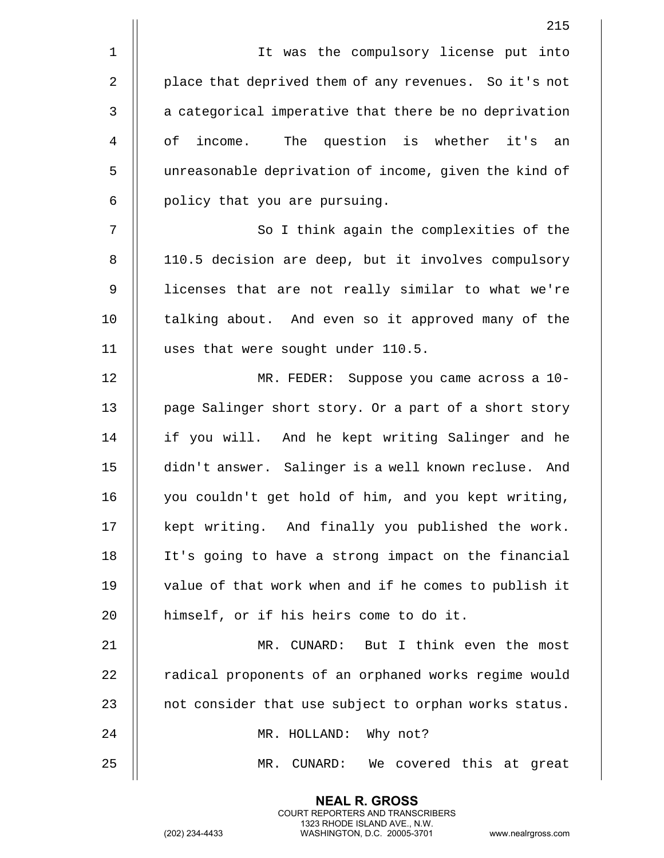1 || It was the compulsory license put into 2 | place that deprived them of any revenues. So it's not 3 || a categorical imperative that there be no deprivation 4 of income. The question is whether it's an 5 unreasonable deprivation of income, given the kind of  $6$  || policy that you are pursuing. 7 || So I think again the complexities of the 8 | 110.5 decision are deep, but it involves compulsory 9 || licenses that are not really similar to what we're 10 || talking about. And even so it approved many of the 11 uses that were sought under 110.5. 12 MR. FEDER: Suppose you came across a 10- 13 || page Salinger short story. Or a part of a short story 14 if you will. And he kept writing Salinger and he 15 didn't answer. Salinger is a well known recluse. And 16 || you couldn't get hold of him, and you kept writing, 17 || kept writing. And finally you published the work. 18 It's going to have a strong impact on the financial 19 || value of that work when and if he comes to publish it 20 | himself, or if his heirs come to do it. 21 MR. CUNARD: But I think even the most 22 | radical proponents of an orphaned works regime would 23  $\parallel$  not consider that use subject to orphan works status. 24 || MR. HOLLAND: Why not?

25 MR. CUNARD: We covered this at great

**NEAL R. GROSS** COURT REPORTERS AND TRANSCRIBERS 1323 RHODE ISLAND AVE., N.W.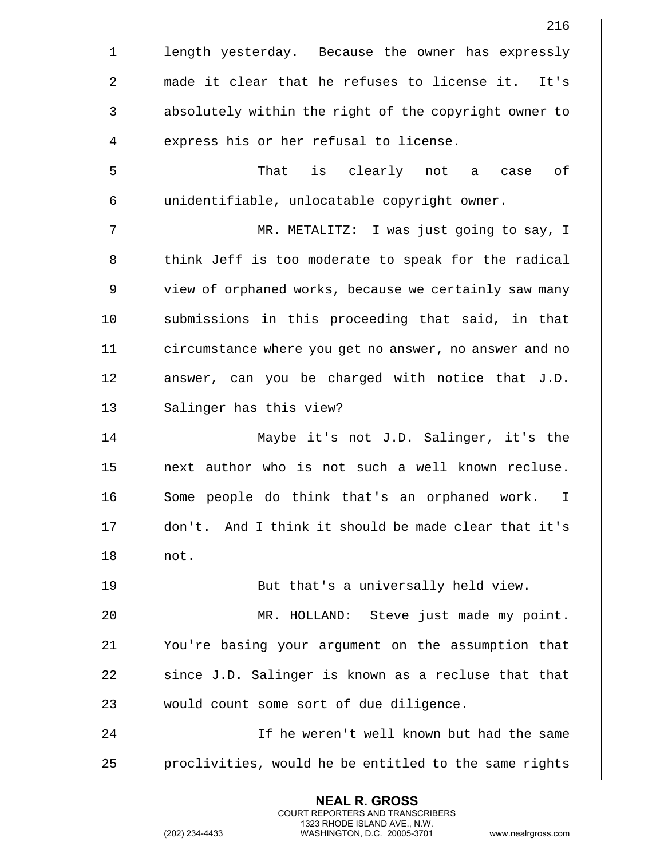|             | 216                                                    |
|-------------|--------------------------------------------------------|
| $\mathbf 1$ | length yesterday. Because the owner has expressly      |
| 2           | made it clear that he refuses to license it. It's      |
| 3           | absolutely within the right of the copyright owner to  |
| 4           | express his or her refusal to license.                 |
| 5           | That is clearly not a<br>оf<br>case                    |
| 6           | unidentifiable, unlocatable copyright owner.           |
| 7           | MR. METALITZ: I was just going to say, I               |
| 8           | think Jeff is too moderate to speak for the radical    |
| 9           | view of orphaned works, because we certainly saw many  |
| 10          | submissions in this proceeding that said, in that      |
| 11          | circumstance where you get no answer, no answer and no |
| 12          | answer, can you be charged with notice that J.D.       |
| 13          | Salinger has this view?                                |
| 14          | Maybe it's not J.D. Salinger, it's the                 |
| 15          | next author who is not such a well known recluse.      |
| 16          | Some people do think that's an orphaned work. I        |
| 17          | don't. And I think it should be made clear that it's   |
| 18          | not.                                                   |
| 19          | But that's a universally held view.                    |
| 20          | MR. HOLLAND: Steve just made my point.                 |
| 21          | You're basing your argument on the assumption that     |
| 22          | since J.D. Salinger is known as a recluse that that    |
| 23          | would count some sort of due diligence.                |
| 24          | If he weren't well known but had the same              |
| 25          | proclivities, would he be entitled to the same rights  |
|             |                                                        |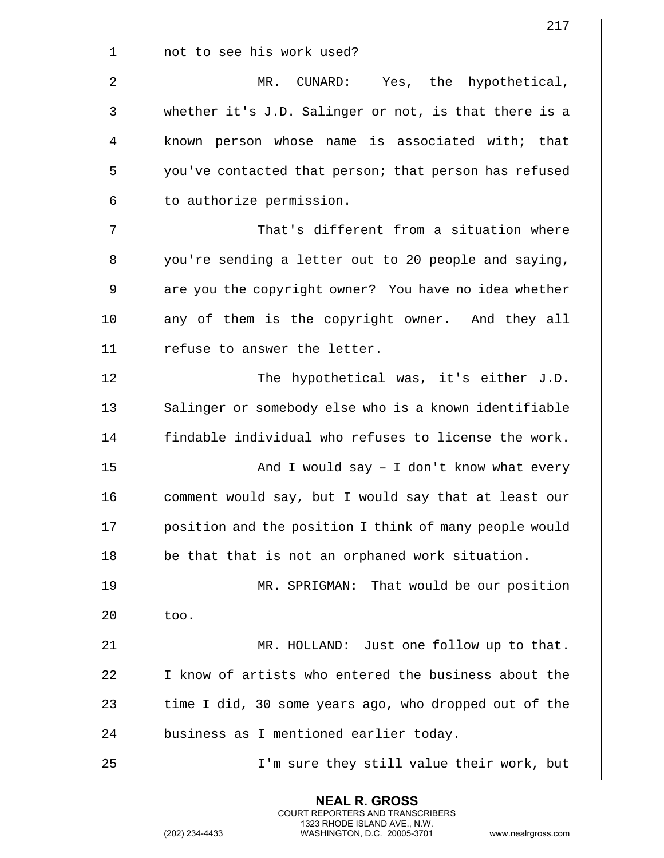|             | 217                                                    |
|-------------|--------------------------------------------------------|
| $\mathbf 1$ | not to see his work used?                              |
| 2           | MR. CUNARD:<br>Yes, the<br>hypothetical,               |
| 3           | whether it's J.D. Salinger or not, is that there is a  |
| 4           | known person whose name is associated with; that       |
| 5           | you've contacted that person; that person has refused  |
| 6           | to authorize permission.                               |
| 7           | That's different from a situation where                |
| 8           | you're sending a letter out to 20 people and saying,   |
| 9           | are you the copyright owner? You have no idea whether  |
| 10          | any of them is the copyright owner. And they all       |
| 11          | refuse to answer the letter.                           |
| 12          | The hypothetical was, it's either J.D.                 |
| 13          | Salinger or somebody else who is a known identifiable  |
| 14          | findable individual who refuses to license the work.   |
| 15          | And I would say $-$ I don't know what every            |
| 16          | comment would say, but I would say that at least our   |
| 17          | position and the position I think of many people would |
| 18          | be that that is not an orphaned work situation.        |
| 19          | MR. SPRIGMAN: That would be our position               |
| 20          | too.                                                   |
| 21          | MR. HOLLAND: Just one follow up to that.               |
| 22          | I know of artists who entered the business about the   |
| 23          | time I did, 30 some years ago, who dropped out of the  |
| 24          | business as I mentioned earlier today.                 |
| 25          | I'm sure they still value their work, but              |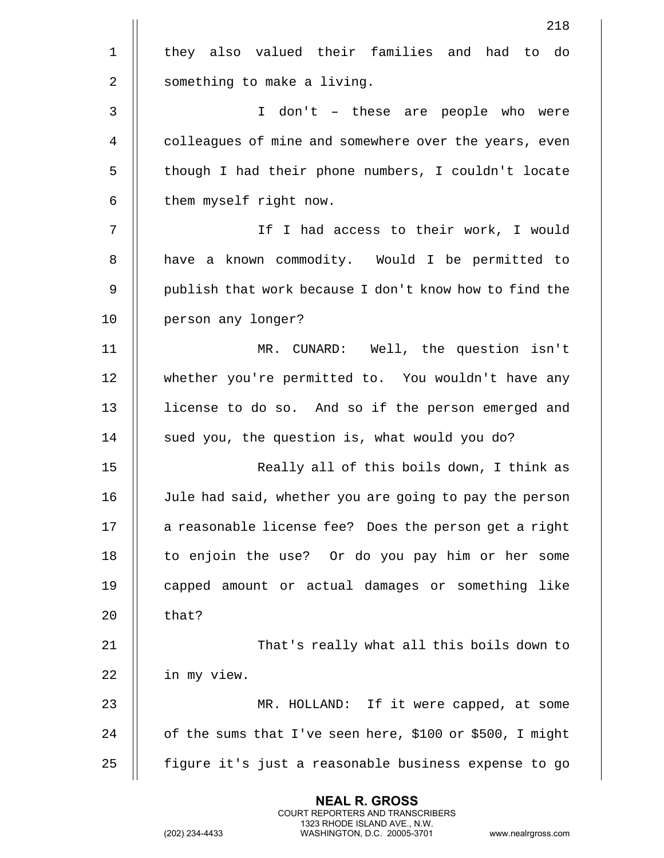|             | 218                                                      |
|-------------|----------------------------------------------------------|
| $\mathbf 1$ | they also valued their families and had to do            |
| 2           | something to make a living.                              |
| 3           | I don't - these are people who were                      |
| 4           | colleagues of mine and somewhere over the years, even    |
| 5           | though I had their phone numbers, I couldn't locate      |
| 6           | them myself right now.                                   |
| 7           | If I had access to their work, I would                   |
| 8           | have a known commodity. Would I be permitted to          |
| 9           | publish that work because I don't know how to find the   |
| 10          | person any longer?                                       |
| 11          | MR. CUNARD: Well, the question isn't                     |
| 12          | whether you're permitted to. You wouldn't have any       |
| 13          | license to do so. And so if the person emerged and       |
| 14          | sued you, the question is, what would you do?            |
| 15          | Really all of this boils down, I think as                |
| 16          | Jule had said, whether you are going to pay the person   |
| 17          | a reasonable license fee? Does the person get a right    |
| 18          | to enjoin the use? Or do you pay him or her some         |
| 19          | capped amount or actual damages or something like        |
| 20          | that?                                                    |
| 21          | That's really what all this boils down to                |
| 22          | in my view.                                              |
| 23          | MR. HOLLAND: If it were capped, at some                  |
| 24          | of the sums that I've seen here, \$100 or \$500, I might |
| 25          | figure it's just a reasonable business expense to go     |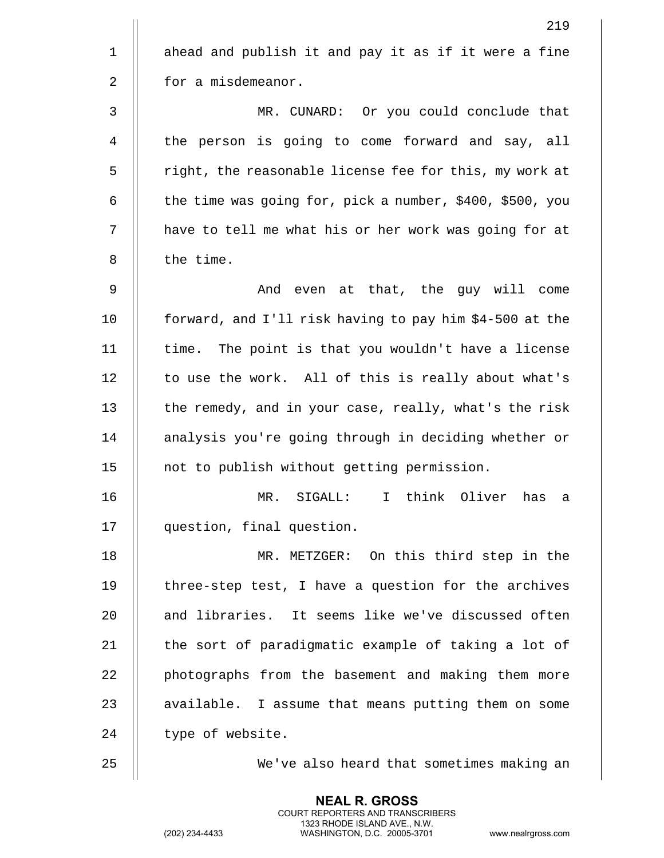|              | 219                                                          |
|--------------|--------------------------------------------------------------|
| $\mathbf 1$  | ahead and publish it and pay it as if it were a fine         |
| 2            | for a misdemeanor.                                           |
| $\mathbf{3}$ | MR. CUNARD: Or you could conclude that                       |
| 4            | the person is going to come forward and say, all             |
| 5            | right, the reasonable license fee for this, my work at       |
| 6            | the time was going for, pick a number, \$400, \$500, you     |
| 7            | have to tell me what his or her work was going for at        |
| 8            | the time.                                                    |
| 9            | And even at that, the guy will come                          |
| 10           | forward, and I'll risk having to pay him \$4-500 at the      |
| 11           | time. The point is that you wouldn't have a license          |
| 12           | to use the work. All of this is really about what's          |
| 13           | the remedy, and in your case, really, what's the risk        |
| 14           | analysis you're going through in deciding whether or         |
| 15           | not to publish without getting permission.                   |
| 16           | think Oliver<br>$\mathbf{I}$<br>has<br>MR.<br>SIGALL:<br>a a |
| 17           | question, final question.                                    |
| 18           | MR. METZGER: On this third step in the                       |
| 19           | three-step test, I have a question for the archives          |
| 20           | and libraries. It seems like we've discussed often           |
| 21           | the sort of paradigmatic example of taking a lot of          |
| 22           | photographs from the basement and making them more           |
| 23           | available. I assume that means putting them on some          |
| 24           | type of website.                                             |
| 25           | We've also heard that sometimes making an                    |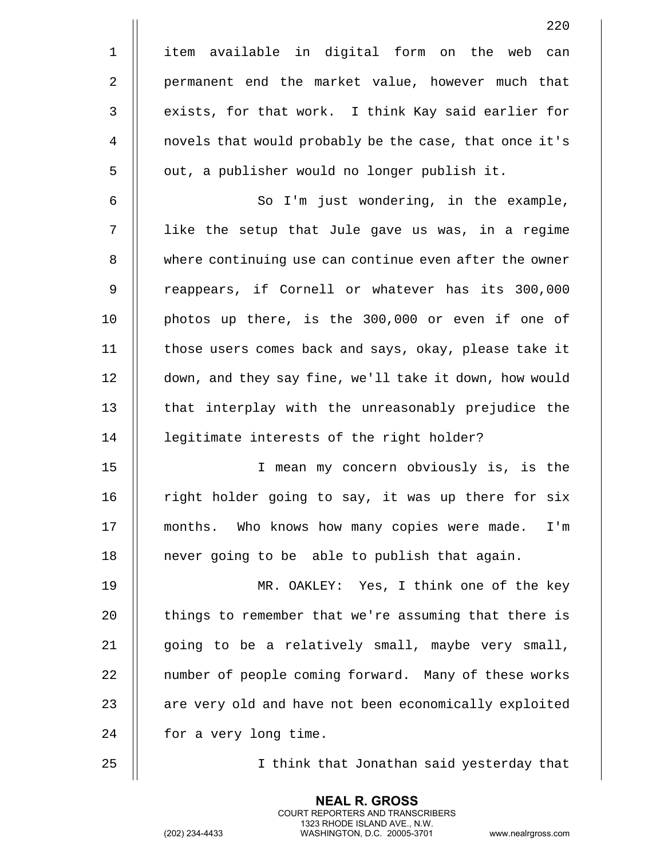|             | 220                                                    |
|-------------|--------------------------------------------------------|
| $\mathbf 1$ | item available in digital form on the web can          |
| 2           | permanent end the market value, however much that      |
| 3           | exists, for that work. I think Kay said earlier for    |
| 4           | novels that would probably be the case, that once it's |
| 5           | out, a publisher would no longer publish it.           |
| 6           | So I'm just wondering, in the example,                 |
| 7           | like the setup that Jule gave us was, in a regime      |
| 8           | where continuing use can continue even after the owner |
| 9           | reappears, if Cornell or whatever has its 300,000      |
| 10          | photos up there, is the 300,000 or even if one of      |
| 11          | those users comes back and says, okay, please take it  |
| 12          | down, and they say fine, we'll take it down, how would |
| 13          | that interplay with the unreasonably prejudice the     |
| 14          | legitimate interests of the right holder?              |
| 15          | I mean my concern obviously is, is the                 |
| 16          | right holder going to say, it was up there for six     |
| 17          | months. Who knows how many copies were made.<br>$I'$ m |
| 18          | never going to be able to publish that again.          |
| 19          | MR. OAKLEY: Yes, I think one of the key                |
| 20          | things to remember that we're assuming that there is   |
| 21          | going to be a relatively small, maybe very small,      |
| 22          | number of people coming forward. Many of these works   |
| 23          | are very old and have not been economically exploited  |
| 24          | for a very long time.                                  |
| 25          | I think that Jonathan said yesterday that              |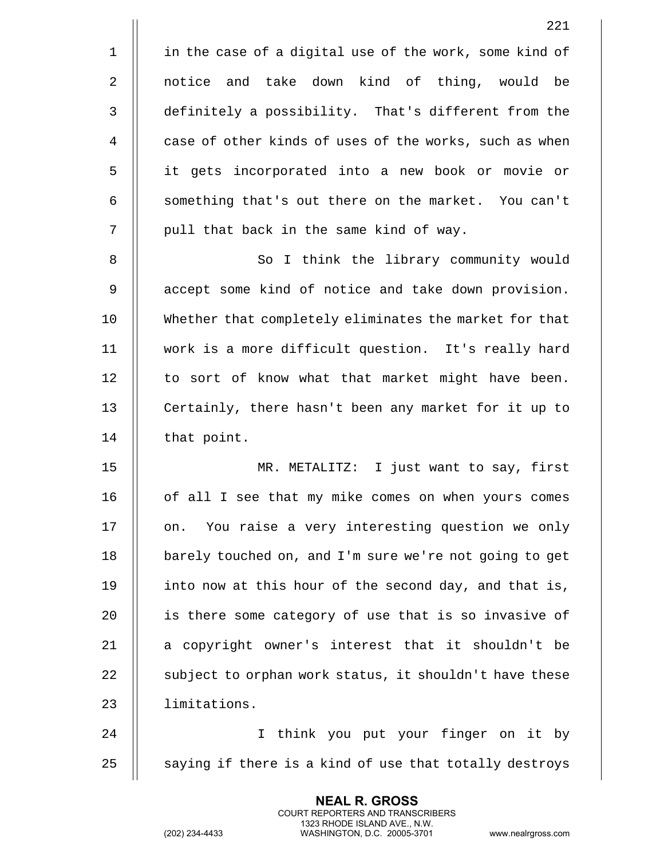|             | 221                                                    |
|-------------|--------------------------------------------------------|
| $\mathbf 1$ | in the case of a digital use of the work, some kind of |
| 2           | notice and take down kind of thing, would be           |
| 3           | definitely a possibility. That's different from the    |
| 4           | case of other kinds of uses of the works, such as when |
| 5           | it gets incorporated into a new book or movie or       |
| 6           | something that's out there on the market. You can't    |
| 7           | pull that back in the same kind of way.                |
| 8           | So I think the library community would                 |
| 9           | accept some kind of notice and take down provision.    |
| 10          | Whether that completely eliminates the market for that |
| 11          | work is a more difficult question. It's really hard    |
| 12          | to sort of know what that market might have been.      |
| 13          | Certainly, there hasn't been any market for it up to   |
| 14          | that point.                                            |
| 15          | MR. METALITZ: I just want to say, first                |
| 16          | of all I see that my mike comes on when yours comes    |
| 17          | You raise a very interesting question we only<br>on.   |
| 18          | barely touched on, and I'm sure we're not going to get |
| 19          | into now at this hour of the second day, and that is,  |
| 20          | is there some category of use that is so invasive of   |
| 21          | a copyright owner's interest that it shouldn't be      |
| 22          | subject to orphan work status, it shouldn't have these |
| 23          | limitations.                                           |
| 24          | I think you put your finger on it by                   |
| 25          | saying if there is a kind of use that totally destroys |

(202) 234-4433 WASHINGTON, D.C. 20005-3701 www.nealrgross.com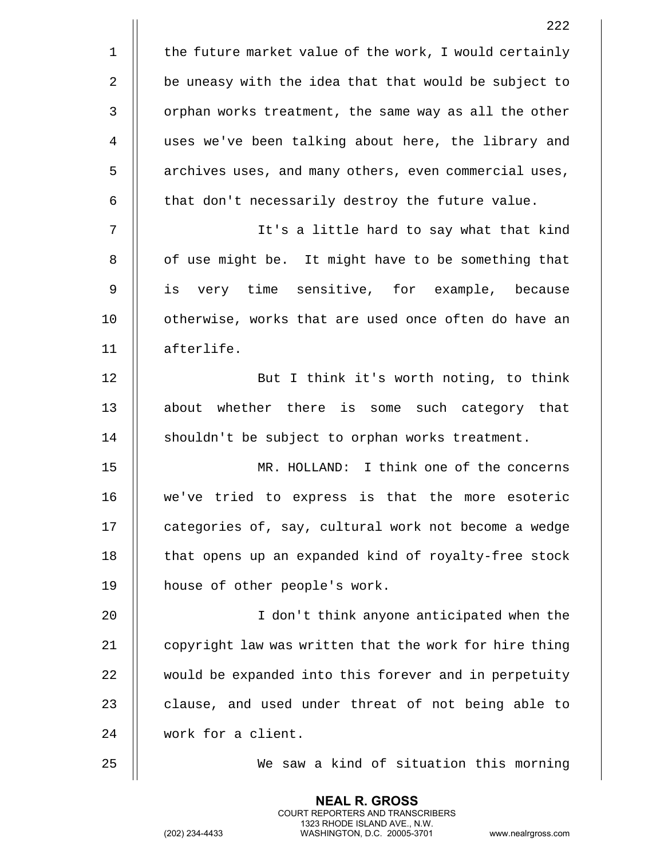|             | 222                                                    |
|-------------|--------------------------------------------------------|
| $\mathbf 1$ | the future market value of the work, I would certainly |
| 2           | be uneasy with the idea that that would be subject to  |
| 3           | orphan works treatment, the same way as all the other  |
| 4           | uses we've been talking about here, the library and    |
| 5           | archives uses, and many others, even commercial uses,  |
| 6           | that don't necessarily destroy the future value.       |
| 7           | It's a little hard to say what that kind               |
| 8           | of use might be. It might have to be something that    |
| 9           | very time sensitive, for example, because<br>is        |
| 10          | otherwise, works that are used once often do have an   |
| 11          | afterlife.                                             |
| 12          | But I think it's worth noting, to think                |
| 13          | about whether there is some such category that         |
| 14          | shouldn't be subject to orphan works treatment.        |
| 15          | MR. HOLLAND: I think one of the concerns               |
| 16          | we've tried to express is that the more esoteric       |
| 17          | categories of, say, cultural work not become a wedge   |
| 18          | that opens up an expanded kind of royalty-free stock   |
| 19          | house of other people's work.                          |
| 20          | I don't think anyone anticipated when the              |
| 21          | copyright law was written that the work for hire thing |
| 22          | would be expanded into this forever and in perpetuity  |
| 23          | clause, and used under threat of not being able to     |
| 24          | work for a client.                                     |
| 25          | We saw a kind of situation this morning                |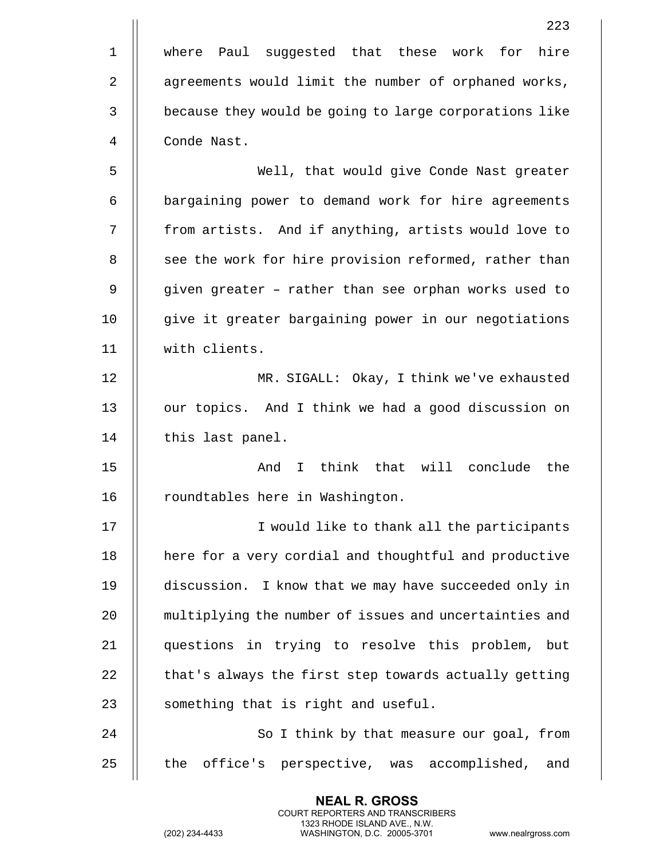|             | 223                                                    |
|-------------|--------------------------------------------------------|
| $\mathbf 1$ | where Paul suggested that these work for hire          |
| 2           | agreements would limit the number of orphaned works,   |
| 3           | because they would be going to large corporations like |
| 4           | Conde Nast.                                            |
| 5           | Well, that would give Conde Nast greater               |
| 6           | bargaining power to demand work for hire agreements    |
| 7           | from artists. And if anything, artists would love to   |
| 8           | see the work for hire provision reformed, rather than  |
| 9           | given greater - rather than see orphan works used to   |
| 10          | give it greater bargaining power in our negotiations   |
| 11          | with clients.                                          |
| 12          | MR. SIGALL: Okay, I think we've exhausted              |
| 13          | our topics. And I think we had a good discussion on    |
| 14          | this last panel.                                       |
| 15          | I think that will conclude<br>And<br>the               |
| 16          | roundtables here in Washington.                        |
| 17          | I would like to thank all the participants             |
| 18          | here for a very cordial and thoughtful and productive  |
| 19          | discussion. I know that we may have succeeded only in  |
| 20          | multiplying the number of issues and uncertainties and |
| 21          | questions in trying to resolve this problem, but       |
| 22          | that's always the first step towards actually getting  |
| 23          | something that is right and useful.                    |
| 24          | So I think by that measure our goal, from              |
| 25          | office's perspective, was accomplished, and<br>the     |